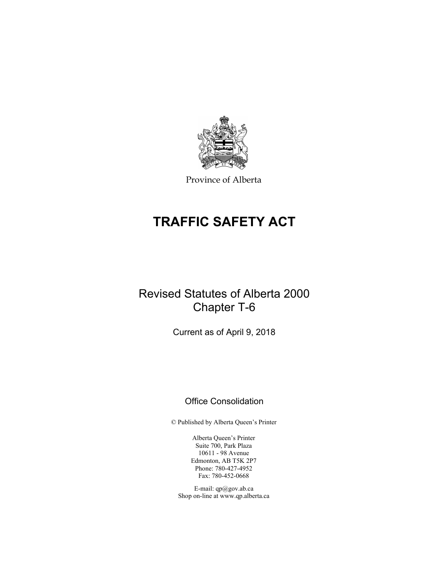

Province of Alberta

# **TRAFFIC SAFETY ACT**

# Revised Statutes of Alberta 2000 Chapter T-6

Current as of April 9, 2018

# Office Consolidation

© Published by Alberta Queen's Printer

Alberta Queen's Printer Suite 700, Park Plaza 10611 - 98 Avenue Edmonton, AB T5K 2P7 Phone: 780-427-4952 Fax: 780-452-0668

E-mail: qp@gov.ab.ca Shop on-line at www.qp.alberta.ca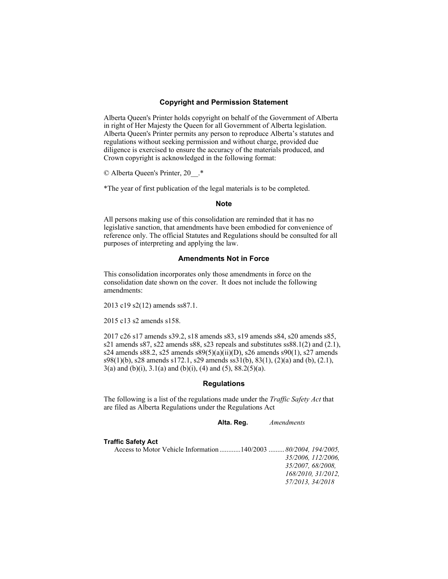### **Copyright and Permission Statement**

Alberta Queen's Printer holds copyright on behalf of the Government of Alberta in right of Her Majesty the Queen for all Government of Alberta legislation. Alberta Queen's Printer permits any person to reproduce Alberta's statutes and regulations without seeking permission and without charge, provided due diligence is exercised to ensure the accuracy of the materials produced, and Crown copyright is acknowledged in the following format:

© Alberta Queen's Printer, 20\_\_.\*

\*The year of first publication of the legal materials is to be completed.

#### **Note**

All persons making use of this consolidation are reminded that it has no legislative sanction, that amendments have been embodied for convenience of reference only. The official Statutes and Regulations should be consulted for all purposes of interpreting and applying the law.

## **Amendments Not in Force**

This consolidation incorporates only those amendments in force on the consolidation date shown on the cover. It does not include the following amendments:

2013 c19 s2(12) amends ss87.1.

2015 c13 s2 amends s158.

2017 c26 s17 amends s39.2, s18 amends s83, s19 amends s84, s20 amends s85, s21 amends s87, s22 amends s88, s23 repeals and substitutes ss88.1(2) and (2.1), s24 amends s88.2, s25 amends s89(5)(a)(ii)(D), s26 amends s90(1), s27 amends s98(1)(b), s28 amends s172.1, s29 amends ss31(b), 83(1), (2)(a) and (b), (2.1),  $3(a)$  and (b)(i),  $3.1(a)$  and (b)(i), (4) and (5),  $88.2(5)(a)$ .

## **Regulations**

The following is a list of the regulations made under the *Traffic Safety Act* that are filed as Alberta Regulations under the Regulations Act

 **Alta. Reg.** *Amendments* 

#### **Traffic Safety Act**

Access to Motor Vehicle Information ............ 140/2003 ......... *80/2004, 194/2005, 35/2006, 112/2006, 35/2007, 68/2008, 168/2010, 31/2012, 57/2013, 34/2018*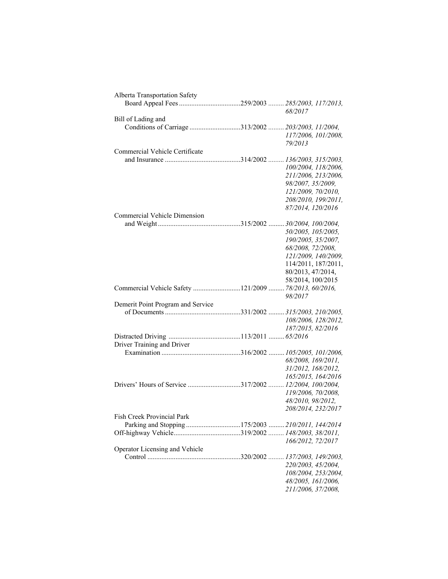| Alberta Transportation Safety                          |                     |
|--------------------------------------------------------|---------------------|
|                                                        |                     |
|                                                        | 68/2017             |
| Bill of Lading and                                     |                     |
|                                                        |                     |
|                                                        | 117/2006, 101/2008, |
|                                                        | 79/2013             |
| Commercial Vehicle Certificate                         |                     |
|                                                        |                     |
|                                                        | 100/2004, 118/2006, |
|                                                        | 211/2006, 213/2006, |
|                                                        | 98/2007, 35/2009,   |
|                                                        | 121/2009, 70/2010,  |
|                                                        | 208/2010, 199/2011, |
|                                                        | 87/2014, 120/2016   |
| Commercial Vehicle Dimension                           |                     |
|                                                        |                     |
|                                                        | 50/2005, 105/2005,  |
|                                                        | 190/2005, 35/2007,  |
|                                                        | 68/2008, 72/2008,   |
|                                                        | 121/2009, 140/2009, |
|                                                        | 114/2011, 187/2011, |
|                                                        | 80/2013, 47/2014,   |
|                                                        | 58/2014, 100/2015   |
| Commercial Vehicle Safety 121/2009  78/2013, 60/2016,  |                     |
|                                                        | 98/2017             |
| Demerit Point Program and Service                      |                     |
|                                                        |                     |
|                                                        | 108/2006, 128/2012, |
|                                                        | 187/2015, 82/2016   |
|                                                        |                     |
| Driver Training and Driver                             |                     |
|                                                        |                     |
|                                                        | 68/2008, 169/2011,  |
|                                                        | 31/2012, 168/2012,  |
|                                                        | 165/2015, 164/2016  |
| Drivers' Hours of Service 317/2002  12/2004, 100/2004, |                     |
|                                                        | 119/2006, 70/2008,  |
|                                                        | 48/2010, 98/2012,   |
|                                                        | 208/2014, 232/2017  |
| Fish Creek Provincial Park                             |                     |
| Parking and Stopping 175/2003  210/2011, 144/2014      |                     |
|                                                        |                     |
|                                                        | 166/2012, 72/2017   |
| Operator Licensing and Vehicle                         |                     |
|                                                        |                     |
|                                                        | 220/2003, 45/2004,  |
|                                                        | 108/2004, 253/2004, |
|                                                        | 48/2005, 161/2006,  |
|                                                        | 211/2006, 37/2008,  |
|                                                        |                     |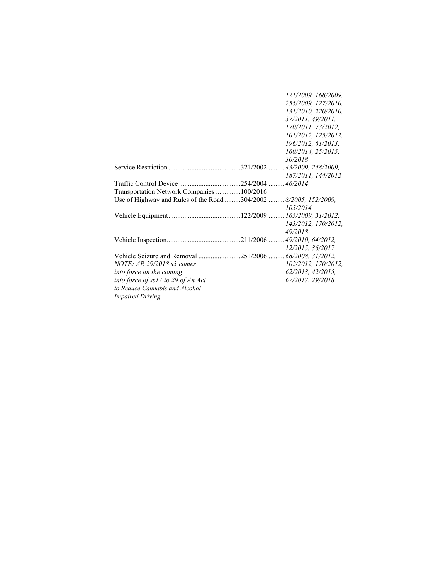| 121/2009, 168/2009,                                              |
|------------------------------------------------------------------|
| 255/2009, 127/2010,                                              |
| 131/2010, 220/2010,                                              |
| 37/2011, 49/2011,                                                |
| 170/2011, 73/2012,                                               |
| 101/2012, 125/2012,                                              |
| 196/2012, 61/2013,                                               |
| 160/2014, 25/2015,                                               |
| 30/2018                                                          |
|                                                                  |
| 187/2011, 144/2012                                               |
|                                                                  |
|                                                                  |
|                                                                  |
| Use of Highway and Rules of the Road 304/2002  8/2005, 152/2009, |
| 105/2014                                                         |
|                                                                  |
| 143/2012, 170/2012,                                              |
| 49/2018                                                          |
|                                                                  |
| 12/2015, 36/2017                                                 |
| Vehicle Seizure and Removal 251/2006  68/2008, 31/2012,          |
| 102/2012, 170/2012,                                              |
| 62/2013, 42/2015,                                                |
|                                                                  |
| 67/2017, 29/2018                                                 |
|                                                                  |
|                                                                  |
| Transportation Network Companies 100/2016                        |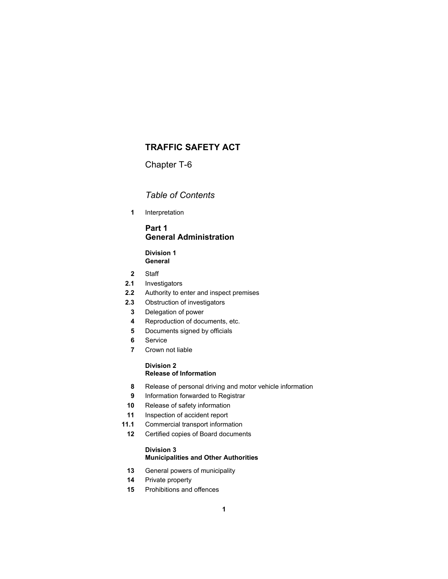# **TRAFFIC SAFETY ACT**

Chapter T-6

## *Table of Contents*

 **1** Interpretation

## **Part 1 General Administration**

**Division 1 General** 

- **2** Staff
- **2.1** Investigators
- **2.2** Authority to enter and inspect premises
- **2.3** Obstruction of investigators
- **3** Delegation of power
- **4** Reproduction of documents, etc.
- **5** Documents signed by officials
- **6** Service
- **7** Crown not liable

## **Division 2 Release of Information**

- **8** Release of personal driving and motor vehicle information
- **9** Information forwarded to Registrar
- **10** Release of safety information
- **11** Inspection of accident report
- **11.1** Commercial transport information
	- **12** Certified copies of Board documents

## **Division 3 Municipalities and Other Authorities**

- **13** General powers of municipality
- **14** Private property
- **15** Prohibitions and offences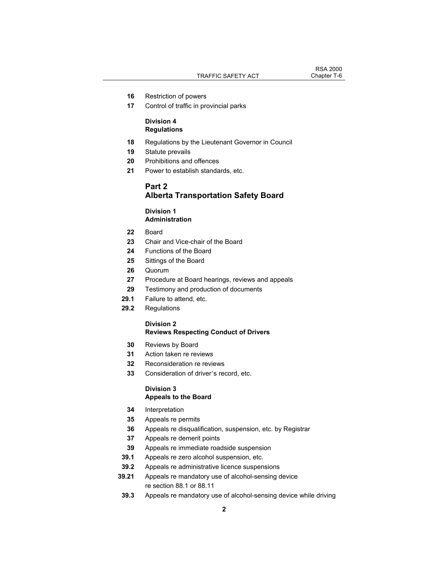- **16** Restriction of powers
- **17** Control of traffic in provincial parks

## **Division 4 Regulations**

- **18** Regulations by the Lieutenant Governor in Council
- **19** Statute prevails
- **20** Prohibitions and offences
- **21** Power to establish standards, etc.

## **Part 2 Alberta Transportation Safety Board**

## **Division 1 Administration**

- **22** Board
- **23** Chair and Vice-chair of the Board
- **24** Functions of the Board
- **25** Sittings of the Board
- **26** Quorum
- **27** Procedure at Board hearings, reviews and appeals
- **29** Testimony and production of documents
- **29.1** Failure to attend, etc.
- **29.2** Regulations

## **Division 2**

## **Reviews Respecting Conduct of Drivers**

- **30** Reviews by Board
- **31** Action taken re reviews
- **32** Reconsideration re reviews
- **33** Consideration of driver's record, etc.

#### **Division 3 Appeals to the Board**

- **34** Interpretation
- **35** Appeals re permits
- **36** Appeals re disqualification, suspension, etc. by Registrar
- **37** Appeals re demerit points
- **39** Appeals re immediate roadside suspension
- **39.1** Appeals re zero alcohol suspension, etc.
- **39.2** Appeals re administrative licence suspensions
- **39.21** Appeals re mandatory use of alcohol-sensing device re section 88.1 or 88.11
- **39.3** Appeals re mandatory use of alcohol-sensing device while driving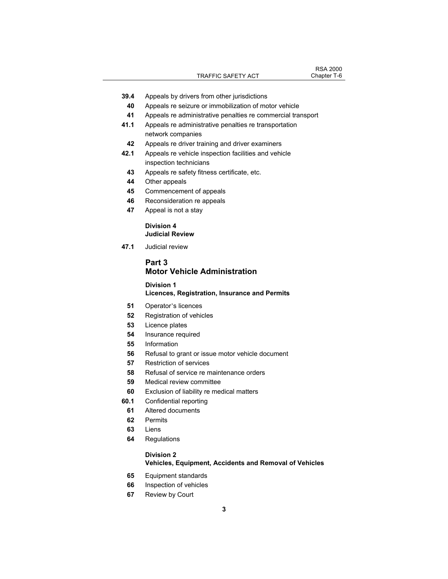- **39.4** Appeals by drivers from other jurisdictions
	- Appeals re seizure or immobilization of motor vehicle
	- Appeals re administrative penalties re commercial transport
- **41.1** Appeals re administrative penalties re transportation network companies
- Appeals re driver training and driver examiners
- **42.1** Appeals re vehicle inspection facilities and vehicle inspection technicians
	- Appeals re safety fitness certificate, etc.
- Other appeals
- Commencement of appeals
- Reconsideration re appeals
- Appeal is not a stay

### **Division 4 Judicial Review**

 **47.1** Judicial review

## **Part 3 Motor Vehicle Administration**

## **Division 1 Licences, Registration, Insurance and Permits**

- Operator's licences
- Registration of vehicles
- Licence plates
- Insurance required
- Information
- Refusal to grant or issue motor vehicle document
- Restriction of services
- Refusal of service re maintenance orders
- Medical review committee
- Exclusion of liability re medical matters
- **60.1** Confidential reporting
	- Altered documents
	- Permits
	- Liens
	- Regulations

## **Division 2**

## **Vehicles, Equipment, Accidents and Removal of Vehicles**

- Equipment standards
- Inspection of vehicles
- Review by Court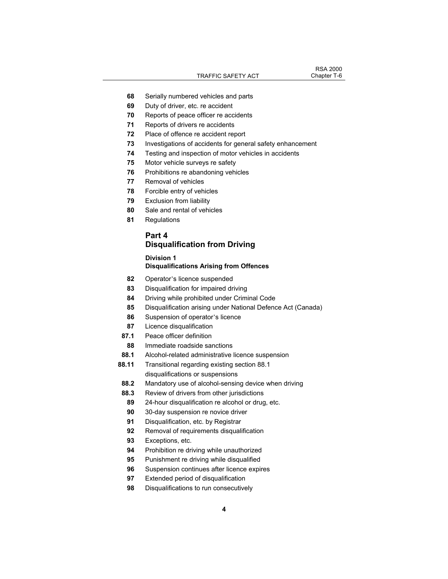- Serially numbered vehicles and parts
- Duty of driver, etc. re accident
- Reports of peace officer re accidents
- Reports of drivers re accidents
- Place of offence re accident report
- Investigations of accidents for general safety enhancement
- Testing and inspection of motor vehicles in accidents
- Motor vehicle surveys re safety
- Prohibitions re abandoning vehicles
- Removal of vehicles
- Forcible entry of vehicles
- Exclusion from liability
- Sale and rental of vehicles
- Regulations

## **Part 4**

# **Disqualification from Driving**

## **Division 1 Disqualifications Arising from Offences**

- Operator's licence suspended
- Disqualification for impaired driving
- Driving while prohibited under Criminal Code
- Disqualification arising under National Defence Act (Canada)
- Suspension of operator's licence
- Licence disqualification
- **87.1** Peace officer definition
- Immediate roadside sanctions
- **88.1** Alcohol-related administrative licence suspension
- **88.11** Transitional regarding existing section 88.1 disqualifications or suspensions
- **88.2** Mandatory use of alcohol-sensing device when driving
- **88.3** Review of drivers from other jurisdictions
	- 24-hour disqualification re alcohol or drug, etc.
	- 30-day suspension re novice driver
- Disqualification, etc. by Registrar
- Removal of requirements disqualification
- Exceptions, etc.
- Prohibition re driving while unauthorized
- Punishment re driving while disqualified
- Suspension continues after licence expires
- Extended period of disqualification
- Disqualifications to run consecutively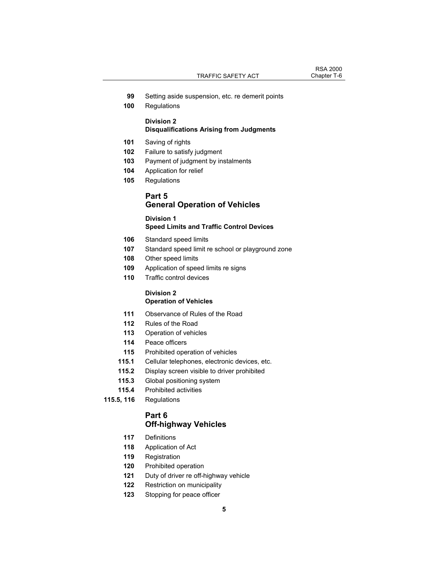- **99** Setting aside suspension, etc. re demerit points
- **100** Regulations

# **Division 2**

## **Disqualifications Arising from Judgments**

- **101** Saving of rights
- **102** Failure to satisfy judgment
- **103** Payment of judgment by instalments
- **104** Application for relief
- **105** Regulations

## **Part 5 General Operation of Vehicles**

# **Division 1**

## **Speed Limits and Traffic Control Devices**

- **106** Standard speed limits
- **107** Standard speed limit re school or playground zone
- **108** Other speed limits
- **109** Application of speed limits re signs
- **110** Traffic control devices

## **Division 2 Operation of Vehicles**

- **111** Observance of Rules of the Road
- **112** Rules of the Road
- **113** Operation of vehicles
- **114** Peace officers
- **115** Prohibited operation of vehicles
- **115.1** Cellular telephones, electronic devices, etc.
- **115.2** Display screen visible to driver prohibited
- **115.3** Global positioning system
- **115.4** Prohibited activities
- **115.5, 116** Regulations

## **Part 6 Off-highway Vehicles**

- **117** Definitions
- **118** Application of Act
- **119** Registration
- **120** Prohibited operation
- **121** Duty of driver re off-highway vehicle
- **122** Restriction on municipality
- **123** Stopping for peace officer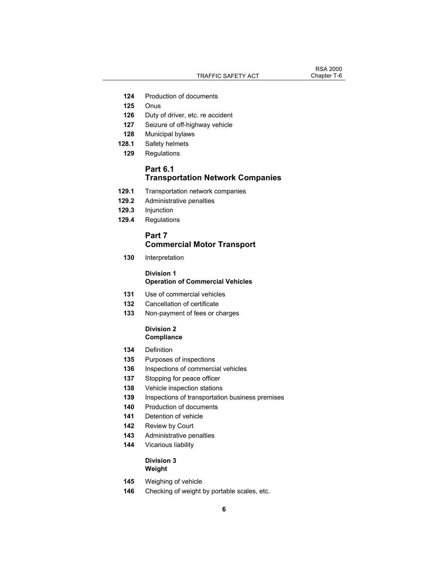TRAFFIC SAFETY ACT Chapter T-6

RSA 2000<br>Chapter T-6

- **124** Production of documents
- **125** Onus
- **126** Duty of driver, etc. re accident
- **127** Seizure of off-highway vehicle
- **128** Municipal bylaws
- **128.1** Safety helmets
- **129** Regulations

## **Part 6.1 Transportation Network Companies**

- **129.1** Transportation network companies
- **129.2** Administrative penalties
- **129.3** Injunction
- **129.4** Regulations

## **Part 7**

## **Commercial Motor Transport**

 **130** Interpretation

## **Division 1 Operation of Commercial Vehicles**

- **131** Use of commercial vehicles
- **132** Cancellation of certificate
- **133** Non-payment of fees or charges

## **Division 2 Compliance**

- **134** Definition
- **135** Purposes of inspections
- **136** Inspections of commercial vehicles
- **137** Stopping for peace officer
- **138** Vehicle inspection stations
- **139** Inspections of transportation business premises
- **140** Production of documents
- **141** Detention of vehicle
- **142** Review by Court
- **143** Administrative penalties
- **144** Vicarious liability

## **Division 3 Weight**

- **145** Weighing of vehicle
- **146** Checking of weight by portable scales, etc.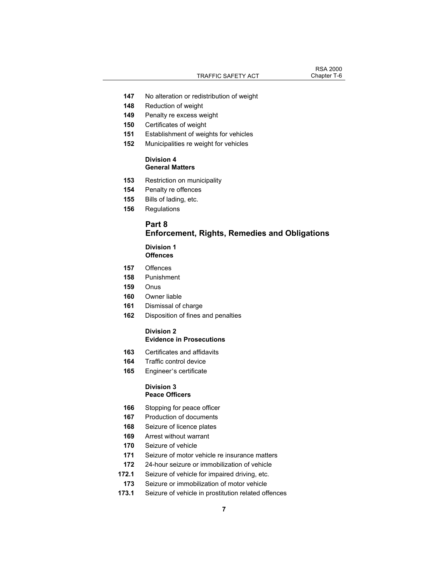# RSA 2000<br>Chapter T-6

- No alteration or redistribution of weight
- Reduction of weight
- Penalty re excess weight
- Certificates of weight
- Establishment of weights for vehicles
- Municipalities re weight for vehicles

### **Division 4 General Matters**

- Restriction on municipality
- Penalty re offences
- Bills of lading, etc.
- Regulations

## **Part 8 Enforcement, Rights, Remedies and Obligations**

#### **Division 1 Offences**

- Offences
- Punishment
- Onus
- Owner liable
- Dismissal of charge
- Disposition of fines and penalties

### **Division 2 Evidence in Prosecutions**

- Certificates and affidavits
- Traffic control device
- Engineer's certificate

### **Division 3 Peace Officers**

- Stopping for peace officer
- Production of documents
- Seizure of licence plates
- Arrest without warrant
- Seizure of vehicle
- Seizure of motor vehicle re insurance matters
- 24-hour seizure or immobilization of vehicle
- **172.1** Seizure of vehicle for impaired driving, etc.
- Seizure or immobilization of motor vehicle
- **173.1** Seizure of vehicle in prostitution related offences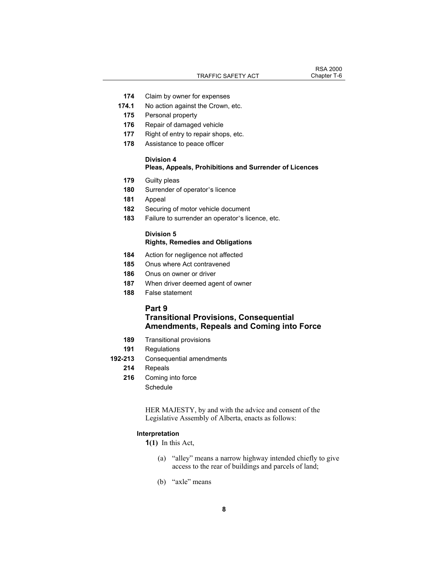TRAFFIC SAFETY ACT Chapter T-6

RSA 2000<br>Chapter T-6

- **174** Claim by owner for expenses
- **174.1** No action against the Crown, etc.
- **175** Personal property
- **176** Repair of damaged vehicle
- **177** Right of entry to repair shops, etc.
- **178** Assistance to peace officer

## **Division 4**

## **Pleas, Appeals, Prohibitions and Surrender of Licences**

- **179** Guilty pleas
- **180** Surrender of operator's licence
- **181** Appeal
- **182** Securing of motor vehicle document
- **183** Failure to surrender an operator's licence, etc.

## **Division 5 Rights, Remedies and Obligations**

- **184** Action for negligence not affected
- **185** Onus where Act contravened
- **186** Onus on owner or driver
- **187** When driver deemed agent of owner
- **188** False statement

#### **Part 9**

## **Transitional Provisions, Consequential Amendments, Repeals and Coming into Force**

- **189** Transitional provisions
- **191** Regulations
- **192-213** Consequential amendments
	- **214** Repeals
	- **216** Coming into force
		- Schedule

HER MAJESTY, by and with the advice and consent of the Legislative Assembly of Alberta, enacts as follows:

## **Interpretation**

- **1(1)** In this Act,
	- (a) "alley" means a narrow highway intended chiefly to give access to the rear of buildings and parcels of land;
	- (b) "axle" means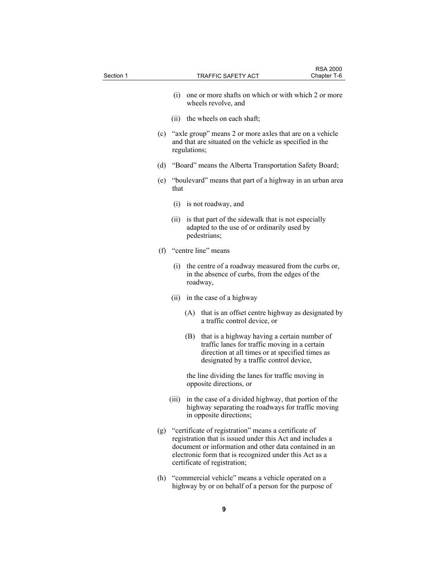| Section 1 |       | TRAFFIC SAFETY ACT           |                                                                                                                                                                                                                                           | <b>RSA 2000</b><br>Chapter T-6 |
|-----------|-------|------------------------------|-------------------------------------------------------------------------------------------------------------------------------------------------------------------------------------------------------------------------------------------|--------------------------------|
|           |       |                              |                                                                                                                                                                                                                                           |                                |
|           | (i)   | wheels revolve, and          | one or more shafts on which or with which 2 or more                                                                                                                                                                                       |                                |
|           | (11)  | the wheels on each shaft;    |                                                                                                                                                                                                                                           |                                |
|           |       | regulations;                 | (c) "axle group" means 2 or more axles that are on a vehicle<br>and that are situated on the vehicle as specified in the                                                                                                                  |                                |
|           | (d)   |                              | "Board" means the Alberta Transportation Safety Board;                                                                                                                                                                                    |                                |
|           | that  |                              | (e) "boulevard" means that part of a highway in an urban area                                                                                                                                                                             |                                |
|           |       | $(i)$ is not roadway, and    |                                                                                                                                                                                                                                           |                                |
|           | (11)  | pedestrians;                 | is that part of the sidewalk that is not especially<br>adapted to the use of or ordinarily used by                                                                                                                                        |                                |
|           | (f)   | "centre line" means          |                                                                                                                                                                                                                                           |                                |
|           | (i)   | roadway,                     | the centre of a roadway measured from the curbs or,<br>in the absence of curbs, from the edges of the                                                                                                                                     |                                |
|           | (ii)  | in the case of a highway     |                                                                                                                                                                                                                                           |                                |
|           |       |                              | (A) that is an offset centre highway as designated by<br>a traffic control device, or                                                                                                                                                     |                                |
|           |       | (B)                          | that is a highway having a certain number of<br>traffic lanes for traffic moving in a certain<br>direction at all times or at specified times as<br>designated by a traffic control device,                                               |                                |
|           |       | opposite directions, or      | the line dividing the lanes for traffic moving in                                                                                                                                                                                         |                                |
|           | (iii) | in opposite directions;      | in the case of a divided highway, that portion of the<br>highway separating the roadways for traffic moving                                                                                                                               |                                |
|           |       | certificate of registration; | (g) "certificate of registration" means a certificate of<br>registration that is issued under this Act and includes a<br>document or information and other data contained in an<br>electronic form that is recognized under this Act as a |                                |
|           | (h)   |                              | "commercial vehicle" means a vehicle operated on a<br>highway by or on behalf of a person for the purpose of                                                                                                                              |                                |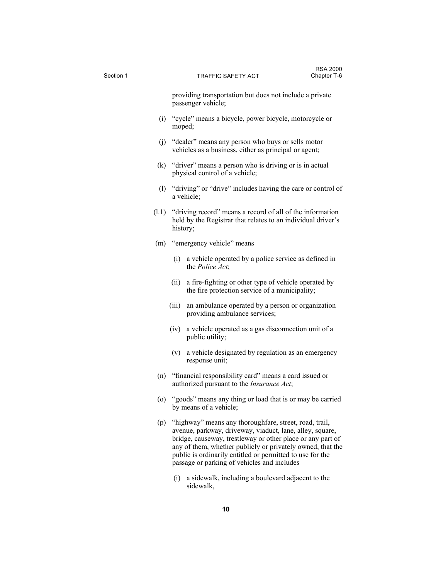| Section 1 |          | <b>TRAFFIC SAFETY ACT</b>                                                                                                                                                                                                                                                                                                                                  | <b>RSA 2000</b><br>Chapter T-6 |
|-----------|----------|------------------------------------------------------------------------------------------------------------------------------------------------------------------------------------------------------------------------------------------------------------------------------------------------------------------------------------------------------------|--------------------------------|
|           |          | providing transportation but does not include a private                                                                                                                                                                                                                                                                                                    |                                |
|           |          | passenger vehicle;                                                                                                                                                                                                                                                                                                                                         |                                |
|           | moped;   | (i) "cycle" means a bicycle, power bicycle, motorcycle or                                                                                                                                                                                                                                                                                                  |                                |
|           |          | (j) "dealer" means any person who buys or sells motor<br>vehicles as a business, either as principal or agent;                                                                                                                                                                                                                                             |                                |
|           |          | (k) "driver" means a person who is driving or is in actual<br>physical control of a vehicle;                                                                                                                                                                                                                                                               |                                |
|           |          | (1) "driving" or "drive" includes having the care or control of<br>a vehicle;                                                                                                                                                                                                                                                                              |                                |
| (1.1)     | history; | "driving record" means a record of all of the information<br>held by the Registrar that relates to an individual driver's                                                                                                                                                                                                                                  |                                |
| (m)       |          | "emergency vehicle" means                                                                                                                                                                                                                                                                                                                                  |                                |
|           |          | (i) a vehicle operated by a police service as defined in<br>the Police Act:                                                                                                                                                                                                                                                                                |                                |
|           | (ii)     | a fire-fighting or other type of vehicle operated by<br>the fire protection service of a municipality;                                                                                                                                                                                                                                                     |                                |
|           | (iii)    | an ambulance operated by a person or organization<br>providing ambulance services;                                                                                                                                                                                                                                                                         |                                |
|           | (iv)     | a vehicle operated as a gas disconnection unit of a<br>public utility;                                                                                                                                                                                                                                                                                     |                                |
|           |          | (v) a vehicle designated by regulation as an emergency<br>response unit;                                                                                                                                                                                                                                                                                   |                                |
| (n)       |          | "financial responsibility card" means a card issued or<br>authorized pursuant to the <i>Insurance Act</i> ;                                                                                                                                                                                                                                                |                                |
| (0)       |          | "goods" means any thing or load that is or may be carried<br>by means of a vehicle;                                                                                                                                                                                                                                                                        |                                |
| (p)       |          | "highway" means any thoroughfare, street, road, trail,<br>avenue, parkway, driveway, viaduct, lane, alley, square,<br>bridge, causeway, trestleway or other place or any part of<br>any of them, whether publicly or privately owned, that the<br>public is ordinarily entitled or permitted to use for the<br>passage or parking of vehicles and includes |                                |
|           | (i)      | a sidewalk, including a boulevard adjacent to the                                                                                                                                                                                                                                                                                                          |                                |

sidewalk,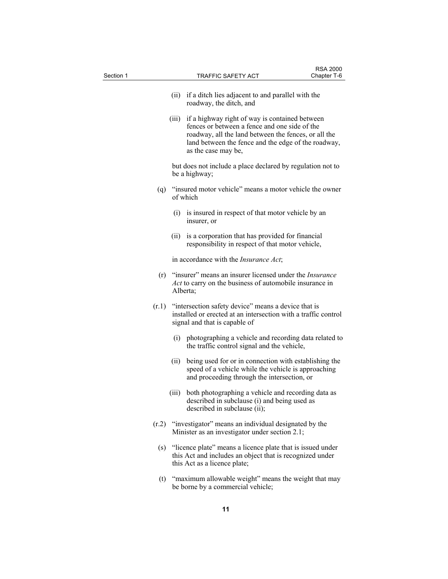| Section 1 |       | TRAFFIC SAFETY ACT                                                                                                                                                                                                                          | <b>RSA 2000</b><br>Chapter T-6 |
|-----------|-------|---------------------------------------------------------------------------------------------------------------------------------------------------------------------------------------------------------------------------------------------|--------------------------------|
|           |       |                                                                                                                                                                                                                                             |                                |
|           |       | (ii) if a ditch lies adjacent to and parallel with the<br>roadway, the ditch, and                                                                                                                                                           |                                |
|           |       | (iii) if a highway right of way is contained between<br>fences or between a fence and one side of the<br>roadway, all the land between the fences, or all the<br>land between the fence and the edge of the roadway,<br>as the case may be, |                                |
|           |       | but does not include a place declared by regulation not to<br>be a highway;                                                                                                                                                                 |                                |
|           |       | (q) "insured motor vehicle" means a motor vehicle the owner<br>of which                                                                                                                                                                     |                                |
|           | (i)   | is insured in respect of that motor vehicle by an<br>insurer, or                                                                                                                                                                            |                                |
|           |       | (ii) is a corporation that has provided for financial<br>responsibility in respect of that motor vehicle,                                                                                                                                   |                                |
|           |       | in accordance with the <i>Insurance Act</i> ;                                                                                                                                                                                               |                                |
| (r)       |       | "insurer" means an insurer licensed under the <i>Insurance</i><br>Act to carry on the business of automobile insurance in<br>Alberta;                                                                                                       |                                |
| (r.1)     |       | "intersection safety device" means a device that is<br>installed or erected at an intersection with a traffic control<br>signal and that is capable of                                                                                      |                                |
|           | (i)   | photographing a vehicle and recording data related to<br>the traffic control signal and the vehicle,                                                                                                                                        |                                |
|           | (ii)  | being used for or in connection with establishing the<br>speed of a vehicle while the vehicle is approaching<br>and proceeding through the intersection, or                                                                                 |                                |
|           | (iii) | both photographing a vehicle and recording data as<br>described in subclause (i) and being used as<br>described in subclause (ii);                                                                                                          |                                |
| (r.2)     |       | "investigator" means an individual designated by the<br>Minister as an investigator under section 2.1;                                                                                                                                      |                                |
| (s)       |       | "licence plate" means a licence plate that is issued under<br>this Act and includes an object that is recognized under<br>this Act as a licence plate;                                                                                      |                                |
| (t)       |       | "maximum allowable weight" means the weight that may<br>be borne by a commercial vehicle;                                                                                                                                                   |                                |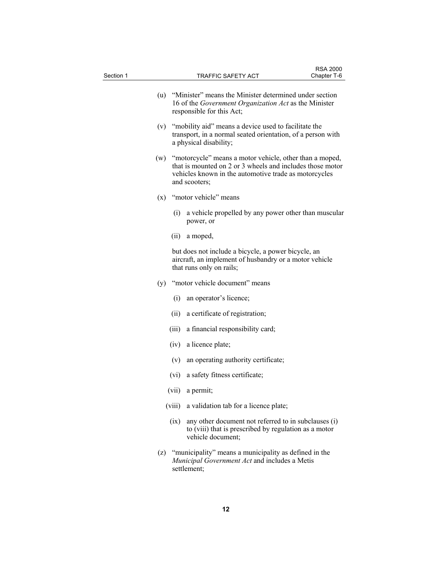| Section 1 |        | TRAFFIC SAFETY ACT                                                                                                                                                                             | <b>RSA 2000</b><br>Chapter T-6 |
|-----------|--------|------------------------------------------------------------------------------------------------------------------------------------------------------------------------------------------------|--------------------------------|
|           |        | (u) "Minister" means the Minister determined under section<br>16 of the <i>Government Organization Act</i> as the Minister<br>responsible for this Act;                                        |                                |
|           |        | (v) "mobility aid" means a device used to facilitate the<br>transport, in a normal seated orientation, of a person with<br>a physical disability;                                              |                                |
| (w)       |        | "motorcycle" means a motor vehicle, other than a moped,<br>that is mounted on 2 or 3 wheels and includes those motor<br>vehicles known in the automotive trade as motorcycles<br>and scooters; |                                |
|           |        | (x) "motor vehicle" means                                                                                                                                                                      |                                |
|           | (i)    | a vehicle propelled by any power other than muscular<br>power, or                                                                                                                              |                                |
|           | (ii)   | a moped,                                                                                                                                                                                       |                                |
|           |        | but does not include a bicycle, a power bicycle, an<br>aircraft, an implement of husbandry or a motor vehicle<br>that runs only on rails;                                                      |                                |
|           |        | (y) "motor vehicle document" means                                                                                                                                                             |                                |
|           | (i)    | an operator's licence;                                                                                                                                                                         |                                |
|           | (ii)   | a certificate of registration;                                                                                                                                                                 |                                |
|           | (iii)  | a financial responsibility card;                                                                                                                                                               |                                |
|           | (iv)   | a licence plate;                                                                                                                                                                               |                                |
|           | (v)    | an operating authority certificate;                                                                                                                                                            |                                |
|           | (vi)   | a safety fitness certificate;                                                                                                                                                                  |                                |
|           |        | (vii) a permit;                                                                                                                                                                                |                                |
|           | (viii) | a validation tab for a licence plate;                                                                                                                                                          |                                |
|           | (ix)   | any other document not referred to in subclauses (i)<br>to (viii) that is prescribed by regulation as a motor<br>vehicle document;                                                             |                                |
| (z)       |        | "municipality" means a municipality as defined in the<br>Municipal Government Act and includes a Metis<br>settlement;                                                                          |                                |
|           |        |                                                                                                                                                                                                |                                |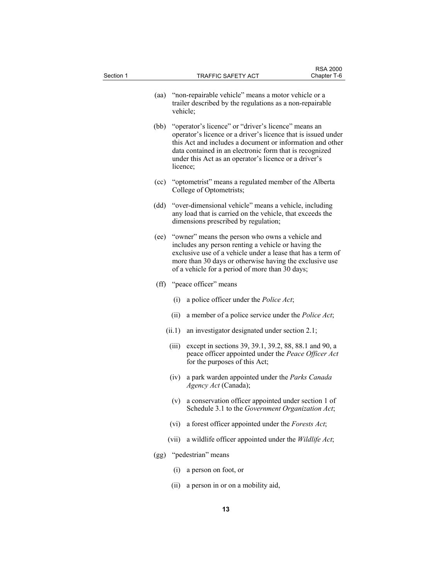| Section 1 |        | <b>TRAFFIC SAFETY ACT</b>                                                                                                                                                                                                                                                                                         | <b>RSA 2000</b><br>Chapter T-6 |
|-----------|--------|-------------------------------------------------------------------------------------------------------------------------------------------------------------------------------------------------------------------------------------------------------------------------------------------------------------------|--------------------------------|
|           | (aa)   | "non-repairable vehicle" means a motor vehicle or a                                                                                                                                                                                                                                                               |                                |
|           |        | trailer described by the regulations as a non-repairable<br>vehicle;                                                                                                                                                                                                                                              |                                |
|           | (bb)   | "operator's licence" or "driver's licence" means an<br>operator's licence or a driver's licence that is issued under<br>this Act and includes a document or information and other<br>data contained in an electronic form that is recognized<br>under this Act as an operator's licence or a driver's<br>licence; |                                |
|           | (cc)   | "optometrist" means a regulated member of the Alberta<br>College of Optometrists;                                                                                                                                                                                                                                 |                                |
|           | (dd)   | "over-dimensional vehicle" means a vehicle, including<br>any load that is carried on the vehicle, that exceeds the<br>dimensions prescribed by regulation;                                                                                                                                                        |                                |
|           | (ee)   | "owner" means the person who owns a vehicle and<br>includes any person renting a vehicle or having the<br>exclusive use of a vehicle under a lease that has a term of<br>more than 30 days or otherwise having the exclusive use<br>of a vehicle for a period of more than 30 days;                               |                                |
|           |        | (ff) "peace officer" means                                                                                                                                                                                                                                                                                        |                                |
|           | (i)    | a police officer under the <i>Police Act</i> ;                                                                                                                                                                                                                                                                    |                                |
|           | (ii)   | a member of a police service under the <i>Police Act</i> ;                                                                                                                                                                                                                                                        |                                |
|           | (ii.1) | an investigator designated under section 2.1;                                                                                                                                                                                                                                                                     |                                |
|           | (iii)  | except in sections 39, 39.1, 39.2, 88, 88.1 and 90, a<br>peace officer appointed under the Peace Officer Act<br>for the purposes of this Act;                                                                                                                                                                     |                                |
|           | (iv)   | a park warden appointed under the Parks Canada<br>Agency Act (Canada);                                                                                                                                                                                                                                            |                                |
|           | (v)    | a conservation officer appointed under section 1 of<br>Schedule 3.1 to the Government Organization Act;                                                                                                                                                                                                           |                                |
|           | (vi)   | a forest officer appointed under the Forests Act;                                                                                                                                                                                                                                                                 |                                |
|           | (vii)  | a wildlife officer appointed under the Wildlife Act;                                                                                                                                                                                                                                                              |                                |
|           | (gg)   | "pedestrian" means                                                                                                                                                                                                                                                                                                |                                |
|           | (i)    | a person on foot, or                                                                                                                                                                                                                                                                                              |                                |
|           | (ii)   | a person in or on a mobility aid,                                                                                                                                                                                                                                                                                 |                                |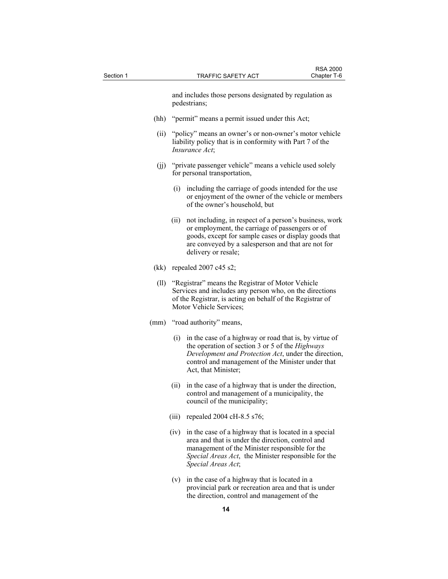| Section 1 |      |       | <b>TRAFFIC SAFETY ACT</b>                                                                                                                                                                                                                      | <b>RSA 2000</b><br>Chapter T-6 |
|-----------|------|-------|------------------------------------------------------------------------------------------------------------------------------------------------------------------------------------------------------------------------------------------------|--------------------------------|
|           |      |       | and includes those persons designated by regulation as<br>pedestrians;                                                                                                                                                                         |                                |
|           | (hh) |       | "permit" means a permit issued under this Act;                                                                                                                                                                                                 |                                |
|           | (ii) |       | "policy" means an owner's or non-owner's motor vehicle<br>liability policy that is in conformity with Part 7 of the<br><i>Insurance Act</i> ;                                                                                                  |                                |
|           |      |       | (jj) "private passenger vehicle" means a vehicle used solely<br>for personal transportation,                                                                                                                                                   |                                |
|           |      | (i)   | including the carriage of goods intended for the use<br>or enjoyment of the owner of the vehicle or members<br>of the owner's household, but                                                                                                   |                                |
|           |      | (ii)  | not including, in respect of a person's business, work<br>or employment, the carriage of passengers or of<br>goods, except for sample cases or display goods that<br>are conveyed by a salesperson and that are not for<br>delivery or resale; |                                |
|           | (kk) |       | repealed $2007$ c45 s2;                                                                                                                                                                                                                        |                                |
|           | (11) |       | "Registrar" means the Registrar of Motor Vehicle<br>Services and includes any person who, on the directions<br>of the Registrar, is acting on behalf of the Registrar of<br>Motor Vehicle Services;                                            |                                |
|           | (mm) |       | "road authority" means,                                                                                                                                                                                                                        |                                |
|           |      | (i)   | in the case of a highway or road that is, by virtue of<br>the operation of section 3 or 5 of the Highways<br>Development and Protection Act, under the direction,<br>control and management of the Minister under that<br>Act, that Minister;  |                                |
|           |      | (ii)  | in the case of a highway that is under the direction,<br>control and management of a municipality, the<br>council of the municipality;                                                                                                         |                                |
|           |      | (iii) | repealed 2004 cH-8.5 s76;                                                                                                                                                                                                                      |                                |
|           |      | (iv)  | in the case of a highway that is located in a special<br>area and that is under the direction, control and<br>management of the Minister responsible for the<br>Special Areas Act, the Minister responsible for the<br>Special Areas Act;      |                                |
|           |      | (v)   | in the case of a highway that is located in a<br>provincial park or recreation area and that is under                                                                                                                                          |                                |

the direction, control and management of the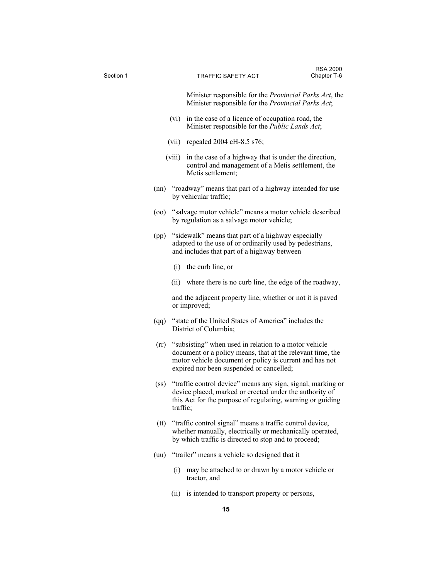| Section 1 |                   | <b>TRAFFIC SAFETY ACT</b>                                                                                                                                                                                                       | <b>RSA 2000</b><br>Chapter T-6 |
|-----------|-------------------|---------------------------------------------------------------------------------------------------------------------------------------------------------------------------------------------------------------------------------|--------------------------------|
|           |                   | Minister responsible for the <i>Provincial Parks Act</i> , the<br>Minister responsible for the Provincial Parks Act;                                                                                                            |                                |
|           |                   | in the case of a licence of occupation road, the<br>(vi)<br>Minister responsible for the Public Lands Act;                                                                                                                      |                                |
|           |                   | (vii) repealed $2004 \text{ cH-8.5 s76}$ ;                                                                                                                                                                                      |                                |
|           |                   | in the case of a highway that is under the direction,<br>(viii)<br>control and management of a Metis settlement, the<br>Metis settlement;                                                                                       |                                |
|           | (nn)              | "roadway" means that part of a highway intended for use<br>by vehicular traffic;                                                                                                                                                |                                |
|           | (00)              | "salvage motor vehicle" means a motor vehicle described<br>by regulation as a salvage motor vehicle;                                                                                                                            |                                |
|           | (pp)              | "sidewalk" means that part of a highway especially<br>adapted to the use of or ordinarily used by pedestrians,<br>and includes that part of a highway between                                                                   |                                |
|           |                   | the curb line, or<br>(i)                                                                                                                                                                                                        |                                |
|           |                   | (ii) where there is no curb line, the edge of the roadway,                                                                                                                                                                      |                                |
|           |                   | and the adjacent property line, whether or not it is paved<br>or improved;                                                                                                                                                      |                                |
|           | (qq)              | "state of the United States of America" includes the<br>District of Columbia;                                                                                                                                                   |                                |
|           |                   | (rr) "subsisting" when used in relation to a motor vehicle<br>document or a policy means, that at the relevant time, the<br>motor vehicle document or policy is current and has not<br>expired nor been suspended or cancelled; |                                |
|           | (s <sub>s</sub> ) | "traffic control device" means any sign, signal, marking or<br>device placed, marked or erected under the authority of<br>this Act for the purpose of regulating, warning or guiding<br>traffic;                                |                                |
|           |                   | (tt) "traffic control signal" means a traffic control device,<br>whether manually, electrically or mechanically operated,<br>by which traffic is directed to stop and to proceed;                                               |                                |
|           | (uu)              | "trailer" means a vehicle so designed that it                                                                                                                                                                                   |                                |
|           |                   | may be attached to or drawn by a motor vehicle or<br>(i)<br>tractor, and                                                                                                                                                        |                                |
|           |                   | is intended to transport property or persons,<br>(ii)                                                                                                                                                                           |                                |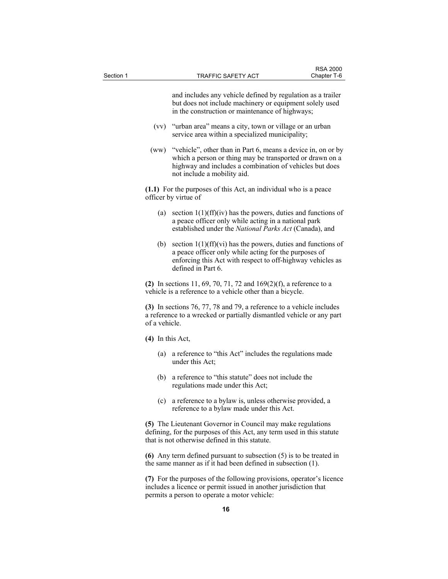and includes any vehicle defined by regulation as a trailer but does not include machinery or equipment solely used in the construction or maintenance of highways;

- (vv) "urban area" means a city, town or village or an urban service area within a specialized municipality;
- (ww) "vehicle", other than in Part 6, means a device in, on or by which a person or thing may be transported or drawn on a highway and includes a combination of vehicles but does not include a mobility aid.

**(1.1)** For the purposes of this Act, an individual who is a peace officer by virtue of

- (a) section  $1(1)(ff)(iv)$  has the powers, duties and functions of a peace officer only while acting in a national park established under the *National Parks Act* (Canada), and
- (b) section  $1(1)(ff)(vi)$  has the powers, duties and functions of a peace officer only while acting for the purposes of enforcing this Act with respect to off-highway vehicles as defined in Part 6.

**(2)** In sections 11, 69, 70, 71, 72 and 169(2)(f), a reference to a vehicle is a reference to a vehicle other than a bicycle.

**(3)** In sections 76, 77, 78 and 79, a reference to a vehicle includes a reference to a wrecked or partially dismantled vehicle or any part of a vehicle.

**(4)** In this Act,

- (a) a reference to "this Act" includes the regulations made under this Act;
- (b) a reference to "this statute" does not include the regulations made under this Act;
- (c) a reference to a bylaw is, unless otherwise provided, a reference to a bylaw made under this Act.

**(5)** The Lieutenant Governor in Council may make regulations defining, for the purposes of this Act, any term used in this statute that is not otherwise defined in this statute.

**(6)** Any term defined pursuant to subsection (5) is to be treated in the same manner as if it had been defined in subsection (1).

**(7)** For the purposes of the following provisions, operator's licence includes a licence or permit issued in another jurisdiction that permits a person to operate a motor vehicle: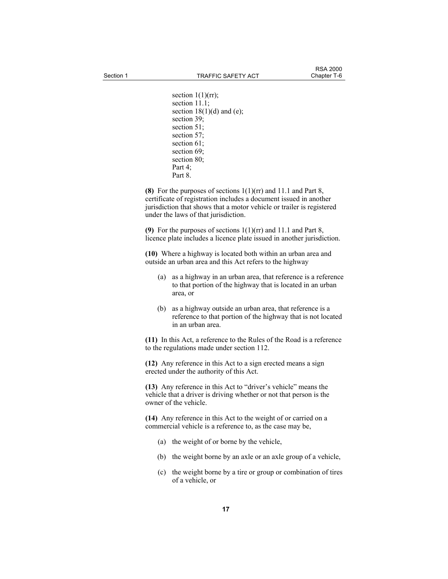section  $1(1)(rr)$ ; section 11.1; section  $18(1)(d)$  and (e); section 39; section 51; section 57: section 61; section 69; section 80; Part 4;

Part 8.

**(8)** For the purposes of sections 1(1)(rr) and 11.1 and Part 8, certificate of registration includes a document issued in another jurisdiction that shows that a motor vehicle or trailer is registered under the laws of that jurisdiction.

**(9)** For the purposes of sections 1(1)(rr) and 11.1 and Part 8, licence plate includes a licence plate issued in another jurisdiction.

**(10)** Where a highway is located both within an urban area and outside an urban area and this Act refers to the highway

- (a) as a highway in an urban area, that reference is a reference to that portion of the highway that is located in an urban area, or
- (b) as a highway outside an urban area, that reference is a reference to that portion of the highway that is not located in an urban area.

**(11)** In this Act, a reference to the Rules of the Road is a reference to the regulations made under section 112.

**(12)** Any reference in this Act to a sign erected means a sign erected under the authority of this Act.

**(13)** Any reference in this Act to "driver's vehicle" means the vehicle that a driver is driving whether or not that person is the owner of the vehicle.

**(14)** Any reference in this Act to the weight of or carried on a commercial vehicle is a reference to, as the case may be,

- (a) the weight of or borne by the vehicle,
- (b) the weight borne by an axle or an axle group of a vehicle,
- (c) the weight borne by a tire or group or combination of tires of a vehicle, or

**17**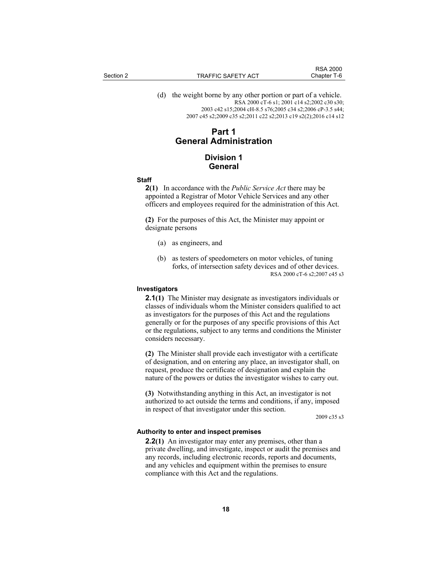(d) the weight borne by any other portion or part of a vehicle. RSA 2000 cT-6 s1; 2001 c14 s2;2002 c30 s30; 2003 c42 s15;2004 cH-8.5 s76;2005 c34 s2;2006 cP-3.5 s44; 2007 c45 s2;2009 c35 s2;2011 c22 s2;2013 c19 s2(2);2016 c14 s12

## **Part 1 General Administration**

## **Division 1 General**

#### **Staff**

**2(1)** In accordance with the *Public Service Act* there may be appointed a Registrar of Motor Vehicle Services and any other officers and employees required for the administration of this Act.

**(2)** For the purposes of this Act, the Minister may appoint or designate persons

- (a) as engineers, and
- (b) as testers of speedometers on motor vehicles, of tuning forks, of intersection safety devices and of other devices. RSA 2000 cT-6 s2;2007 c45 s3

## **Investigators**

**2.1(1)** The Minister may designate as investigators individuals or classes of individuals whom the Minister considers qualified to act as investigators for the purposes of this Act and the regulations generally or for the purposes of any specific provisions of this Act or the regulations, subject to any terms and conditions the Minister considers necessary.

**(2)** The Minister shall provide each investigator with a certificate of designation, and on entering any place, an investigator shall, on request, produce the certificate of designation and explain the nature of the powers or duties the investigator wishes to carry out.

**(3)** Notwithstanding anything in this Act, an investigator is not authorized to act outside the terms and conditions, if any, imposed in respect of that investigator under this section.

2009 c35 s3

#### **Authority to enter and inspect premises**

**2.2(1)** An investigator may enter any premises, other than a private dwelling, and investigate, inspect or audit the premises and any records, including electronic records, reports and documents, and any vehicles and equipment within the premises to ensure compliance with this Act and the regulations.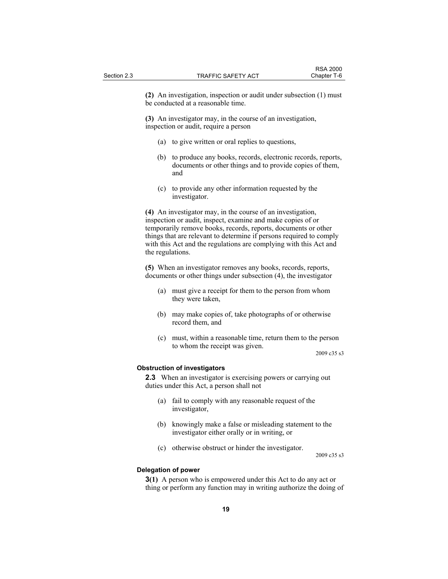**(2)** An investigation, inspection or audit under subsection (1) must be conducted at a reasonable time.

**(3)** An investigator may, in the course of an investigation, inspection or audit, require a person

- (a) to give written or oral replies to questions,
- (b) to produce any books, records, electronic records, reports, documents or other things and to provide copies of them, and
- (c) to provide any other information requested by the investigator.

**(4)** An investigator may, in the course of an investigation, inspection or audit, inspect, examine and make copies of or temporarily remove books, records, reports, documents or other things that are relevant to determine if persons required to comply with this Act and the regulations are complying with this Act and the regulations.

**(5)** When an investigator removes any books, records, reports, documents or other things under subsection (4), the investigator

- (a) must give a receipt for them to the person from whom they were taken,
- (b) may make copies of, take photographs of or otherwise record them, and
- (c) must, within a reasonable time, return them to the person to whom the receipt was given.

2009 c35 s3

#### **Obstruction of investigators**

**2.3** When an investigator is exercising powers or carrying out duties under this Act, a person shall not

- (a) fail to comply with any reasonable request of the investigator,
- (b) knowingly make a false or misleading statement to the investigator either orally or in writing, or
- (c) otherwise obstruct or hinder the investigator.

2009 c35 s3

#### **Delegation of power**

**3(1)** A person who is empowered under this Act to do any act or thing or perform any function may in writing authorize the doing of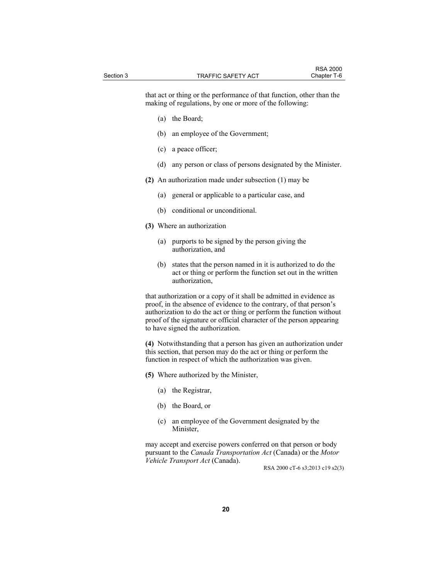that act or thing or the performance of that function, other than the making of regulations, by one or more of the following:

- (a) the Board;
- (b) an employee of the Government;
- (c) a peace officer;
- (d) any person or class of persons designated by the Minister.
- **(2)** An authorization made under subsection (1) may be
	- (a) general or applicable to a particular case, and
	- (b) conditional or unconditional.
- **(3)** Where an authorization
	- (a) purports to be signed by the person giving the authorization, and
	- (b) states that the person named in it is authorized to do the act or thing or perform the function set out in the written authorization,

that authorization or a copy of it shall be admitted in evidence as proof, in the absence of evidence to the contrary, of that person's authorization to do the act or thing or perform the function without proof of the signature or official character of the person appearing to have signed the authorization.

**(4)** Notwithstanding that a person has given an authorization under this section, that person may do the act or thing or perform the function in respect of which the authorization was given.

- **(5)** Where authorized by the Minister,
	- (a) the Registrar,
	- (b) the Board, or
	- (c) an employee of the Government designated by the Minister,

may accept and exercise powers conferred on that person or body pursuant to the *Canada Transportation Act* (Canada) or the *Motor Vehicle Transport Act* (Canada).

RSA 2000 cT-6 s3;2013 c19 s2(3)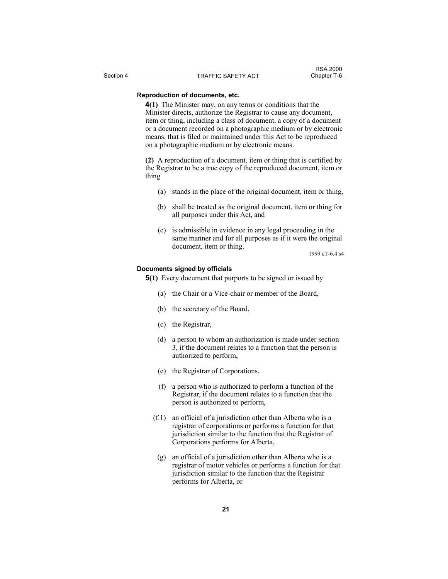## **Reproduction of documents, etc.**

**4(1)** The Minister may, on any terms or conditions that the Minister directs, authorize the Registrar to cause any document, item or thing, including a class of document, a copy of a document or a document recorded on a photographic medium or by electronic means, that is filed or maintained under this Act to be reproduced on a photographic medium or by electronic means.

**(2)** A reproduction of a document, item or thing that is certified by the Registrar to be a true copy of the reproduced document, item or thing

- (a) stands in the place of the original document, item or thing,
- (b) shall be treated as the original document, item or thing for all purposes under this Act, and
- (c) is admissible in evidence in any legal proceeding in the same manner and for all purposes as if it were the original document, item or thing.

1999 cT-6.4 s4

## **Documents signed by officials**

**5(1)** Every document that purports to be signed or issued by

- (a) the Chair or a Vice-chair or member of the Board,
- (b) the secretary of the Board,
- (c) the Registrar,
- (d) a person to whom an authorization is made under section 3, if the document relates to a function that the person is authorized to perform,
- (e) the Registrar of Corporations,
- (f) a person who is authorized to perform a function of the Registrar, if the document relates to a function that the person is authorized to perform,
- (f.1) an official of a jurisdiction other than Alberta who is a registrar of corporations or performs a function for that jurisdiction similar to the function that the Registrar of Corporations performs for Alberta,
- (g) an official of a jurisdiction other than Alberta who is a registrar of motor vehicles or performs a function for that jurisdiction similar to the function that the Registrar performs for Alberta, or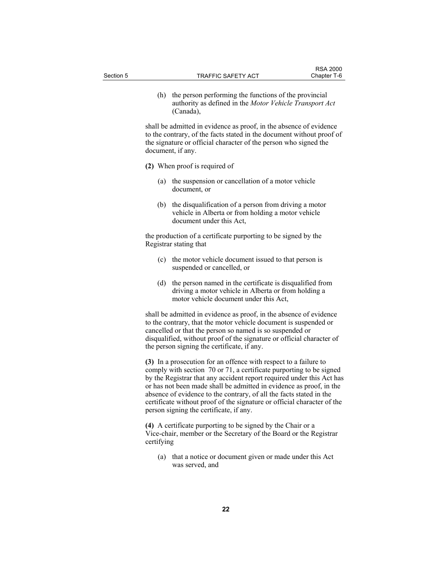(h) the person performing the functions of the provincial authority as defined in the *Motor Vehicle Transport Act* (Canada),

shall be admitted in evidence as proof, in the absence of evidence to the contrary, of the facts stated in the document without proof of the signature or official character of the person who signed the document, if any.

- **(2)** When proof is required of
	- (a) the suspension or cancellation of a motor vehicle document, or
	- (b) the disqualification of a person from driving a motor vehicle in Alberta or from holding a motor vehicle document under this Act,

the production of a certificate purporting to be signed by the Registrar stating that

- (c) the motor vehicle document issued to that person is suspended or cancelled, or
- (d) the person named in the certificate is disqualified from driving a motor vehicle in Alberta or from holding a motor vehicle document under this Act,

shall be admitted in evidence as proof, in the absence of evidence to the contrary, that the motor vehicle document is suspended or cancelled or that the person so named is so suspended or disqualified, without proof of the signature or official character of the person signing the certificate, if any.

**(3)** In a prosecution for an offence with respect to a failure to comply with section 70 or 71, a certificate purporting to be signed by the Registrar that any accident report required under this Act has or has not been made shall be admitted in evidence as proof, in the absence of evidence to the contrary, of all the facts stated in the certificate without proof of the signature or official character of the person signing the certificate, if any.

**(4)** A certificate purporting to be signed by the Chair or a Vice-chair, member or the Secretary of the Board or the Registrar certifying

 (a) that a notice or document given or made under this Act was served, and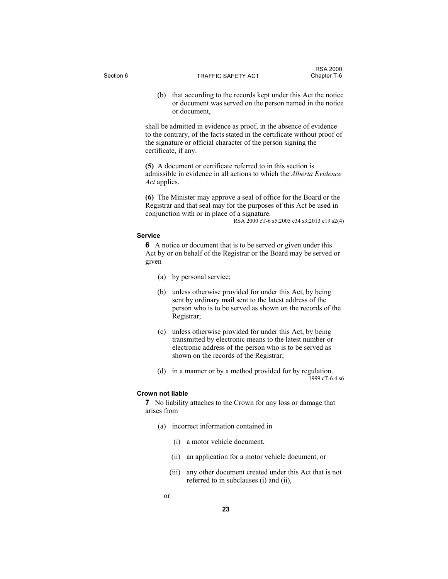(b) that according to the records kept under this Act the notice or document was served on the person named in the notice or document,

shall be admitted in evidence as proof, in the absence of evidence to the contrary, of the facts stated in the certificate without proof of the signature or official character of the person signing the certificate, if any.

**(5)** A document or certificate referred to in this section is admissible in evidence in all actions to which the *Alberta Evidence Act* applies.

**(6)** The Minister may approve a seal of office for the Board or the Registrar and that seal may for the purposes of this Act be used in conjunction with or in place of a signature.

RSA 2000 cT-6 s5;2005 c34 s3;2013 c19 s2(4)

#### **Service**

**6** A notice or document that is to be served or given under this Act by or on behalf of the Registrar or the Board may be served or given

- (a) by personal service;
- (b) unless otherwise provided for under this Act, by being sent by ordinary mail sent to the latest address of the person who is to be served as shown on the records of the Registrar;
- (c) unless otherwise provided for under this Act, by being transmitted by electronic means to the latest number or electronic address of the person who is to be served as shown on the records of the Registrar;
- (d) in a manner or by a method provided for by regulation. 1999 cT-6.4 s6

#### **Crown not liable**

**7** No liability attaches to the Crown for any loss or damage that arises from

- (a) incorrect information contained in
	- (i) a motor vehicle document,
	- (ii) an application for a motor vehicle document, or
	- (iii) any other document created under this Act that is not referred to in subclauses (i) and (ii),
- or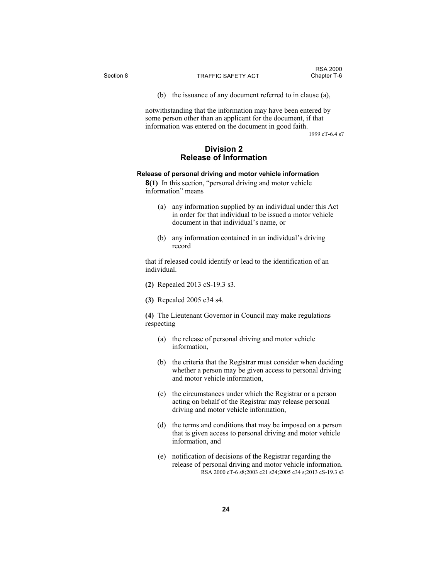(b) the issuance of any document referred to in clause (a),

notwithstanding that the information may have been entered by some person other than an applicant for the document, if that information was entered on the document in good faith.

1999 cT-6.4 s7

## **Division 2 Release of Information**

#### **Release of personal driving and motor vehicle information**

**8(1)** In this section, "personal driving and motor vehicle information" means

- (a) any information supplied by an individual under this Act in order for that individual to be issued a motor vehicle document in that individual's name, or
- (b) any information contained in an individual's driving record

that if released could identify or lead to the identification of an individual.

- **(2)** Repealed 2013 cS-19.3 s3.
- **(3)** Repealed 2005 c34 s4.

**(4)** The Lieutenant Governor in Council may make regulations respecting

- (a) the release of personal driving and motor vehicle information,
- (b) the criteria that the Registrar must consider when deciding whether a person may be given access to personal driving and motor vehicle information,
- (c) the circumstances under which the Registrar or a person acting on behalf of the Registrar may release personal driving and motor vehicle information,
- (d) the terms and conditions that may be imposed on a person that is given access to personal driving and motor vehicle information, and
- (e) notification of decisions of the Registrar regarding the release of personal driving and motor vehicle information. RSA 2000 cT-6 s8;2003 c21 s24;2005 c34 s;2013 cS-19.3 s3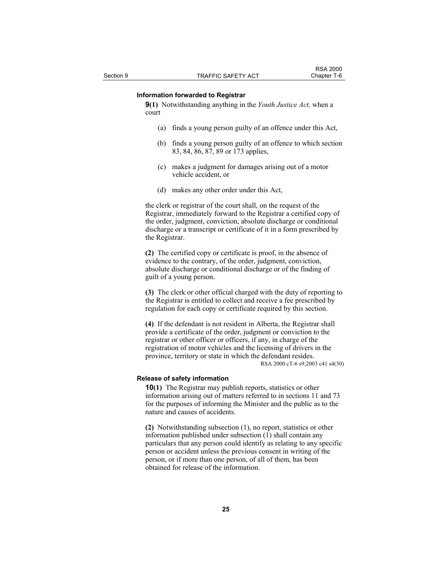#### **Information forwarded to Registrar**

**9(1)** Notwithstanding anything in the *Youth Justice Act,* when a court

- (a) finds a young person guilty of an offence under this Act,
- (b) finds a young person guilty of an offence to which section 83, 84, 86, 87, 89 or 173 applies,
- (c) makes a judgment for damages arising out of a motor vehicle accident, or
- (d) makes any other order under this Act,

the clerk or registrar of the court shall, on the request of the Registrar, immediately forward to the Registrar a certified copy of the order, judgment, conviction, absolute discharge or conditional discharge or a transcript or certificate of it in a form prescribed by the Registrar.

**(2)** The certified copy or certificate is proof, in the absence of evidence to the contrary, of the order, judgment, conviction, absolute discharge or conditional discharge or of the finding of guilt of a young person.

**(3)** The clerk or other official charged with the duty of reporting to the Registrar is entitled to collect and receive a fee prescribed by regulation for each copy or certificate required by this section.

**(4)** If the defendant is not resident in Alberta, the Registrar shall provide a certificate of the order, judgment or conviction to the registrar or other officer or officers, if any, in charge of the registration of motor vehicles and the licensing of drivers in the province, territory or state in which the defendant resides. RSA 2000 cT-6 s9;2003 c41 s4(30)

#### **Release of safety information**

**10(1)** The Registrar may publish reports, statistics or other information arising out of matters referred to in sections 11 and 73 for the purposes of informing the Minister and the public as to the nature and causes of accidents.

**(2)** Notwithstanding subsection (1), no report, statistics or other information published under subsection (1) shall contain any particulars that any person could identify as relating to any specific person or accident unless the previous consent in writing of the person, or if more than one person, of all of them, has been obtained for release of the information.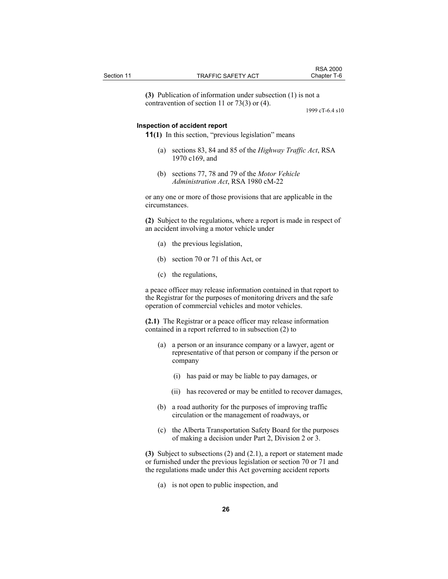**(3)** Publication of information under subsection (1) is not a contravention of section 11 or 73(3) or (4).

1999 cT-6.4 s10

## **Inspection of accident report**

**11(1)** In this section, "previous legislation" means

- (a) sections 83, 84 and 85 of the *Highway Traffic Act*, RSA 1970 c169, and
- (b) sections 77, 78 and 79 of the *Motor Vehicle Administration Act*, RSA 1980 cM-22

or any one or more of those provisions that are applicable in the circumstances.

**(2)** Subject to the regulations, where a report is made in respect of an accident involving a motor vehicle under

- (a) the previous legislation,
- (b) section 70 or 71 of this Act, or
- (c) the regulations,

a peace officer may release information contained in that report to the Registrar for the purposes of monitoring drivers and the safe operation of commercial vehicles and motor vehicles.

**(2.1)** The Registrar or a peace officer may release information contained in a report referred to in subsection (2) to

- (a) a person or an insurance company or a lawyer, agent or representative of that person or company if the person or company
	- (i) has paid or may be liable to pay damages, or
	- (ii) has recovered or may be entitled to recover damages,
- (b) a road authority for the purposes of improving traffic circulation or the management of roadways, or
- (c) the Alberta Transportation Safety Board for the purposes of making a decision under Part 2, Division 2 or 3.

**(3)** Subject to subsections (2) and (2.1), a report or statement made or furnished under the previous legislation or section 70 or 71 and the regulations made under this Act governing accident reports

(a) is not open to public inspection, and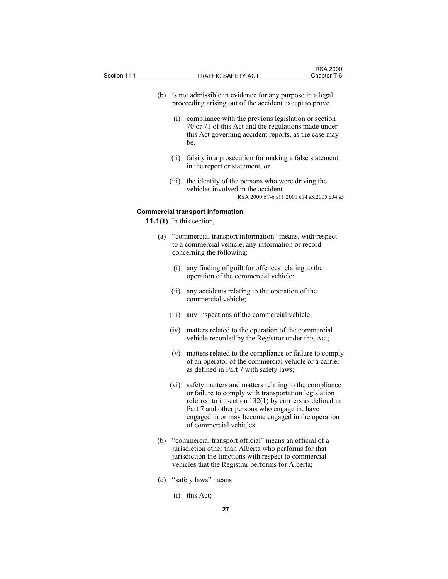- (b) is not admissible in evidence for any purpose in a legal proceeding arising out of the accident except to prove
	- (i) compliance with the previous legislation or section 70 or 71 of this Act and the regulations made under this Act governing accident reports, as the case may be,
	- (ii) falsity in a prosecution for making a false statement in the report or statement, or
	- (iii) the identity of the persons who were driving the vehicles involved in the accident. RSA 2000 cT-6 s11;2001 c14 s3;2005 c34 s5

#### **Commercial transport information**

**11.1(1)** In this section,

- (a) "commercial transport information" means, with respect to a commercial vehicle, any information or record concerning the following:
	- (i) any finding of guilt for offences relating to the operation of the commercial vehicle;
	- (ii) any accidents relating to the operation of the commercial vehicle;
	- (iii) any inspections of the commercial vehicle;
	- (iv) matters related to the operation of the commercial vehicle recorded by the Registrar under this Act;
	- (v) matters related to the compliance or failure to comply of an operator of the commercial vehicle or a carrier as defined in Part 7 with safety laws;
	- (vi) safety matters and matters relating to the compliance or failure to comply with transportation legislation referred to in section 132(1) by carriers as defined in Part 7 and other persons who engage in, have engaged in or may become engaged in the operation of commercial vehicles;
- (b) "commercial transport official" means an official of a jurisdiction other than Alberta who performs for that jurisdiction the functions with respect to commercial vehicles that the Registrar performs for Alberta;
- (c) "safety laws" means
	- (i) this Act;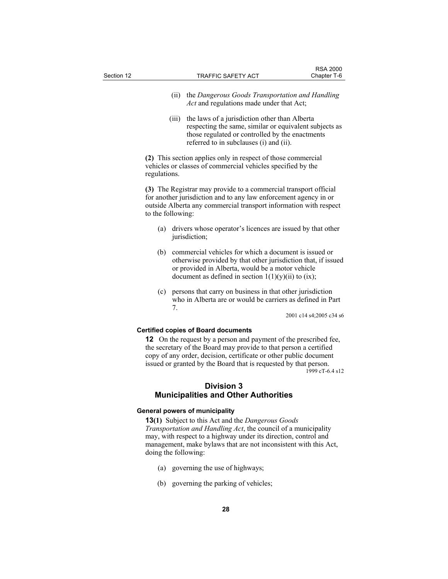- (ii) the *Dangerous Goods Transportation and Handling Act* and regulations made under that Act;
- (iii) the laws of a jurisdiction other than Alberta respecting the same, similar or equivalent subjects as those regulated or controlled by the enactments referred to in subclauses (i) and (ii).

**(2)** This section applies only in respect of those commercial vehicles or classes of commercial vehicles specified by the regulations.

**(3)** The Registrar may provide to a commercial transport official for another jurisdiction and to any law enforcement agency in or outside Alberta any commercial transport information with respect to the following:

- (a) drivers whose operator's licences are issued by that other jurisdiction;
- (b) commercial vehicles for which a document is issued or otherwise provided by that other jurisdiction that, if issued or provided in Alberta, would be a motor vehicle document as defined in section  $1(1)(y)(ii)$  to (ix);
- (c) persons that carry on business in that other jurisdiction who in Alberta are or would be carriers as defined in Part 7.

2001 c14 s4;2005 c34 s6

## **Certified copies of Board documents**

**12** On the request by a person and payment of the prescribed fee, the secretary of the Board may provide to that person a certified copy of any order, decision, certificate or other public document issued or granted by the Board that is requested by that person. 1999 cT-6.4 s12

## **Division 3 Municipalities and Other Authorities**

#### **General powers of municipality**

**13(1)** Subject to this Act and the *Dangerous Goods Transportation and Handling Act*, the council of a municipality may, with respect to a highway under its direction, control and management, make bylaws that are not inconsistent with this Act, doing the following:

- (a) governing the use of highways;
- (b) governing the parking of vehicles;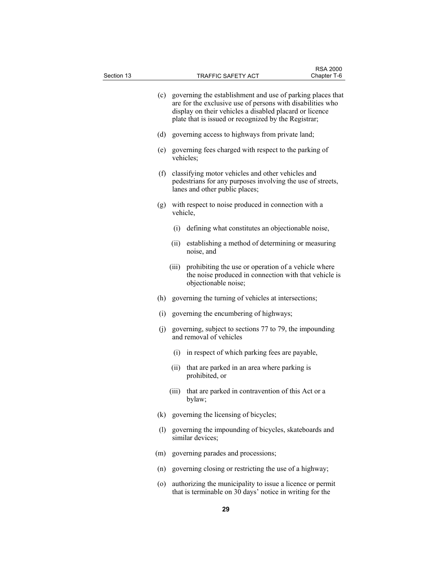| Section 13 |     |       | TRAFFIC SAFETY ACT                                                                                                                                                                                                                              | Chapter T-6 |
|------------|-----|-------|-------------------------------------------------------------------------------------------------------------------------------------------------------------------------------------------------------------------------------------------------|-------------|
|            |     |       | (c) governing the establishment and use of parking places that<br>are for the exclusive use of persons with disabilities who<br>display on their vehicles a disabled placard or licence<br>plate that is issued or recognized by the Registrar; |             |
|            | (d) |       | governing access to highways from private land;                                                                                                                                                                                                 |             |
|            | (e) |       | governing fees charged with respect to the parking of<br>vehicles;                                                                                                                                                                              |             |
|            | (f) |       | classifying motor vehicles and other vehicles and<br>pedestrians for any purposes involving the use of streets,<br>lanes and other public places;                                                                                               |             |
|            |     |       | (g) with respect to noise produced in connection with a<br>vehicle,                                                                                                                                                                             |             |
|            |     |       | (i) defining what constitutes an objectionable noise,                                                                                                                                                                                           |             |
|            |     | (ii)  | establishing a method of determining or measuring<br>noise, and                                                                                                                                                                                 |             |
|            |     | (iii) | prohibiting the use or operation of a vehicle where<br>the noise produced in connection with that vehicle is<br>objectionable noise;                                                                                                            |             |
|            |     |       | (h) governing the turning of vehicles at intersections;                                                                                                                                                                                         |             |
|            | (i) |       | governing the encumbering of highways;                                                                                                                                                                                                          |             |
|            | (j) |       | governing, subject to sections 77 to 79, the impounding<br>and removal of vehicles                                                                                                                                                              |             |
|            |     |       | (i) in respect of which parking fees are payable,                                                                                                                                                                                               |             |
|            |     | (ii)  | that are parked in an area where parking is<br>prohibited, or                                                                                                                                                                                   |             |
|            |     | (111) | that are parked in contravention of this Act or a<br>bylaw;                                                                                                                                                                                     |             |
|            |     |       | (k) governing the licensing of bicycles;                                                                                                                                                                                                        |             |
|            | (1) |       | governing the impounding of bicycles, skateboards and<br>similar devices;                                                                                                                                                                       |             |
|            | (m) |       | governing parades and processions;                                                                                                                                                                                                              |             |
|            | (n) |       | governing closing or restricting the use of a highway;                                                                                                                                                                                          |             |
|            | (0) |       | authorizing the municipality to issue a licence or permit<br>that is terminable on 30 days' notice in writing for the                                                                                                                           |             |

RSA 2000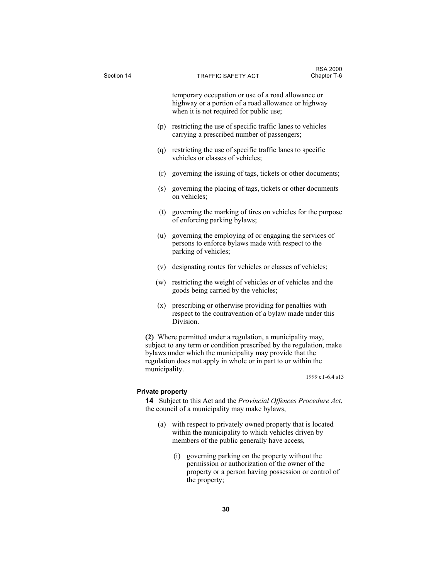| Section 14 |               | TRAFFIC SAFETY ACT                                                                                                                                                                                                                                               | <b>RSA 2000</b><br>Chapter T-6 |
|------------|---------------|------------------------------------------------------------------------------------------------------------------------------------------------------------------------------------------------------------------------------------------------------------------|--------------------------------|
|            |               | temporary occupation or use of a road allowance or<br>highway or a portion of a road allowance or highway<br>when it is not required for public use;                                                                                                             |                                |
|            | (p)           | restricting the use of specific traffic lanes to vehicles<br>carrying a prescribed number of passengers;                                                                                                                                                         |                                |
|            |               | (q) restricting the use of specific traffic lanes to specific<br>vehicles or classes of vehicles;                                                                                                                                                                |                                |
|            | (r)           | governing the issuing of tags, tickets or other documents;                                                                                                                                                                                                       |                                |
|            | (s)           | governing the placing of tags, tickets or other documents<br>on vehicles;                                                                                                                                                                                        |                                |
|            | (t)           | governing the marking of tires on vehicles for the purpose<br>of enforcing parking bylaws;                                                                                                                                                                       |                                |
|            | (u)           | governing the employing of or engaging the services of<br>persons to enforce bylaws made with respect to the<br>parking of vehicles;                                                                                                                             |                                |
|            | (v)           | designating routes for vehicles or classes of vehicles;                                                                                                                                                                                                          |                                |
|            | (w)           | restricting the weight of vehicles or of vehicles and the<br>goods being carried by the vehicles;                                                                                                                                                                |                                |
|            | (x)           | prescribing or otherwise providing for penalties with<br>respect to the contravention of a bylaw made under this<br>Division.                                                                                                                                    |                                |
|            | municipality. | (2) Where permitted under a regulation, a municipality may,<br>subject to any term or condition prescribed by the regulation, make<br>bylaws under which the municipality may provide that the<br>regulation does not apply in whole or in part to or within the |                                |

1999 cT-6.4 s13

## **Private property**

**14** Subject to this Act and the *Provincial Offences Procedure Act*, the council of a municipality may make bylaws,

- (a) with respect to privately owned property that is located within the municipality to which vehicles driven by members of the public generally have access,
	- (i) governing parking on the property without the permission or authorization of the owner of the property or a person having possession or control of the property;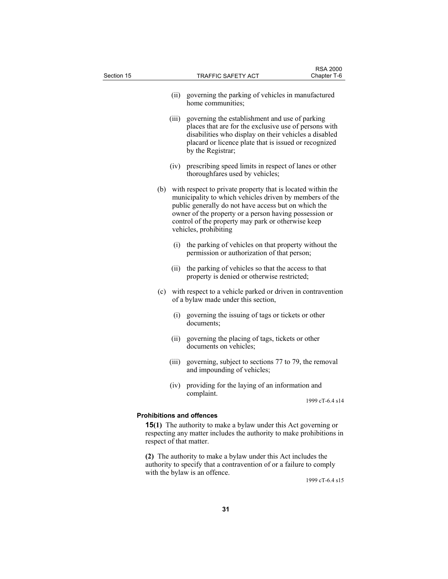| Section 15 |     |       | TRAFFIC SAFETY ACT                                                                                                                                                                                                                                                                                                      | <b>RSA 2000</b><br>Chapter T-6 |
|------------|-----|-------|-------------------------------------------------------------------------------------------------------------------------------------------------------------------------------------------------------------------------------------------------------------------------------------------------------------------------|--------------------------------|
|            |     | (ii)  | governing the parking of vehicles in manufactured<br>home communities;                                                                                                                                                                                                                                                  |                                |
|            |     | (iii) | governing the establishment and use of parking<br>places that are for the exclusive use of persons with<br>disabilities who display on their vehicles a disabled<br>placard or licence plate that is issued or recognized<br>by the Registrar;                                                                          |                                |
|            |     | (iv)  | prescribing speed limits in respect of lanes or other<br>thoroughfares used by vehicles;                                                                                                                                                                                                                                |                                |
|            | (b) |       | with respect to private property that is located within the<br>municipality to which vehicles driven by members of the<br>public generally do not have access but on which the<br>owner of the property or a person having possession or<br>control of the property may park or otherwise keep<br>vehicles, prohibiting |                                |
|            |     | (i)   | the parking of vehicles on that property without the<br>permission or authorization of that person;                                                                                                                                                                                                                     |                                |
|            |     | (ii)  | the parking of vehicles so that the access to that<br>property is denied or otherwise restricted;                                                                                                                                                                                                                       |                                |
|            | (c) |       | with respect to a vehicle parked or driven in contravention<br>of a bylaw made under this section,                                                                                                                                                                                                                      |                                |
|            |     | (i)   | governing the issuing of tags or tickets or other<br>documents;                                                                                                                                                                                                                                                         |                                |
|            |     | (ii)  | governing the placing of tags, tickets or other<br>documents on vehicles;                                                                                                                                                                                                                                               |                                |
|            |     | (iii) | governing, subject to sections 77 to 79, the removal<br>and impounding of vehicles;                                                                                                                                                                                                                                     |                                |
|            |     | (iv)  | providing for the laying of an information and<br>complaint.                                                                                                                                                                                                                                                            |                                |
|            |     |       |                                                                                                                                                                                                                                                                                                                         | 1999 cT-6.4 s14                |
|            |     |       | <b>Prohibitions and offences</b><br><b>15(1)</b> The authority to make a bylaw under this Act governing or<br>respecting any matter includes the authority to make prohibitions in<br>respect of that matter.                                                                                                           |                                |
|            |     |       | (2) The authority to make a bylaw under this Act includes the                                                                                                                                                                                                                                                           |                                |

authority to specify that a contravention of or a failure to comply with the bylaw is an offence.

1999 cT-6.4 s15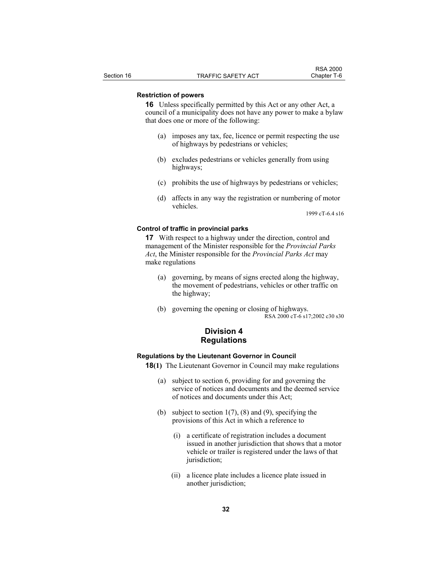## **Restriction of powers**

**16** Unless specifically permitted by this Act or any other Act, a council of a municipality does not have any power to make a bylaw that does one or more of the following:

- (a) imposes any tax, fee, licence or permit respecting the use of highways by pedestrians or vehicles;
- (b) excludes pedestrians or vehicles generally from using highways;
- (c) prohibits the use of highways by pedestrians or vehicles;
- (d) affects in any way the registration or numbering of motor vehicles.

1999 cT-6.4 s16

## **Control of traffic in provincial parks**

**17** With respect to a highway under the direction, control and management of the Minister responsible for the *Provincial Parks Act*, the Minister responsible for the *Provincial Parks Act* may make regulations

- (a) governing, by means of signs erected along the highway, the movement of pedestrians, vehicles or other traffic on the highway;
- (b) governing the opening or closing of highways. RSA 2000 cT-6 s17;2002 c30 s30

## **Division 4 Regulations**

#### **Regulations by the Lieutenant Governor in Council**

**18(1)** The Lieutenant Governor in Council may make regulations

- (a) subject to section 6, providing for and governing the service of notices and documents and the deemed service of notices and documents under this Act;
- (b) subject to section  $1(7)$ ,  $(8)$  and  $(9)$ , specifying the provisions of this Act in which a reference to
	- (i) a certificate of registration includes a document issued in another jurisdiction that shows that a motor vehicle or trailer is registered under the laws of that jurisdiction;
	- (ii) a licence plate includes a licence plate issued in another jurisdiction;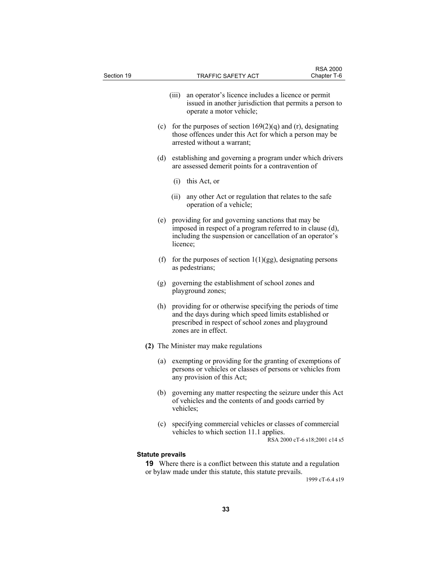| Section 19              | <b>TRAFFIC SAFETY ACT</b>                                                                                                                                                                          | <b>RSA 2000</b><br>Chapter T-6 |
|-------------------------|----------------------------------------------------------------------------------------------------------------------------------------------------------------------------------------------------|--------------------------------|
|                         | (iii)<br>an operator's licence includes a licence or permit                                                                                                                                        |                                |
|                         | issued in another jurisdiction that permits a person to<br>operate a motor vehicle;                                                                                                                |                                |
| (c)                     | for the purposes of section $169(2)(q)$ and (r), designating<br>those offences under this Act for which a person may be<br>arrested without a warrant;                                             |                                |
| (d)                     | establishing and governing a program under which drivers<br>are assessed demerit points for a contravention of                                                                                     |                                |
|                         | $(i)$ this Act, or                                                                                                                                                                                 |                                |
|                         | (ii)<br>any other Act or regulation that relates to the safe<br>operation of a vehicle;                                                                                                            |                                |
| (e)                     | providing for and governing sanctions that may be<br>imposed in respect of a program referred to in clause (d),<br>including the suspension or cancellation of an operator's<br>licence;           |                                |
| (f)                     | for the purposes of section $1(1)(gg)$ , designating persons<br>as pedestrians;                                                                                                                    |                                |
| (g)                     | governing the establishment of school zones and<br>playground zones;                                                                                                                               |                                |
| (h)                     | providing for or otherwise specifying the periods of time<br>and the days during which speed limits established or<br>prescribed in respect of school zones and playground<br>zones are in effect. |                                |
|                         | (2) The Minister may make regulations                                                                                                                                                              |                                |
| (a)                     | exempting or providing for the granting of exemptions of<br>persons or vehicles or classes of persons or vehicles from<br>any provision of this Act;                                               |                                |
|                         | (b) governing any matter respecting the seizure under this Act<br>of vehicles and the contents of and goods carried by<br>vehicles;                                                                |                                |
| (c)                     | specifying commercial vehicles or classes of commercial<br>vehicles to which section 11.1 applies.                                                                                                 | RSA 2000 cT-6 s18;2001 c14 s5  |
| <b>Statute prevails</b> |                                                                                                                                                                                                    |                                |
|                         | <b>19</b> Where there is a conflict between this statute and a regulation<br>or bylaw made under this statute, this statute prevails.                                                              | 1999 cT-6.4 s19                |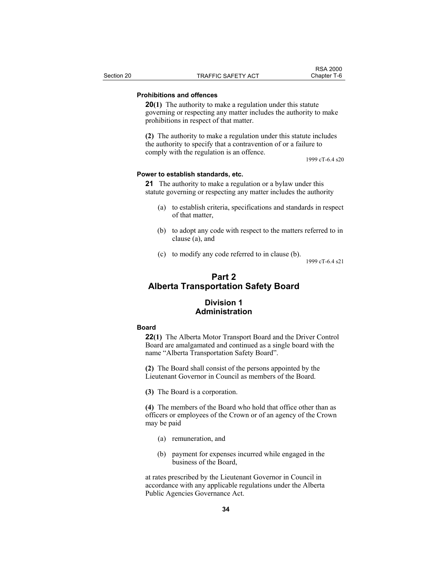### **Prohibitions and offences**

**20(1)** The authority to make a regulation under this statute governing or respecting any matter includes the authority to make prohibitions in respect of that matter.

**(2)** The authority to make a regulation under this statute includes the authority to specify that a contravention of or a failure to comply with the regulation is an offence.

1999 cT-6.4 s20

#### **Power to establish standards, etc.**

**21** The authority to make a regulation or a bylaw under this statute governing or respecting any matter includes the authority

- (a) to establish criteria, specifications and standards in respect of that matter,
- (b) to adopt any code with respect to the matters referred to in clause (a), and
- (c) to modify any code referred to in clause (b).

1999 cT-6.4 s21

# **Part 2 Alberta Transportation Safety Board**

## **Division 1 Administration**

#### **Board**

**22(1)** The Alberta Motor Transport Board and the Driver Control Board are amalgamated and continued as a single board with the name "Alberta Transportation Safety Board".

**(2)** The Board shall consist of the persons appointed by the Lieutenant Governor in Council as members of the Board.

**(3)** The Board is a corporation.

**(4)** The members of the Board who hold that office other than as officers or employees of the Crown or of an agency of the Crown may be paid

- (a) remuneration, and
- (b) payment for expenses incurred while engaged in the business of the Board,

at rates prescribed by the Lieutenant Governor in Council in accordance with any applicable regulations under the Alberta Public Agencies Governance Act.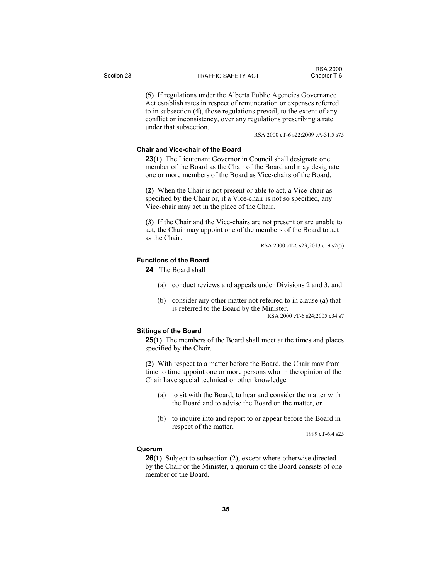**(5)** If regulations under the Alberta Public Agencies Governance Act establish rates in respect of remuneration or expenses referred to in subsection (4), those regulations prevail, to the extent of any conflict or inconsistency, over any regulations prescribing a rate under that subsection.

RSA 2000 cT-6 s22;2009 cA-31.5 s75

RSA 2000<br>Chapter T-6

## **Chair and Vice-chair of the Board**

**23(1)** The Lieutenant Governor in Council shall designate one member of the Board as the Chair of the Board and may designate one or more members of the Board as Vice-chairs of the Board.

**(2)** When the Chair is not present or able to act, a Vice-chair as specified by the Chair or, if a Vice-chair is not so specified, any Vice-chair may act in the place of the Chair.

**(3)** If the Chair and the Vice-chairs are not present or are unable to act, the Chair may appoint one of the members of the Board to act as the Chair.

RSA 2000 cT-6 s23;2013 c19 s2(5)

#### **Functions of the Board**

**24** The Board shall

- (a) conduct reviews and appeals under Divisions 2 and 3, and
- (b) consider any other matter not referred to in clause (a) that is referred to the Board by the Minister.

RSA 2000 cT-6 s24;2005 c34 s7

#### **Sittings of the Board**

**25(1)** The members of the Board shall meet at the times and places specified by the Chair.

**(2)** With respect to a matter before the Board, the Chair may from time to time appoint one or more persons who in the opinion of the Chair have special technical or other knowledge

- (a) to sit with the Board, to hear and consider the matter with the Board and to advise the Board on the matter, or
- (b) to inquire into and report to or appear before the Board in respect of the matter.

1999 cT-6.4 s25

#### **Quorum**

**26(1)** Subject to subsection (2), except where otherwise directed by the Chair or the Minister, a quorum of the Board consists of one member of the Board.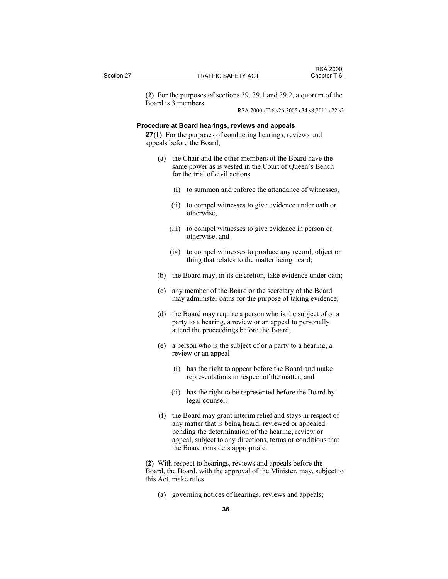**(2)** For the purposes of sections 39, 39.1 and 39.2, a quorum of the Board is 3 members.

RSA 2000 cT-6 s26;2005 c34 s8;2011 c22 s3

## **Procedure at Board hearings, reviews and appeals**

**27(1)** For the purposes of conducting hearings, reviews and appeals before the Board,

- (a) the Chair and the other members of the Board have the same power as is vested in the Court of Queen's Bench for the trial of civil actions
	- (i) to summon and enforce the attendance of witnesses,
	- (ii) to compel witnesses to give evidence under oath or otherwise,
	- (iii) to compel witnesses to give evidence in person or otherwise, and
	- (iv) to compel witnesses to produce any record, object or thing that relates to the matter being heard;
- (b) the Board may, in its discretion, take evidence under oath;
- (c) any member of the Board or the secretary of the Board may administer oaths for the purpose of taking evidence;
- (d) the Board may require a person who is the subject of or a party to a hearing, a review or an appeal to personally attend the proceedings before the Board;
- (e) a person who is the subject of or a party to a hearing, a review or an appeal
	- (i) has the right to appear before the Board and make representations in respect of the matter, and
	- (ii) has the right to be represented before the Board by legal counsel;
- (f) the Board may grant interim relief and stays in respect of any matter that is being heard, reviewed or appealed pending the determination of the hearing, review or appeal, subject to any directions, terms or conditions that the Board considers appropriate.

**(2)** With respect to hearings, reviews and appeals before the Board, the Board, with the approval of the Minister, may, subject to this Act, make rules

(a) governing notices of hearings, reviews and appeals;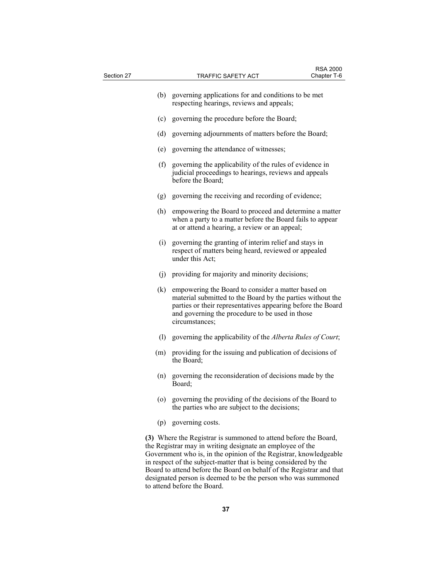| Section 27 |     |                                                                                                                                                                                                                                                                                                                                                                                                                                               | <b>RSA 2000</b><br>Chapter T-6 |
|------------|-----|-----------------------------------------------------------------------------------------------------------------------------------------------------------------------------------------------------------------------------------------------------------------------------------------------------------------------------------------------------------------------------------------------------------------------------------------------|--------------------------------|
|            |     | <b>TRAFFIC SAFETY ACT</b>                                                                                                                                                                                                                                                                                                                                                                                                                     |                                |
|            | (b) | governing applications for and conditions to be met<br>respecting hearings, reviews and appeals;                                                                                                                                                                                                                                                                                                                                              |                                |
|            | (c) | governing the procedure before the Board;                                                                                                                                                                                                                                                                                                                                                                                                     |                                |
|            | (d) | governing adjournments of matters before the Board;                                                                                                                                                                                                                                                                                                                                                                                           |                                |
|            | (e) | governing the attendance of witnesses;                                                                                                                                                                                                                                                                                                                                                                                                        |                                |
|            | (f) | governing the applicability of the rules of evidence in<br>judicial proceedings to hearings, reviews and appeals<br>before the Board;                                                                                                                                                                                                                                                                                                         |                                |
|            | (g) | governing the receiving and recording of evidence;                                                                                                                                                                                                                                                                                                                                                                                            |                                |
|            | (h) | empowering the Board to proceed and determine a matter<br>when a party to a matter before the Board fails to appear<br>at or attend a hearing, a review or an appeal;                                                                                                                                                                                                                                                                         |                                |
|            | (i) | governing the granting of interim relief and stays in<br>respect of matters being heard, reviewed or appealed<br>under this Act;                                                                                                                                                                                                                                                                                                              |                                |
|            | (j) | providing for majority and minority decisions;                                                                                                                                                                                                                                                                                                                                                                                                |                                |
|            | (k) | empowering the Board to consider a matter based on<br>material submitted to the Board by the parties without the<br>parties or their representatives appearing before the Board<br>and governing the procedure to be used in those<br>circumstances;                                                                                                                                                                                          |                                |
|            | (1) | governing the applicability of the Alberta Rules of Court;                                                                                                                                                                                                                                                                                                                                                                                    |                                |
|            | (m) | providing for the issuing and publication of decisions of<br>the Board;                                                                                                                                                                                                                                                                                                                                                                       |                                |
|            | (n) | governing the reconsideration of decisions made by the<br>Board;                                                                                                                                                                                                                                                                                                                                                                              |                                |
|            | (0) | governing the providing of the decisions of the Board to<br>the parties who are subject to the decisions;                                                                                                                                                                                                                                                                                                                                     |                                |
|            |     | (p) governing costs.                                                                                                                                                                                                                                                                                                                                                                                                                          |                                |
|            |     | (3) Where the Registrar is summoned to attend before the Board,<br>the Registrar may in writing designate an employee of the<br>Government who is, in the opinion of the Registrar, knowledgeable<br>in respect of the subject-matter that is being considered by the<br>Board to attend before the Board on behalf of the Registrar and that<br>designated person is deemed to be the person who was summoned<br>to attend before the Board. |                                |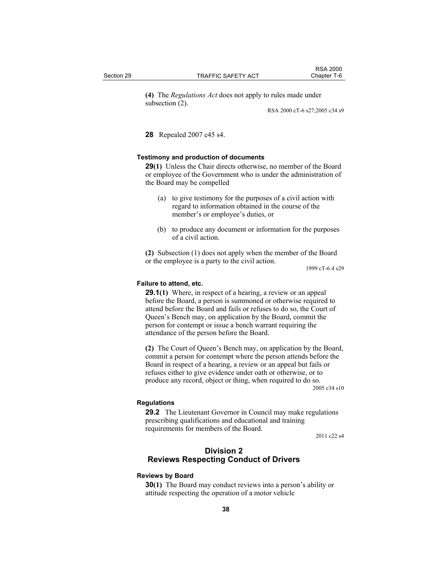**(4)** The *Regulations Act* does not apply to rules made under subsection (2).

RSA 2000 cT-6 s27;2005 c34 s9

RSA 2000<br>Chapter T-6

**28** Repealed 2007 c45 s4.

#### **Testimony and production of documents**

**29(1)** Unless the Chair directs otherwise, no member of the Board or employee of the Government who is under the administration of the Board may be compelled

- (a) to give testimony for the purposes of a civil action with regard to information obtained in the course of the member's or employee's duties, or
- (b) to produce any document or information for the purposes of a civil action.

**(2)** Subsection (1) does not apply when the member of the Board or the employee is a party to the civil action.

1999 cT-6.4 s29

#### **Failure to attend, etc.**

**29.1(1)** Where, in respect of a hearing, a review or an appeal before the Board, a person is summoned or otherwise required to attend before the Board and fails or refuses to do so, the Court of Queen's Bench may, on application by the Board, commit the person for contempt or issue a bench warrant requiring the attendance of the person before the Board.

**(2)** The Court of Queen's Bench may, on application by the Board, commit a person for contempt where the person attends before the Board in respect of a hearing, a review or an appeal but fails or refuses either to give evidence under oath or otherwise, or to produce any record, object or thing, when required to do so.

2005 c34 s10

## **Regulations**

**29.2** The Lieutenant Governor in Council may make regulations prescribing qualifications and educational and training requirements for members of the Board.

2011 c22 s4

## **Division 2 Reviews Respecting Conduct of Drivers**

### **Reviews by Board**

**30(1)** The Board may conduct reviews into a person's ability or attitude respecting the operation of a motor vehicle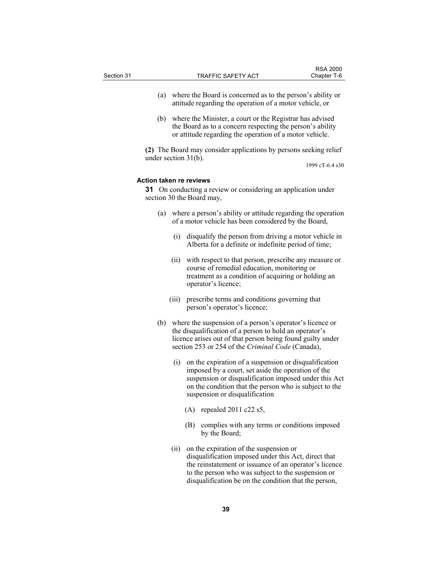|            |                                                            | <b>RSA 2000</b> |
|------------|------------------------------------------------------------|-----------------|
| Section 31 | TRAFFIC SAFETY ACT                                         | Chapter T-6     |
|            |                                                            |                 |
|            | where the Board is concerned as to the person's ability or |                 |

- attitude regarding the operation of a motor vehicle, or (b) where the Minister, a court or the Registrar has advised
- the Board as to a concern respecting the person's ability or attitude regarding the operation of a motor vehicle.

**(2)** The Board may consider applications by persons seeking relief under section 31(b).

1999 cT-6.4 s30

## **Action taken re reviews**

**31** On conducting a review or considering an application under section 30 the Board may,

- (a) where a person's ability or attitude regarding the operation of a motor vehicle has been considered by the Board,
	- (i) disqualify the person from driving a motor vehicle in Alberta for a definite or indefinite period of time;
	- (ii) with respect to that person, prescribe any measure or course of remedial education, monitoring or treatment as a condition of acquiring or holding an operator's licence;
	- (iii) prescribe terms and conditions governing that person's operator's licence;
- (b) where the suspension of a person's operator's licence or the disqualification of a person to hold an operator's licence arises out of that person being found guilty under section 253 or 254 of the *Criminal Code* (Canada),
	- (i) on the expiration of a suspension or disqualification imposed by a court, set aside the operation of the suspension or disqualification imposed under this Act on the condition that the person who is subject to the suspension or disqualification
		- (A) repealed 2011 c22 s5,
		- (B) complies with any terms or conditions imposed by the Board;
	- (ii) on the expiration of the suspension or disqualification imposed under this Act, direct that the reinstatement or issuance of an operator's licence to the person who was subject to the suspension or disqualification be on the condition that the person,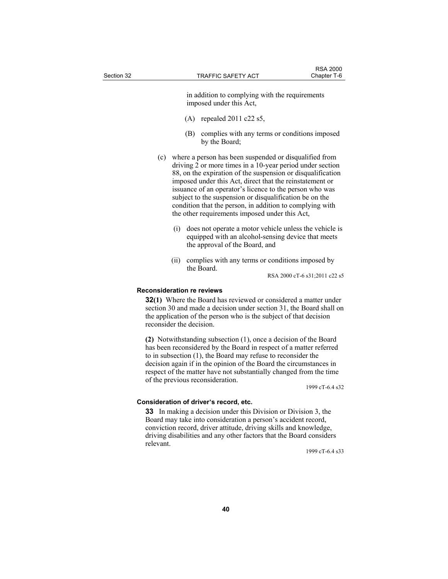in addition to complying with the requirements imposed under this Act,

- (A) repealed 2011 c22 s5,
- (B) complies with any terms or conditions imposed by the Board;
- (c) where a person has been suspended or disqualified from driving 2 or more times in a 10-year period under section 88, on the expiration of the suspension or disqualification imposed under this Act, direct that the reinstatement or issuance of an operator's licence to the person who was subject to the suspension or disqualification be on the condition that the person, in addition to complying with the other requirements imposed under this Act,
	- (i) does not operate a motor vehicle unless the vehicle is equipped with an alcohol-sensing device that meets the approval of the Board, and
	- (ii) complies with any terms or conditions imposed by the Board.

RSA 2000 cT-6 s31;2011 c22 s5

## **Reconsideration re reviews**

**32(1)** Where the Board has reviewed or considered a matter under section 30 and made a decision under section 31, the Board shall on the application of the person who is the subject of that decision reconsider the decision.

**(2)** Notwithstanding subsection (1), once a decision of the Board has been reconsidered by the Board in respect of a matter referred to in subsection (1), the Board may refuse to reconsider the decision again if in the opinion of the Board the circumstances in respect of the matter have not substantially changed from the time of the previous reconsideration.

1999 cT-6.4 s32

#### **Consideration of driver's record, etc.**

**33** In making a decision under this Division or Division 3, the Board may take into consideration a person's accident record, conviction record, driver attitude, driving skills and knowledge, driving disabilities and any other factors that the Board considers relevant.

1999 cT-6.4 s33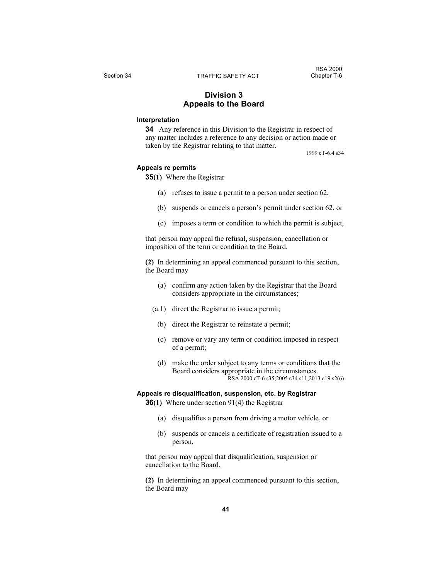## **Division 3 Appeals to the Board**

## **Interpretation**

**34** Any reference in this Division to the Registrar in respect of any matter includes a reference to any decision or action made or taken by the Registrar relating to that matter.

1999 cT-6.4 s34

#### **Appeals re permits**

**35(1)** Where the Registrar

- (a) refuses to issue a permit to a person under section 62,
- (b) suspends or cancels a person's permit under section 62, or
- (c) imposes a term or condition to which the permit is subject,

that person may appeal the refusal, suspension, cancellation or imposition of the term or condition to the Board.

**(2)** In determining an appeal commenced pursuant to this section, the Board may

- (a) confirm any action taken by the Registrar that the Board considers appropriate in the circumstances;
- (a.1) direct the Registrar to issue a permit;
- (b) direct the Registrar to reinstate a permit;
- (c) remove or vary any term or condition imposed in respect of a permit;
- (d) make the order subject to any terms or conditions that the Board considers appropriate in the circumstances. RSA 2000 cT-6 s35;2005 c34 s11;2013 c19 s2(6)

#### **Appeals re disqualification, suspension, etc. by Registrar**

**36(1)** Where under section 91(4) the Registrar

- (a) disqualifies a person from driving a motor vehicle, or
- (b) suspends or cancels a certificate of registration issued to a person,

that person may appeal that disqualification, suspension or cancellation to the Board.

**(2)** In determining an appeal commenced pursuant to this section, the Board may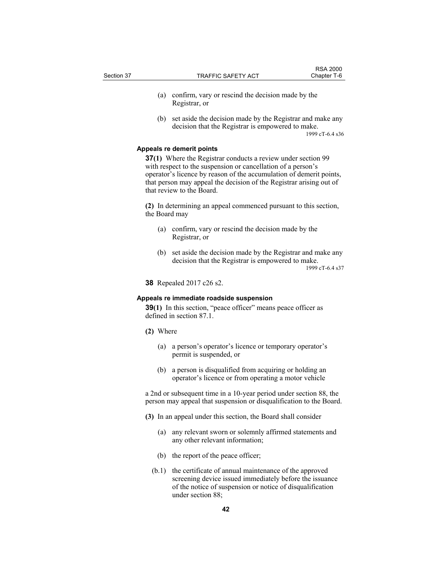- (a) confirm, vary or rescind the decision made by the Registrar, or
- (b) set aside the decision made by the Registrar and make any decision that the Registrar is empowered to make. 1999 cT-6.4 s36

#### **Appeals re demerit points**

**37(1)** Where the Registrar conducts a review under section 99 with respect to the suspension or cancellation of a person's operator's licence by reason of the accumulation of demerit points, that person may appeal the decision of the Registrar arising out of that review to the Board.

**(2)** In determining an appeal commenced pursuant to this section, the Board may

- (a) confirm, vary or rescind the decision made by the Registrar, or
- (b) set aside the decision made by the Registrar and make any decision that the Registrar is empowered to make.

1999 cT-6.4 s37

**38** Repealed 2017 c26 s2.

#### **Appeals re immediate roadside suspension**

**39(1)** In this section, "peace officer" means peace officer as defined in section 87.1.

- **(2)** Where
	- (a) a person's operator's licence or temporary operator's permit is suspended, or
	- (b) a person is disqualified from acquiring or holding an operator's licence or from operating a motor vehicle

a 2nd or subsequent time in a 10-year period under section 88, the person may appeal that suspension or disqualification to the Board.

- **(3)** In an appeal under this section, the Board shall consider
	- (a) any relevant sworn or solemnly affirmed statements and any other relevant information;
	- (b) the report of the peace officer;
	- (b.1) the certificate of annual maintenance of the approved screening device issued immediately before the issuance of the notice of suspension or notice of disqualification under section 88;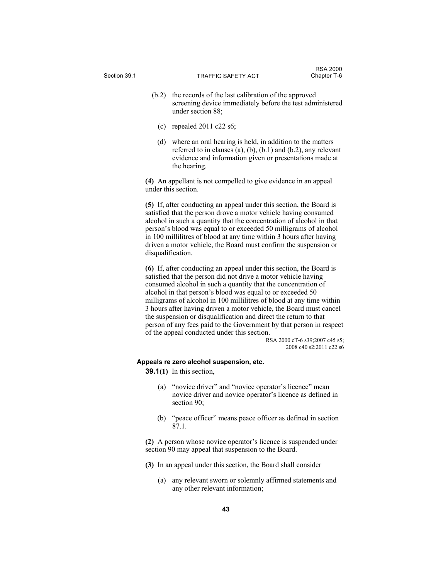- (b.2) the records of the last calibration of the approved screening device immediately before the test administered
	- (c) repealed  $2011$  c22 s6;

under section 88;

 (d) where an oral hearing is held, in addition to the matters referred to in clauses (a), (b), (b.1) and (b.2), any relevant evidence and information given or presentations made at the hearing.

**(4)** An appellant is not compelled to give evidence in an appeal under this section.

**(5)** If, after conducting an appeal under this section, the Board is satisfied that the person drove a motor vehicle having consumed alcohol in such a quantity that the concentration of alcohol in that person's blood was equal to or exceeded 50 milligrams of alcohol in 100 millilitres of blood at any time within 3 hours after having driven a motor vehicle, the Board must confirm the suspension or disqualification.

**(6)** If, after conducting an appeal under this section, the Board is satisfied that the person did not drive a motor vehicle having consumed alcohol in such a quantity that the concentration of alcohol in that person's blood was equal to or exceeded 50 milligrams of alcohol in 100 millilitres of blood at any time within 3 hours after having driven a motor vehicle, the Board must cancel the suspension or disqualification and direct the return to that person of any fees paid to the Government by that person in respect of the appeal conducted under this section.

RSA 2000 cT-6 s39;2007 c45 s5; 2008 c40 s2;2011 c22 s6

#### **Appeals re zero alcohol suspension, etc.**

- **39.1(1)** In this section,
	- (a) "novice driver" and "novice operator's licence" mean novice driver and novice operator's licence as defined in section 90;
	- (b) "peace officer" means peace officer as defined in section 87.1.

**(2)** A person whose novice operator's licence is suspended under section 90 may appeal that suspension to the Board.

- **(3)** In an appeal under this section, the Board shall consider
	- (a) any relevant sworn or solemnly affirmed statements and any other relevant information;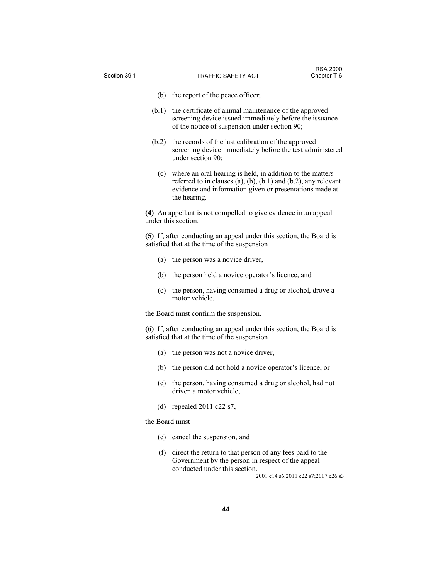- (b) the report of the peace officer;
- (b.1) the certificate of annual maintenance of the approved screening device issued immediately before the issuance of the notice of suspension under section 90;
- (b.2) the records of the last calibration of the approved screening device immediately before the test administered under section 90;
	- (c) where an oral hearing is held, in addition to the matters referred to in clauses (a), (b), (b.1) and (b.2), any relevant evidence and information given or presentations made at the hearing.

**(4)** An appellant is not compelled to give evidence in an appeal under this section.

**(5)** If, after conducting an appeal under this section, the Board is satisfied that at the time of the suspension

- (a) the person was a novice driver,
- (b) the person held a novice operator's licence, and
- (c) the person, having consumed a drug or alcohol, drove a motor vehicle,

the Board must confirm the suspension.

**(6)** If, after conducting an appeal under this section, the Board is satisfied that at the time of the suspension

- (a) the person was not a novice driver,
- (b) the person did not hold a novice operator's licence, or
- (c) the person, having consumed a drug or alcohol, had not driven a motor vehicle,
- (d) repealed 2011 c22 s7,

the Board must

- (e) cancel the suspension, and
- (f) direct the return to that person of any fees paid to the Government by the person in respect of the appeal conducted under this section.

2001 c14 s6;2011 c22 s7;2017 c26 s3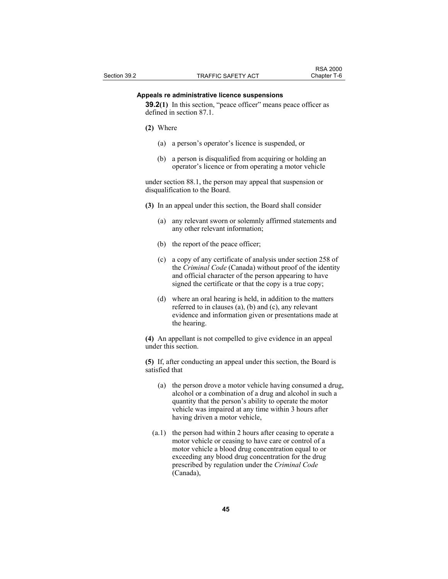#### **Appeals re administrative licence suspensions**

**39.2(1)** In this section, "peace officer" means peace officer as defined in section 87.1.

- **(2)** Where
	- (a) a person's operator's licence is suspended, or
	- (b) a person is disqualified from acquiring or holding an operator's licence or from operating a motor vehicle

under section 88.1, the person may appeal that suspension or disqualification to the Board.

- **(3)** In an appeal under this section, the Board shall consider
	- (a) any relevant sworn or solemnly affirmed statements and any other relevant information;
	- (b) the report of the peace officer;
	- (c) a copy of any certificate of analysis under section 258 of the *Criminal Code* (Canada) without proof of the identity and official character of the person appearing to have signed the certificate or that the copy is a true copy;
	- (d) where an oral hearing is held, in addition to the matters referred to in clauses (a), (b) and (c), any relevant evidence and information given or presentations made at the hearing.

**(4)** An appellant is not compelled to give evidence in an appeal under this section.

**(5)** If, after conducting an appeal under this section, the Board is satisfied that

- (a) the person drove a motor vehicle having consumed a drug, alcohol or a combination of a drug and alcohol in such a quantity that the person's ability to operate the motor vehicle was impaired at any time within 3 hours after having driven a motor vehicle,
- (a.1) the person had within 2 hours after ceasing to operate a motor vehicle or ceasing to have care or control of a motor vehicle a blood drug concentration equal to or exceeding any blood drug concentration for the drug prescribed by regulation under the *Criminal Code* (Canada),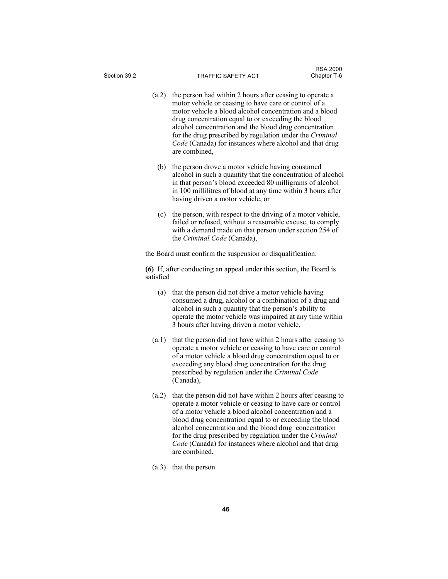- (a.2) the person had within 2 hours after ceasing to operate a motor vehicle or ceasing to have care or control of a motor vehicle a blood alcohol concentration and a blood drug concentration equal to or exceeding the blood alcohol concentration and the blood drug concentration for the drug prescribed by regulation under the *Criminal Code* (Canada) for instances where alcohol and that drug are combined,
- (b) the person drove a motor vehicle having consumed alcohol in such a quantity that the concentration of alcohol in that person's blood exceeded 80 milligrams of alcohol in 100 millilitres of blood at any time within 3 hours after having driven a motor vehicle, or
- (c) the person, with respect to the driving of a motor vehicle, failed or refused, without a reasonable excuse, to comply with a demand made on that person under section 254 of the *Criminal Code* (Canada),

the Board must confirm the suspension or disqualification.

**(6)** If, after conducting an appeal under this section, the Board is satisfied

- (a) that the person did not drive a motor vehicle having consumed a drug, alcohol or a combination of a drug and alcohol in such a quantity that the person's ability to operate the motor vehicle was impaired at any time within 3 hours after having driven a motor vehicle,
- (a.1) that the person did not have within 2 hours after ceasing to operate a motor vehicle or ceasing to have care or control of a motor vehicle a blood drug concentration equal to or exceeding any blood drug concentration for the drug prescribed by regulation under the *Criminal Code* (Canada),
- (a.2) that the person did not have within 2 hours after ceasing to operate a motor vehicle or ceasing to have care or control of a motor vehicle a blood alcohol concentration and a blood drug concentration equal to or exceeding the blood alcohol concentration and the blood drug concentration for the drug prescribed by regulation under the *Criminal Code* (Canada) for instances where alcohol and that drug are combined,
- (a.3) that the person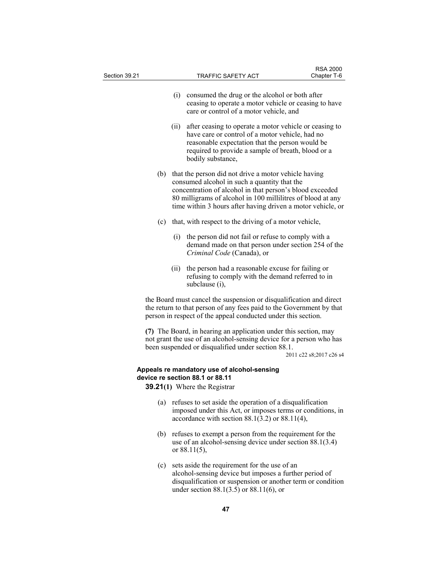| Section 39.21 |     |      | TRAFFIC SAFETY ACT                                                                                                                                                                                                                                                                                 | Chapter T-6             |
|---------------|-----|------|----------------------------------------------------------------------------------------------------------------------------------------------------------------------------------------------------------------------------------------------------------------------------------------------------|-------------------------|
|               |     |      | (i) consumed the drug or the alcohol or both after<br>ceasing to operate a motor vehicle or ceasing to have<br>care or control of a motor vehicle, and                                                                                                                                             |                         |
|               |     | (ii) | after ceasing to operate a motor vehicle or ceasing to<br>have care or control of a motor vehicle, had no<br>reasonable expectation that the person would be<br>required to provide a sample of breath, blood or a<br>bodily substance,                                                            |                         |
|               |     |      | (b) that the person did not drive a motor vehicle having<br>consumed alcohol in such a quantity that the<br>concentration of alcohol in that person's blood exceeded<br>80 milligrams of alcohol in 100 millilitres of blood at any<br>time within 3 hours after having driven a motor vehicle, or |                         |
|               | (c) |      | that, with respect to the driving of a motor vehicle,                                                                                                                                                                                                                                              |                         |
|               |     | (i)  | the person did not fail or refuse to comply with a<br>demand made on that person under section 254 of the<br>Criminal Code (Canada), or                                                                                                                                                            |                         |
|               |     | (11) | the person had a reasonable excuse for failing or<br>refusing to comply with the demand referred to in<br>subclause (i),                                                                                                                                                                           |                         |
|               |     |      | the Board must cancel the suspension or disqualification and direct<br>the return to that person of any fees paid to the Government by that<br>person in respect of the appeal conducted under this section.                                                                                       |                         |
|               |     |      | (7) The Board, in hearing an application under this section, may<br>not grant the use of an alcohol-sensing device for a person who has<br>been suspended or disqualified under section 88.1.                                                                                                      | 2011 c22 s8;2017 c26 s4 |
|               |     |      | Appeals re mandatory use of alcohol-sensing                                                                                                                                                                                                                                                        |                         |
|               |     |      | device re section 88.1 or 88.11<br><b>39.21(1)</b> Where the Registrar                                                                                                                                                                                                                             |                         |
|               |     |      | (a) refuses to set aside the operation of a disqualification<br>imposed under this Act, or imposes terms or conditions, in<br>accordance with section $88.1(3.2)$ or $88.11(4)$ ,                                                                                                                  |                         |
|               | (b) |      | refuses to exempt a person from the requirement for the<br>use of an alcohol-sensing device under section $88.1(3.4)$<br>or $88.11(5)$ ,                                                                                                                                                           |                         |
|               | (c) |      | sets aside the requirement for the use of an<br>alcohol-sensing device but imposes a further period of<br>disqualification or suspension or another term or condition<br>under section $88.1(3.5)$ or $88.11(6)$ , or                                                                              |                         |
|               |     |      |                                                                                                                                                                                                                                                                                                    |                         |

RSA 2000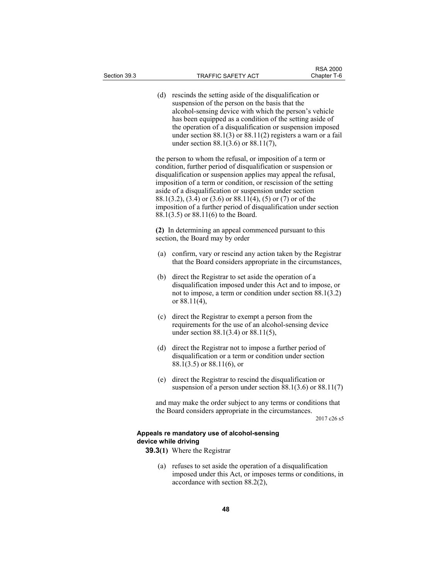| (d)                                                                                        | rescinds the setting aside of the disqualification or<br>suspension of the person on the basis that the<br>alcohol-sensing device with which the person's vehicle<br>has been equipped as a condition of the setting aside of<br>the operation of a disqualification or suspension imposed<br>under section $88.1(3)$ or $88.11(2)$ registers a warn or a fail<br>under section 88.1(3.6) or 88.11(7),                                                                                                 |  |
|--------------------------------------------------------------------------------------------|--------------------------------------------------------------------------------------------------------------------------------------------------------------------------------------------------------------------------------------------------------------------------------------------------------------------------------------------------------------------------------------------------------------------------------------------------------------------------------------------------------|--|
|                                                                                            | the person to whom the refusal, or imposition of a term or<br>condition, further period of disqualification or suspension or<br>disqualification or suspension applies may appeal the refusal,<br>imposition of a term or condition, or rescission of the setting<br>aside of a disqualification or suspension under section<br>88.1(3.2), (3.4) or (3.6) or 88.11(4), (5) or (7) or of the<br>imposition of a further period of disqualification under section<br>88.1(3.5) or 88.11(6) to the Board. |  |
| (2) In determining an appeal commenced pursuant to this<br>section, the Board may by order |                                                                                                                                                                                                                                                                                                                                                                                                                                                                                                        |  |
| (a)                                                                                        | confirm, vary or rescind any action taken by the Registrar<br>that the Board considers appropriate in the circumstances,                                                                                                                                                                                                                                                                                                                                                                               |  |
| (b)                                                                                        | direct the Registrar to set aside the operation of a<br>disqualification imposed under this Act and to impose, or<br>not to impose, a term or condition under section $88.1(3.2)$<br>or $88.11(4)$ ,                                                                                                                                                                                                                                                                                                   |  |
| (c)                                                                                        | direct the Registrar to exempt a person from the<br>requirements for the use of an alcohol-sensing device<br>under section 88.1(3.4) or 88.11(5),                                                                                                                                                                                                                                                                                                                                                      |  |
| (d)                                                                                        | direct the Registrar not to impose a further period of<br>disqualification or a term or condition under section<br>$88.1(3.5)$ or $88.11(6)$ , or                                                                                                                                                                                                                                                                                                                                                      |  |
| (e)                                                                                        | direct the Registrar to rescind the disqualification or<br>suspension of a person under section $88.1(3.6)$ or $88.11(7)$                                                                                                                                                                                                                                                                                                                                                                              |  |

and may make the order subject to any terms or conditions that the Board considers appropriate in the circumstances.

2017 c26 s5

## **Appeals re mandatory use of alcohol-sensing device while driving**

- **39.3(1)** Where the Registrar
	- (a) refuses to set aside the operation of a disqualification imposed under this Act, or imposes terms or conditions, in accordance with section  $88.2(2)$ ,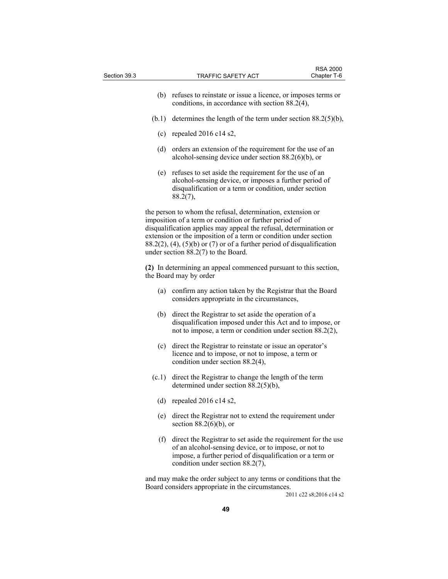| Section 39.3 |       | TRAFFIC SAFETY ACT                                                                                                                                                                                                                                                                                                                                                                   | <b>RSA 2000</b><br>Chapter T-6 |
|--------------|-------|--------------------------------------------------------------------------------------------------------------------------------------------------------------------------------------------------------------------------------------------------------------------------------------------------------------------------------------------------------------------------------------|--------------------------------|
|              |       |                                                                                                                                                                                                                                                                                                                                                                                      |                                |
|              |       | (b) refuses to reinstate or issue a licence, or imposes terms or<br>conditions, in accordance with section 88.2(4),                                                                                                                                                                                                                                                                  |                                |
|              | (b.1) | determines the length of the term under section $88.2(5)(b)$ ,                                                                                                                                                                                                                                                                                                                       |                                |
|              | (c)   | repealed $2016$ c14 s2,                                                                                                                                                                                                                                                                                                                                                              |                                |
|              | (d)   | orders an extension of the requirement for the use of an<br>alcohol-sensing device under section $88.2(6)(b)$ , or                                                                                                                                                                                                                                                                   |                                |
|              | (e)   | refuses to set aside the requirement for the use of an<br>alcohol-sensing device, or imposes a further period of<br>disqualification or a term or condition, under section<br>88.2(7),                                                                                                                                                                                               |                                |
|              |       | the person to whom the refusal, determination, extension or<br>imposition of a term or condition or further period of<br>disqualification applies may appeal the refusal, determination or<br>extension or the imposition of a term or condition under section<br>$88.2(2)$ , (4), (5)(b) or (7) or of a further period of disqualification<br>under section $88.2(7)$ to the Board. |                                |
|              |       | (2) In determining an appeal commenced pursuant to this section,<br>the Board may by order                                                                                                                                                                                                                                                                                           |                                |
|              | (a)   | confirm any action taken by the Registrar that the Board<br>considers appropriate in the circumstances,                                                                                                                                                                                                                                                                              |                                |
|              | (b)   | direct the Registrar to set aside the operation of a<br>disqualification imposed under this Act and to impose, or<br>not to impose, a term or condition under section 88.2(2),                                                                                                                                                                                                       |                                |
|              | (c)   | direct the Registrar to reinstate or issue an operator's<br>licence and to impose, or not to impose, a term or<br>condition under section 88.2(4),                                                                                                                                                                                                                                   |                                |
|              | (c.1) | direct the Registrar to change the length of the term<br>determined under section $88.2(5)(b)$ ,                                                                                                                                                                                                                                                                                     |                                |
|              | (d)   | repealed 2016 c14 s2,                                                                                                                                                                                                                                                                                                                                                                |                                |
|              | (e)   | direct the Registrar not to extend the requirement under<br>section $88.2(6)(b)$ , or                                                                                                                                                                                                                                                                                                |                                |
|              |       | (f) direct the Registrar to set aside the requirement for the use<br>of an alcohol-sensing device, or to impose, or not to<br>impose, a further period of disqualification or a term or<br>condition under section 88.2(7),                                                                                                                                                          |                                |
|              |       | and may make the order subject to any terms or conditions that the<br>Board considers appropriate in the circumstances.                                                                                                                                                                                                                                                              | 2011 c22 s8;2016 c14 s2        |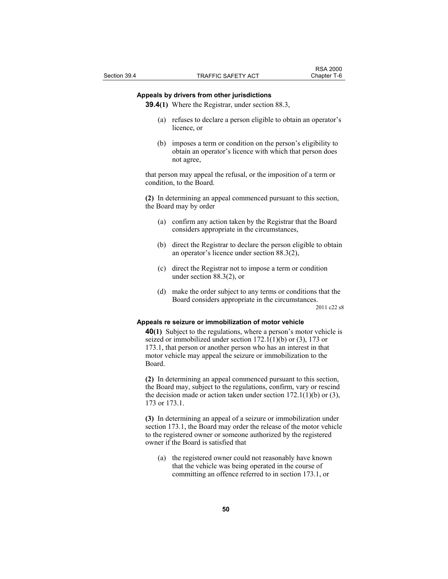## **Appeals by drivers from other jurisdictions**

**39.4(1)** Where the Registrar, under section 88.3,

- (a) refuses to declare a person eligible to obtain an operator's licence, or
- (b) imposes a term or condition on the person's eligibility to obtain an operator's licence with which that person does not agree,

that person may appeal the refusal, or the imposition of a term or condition, to the Board.

**(2)** In determining an appeal commenced pursuant to this section, the Board may by order

- (a) confirm any action taken by the Registrar that the Board considers appropriate in the circumstances,
- (b) direct the Registrar to declare the person eligible to obtain an operator's licence under section 88.3(2),
- (c) direct the Registrar not to impose a term or condition under section 88.3(2), or
- (d) make the order subject to any terms or conditions that the Board considers appropriate in the circumstances.

2011 c22 s8

#### **Appeals re seizure or immobilization of motor vehicle**

**40(1)** Subject to the regulations, where a person's motor vehicle is seized or immobilized under section 172.1(1)(b) or (3), 173 or 173.1, that person or another person who has an interest in that motor vehicle may appeal the seizure or immobilization to the Board.

**(2)** In determining an appeal commenced pursuant to this section, the Board may, subject to the regulations, confirm, vary or rescind the decision made or action taken under section  $172.1(1)(b)$  or  $(3)$ , 173 or 173.1.

**(3)** In determining an appeal of a seizure or immobilization under section 173.1, the Board may order the release of the motor vehicle to the registered owner or someone authorized by the registered owner if the Board is satisfied that

 (a) the registered owner could not reasonably have known that the vehicle was being operated in the course of committing an offence referred to in section 173.1, or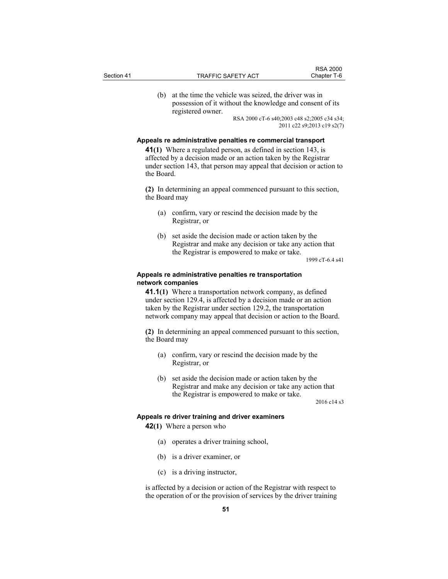(b) at the time the vehicle was seized, the driver was in possession of it without the knowledge and consent of its registered owner.

> RSA 2000 cT-6 s40;2003 c48 s2;2005 c34 s34; 2011 c22 s9;2013 c19 s2(7)

#### **Appeals re administrative penalties re commercial transport**

**41(1)** Where a regulated person, as defined in section 143, is affected by a decision made or an action taken by the Registrar under section 143, that person may appeal that decision or action to the Board.

**(2)** In determining an appeal commenced pursuant to this section, the Board may

- (a) confirm, vary or rescind the decision made by the Registrar, or
- (b) set aside the decision made or action taken by the Registrar and make any decision or take any action that the Registrar is empowered to make or take.

1999 cT-6.4 s41

RSA 2000<br>Chapter T-6

#### **Appeals re administrative penalties re transportation network companies**

**41.1(1)** Where a transportation network company, as defined under section 129.4, is affected by a decision made or an action taken by the Registrar under section 129.2, the transportation network company may appeal that decision or action to the Board.

**(2)** In determining an appeal commenced pursuant to this section, the Board may

- (a) confirm, vary or rescind the decision made by the Registrar, or
- (b) set aside the decision made or action taken by the Registrar and make any decision or take any action that the Registrar is empowered to make or take.

2016 c14 s3

#### **Appeals re driver training and driver examiners**

**42(1)** Where a person who

- (a) operates a driver training school,
- (b) is a driver examiner, or
- (c) is a driving instructor,

is affected by a decision or action of the Registrar with respect to the operation of or the provision of services by the driver training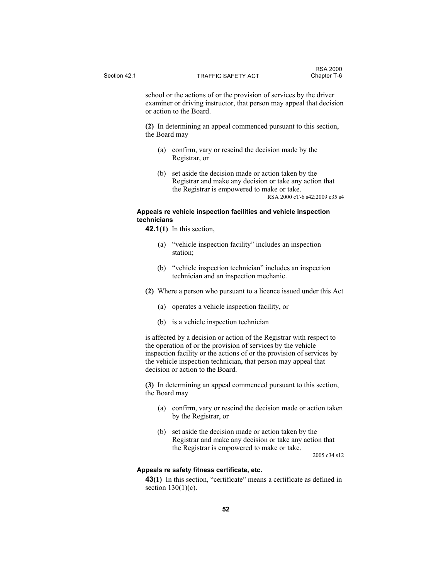school or the actions of or the provision of services by the driver examiner or driving instructor, that person may appeal that decision or action to the Board.

**(2)** In determining an appeal commenced pursuant to this section, the Board may

- (a) confirm, vary or rescind the decision made by the Registrar, or
- (b) set aside the decision made or action taken by the Registrar and make any decision or take any action that the Registrar is empowered to make or take. RSA 2000 cT-6 s42;2009 c35 s4

## **Appeals re vehicle inspection facilities and vehicle inspection technicians**

- **42.1(1)** In this section,
	- (a) "vehicle inspection facility" includes an inspection station;
	- (b) "vehicle inspection technician" includes an inspection technician and an inspection mechanic.
- **(2)** Where a person who pursuant to a licence issued under this Act
	- (a) operates a vehicle inspection facility, or
	- (b) is a vehicle inspection technician

is affected by a decision or action of the Registrar with respect to the operation of or the provision of services by the vehicle inspection facility or the actions of or the provision of services by the vehicle inspection technician, that person may appeal that decision or action to the Board.

**(3)** In determining an appeal commenced pursuant to this section, the Board may

- (a) confirm, vary or rescind the decision made or action taken by the Registrar, or
- (b) set aside the decision made or action taken by the Registrar and make any decision or take any action that the Registrar is empowered to make or take.

2005 c34 s12

## **Appeals re safety fitness certificate, etc.**

**43(1)** In this section, "certificate" means a certificate as defined in section  $130(1)(c)$ .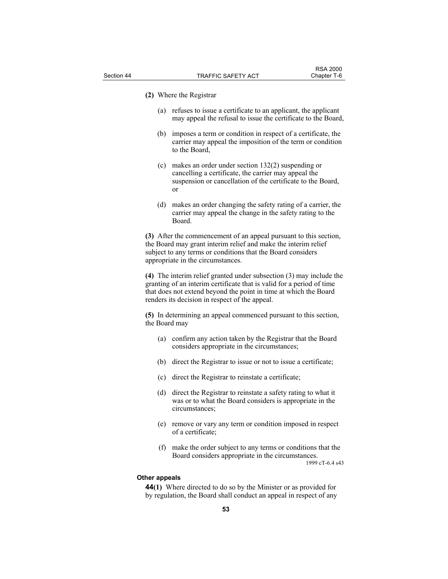#### **(2)** Where the Registrar

- (a) refuses to issue a certificate to an applicant, the applicant may appeal the refusal to issue the certificate to the Board,
- (b) imposes a term or condition in respect of a certificate, the carrier may appeal the imposition of the term or condition to the Board,
- (c) makes an order under section 132(2) suspending or cancelling a certificate, the carrier may appeal the suspension or cancellation of the certificate to the Board, or
- (d) makes an order changing the safety rating of a carrier, the carrier may appeal the change in the safety rating to the Board.

**(3)** After the commencement of an appeal pursuant to this section, the Board may grant interim relief and make the interim relief subject to any terms or conditions that the Board considers appropriate in the circumstances.

**(4)** The interim relief granted under subsection (3) may include the granting of an interim certificate that is valid for a period of time that does not extend beyond the point in time at which the Board renders its decision in respect of the appeal.

**(5)** In determining an appeal commenced pursuant to this section, the Board may

- (a) confirm any action taken by the Registrar that the Board considers appropriate in the circumstances;
- (b) direct the Registrar to issue or not to issue a certificate;
- (c) direct the Registrar to reinstate a certificate;
- (d) direct the Registrar to reinstate a safety rating to what it was or to what the Board considers is appropriate in the circumstances;
- (e) remove or vary any term or condition imposed in respect of a certificate;
- (f) make the order subject to any terms or conditions that the Board considers appropriate in the circumstances.

1999 cT-6.4 s43

#### **Other appeals**

**44(1)** Where directed to do so by the Minister or as provided for by regulation, the Board shall conduct an appeal in respect of any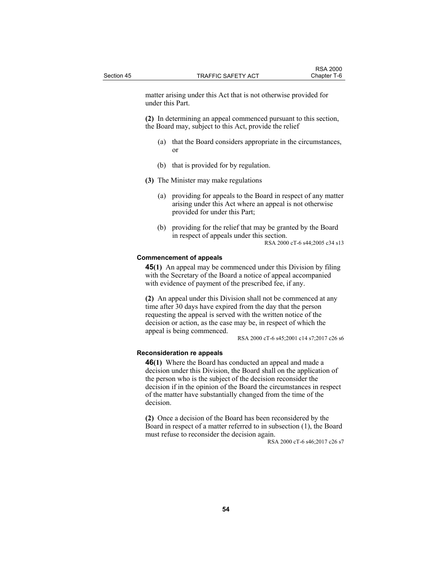matter arising under this Act that is not otherwise provided for under this Part.

**(2)** In determining an appeal commenced pursuant to this section, the Board may, subject to this Act, provide the relief

- (a) that the Board considers appropriate in the circumstances, or
- (b) that is provided for by regulation.
- **(3)** The Minister may make regulations
	- (a) providing for appeals to the Board in respect of any matter arising under this Act where an appeal is not otherwise provided for under this Part;
	- (b) providing for the relief that may be granted by the Board in respect of appeals under this section. RSA 2000 cT-6 s44;2005 c34 s13

#### **Commencement of appeals**

**45(1)** An appeal may be commenced under this Division by filing with the Secretary of the Board a notice of appeal accompanied with evidence of payment of the prescribed fee, if any.

**(2)** An appeal under this Division shall not be commenced at any time after 30 days have expired from the day that the person requesting the appeal is served with the written notice of the decision or action, as the case may be, in respect of which the appeal is being commenced.

RSA 2000 cT-6 s45;2001 c14 s7;2017 c26 s6

#### **Reconsideration re appeals**

**46(1)** Where the Board has conducted an appeal and made a decision under this Division, the Board shall on the application of the person who is the subject of the decision reconsider the decision if in the opinion of the Board the circumstances in respect of the matter have substantially changed from the time of the decision.

**(2)** Once a decision of the Board has been reconsidered by the Board in respect of a matter referred to in subsection (1), the Board must refuse to reconsider the decision again.

RSA 2000 cT-6 s46;2017 c26 s7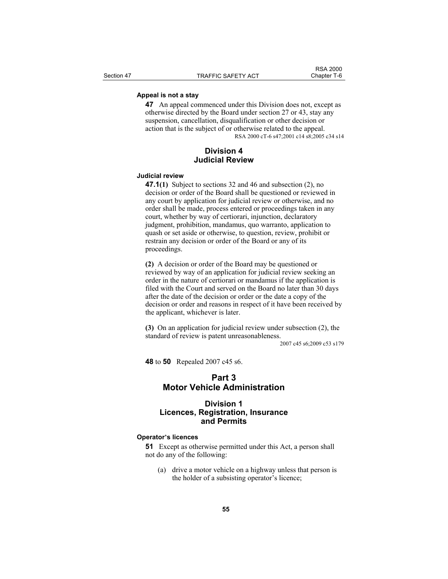## **Appeal is not a stay**

**47** An appeal commenced under this Division does not, except as otherwise directed by the Board under section 27 or 43, stay any suspension, cancellation, disqualification or other decision or action that is the subject of or otherwise related to the appeal. RSA 2000 cT-6 s47;2001 c14 s8;2005 c34 s14

## **Division 4 Judicial Review**

#### **Judicial review**

**47.1(1)** Subject to sections 32 and 46 and subsection (2), no decision or order of the Board shall be questioned or reviewed in any court by application for judicial review or otherwise, and no order shall be made, process entered or proceedings taken in any court, whether by way of certiorari, injunction, declaratory judgment, prohibition, mandamus, quo warranto, application to quash or set aside or otherwise, to question, review, prohibit or restrain any decision or order of the Board or any of its proceedings.

**(2)** A decision or order of the Board may be questioned or reviewed by way of an application for judicial review seeking an order in the nature of certiorari or mandamus if the application is filed with the Court and served on the Board no later than 30 days after the date of the decision or order or the date a copy of the decision or order and reasons in respect of it have been received by the applicant, whichever is later.

**(3)** On an application for judicial review under subsection (2), the standard of review is patent unreasonableness.

2007 c45 s6;2009 c53 s179

**48** to **50** Repealed 2007 c45 s6.

## **Part 3 Motor Vehicle Administration**

## **Division 1 Licences, Registration, Insurance and Permits**

#### **Operator's licences**

**51** Except as otherwise permitted under this Act, a person shall not do any of the following:

 (a) drive a motor vehicle on a highway unless that person is the holder of a subsisting operator's licence;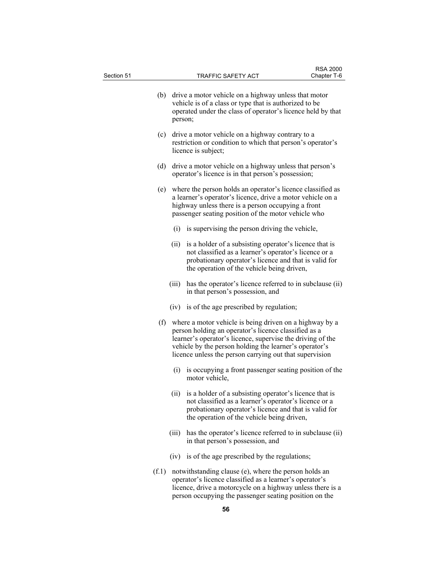| Section 51 |       |         | TRAFFIC SAFETY ACT                                                                                                                                                                                                                                                                                     | <b>RSA 2000</b><br>Chapter T-6 |
|------------|-------|---------|--------------------------------------------------------------------------------------------------------------------------------------------------------------------------------------------------------------------------------------------------------------------------------------------------------|--------------------------------|
|            | (b)   | person; | drive a motor vehicle on a highway unless that motor<br>vehicle is of a class or type that is authorized to be<br>operated under the class of operator's licence held by that                                                                                                                          |                                |
|            | (c)   |         | drive a motor vehicle on a highway contrary to a<br>restriction or condition to which that person's operator's<br>licence is subject;                                                                                                                                                                  |                                |
|            | (d)   |         | drive a motor vehicle on a highway unless that person's<br>operator's licence is in that person's possession;                                                                                                                                                                                          |                                |
|            | (e)   |         | where the person holds an operator's licence classified as<br>a learner's operator's licence, drive a motor vehicle on a<br>highway unless there is a person occupying a front<br>passenger seating position of the motor vehicle who                                                                  |                                |
|            |       | (i)     | is supervising the person driving the vehicle,                                                                                                                                                                                                                                                         |                                |
|            |       | (ii)    | is a holder of a subsisting operator's licence that is<br>not classified as a learner's operator's licence or a<br>probationary operator's licence and that is valid for<br>the operation of the vehicle being driven,                                                                                 |                                |
|            |       | (iii)   | has the operator's licence referred to in subclause (ii)<br>in that person's possession, and                                                                                                                                                                                                           |                                |
|            |       |         | (iv) is of the age prescribed by regulation;                                                                                                                                                                                                                                                           |                                |
|            |       |         | (f) where a motor vehicle is being driven on a highway by a<br>person holding an operator's licence classified as a<br>learner's operator's licence, supervise the driving of the<br>vehicle by the person holding the learner's operator's<br>licence unless the person carrying out that supervision |                                |
|            |       | (i)     | is occupying a front passenger seating position of the<br>motor vehicle,                                                                                                                                                                                                                               |                                |
|            |       |         | (ii) is a holder of a subsisting operator's licence that is<br>not classified as a learner's operator's licence or a<br>probationary operator's licence and that is valid for<br>the operation of the vehicle being driven,                                                                            |                                |
|            |       | (iii)   | has the operator's licence referred to in subclause (ii)<br>in that person's possession, and                                                                                                                                                                                                           |                                |
|            |       |         | (iv) is of the age prescribed by the regulations;                                                                                                                                                                                                                                                      |                                |
|            | (f.1) |         | notwithstanding clause (e), where the person holds an<br>operator's licence classified as a learner's operator's<br>licence, drive a motorcycle on a highway unless there is a<br>person occupying the passenger seating position on the                                                               |                                |

**56**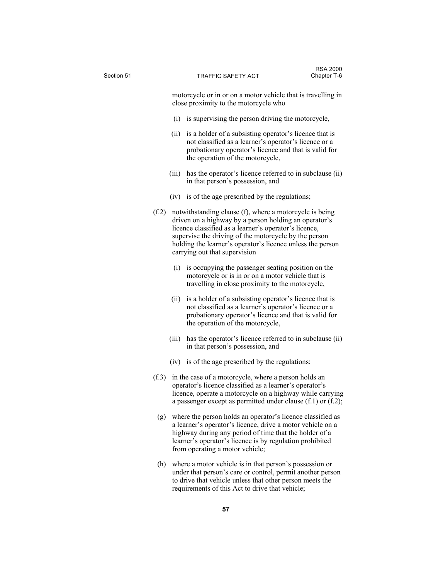| Section 51 |       | TRAFFIC SAFETY ACT                                                                                                                                                                                                                                                                                                                | Chapter T-6 |
|------------|-------|-----------------------------------------------------------------------------------------------------------------------------------------------------------------------------------------------------------------------------------------------------------------------------------------------------------------------------------|-------------|
|            |       | motorcycle or in or on a motor vehicle that is travelling in<br>close proximity to the motorcycle who                                                                                                                                                                                                                             |             |
|            | (i)   | is supervising the person driving the motorcycle,                                                                                                                                                                                                                                                                                 |             |
|            | (ii)  | is a holder of a subsisting operator's licence that is<br>not classified as a learner's operator's licence or a<br>probationary operator's licence and that is valid for<br>the operation of the motorcycle,                                                                                                                      |             |
|            | (iii) | has the operator's licence referred to in subclause (ii)<br>in that person's possession, and                                                                                                                                                                                                                                      |             |
|            |       | (iv) is of the age prescribed by the regulations;                                                                                                                                                                                                                                                                                 |             |
| (f.2)      |       | notwithstanding clause (f), where a motorcycle is being<br>driven on a highway by a person holding an operator's<br>licence classified as a learner's operator's licence,<br>supervise the driving of the motorcycle by the person<br>holding the learner's operator's licence unless the person<br>carrying out that supervision |             |
|            |       | (i) is occupying the passenger seating position on the<br>motorcycle or is in or on a motor vehicle that is<br>travelling in close proximity to the motorcycle,                                                                                                                                                                   |             |
|            | (ii)  | is a holder of a subsisting operator's licence that is<br>not classified as a learner's operator's licence or a<br>probationary operator's licence and that is valid for<br>the operation of the motorcycle,                                                                                                                      |             |
|            | (iii) | has the operator's licence referred to in subclause (ii)<br>in that person's possession, and                                                                                                                                                                                                                                      |             |
|            |       | (iv) is of the age prescribed by the regulations;                                                                                                                                                                                                                                                                                 |             |
| (f.3)      |       | in the case of a motorcycle, where a person holds an<br>operator's licence classified as a learner's operator's<br>licence, operate a motorcycle on a highway while carrying<br>a passenger except as permitted under clause $(f.1)$ or $(f.2)$ ;                                                                                 |             |
| (g)        |       | where the person holds an operator's licence classified as<br>a learner's operator's licence, drive a motor vehicle on a<br>highway during any period of time that the holder of a<br>learner's operator's licence is by regulation prohibited<br>from operating a motor vehicle;                                                 |             |
| (h)        |       | where a motor vehicle is in that person's possession or<br>under that person's care or control, permit another person<br>to drive that vehicle unless that other person meets the<br>requirements of this Act to drive that vehicle;                                                                                              |             |

RSA 2000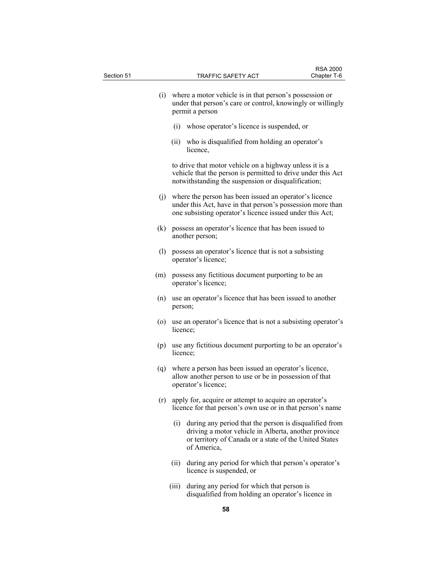| Section 51 |       | TRAFFIC SAFETY ACT                                                                                                                                                                      | <b>RSA 2000</b><br>Chapter T-6 |
|------------|-------|-----------------------------------------------------------------------------------------------------------------------------------------------------------------------------------------|--------------------------------|
|            |       |                                                                                                                                                                                         |                                |
|            |       | (i) where a motor vehicle is in that person's possession or<br>under that person's care or control, knowingly or willingly<br>permit a person                                           |                                |
|            | (i)   | whose operator's licence is suspended, or                                                                                                                                               |                                |
|            | (ii)  | who is disqualified from holding an operator's<br>licence,                                                                                                                              |                                |
|            |       | to drive that motor vehicle on a highway unless it is a<br>vehicle that the person is permitted to drive under this Act<br>notwithstanding the suspension or disqualification;          |                                |
|            |       | (j) where the person has been issued an operator's licence<br>under this Act, have in that person's possession more than<br>one subsisting operator's licence issued under this Act;    |                                |
| (k)        |       | possess an operator's licence that has been issued to<br>another person;                                                                                                                |                                |
|            | (1)   | possess an operator's licence that is not a subsisting<br>operator's licence;                                                                                                           |                                |
| (m)        |       | possess any fictitious document purporting to be an<br>operator's licence;                                                                                                              |                                |
| (n)        |       | use an operator's licence that has been issued to another<br>person;                                                                                                                    |                                |
| (0)        |       | use an operator's licence that is not a subsisting operator's<br>licence;                                                                                                               |                                |
|            |       | (p) use any fictitious document purporting to be an operator's<br>licence;                                                                                                              |                                |
| (q)        |       | where a person has been issued an operator's licence,<br>allow another person to use or be in possession of that<br>operator's licence;                                                 |                                |
|            | (r)   | apply for, acquire or attempt to acquire an operator's<br>licence for that person's own use or in that person's name                                                                    |                                |
|            | (i)   | during any period that the person is disqualified from<br>driving a motor vehicle in Alberta, another province<br>or territory of Canada or a state of the United States<br>of America, |                                |
|            | (ii)  | during any period for which that person's operator's<br>licence is suspended, or                                                                                                        |                                |
|            | (iii) | during any period for which that person is<br>disqualified from holding an operator's licence in                                                                                        |                                |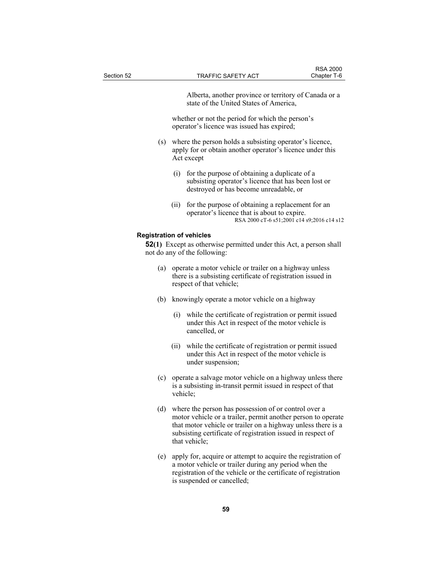Alberta, another province or territory of Canada or a state of the United States of America,

 whether or not the period for which the person's operator's licence was issued has expired;

- (s) where the person holds a subsisting operator's licence, apply for or obtain another operator's licence under this Act except
	- (i) for the purpose of obtaining a duplicate of a subsisting operator's licence that has been lost or destroyed or has become unreadable, or
	- (ii) for the purpose of obtaining a replacement for an operator's licence that is about to expire. RSA 2000 cT-6 s51;2001 c14 s9;2016 c14 s12

#### **Registration of vehicles**

**52(1)** Except as otherwise permitted under this Act, a person shall not do any of the following:

- (a) operate a motor vehicle or trailer on a highway unless there is a subsisting certificate of registration issued in respect of that vehicle;
- (b) knowingly operate a motor vehicle on a highway
	- (i) while the certificate of registration or permit issued under this Act in respect of the motor vehicle is cancelled, or
	- (ii) while the certificate of registration or permit issued under this Act in respect of the motor vehicle is under suspension;
- (c) operate a salvage motor vehicle on a highway unless there is a subsisting in-transit permit issued in respect of that vehicle;
- (d) where the person has possession of or control over a motor vehicle or a trailer, permit another person to operate that motor vehicle or trailer on a highway unless there is a subsisting certificate of registration issued in respect of that vehicle;
- (e) apply for, acquire or attempt to acquire the registration of a motor vehicle or trailer during any period when the registration of the vehicle or the certificate of registration is suspended or cancelled;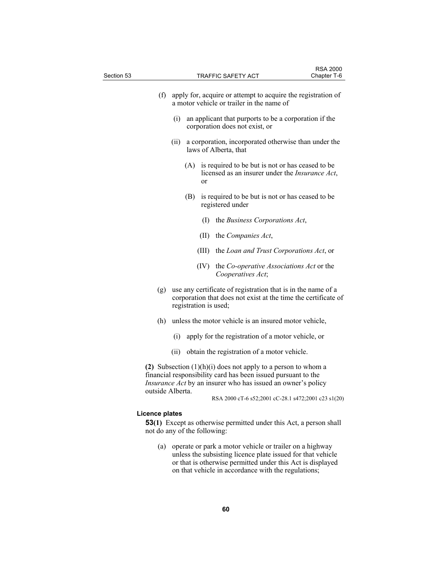| Section 53            | TRAFFIC SAFETY ACT                                                                                                                                                                                                                          | <b>RSA 2000</b><br>Chapter T-6 |
|-----------------------|---------------------------------------------------------------------------------------------------------------------------------------------------------------------------------------------------------------------------------------------|--------------------------------|
|                       |                                                                                                                                                                                                                                             |                                |
|                       | (f) apply for, acquire or attempt to acquire the registration of<br>a motor vehicle or trailer in the name of                                                                                                                               |                                |
|                       | (i)<br>an applicant that purports to be a corporation if the<br>corporation does not exist, or                                                                                                                                              |                                |
|                       | a corporation, incorporated otherwise than under the<br>(ii)<br>laws of Alberta, that                                                                                                                                                       |                                |
|                       | (A)<br>is required to be but is not or has ceased to be<br>licensed as an insurer under the <i>Insurance Act</i> ,<br>or                                                                                                                    |                                |
|                       | (B)<br>is required to be but is not or has ceased to be<br>registered under                                                                                                                                                                 |                                |
|                       | the Business Corporations Act,<br>(1)                                                                                                                                                                                                       |                                |
|                       | (II)<br>the Companies Act,                                                                                                                                                                                                                  |                                |
|                       | the Loan and Trust Corporations Act, or<br>(III)                                                                                                                                                                                            |                                |
|                       | (IV) the <i>Co-operative Associations Act</i> or the<br>Cooperatives Act;                                                                                                                                                                   |                                |
| (g)                   | use any certificate of registration that is in the name of a<br>corporation that does not exist at the time the certificate of<br>registration is used;                                                                                     |                                |
| (h)                   | unless the motor vehicle is an insured motor vehicle,                                                                                                                                                                                       |                                |
|                       | apply for the registration of a motor vehicle, or<br>(i)                                                                                                                                                                                    |                                |
|                       | obtain the registration of a motor vehicle.<br>(ii)                                                                                                                                                                                         |                                |
|                       | (2) Subsection $(1)(h)(i)$ does not apply to a person to whom a<br>financial responsibility card has been issued pursuant to the<br><i>Insurance Act</i> by an insurer who has issued an owner's policy                                     |                                |
| outside Alberta.      | RSA 2000 cT-6 s52;2001 cC-28.1 s472;2001 c23 s1(20)                                                                                                                                                                                         |                                |
| <b>Licence plates</b> |                                                                                                                                                                                                                                             |                                |
|                       | <b>53(1)</b> Except as otherwise permitted under this Act, a person shall<br>not do any of the following:                                                                                                                                   |                                |
| (a)                   | operate or park a motor vehicle or trailer on a highway<br>unless the subsisting licence plate issued for that vehicle<br>or that is otherwise permitted under this Act is displayed<br>on that vehicle in accordance with the regulations; |                                |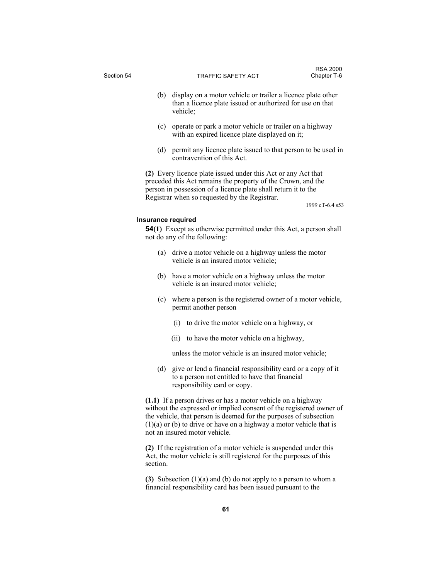| Section 54         | TRAFFIC SAFETY ACT                                                                                                                                                                                                                               | <b>RSA 2000</b><br>Chapter T-6 |
|--------------------|--------------------------------------------------------------------------------------------------------------------------------------------------------------------------------------------------------------------------------------------------|--------------------------------|
| (b)                | display on a motor vehicle or trailer a licence plate other<br>than a licence plate issued or authorized for use on that<br>vehicle;                                                                                                             |                                |
| (c)                | operate or park a motor vehicle or trailer on a highway<br>with an expired licence plate displayed on it;                                                                                                                                        |                                |
| (d)                | permit any licence plate issued to that person to be used in<br>contravention of this Act.                                                                                                                                                       |                                |
|                    | (2) Every licence plate issued under this Act or any Act that<br>preceded this Act remains the property of the Crown, and the<br>person in possession of a licence plate shall return it to the<br>Registrar when so requested by the Registrar. | 1999 cT-6.4 s53                |
| Insurance required |                                                                                                                                                                                                                                                  |                                |
|                    | <b>54(1)</b> Except as otherwise permitted under this Act, a person shall<br>not do any of the following:                                                                                                                                        |                                |
| (a)                | drive a motor vehicle on a highway unless the motor<br>vehicle is an insured motor vehicle;                                                                                                                                                      |                                |
| (b)                | have a motor vehicle on a highway unless the motor<br>vehicle is an insured motor vehicle;                                                                                                                                                       |                                |
| (c)                | where a person is the registered owner of a motor vehicle,<br>permit another person                                                                                                                                                              |                                |
|                    |                                                                                                                                                                                                                                                  |                                |

(ii) to have the motor vehicle on a highway,

unless the motor vehicle is an insured motor vehicle;

 (d) give or lend a financial responsibility card or a copy of it to a person not entitled to have that financial responsibility card or copy.

**(1.1)** If a person drives or has a motor vehicle on a highway without the expressed or implied consent of the registered owner of the vehicle, that person is deemed for the purposes of subsection  $(1)(a)$  or  $(b)$  to drive or have on a highway a motor vehicle that is not an insured motor vehicle.

**(2)** If the registration of a motor vehicle is suspended under this Act, the motor vehicle is still registered for the purposes of this section.

**(3)** Subsection (1)(a) and (b) do not apply to a person to whom a financial responsibility card has been issued pursuant to the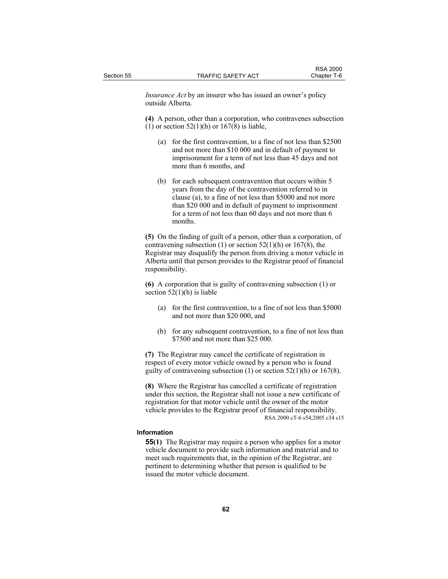*Insurance Act* by an insurer who has issued an owner's policy outside Alberta.

**(4)** A person, other than a corporation, who contravenes subsection (1) or section  $52(1)$ (h) or  $167(8)$  is liable,

- (a) for the first contravention, to a fine of not less than \$2500 and not more than \$10 000 and in default of payment to imprisonment for a term of not less than 45 days and not more than 6 months, and
- (b) for each subsequent contravention that occurs within 5 years from the day of the contravention referred to in clause (a), to a fine of not less than \$5000 and not more than \$20 000 and in default of payment to imprisonment for a term of not less than 60 days and not more than 6 months.

**(5)** On the finding of guilt of a person, other than a corporation, of contravening subsection (1) or section  $52(1)(h)$  or  $167(8)$ , the Registrar may disqualify the person from driving a motor vehicle in Alberta until that person provides to the Registrar proof of financial responsibility.

**(6)** A corporation that is guilty of contravening subsection (1) or section  $52(1)(h)$  is liable

- (a) for the first contravention, to a fine of not less than \$5000 and not more than \$20 000, and
- (b) for any subsequent contravention, to a fine of not less than \$7500 and not more than \$25 000.

**(7)** The Registrar may cancel the certificate of registration in respect of every motor vehicle owned by a person who is found guilty of contravening subsection  $(1)$  or section  $52(1)(h)$  or  $167(8)$ .

**(8)** Where the Registrar has cancelled a certificate of registration under this section, the Registrar shall not issue a new certificate of registration for that motor vehicle until the owner of the motor vehicle provides to the Registrar proof of financial responsibility. RSA 2000 cT-6 s54;2005 c34 s15

## **Information**

**55(1)** The Registrar may require a person who applies for a motor vehicle document to provide such information and material and to meet such requirements that, in the opinion of the Registrar, are pertinent to determining whether that person is qualified to be issued the motor vehicle document.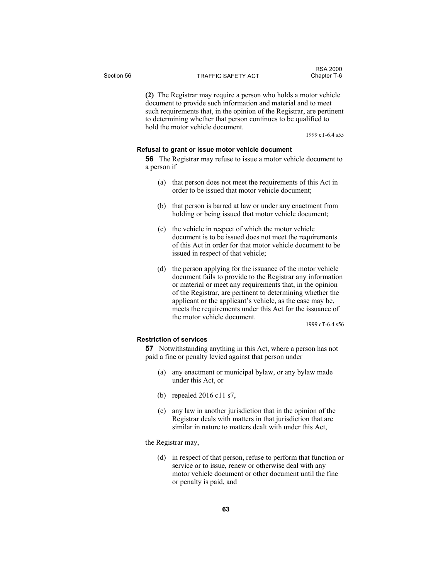**(2)** The Registrar may require a person who holds a motor vehicle document to provide such information and material and to meet such requirements that, in the opinion of the Registrar, are pertinent to determining whether that person continues to be qualified to hold the motor vehicle document.

1999 cT-6.4 s55

### **Refusal to grant or issue motor vehicle document**

**56** The Registrar may refuse to issue a motor vehicle document to a person if

- (a) that person does not meet the requirements of this Act in order to be issued that motor vehicle document;
- (b) that person is barred at law or under any enactment from holding or being issued that motor vehicle document;
- (c) the vehicle in respect of which the motor vehicle document is to be issued does not meet the requirements of this Act in order for that motor vehicle document to be issued in respect of that vehicle;
- (d) the person applying for the issuance of the motor vehicle document fails to provide to the Registrar any information or material or meet any requirements that, in the opinion of the Registrar, are pertinent to determining whether the applicant or the applicant's vehicle, as the case may be, meets the requirements under this Act for the issuance of the motor vehicle document.

1999 cT-6.4 s56

### **Restriction of services**

**57** Notwithstanding anything in this Act, where a person has not paid a fine or penalty levied against that person under

- (a) any enactment or municipal bylaw, or any bylaw made under this Act, or
- (b) repealed 2016 c11 s7,
- (c) any law in another jurisdiction that in the opinion of the Registrar deals with matters in that jurisdiction that are similar in nature to matters dealt with under this Act,

the Registrar may,

 (d) in respect of that person, refuse to perform that function or service or to issue, renew or otherwise deal with any motor vehicle document or other document until the fine or penalty is paid, and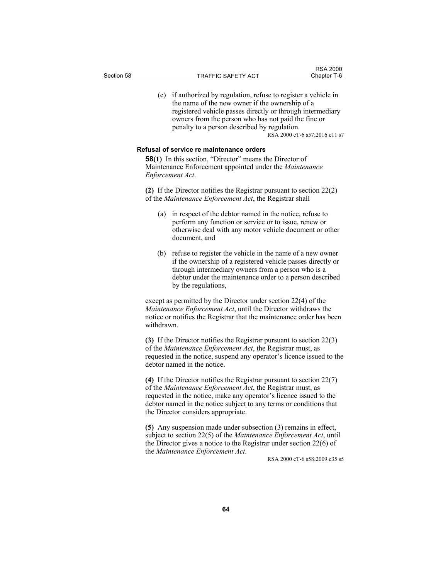(e) if authorized by regulation, refuse to register a vehicle in the name of the new owner if the ownership of a registered vehicle passes directly or through intermediary owners from the person who has not paid the fine or penalty to a person described by regulation. RSA 2000 cT-6 s57;2016 c11 s7

## **Refusal of service re maintenance orders**

**58(1)** In this section, "Director" means the Director of Maintenance Enforcement appointed under the *Maintenance Enforcement Act*.

**(2)** If the Director notifies the Registrar pursuant to section 22(2) of the *Maintenance Enforcement Act*, the Registrar shall

- (a) in respect of the debtor named in the notice, refuse to perform any function or service or to issue, renew or otherwise deal with any motor vehicle document or other document, and
- (b) refuse to register the vehicle in the name of a new owner if the ownership of a registered vehicle passes directly or through intermediary owners from a person who is a debtor under the maintenance order to a person described by the regulations,

except as permitted by the Director under section 22(4) of the *Maintenance Enforcement Act*, until the Director withdraws the notice or notifies the Registrar that the maintenance order has been withdrawn.

**(3)** If the Director notifies the Registrar pursuant to section 22(3) of the *Maintenance Enforcement Act*, the Registrar must, as requested in the notice, suspend any operator's licence issued to the debtor named in the notice.

**(4)** If the Director notifies the Registrar pursuant to section 22(7) of the *Maintenance Enforcement Act*, the Registrar must, as requested in the notice, make any operator's licence issued to the debtor named in the notice subject to any terms or conditions that the Director considers appropriate.

**(5)** Any suspension made under subsection (3) remains in effect, subject to section 22(5) of the *Maintenance Enforcement Act*, until the Director gives a notice to the Registrar under section 22(6) of the *Maintenance Enforcement Act*.<br>RSA 2000 cT-6 s58;2009 c35 s5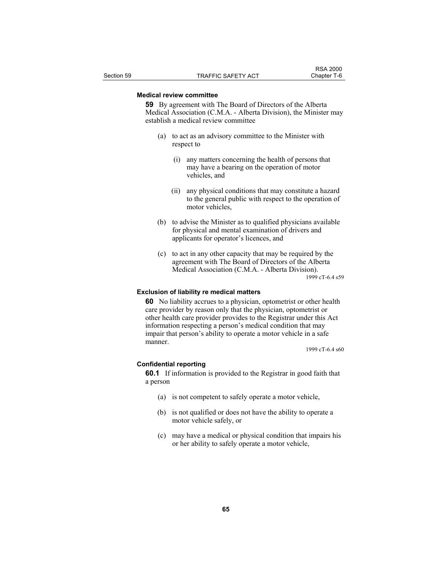### **Medical review committee**

**59** By agreement with The Board of Directors of the Alberta Medical Association (C.M.A. - Alberta Division), the Minister may establish a medical review committee

- (a) to act as an advisory committee to the Minister with respect to
	- (i) any matters concerning the health of persons that may have a bearing on the operation of motor vehicles, and
	- (ii) any physical conditions that may constitute a hazard to the general public with respect to the operation of motor vehicles,
- (b) to advise the Minister as to qualified physicians available for physical and mental examination of drivers and applicants for operator's licences, and
- (c) to act in any other capacity that may be required by the agreement with The Board of Directors of the Alberta Medical Association (C.M.A. - Alberta Division). 1999 cT-6.4 s59

#### **Exclusion of liability re medical matters**

**60** No liability accrues to a physician, optometrist or other health care provider by reason only that the physician, optometrist or other health care provider provides to the Registrar under this Act information respecting a person's medical condition that may impair that person's ability to operate a motor vehicle in a safe manner.

1999 cT-6.4 s60

#### **Confidential reporting**

**60.1** If information is provided to the Registrar in good faith that a person

- (a) is not competent to safely operate a motor vehicle,
- (b) is not qualified or does not have the ability to operate a motor vehicle safely, or
- (c) may have a medical or physical condition that impairs his or her ability to safely operate a motor vehicle,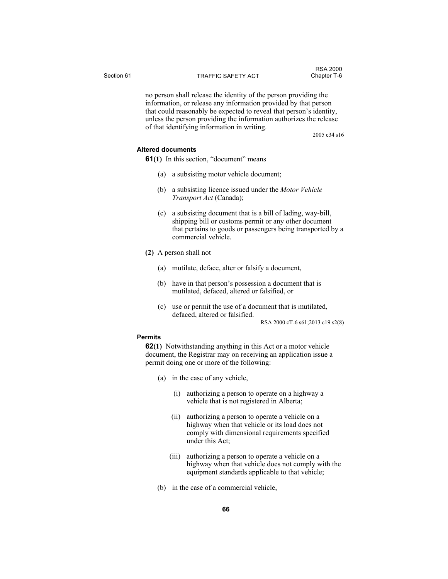no person shall release the identity of the person providing the information, or release any information provided by that person that could reasonably be expected to reveal that person's identity, unless the person providing the information authorizes the release of that identifying information in writing.

2005 c34 s16

## **Altered documents**

**61(1)** In this section, "document" means

- (a) a subsisting motor vehicle document;
- (b) a subsisting licence issued under the *Motor Vehicle Transport Act* (Canada);
- (c) a subsisting document that is a bill of lading, way-bill, shipping bill or customs permit or any other document that pertains to goods or passengers being transported by a commercial vehicle.
- **(2)** A person shall not
	- (a) mutilate, deface, alter or falsify a document,
	- (b) have in that person's possession a document that is mutilated, defaced, altered or falsified, or
	- (c) use or permit the use of a document that is mutilated, defaced, altered or falsified.

RSA 2000 cT-6 s61;2013 c19 s2(8)

## **Permits**

**62(1)** Notwithstanding anything in this Act or a motor vehicle document, the Registrar may on receiving an application issue a permit doing one or more of the following:

- (a) in the case of any vehicle,
	- (i) authorizing a person to operate on a highway a vehicle that is not registered in Alberta;
	- (ii) authorizing a person to operate a vehicle on a highway when that vehicle or its load does not comply with dimensional requirements specified under this Act;
	- (iii) authorizing a person to operate a vehicle on a highway when that vehicle does not comply with the equipment standards applicable to that vehicle;
- (b) in the case of a commercial vehicle,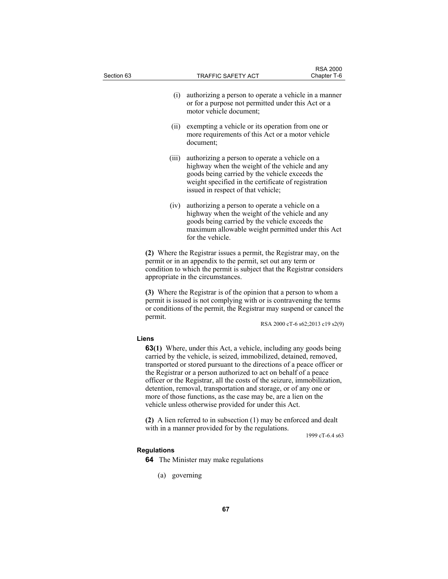| Section 63 |                    | <b>TRAFFIC SAFETY ACT</b>                                                                                                                                                                                                                                                                                                                                                                                                                                                                                                                                              | <b>RSA 2000</b><br>Chapter T-6   |
|------------|--------------------|------------------------------------------------------------------------------------------------------------------------------------------------------------------------------------------------------------------------------------------------------------------------------------------------------------------------------------------------------------------------------------------------------------------------------------------------------------------------------------------------------------------------------------------------------------------------|----------------------------------|
|            | (i)                | authorizing a person to operate a vehicle in a manner<br>or for a purpose not permitted under this Act or a<br>motor vehicle document;                                                                                                                                                                                                                                                                                                                                                                                                                                 |                                  |
|            | (ii)               | exempting a vehicle or its operation from one or<br>more requirements of this Act or a motor vehicle<br>document;                                                                                                                                                                                                                                                                                                                                                                                                                                                      |                                  |
|            | (iii)              | authorizing a person to operate a vehicle on a<br>highway when the weight of the vehicle and any<br>goods being carried by the vehicle exceeds the<br>weight specified in the certificate of registration<br>issued in respect of that vehicle;                                                                                                                                                                                                                                                                                                                        |                                  |
|            | (iv)               | authorizing a person to operate a vehicle on a<br>highway when the weight of the vehicle and any<br>goods being carried by the vehicle exceeds the<br>maximum allowable weight permitted under this Act<br>for the vehicle.                                                                                                                                                                                                                                                                                                                                            |                                  |
|            |                    | (2) Where the Registrar issues a permit, the Registrar may, on the<br>permit or in an appendix to the permit, set out any term or<br>condition to which the permit is subject that the Registrar considers<br>appropriate in the circumstances.                                                                                                                                                                                                                                                                                                                        |                                  |
|            | permit.            | (3) Where the Registrar is of the opinion that a person to whom a<br>permit is issued is not complying with or is contravening the terms<br>or conditions of the permit, the Registrar may suspend or cancel the                                                                                                                                                                                                                                                                                                                                                       | RSA 2000 cT-6 s62;2013 c19 s2(9) |
|            | Liens              | <b>63(1)</b> Where, under this Act, a vehicle, including any goods being<br>carried by the vehicle, is seized, immobilized, detained, removed,<br>transported or stored pursuant to the directions of a peace officer or<br>the Registrar or a person authorized to act on behalf of a peace<br>officer or the Registrar, all the costs of the seizure, immobilization,<br>detention, removal, transportation and storage, or of any one or<br>more of those functions, as the case may be, are a lien on the<br>vehicle unless otherwise provided for under this Act. |                                  |
|            |                    | (2) A lien referred to in subsection $(1)$ may be enforced and dealt<br>with in a manner provided for by the regulations.                                                                                                                                                                                                                                                                                                                                                                                                                                              | 1999 cT-6.4 s63                  |
|            | <b>Regulations</b> | <b>64</b> The Minister may make regulations                                                                                                                                                                                                                                                                                                                                                                                                                                                                                                                            |                                  |
|            | (a) governing      |                                                                                                                                                                                                                                                                                                                                                                                                                                                                                                                                                                        |                                  |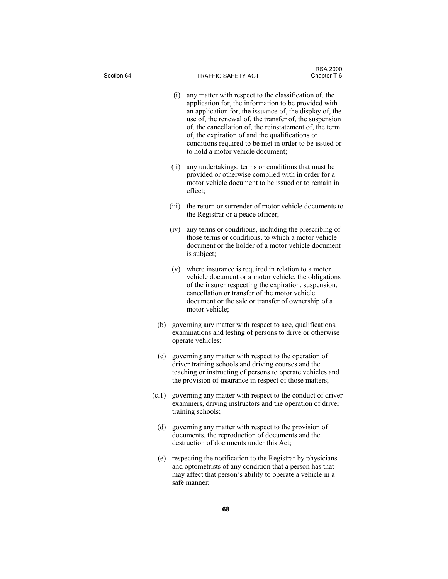| Section 64 |     |                                                                                                                                                                                                                                       | TRAFFIC SAFETY ACT                                                                                                                                                                                                                                                                                                                                                                                                                                | <b>RSA 2000</b><br>Chapter T-6 |
|------------|-----|---------------------------------------------------------------------------------------------------------------------------------------------------------------------------------------------------------------------------------------|---------------------------------------------------------------------------------------------------------------------------------------------------------------------------------------------------------------------------------------------------------------------------------------------------------------------------------------------------------------------------------------------------------------------------------------------------|--------------------------------|
|            |     | (i)                                                                                                                                                                                                                                   | any matter with respect to the classification of, the<br>application for, the information to be provided with<br>an application for, the issuance of, the display of, the<br>use of, the renewal of, the transfer of, the suspension<br>of, the cancellation of, the reinstatement of, the term<br>of, the expiration of and the qualifications or<br>conditions required to be met in order to be issued or<br>to hold a motor vehicle document; |                                |
|            |     | (ii)                                                                                                                                                                                                                                  | any undertakings, terms or conditions that must be<br>provided or otherwise complied with in order for a<br>motor vehicle document to be issued or to remain in<br>effect;                                                                                                                                                                                                                                                                        |                                |
|            |     | (iii)                                                                                                                                                                                                                                 | the return or surrender of motor vehicle documents to<br>the Registrar or a peace officer;                                                                                                                                                                                                                                                                                                                                                        |                                |
|            |     | (iv)                                                                                                                                                                                                                                  | any terms or conditions, including the prescribing of<br>those terms or conditions, to which a motor vehicle<br>document or the holder of a motor vehicle document<br>is subject;                                                                                                                                                                                                                                                                 |                                |
|            |     |                                                                                                                                                                                                                                       | (v) where insurance is required in relation to a motor<br>vehicle document or a motor vehicle, the obligations<br>of the insurer respecting the expiration, suspension,<br>cancellation or transfer of the motor vehicle<br>document or the sale or transfer of ownership of a<br>motor vehicle;                                                                                                                                                  |                                |
|            | (b) |                                                                                                                                                                                                                                       | governing any matter with respect to age, qualifications,<br>examinations and testing of persons to drive or otherwise<br>operate vehicles;                                                                                                                                                                                                                                                                                                       |                                |
|            | (c) | governing any matter with respect to the operation of<br>driver training schools and driving courses and the<br>teaching or instructing of persons to operate vehicles and<br>the provision of insurance in respect of those matters; |                                                                                                                                                                                                                                                                                                                                                                                                                                                   |                                |
|            |     |                                                                                                                                                                                                                                       | (c.1) governing any matter with respect to the conduct of driver<br>examiners, driving instructors and the operation of driver<br>training schools;                                                                                                                                                                                                                                                                                               |                                |
|            | (d) |                                                                                                                                                                                                                                       | governing any matter with respect to the provision of<br>documents, the reproduction of documents and the<br>destruction of documents under this Act;                                                                                                                                                                                                                                                                                             |                                |
|            | (e) |                                                                                                                                                                                                                                       | respecting the notification to the Registrar by physicians<br>and optometrists of any condition that a person has that<br>may affect that person's ability to operate a vehicle in a<br>safe manner;                                                                                                                                                                                                                                              |                                |
|            |     |                                                                                                                                                                                                                                       |                                                                                                                                                                                                                                                                                                                                                                                                                                                   |                                |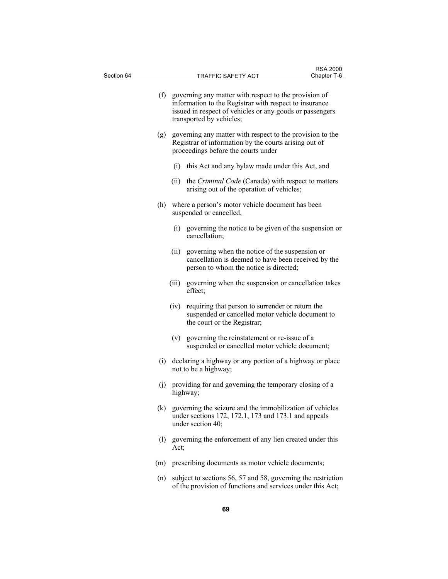| Section 64 |       | TRAFFIC SAFETY ACT                                                                                                                                                                                          | <b>RSA 2000</b><br>Chapter T-6 |
|------------|-------|-------------------------------------------------------------------------------------------------------------------------------------------------------------------------------------------------------------|--------------------------------|
|            |       | (f) governing any matter with respect to the provision of<br>information to the Registrar with respect to insurance<br>issued in respect of vehicles or any goods or passengers<br>transported by vehicles; |                                |
|            |       | (g) governing any matter with respect to the provision to the<br>Registrar of information by the courts arising out of<br>proceedings before the courts under                                               |                                |
|            | (i)   | this Act and any bylaw made under this Act, and                                                                                                                                                             |                                |
|            | (ii)  | the <i>Criminal Code</i> (Canada) with respect to matters<br>arising out of the operation of vehicles;                                                                                                      |                                |
|            |       | (h) where a person's motor vehicle document has been<br>suspended or cancelled,                                                                                                                             |                                |
|            | (i)   | governing the notice to be given of the suspension or<br>cancellation;                                                                                                                                      |                                |
|            | (ii)  | governing when the notice of the suspension or<br>cancellation is deemed to have been received by the<br>person to whom the notice is directed;                                                             |                                |
|            | (iii) | governing when the suspension or cancellation takes<br>effect;                                                                                                                                              |                                |
|            | (iv)  | requiring that person to surrender or return the<br>suspended or cancelled motor vehicle document to<br>the court or the Registrar;                                                                         |                                |
|            | (v)   | governing the reinstatement or re-issue of a<br>suspended or cancelled motor vehicle document;                                                                                                              |                                |
|            |       | (i) declaring a highway or any portion of a highway or place<br>not to be a highway;                                                                                                                        |                                |
|            |       | (j) providing for and governing the temporary closing of a<br>highway;                                                                                                                                      |                                |
| (k)        |       | governing the seizure and the immobilization of vehicles<br>under sections 172, 172.1, 173 and 173.1 and appeals<br>under section 40;                                                                       |                                |
|            | Act;  | (1) governing the enforcement of any lien created under this                                                                                                                                                |                                |
| (m)        |       | prescribing documents as motor vehicle documents;                                                                                                                                                           |                                |
| (n)        |       | subject to sections 56, 57 and 58, governing the restriction<br>of the provision of functions and services under this Act;                                                                                  |                                |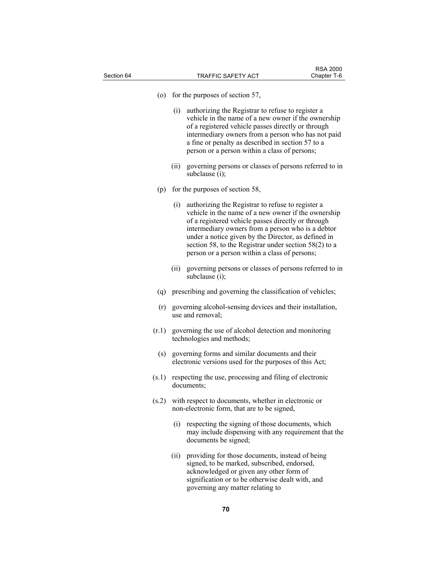| Section 64 | <b>RSA 2000</b><br><b>TRAFFIC SAFETY ACT</b><br>Chapter T-6                                                                                                                                                                                                                                                                                                                                   |
|------------|-----------------------------------------------------------------------------------------------------------------------------------------------------------------------------------------------------------------------------------------------------------------------------------------------------------------------------------------------------------------------------------------------|
| (0)        | for the purposes of section 57,                                                                                                                                                                                                                                                                                                                                                               |
|            | authorizing the Registrar to refuse to register a<br>(i)<br>vehicle in the name of a new owner if the ownership<br>of a registered vehicle passes directly or through<br>intermediary owners from a person who has not paid<br>a fine or penalty as described in section 57 to a<br>person or a person within a class of persons;                                                             |
|            | governing persons or classes of persons referred to in<br>(ii)<br>subclause (i);                                                                                                                                                                                                                                                                                                              |
| (p)        | for the purposes of section 58,                                                                                                                                                                                                                                                                                                                                                               |
|            | authorizing the Registrar to refuse to register a<br>(i)<br>vehicle in the name of a new owner if the ownership<br>of a registered vehicle passes directly or through<br>intermediary owners from a person who is a debtor<br>under a notice given by the Director, as defined in<br>section 58, to the Registrar under section $58(2)$ to a<br>person or a person within a class of persons; |
|            | governing persons or classes of persons referred to in<br>(ii)<br>subclause (i);                                                                                                                                                                                                                                                                                                              |
|            | (q) prescribing and governing the classification of vehicles;                                                                                                                                                                                                                                                                                                                                 |
| (r)        | governing alcohol-sensing devices and their installation,<br>use and removal;                                                                                                                                                                                                                                                                                                                 |
| (r.1)      | governing the use of alcohol detection and monitoring<br>technologies and methods;                                                                                                                                                                                                                                                                                                            |
| (s)        | governing forms and similar documents and their<br>electronic versions used for the purposes of this Act;                                                                                                                                                                                                                                                                                     |
| (s.1)      | respecting the use, processing and filing of electronic<br>documents;                                                                                                                                                                                                                                                                                                                         |
| (s.2)      | with respect to documents, whether in electronic or<br>non-electronic form, that are to be signed,                                                                                                                                                                                                                                                                                            |
|            | respecting the signing of those documents, which<br>(i)<br>may include dispensing with any requirement that the<br>documents be signed;                                                                                                                                                                                                                                                       |
|            | providing for those documents, instead of being<br>(ii)<br>signed, to be marked, subscribed, endorsed,<br>acknowledged or given any other form of<br>signification or to be otherwise dealt with, and<br>governing any matter relating to                                                                                                                                                     |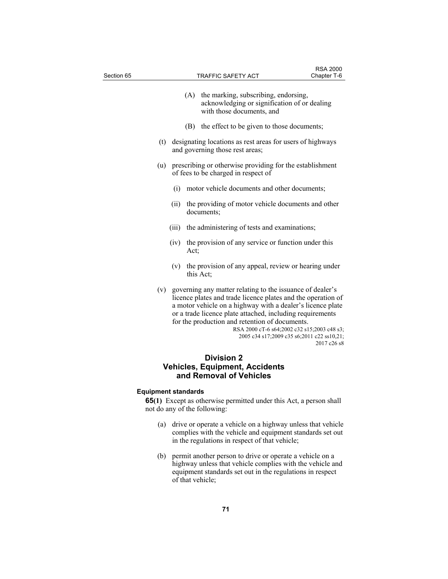| Section 65 |     |              | TRAFFIC SAFETY ACT                                                                                                                                                                                                                                                                                     | <b>RSA 2000</b><br>Chapter T-6                                                                           |
|------------|-----|--------------|--------------------------------------------------------------------------------------------------------------------------------------------------------------------------------------------------------------------------------------------------------------------------------------------------------|----------------------------------------------------------------------------------------------------------|
|            |     | (A)          | the marking, subscribing, endorsing,<br>acknowledging or signification of or dealing<br>with those documents, and                                                                                                                                                                                      |                                                                                                          |
|            |     |              | (B) the effect to be given to those documents;                                                                                                                                                                                                                                                         |                                                                                                          |
|            | (t) |              | designating locations as rest areas for users of highways<br>and governing those rest areas;                                                                                                                                                                                                           |                                                                                                          |
|            | (u) |              | prescribing or otherwise providing for the establishment<br>of fees to be charged in respect of                                                                                                                                                                                                        |                                                                                                          |
|            |     | (i)          | motor vehicle documents and other documents;                                                                                                                                                                                                                                                           |                                                                                                          |
|            |     | (i)          | the providing of motor vehicle documents and other<br>documents;                                                                                                                                                                                                                                       |                                                                                                          |
|            |     | (iii)        | the administering of tests and examinations;                                                                                                                                                                                                                                                           |                                                                                                          |
|            |     | (iv)<br>Act; | the provision of any service or function under this                                                                                                                                                                                                                                                    |                                                                                                          |
|            |     | (v)          | the provision of any appeal, review or hearing under<br>this Act;                                                                                                                                                                                                                                      |                                                                                                          |
|            | (v) |              | governing any matter relating to the issuance of dealer's<br>licence plates and trade licence plates and the operation of<br>a motor vehicle on a highway with a dealer's licence plate<br>or a trade licence plate attached, including requirements<br>for the production and retention of documents. | RSA 2000 cT-6 s64;2002 c32 s15;2003 c48 s3;<br>2005 c34 s17;2009 c35 s6;2011 c22 ss10,21;<br>2017 c26 s8 |
|            |     |              | Division 2                                                                                                                                                                                                                                                                                             |                                                                                                          |

# **Division 2 Vehicles, Equipment, Accidents and Removal of Vehicles**

# **Equipment standards**

**65(1)** Except as otherwise permitted under this Act, a person shall not do any of the following:

- (a) drive or operate a vehicle on a highway unless that vehicle complies with the vehicle and equipment standards set out in the regulations in respect of that vehicle;
- (b) permit another person to drive or operate a vehicle on a highway unless that vehicle complies with the vehicle and equipment standards set out in the regulations in respect of that vehicle;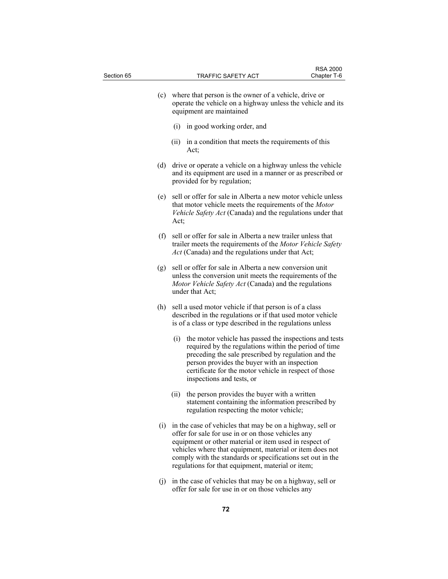| Section 65 |             | <b>TRAFFIC SAFETY ACT</b>                                                                                                                                                                                                                                                                                                                                | <b>RSA 2000</b><br>Chapter T-6 |
|------------|-------------|----------------------------------------------------------------------------------------------------------------------------------------------------------------------------------------------------------------------------------------------------------------------------------------------------------------------------------------------------------|--------------------------------|
|            | (c)         | where that person is the owner of a vehicle, drive or<br>operate the vehicle on a highway unless the vehicle and its<br>equipment are maintained                                                                                                                                                                                                         |                                |
|            | (i)         | in good working order, and                                                                                                                                                                                                                                                                                                                               |                                |
|            | (ii)        | in a condition that meets the requirements of this<br>Act:                                                                                                                                                                                                                                                                                               |                                |
| (d)        |             | drive or operate a vehicle on a highway unless the vehicle<br>and its equipment are used in a manner or as prescribed or<br>provided for by regulation;                                                                                                                                                                                                  |                                |
|            | (e)<br>Act; | sell or offer for sale in Alberta a new motor vehicle unless<br>that motor vehicle meets the requirements of the Motor<br>Vehicle Safety Act (Canada) and the regulations under that                                                                                                                                                                     |                                |
|            | (f)         | sell or offer for sale in Alberta a new trailer unless that<br>trailer meets the requirements of the Motor Vehicle Safety<br>Act (Canada) and the regulations under that Act;                                                                                                                                                                            |                                |
| (g)        |             | sell or offer for sale in Alberta a new conversion unit<br>unless the conversion unit meets the requirements of the<br>Motor Vehicle Safety Act (Canada) and the regulations<br>under that Act;                                                                                                                                                          |                                |
| (h)        |             | sell a used motor vehicle if that person is of a class<br>described in the regulations or if that used motor vehicle<br>is of a class or type described in the regulations unless                                                                                                                                                                        |                                |
|            | (i)         | the motor vehicle has passed the inspections and tests<br>required by the regulations within the period of time<br>preceding the sale prescribed by regulation and the<br>person provides the buyer with an inspection<br>certificate for the motor vehicle in respect of those<br>inspections and tests, or                                             |                                |
|            | (ii)        | the person provides the buyer with a written<br>statement containing the information prescribed by<br>regulation respecting the motor vehicle;                                                                                                                                                                                                           |                                |
|            | (i)         | in the case of vehicles that may be on a highway, sell or<br>offer for sale for use in or on those vehicles any<br>equipment or other material or item used in respect of<br>vehicles where that equipment, material or item does not<br>comply with the standards or specifications set out in the<br>regulations for that equipment, material or item; |                                |
|            | (i)         | in the case of vehicles that may be on a highway, sell or<br>offer for sale for use in or on those vehicles any                                                                                                                                                                                                                                          |                                |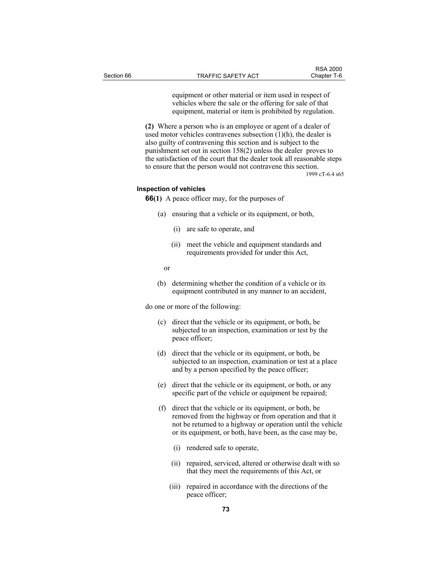equipment or other material or item used in respect of vehicles where the sale or the offering for sale of that equipment, material or item is prohibited by regulation.

**(2)** Where a person who is an employee or agent of a dealer of used motor vehicles contravenes subsection  $(1)(h)$ , the dealer is also guilty of contravening this section and is subject to the punishment set out in section 158(2) unless the dealer proves to the satisfaction of the court that the dealer took all reasonable steps to ensure that the person would not contravene this section.

1999 cT-6.4 s65

#### **Inspection of vehicles**

**66(1)** A peace officer may, for the purposes of

- (a) ensuring that a vehicle or its equipment, or both,
	- (i) are safe to operate, and
	- (ii) meet the vehicle and equipment standards and requirements provided for under this Act,
- or
	- (b) determining whether the condition of a vehicle or its equipment contributed in any manner to an accident,

do one or more of the following:

- (c) direct that the vehicle or its equipment, or both, be subjected to an inspection, examination or test by the peace officer;
- (d) direct that the vehicle or its equipment, or both, be subjected to an inspection, examination or test at a place and by a person specified by the peace officer;
- (e) direct that the vehicle or its equipment, or both, or any specific part of the vehicle or equipment be repaired;
- (f) direct that the vehicle or its equipment, or both, be removed from the highway or from operation and that it not be returned to a highway or operation until the vehicle or its equipment, or both, have been, as the case may be,
	- (i) rendered safe to operate,
	- (ii) repaired, serviced, altered or otherwise dealt with so that they meet the requirements of this Act, or
	- (iii) repaired in accordance with the directions of the peace officer;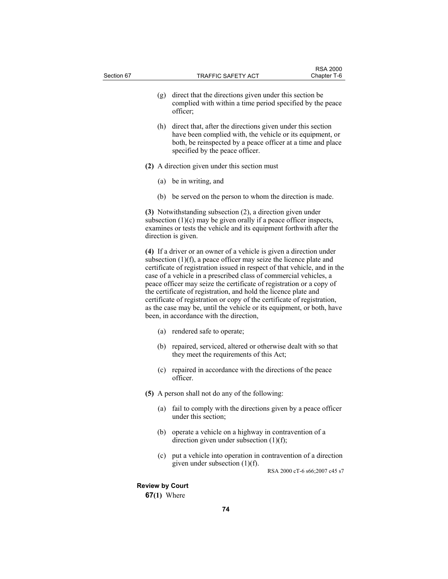| Section 67 |                        | <b>TRAFFIC SAFETY ACT</b>                                                                                                                                                                                                                                                                                                                                                                                                                                                                                                                                                                                                                | <b>RSA 2000</b><br>Chapter T-6 |
|------------|------------------------|------------------------------------------------------------------------------------------------------------------------------------------------------------------------------------------------------------------------------------------------------------------------------------------------------------------------------------------------------------------------------------------------------------------------------------------------------------------------------------------------------------------------------------------------------------------------------------------------------------------------------------------|--------------------------------|
|            | (g)                    | direct that the directions given under this section be<br>complied with within a time period specified by the peace<br>officer;                                                                                                                                                                                                                                                                                                                                                                                                                                                                                                          |                                |
|            | (h)                    | direct that, after the directions given under this section<br>have been complied with, the vehicle or its equipment, or<br>both, be reinspected by a peace officer at a time and place<br>specified by the peace officer.                                                                                                                                                                                                                                                                                                                                                                                                                |                                |
|            |                        | (2) A direction given under this section must                                                                                                                                                                                                                                                                                                                                                                                                                                                                                                                                                                                            |                                |
|            |                        | (a) be in writing, and                                                                                                                                                                                                                                                                                                                                                                                                                                                                                                                                                                                                                   |                                |
|            |                        | (b) be served on the person to whom the direction is made.                                                                                                                                                                                                                                                                                                                                                                                                                                                                                                                                                                               |                                |
|            |                        | (3) Notwithstanding subsection (2), a direction given under<br>subsection $(1)(c)$ may be given orally if a peace officer inspects,<br>examines or tests the vehicle and its equipment forthwith after the<br>direction is given.                                                                                                                                                                                                                                                                                                                                                                                                        |                                |
|            |                        | (4) If a driver or an owner of a vehicle is given a direction under<br>subsection $(1)(f)$ , a peace officer may seize the licence plate and<br>certificate of registration issued in respect of that vehicle, and in the<br>case of a vehicle in a prescribed class of commercial vehicles, a<br>peace officer may seize the certificate of registration or a copy of<br>the certificate of registration, and hold the licence plate and<br>certificate of registration or copy of the certificate of registration,<br>as the case may be, until the vehicle or its equipment, or both, have<br>been, in accordance with the direction, |                                |
|            |                        | (a) rendered safe to operate;                                                                                                                                                                                                                                                                                                                                                                                                                                                                                                                                                                                                            |                                |
|            | (b)                    | repaired, serviced, altered or otherwise dealt with so that<br>they meet the requirements of this Act;                                                                                                                                                                                                                                                                                                                                                                                                                                                                                                                                   |                                |
|            | (c)                    | repaired in accordance with the directions of the peace<br>officer.                                                                                                                                                                                                                                                                                                                                                                                                                                                                                                                                                                      |                                |
|            |                        | (5) A person shall not do any of the following:                                                                                                                                                                                                                                                                                                                                                                                                                                                                                                                                                                                          |                                |
|            | (a)                    | fail to comply with the directions given by a peace officer<br>under this section;                                                                                                                                                                                                                                                                                                                                                                                                                                                                                                                                                       |                                |
|            | (b)                    | operate a vehicle on a highway in contravention of a<br>direction given under subsection $(1)(f)$ ;                                                                                                                                                                                                                                                                                                                                                                                                                                                                                                                                      |                                |
|            | (c)                    | put a vehicle into operation in contravention of a direction<br>given under subsection (1)(f).                                                                                                                                                                                                                                                                                                                                                                                                                                                                                                                                           | RSA 2000 cT-6 s66;2007 c45 s7  |
|            | <b>Review by Court</b> |                                                                                                                                                                                                                                                                                                                                                                                                                                                                                                                                                                                                                                          |                                |
|            | $67(1)$ Where          |                                                                                                                                                                                                                                                                                                                                                                                                                                                                                                                                                                                                                                          |                                |
|            |                        | 74                                                                                                                                                                                                                                                                                                                                                                                                                                                                                                                                                                                                                                       |                                |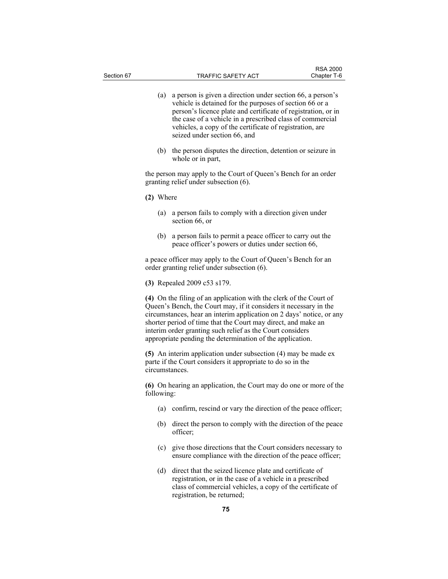- (a) a person is given a direction under section 66, a person's vehicle is detained for the purposes of section 66 or a person's licence plate and certificate of registration, or in the case of a vehicle in a prescribed class of commercial vehicles, a copy of the certificate of registration, are seized under section 66, and
- (b) the person disputes the direction, detention or seizure in whole or in part,

the person may apply to the Court of Queen's Bench for an order granting relief under subsection (6).

- **(2)** Where
	- (a) a person fails to comply with a direction given under section 66, or
	- (b) a person fails to permit a peace officer to carry out the peace officer's powers or duties under section 66,

a peace officer may apply to the Court of Queen's Bench for an order granting relief under subsection (6).

**(3)** Repealed 2009 c53 s179.

**(4)** On the filing of an application with the clerk of the Court of Queen's Bench, the Court may, if it considers it necessary in the circumstances, hear an interim application on 2 days' notice, or any shorter period of time that the Court may direct, and make an interim order granting such relief as the Court considers appropriate pending the determination of the application.

**(5)** An interim application under subsection (4) may be made ex parte if the Court considers it appropriate to do so in the circumstances.

**(6)** On hearing an application, the Court may do one or more of the following:

- (a) confirm, rescind or vary the direction of the peace officer;
- (b) direct the person to comply with the direction of the peace officer;
- (c) give those directions that the Court considers necessary to ensure compliance with the direction of the peace officer;
- (d) direct that the seized licence plate and certificate of registration, or in the case of a vehicle in a prescribed class of commercial vehicles, a copy of the certificate of registration, be returned;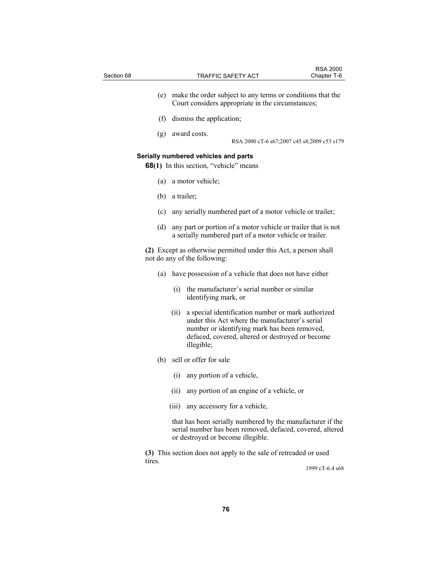| Section 68 |     |      | TRAFFIC SAFETY ACT                                                                                                                                                                                                     | <b>RSA 2000</b><br>Chapter T-6 |
|------------|-----|------|------------------------------------------------------------------------------------------------------------------------------------------------------------------------------------------------------------------------|--------------------------------|
|            |     |      |                                                                                                                                                                                                                        |                                |
|            | (e) |      | make the order subject to any terms or conditions that the<br>Court considers appropriate in the circumstances;                                                                                                        |                                |
|            | (f) |      | dismiss the application;                                                                                                                                                                                               |                                |
|            | (g) |      | award costs.<br>RSA 2000 cT-6 s67;2007 c45 s8;2009 c53 s179                                                                                                                                                            |                                |
|            |     |      | Serially numbered vehicles and parts<br><b>68(1)</b> In this section, "vehicle" means                                                                                                                                  |                                |
|            | (a) |      | a motor vehicle;                                                                                                                                                                                                       |                                |
|            | (b) |      | a trailer;                                                                                                                                                                                                             |                                |
|            | (c) |      | any serially numbered part of a motor vehicle or trailer;                                                                                                                                                              |                                |
|            | (d) |      | any part or portion of a motor vehicle or trailer that is not<br>a serially numbered part of a motor vehicle or trailer.                                                                                               |                                |
|            |     |      | (2) Except as otherwise permitted under this Act, a person shall<br>not do any of the following:                                                                                                                       |                                |
|            | (a) |      | have possession of a vehicle that does not have either                                                                                                                                                                 |                                |
|            |     | (i)  | the manufacturer's serial number or similar<br>identifying mark, or                                                                                                                                                    |                                |
|            |     | (ii) | a special identification number or mark authorized<br>under this Act where the manufacturer's serial<br>number or identifying mark has been removed,<br>defaced, covered, altered or destroyed or become<br>illegible; |                                |
|            | (b) |      | sell or offer for sale                                                                                                                                                                                                 |                                |
|            |     | (i)  | any portion of a vehicle,                                                                                                                                                                                              |                                |
|            |     | (ii) | any portion of an engine of a vehicle, or                                                                                                                                                                              |                                |
|            |     |      | (iii) any accessory for a vehicle,                                                                                                                                                                                     |                                |
|            |     |      | that has been serially numbered by the manufacturer if the<br>serial number has been removed, defaced, covered, altered                                                                                                |                                |
|            |     |      | or destroyed or become illegible.                                                                                                                                                                                      |                                |
| tires.     |     |      | (3) This section does not apply to the sale of retreaded or used                                                                                                                                                       |                                |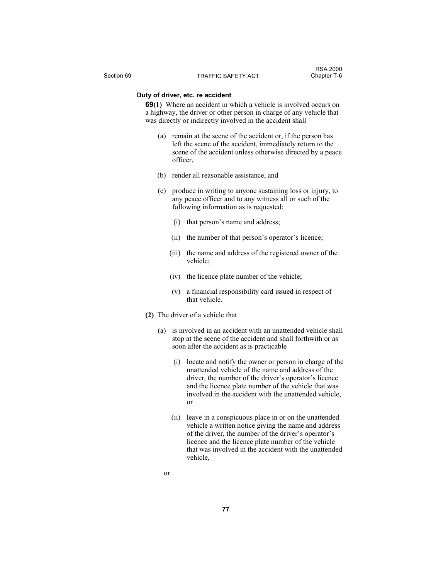## **Duty of driver, etc. re accident**

**69(1)** Where an accident in which a vehicle is involved occurs on a highway, the driver or other person in charge of any vehicle that was directly or indirectly involved in the accident shall

- (a) remain at the scene of the accident or, if the person has left the scene of the accident, immediately return to the scene of the accident unless otherwise directed by a peace officer,
- (b) render all reasonable assistance, and
- (c) produce in writing to anyone sustaining loss or injury, to any peace officer and to any witness all or such of the following information as is requested:
	- (i) that person's name and address;
	- (ii) the number of that person's operator's licence;
	- (iii) the name and address of the registered owner of the vehicle;
	- (iv) the licence plate number of the vehicle;
	- (v) a financial responsibility card issued in respect of that vehicle.
- **(2)** The driver of a vehicle that
	- (a) is involved in an accident with an unattended vehicle shall stop at the scene of the accident and shall forthwith or as soon after the accident as is practicable
		- (i) locate and notify the owner or person in charge of the unattended vehicle of the name and address of the driver, the number of the driver's operator's licence and the licence plate number of the vehicle that was involved in the accident with the unattended vehicle, or
		- (ii) leave in a conspicuous place in or on the unattended vehicle a written notice giving the name and address of the driver, the number of the driver's operator's licence and the licence plate number of the vehicle that was involved in the accident with the unattended vehicle,
- or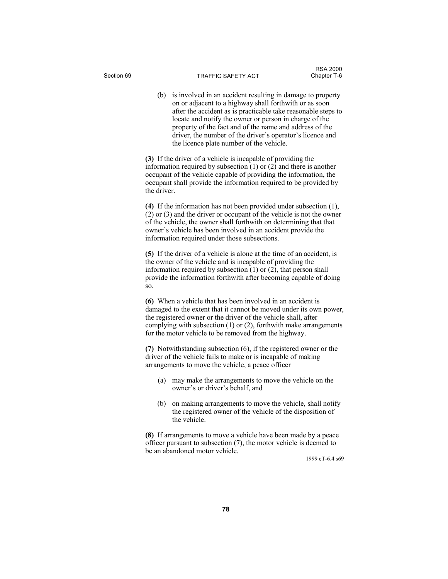(b) is involved in an accident resulting in damage to property on or adjacent to a highway shall forthwith or as soon after the accident as is practicable take reasonable steps to locate and notify the owner or person in charge of the property of the fact and of the name and address of the driver, the number of the driver's operator's licence and the licence plate number of the vehicle.

**(3)** If the driver of a vehicle is incapable of providing the information required by subsection (1) or (2) and there is another occupant of the vehicle capable of providing the information, the occupant shall provide the information required to be provided by the driver.

**(4)** If the information has not been provided under subsection (1), (2) or (3) and the driver or occupant of the vehicle is not the owner of the vehicle, the owner shall forthwith on determining that that owner's vehicle has been involved in an accident provide the information required under those subsections.

**(5)** If the driver of a vehicle is alone at the time of an accident, is the owner of the vehicle and is incapable of providing the information required by subsection (1) or (2), that person shall provide the information forthwith after becoming capable of doing so.

**(6)** When a vehicle that has been involved in an accident is damaged to the extent that it cannot be moved under its own power, the registered owner or the driver of the vehicle shall, after complying with subsection (1) or (2), forthwith make arrangements for the motor vehicle to be removed from the highway.

**(7)** Notwithstanding subsection (6), if the registered owner or the driver of the vehicle fails to make or is incapable of making arrangements to move the vehicle, a peace officer

- (a) may make the arrangements to move the vehicle on the owner's or driver's behalf, and
- (b) on making arrangements to move the vehicle, shall notify the registered owner of the vehicle of the disposition of the vehicle.

**(8)** If arrangements to move a vehicle have been made by a peace officer pursuant to subsection (7), the motor vehicle is deemed to be an abandoned motor vehicle.

1999 cT-6.4 s69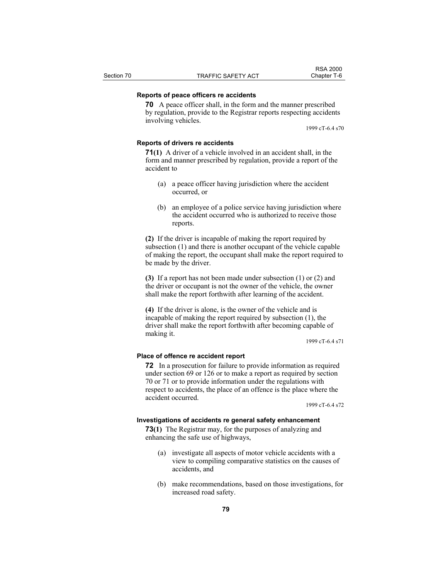# **Reports of peace officers re accidents**

**70** A peace officer shall, in the form and the manner prescribed by regulation, provide to the Registrar reports respecting accidents involving vehicles.

1999 cT-6.4 s70

## **Reports of drivers re accidents**

**71(1)** A driver of a vehicle involved in an accident shall, in the form and manner prescribed by regulation, provide a report of the accident to

- (a) a peace officer having jurisdiction where the accident occurred, or
- (b) an employee of a police service having jurisdiction where the accident occurred who is authorized to receive those reports.

**(2)** If the driver is incapable of making the report required by subsection (1) and there is another occupant of the vehicle capable of making the report, the occupant shall make the report required to be made by the driver.

**(3)** If a report has not been made under subsection (1) or (2) and the driver or occupant is not the owner of the vehicle, the owner shall make the report forthwith after learning of the accident.

**(4)** If the driver is alone, is the owner of the vehicle and is incapable of making the report required by subsection (1), the driver shall make the report forthwith after becoming capable of making it.

1999 cT-6.4 s71

## **Place of offence re accident report**

**72** In a prosecution for failure to provide information as required under section 69 or 126 or to make a report as required by section 70 or 71 or to provide information under the regulations with respect to accidents, the place of an offence is the place where the accident occurred.

1999 cT-6.4 s72

#### **Investigations of accidents re general safety enhancement**

**73(1)** The Registrar may, for the purposes of analyzing and enhancing the safe use of highways,

- (a) investigate all aspects of motor vehicle accidents with a view to compiling comparative statistics on the causes of accidents, and
- (b) make recommendations, based on those investigations, for increased road safety.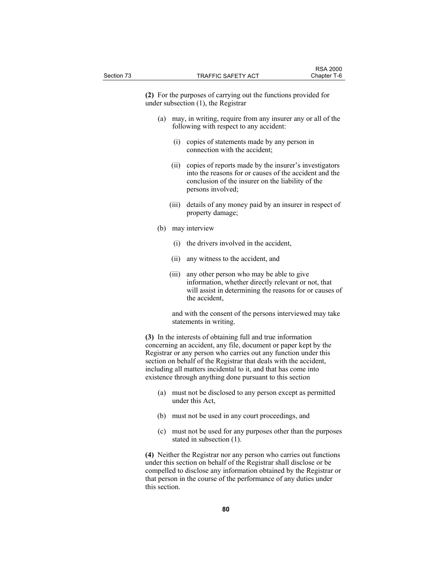**(2)** For the purposes of carrying out the functions provided for under subsection (1), the Registrar

- (a) may, in writing, require from any insurer any or all of the following with respect to any accident:
	- (i) copies of statements made by any person in connection with the accident;
	- (ii) copies of reports made by the insurer's investigators into the reasons for or causes of the accident and the conclusion of the insurer on the liability of the persons involved;
	- (iii) details of any money paid by an insurer in respect of property damage;
- (b) may interview
	- (i) the drivers involved in the accident,
	- (ii) any witness to the accident, and
	- (iii) any other person who may be able to give information, whether directly relevant or not, that will assist in determining the reasons for or causes of the accident,

 and with the consent of the persons interviewed may take statements in writing.

**(3)** In the interests of obtaining full and true information concerning an accident, any file, document or paper kept by the Registrar or any person who carries out any function under this section on behalf of the Registrar that deals with the accident, including all matters incidental to it, and that has come into existence through anything done pursuant to this section

- (a) must not be disclosed to any person except as permitted under this Act,
- (b) must not be used in any court proceedings, and
- (c) must not be used for any purposes other than the purposes stated in subsection (1).

**(4)** Neither the Registrar nor any person who carries out functions under this section on behalf of the Registrar shall disclose or be compelled to disclose any information obtained by the Registrar or that person in the course of the performance of any duties under this section.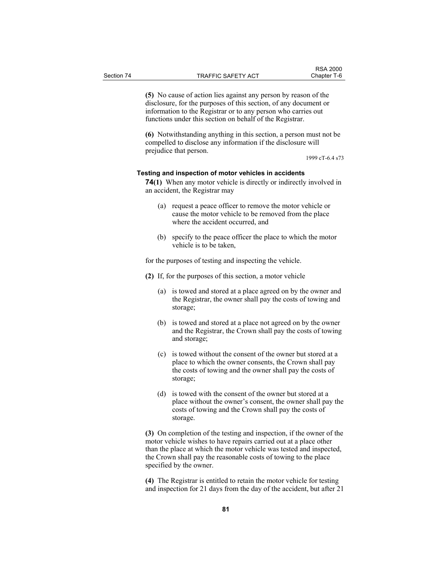**(5)** No cause of action lies against any person by reason of the disclosure, for the purposes of this section, of any document or information to the Registrar or to any person who carries out functions under this section on behalf of the Registrar.

**(6)** Notwithstanding anything in this section, a person must not be compelled to disclose any information if the disclosure will prejudice that person.

1999 cT-6.4 s73

## **Testing and inspection of motor vehicles in accidents**

**74(1)** When any motor vehicle is directly or indirectly involved in an accident, the Registrar may

- (a) request a peace officer to remove the motor vehicle or cause the motor vehicle to be removed from the place where the accident occurred, and
- (b) specify to the peace officer the place to which the motor vehicle is to be taken,

for the purposes of testing and inspecting the vehicle.

- **(2)** If, for the purposes of this section, a motor vehicle
	- (a) is towed and stored at a place agreed on by the owner and the Registrar, the owner shall pay the costs of towing and storage;
	- (b) is towed and stored at a place not agreed on by the owner and the Registrar, the Crown shall pay the costs of towing and storage;
	- (c) is towed without the consent of the owner but stored at a place to which the owner consents, the Crown shall pay the costs of towing and the owner shall pay the costs of storage;
	- (d) is towed with the consent of the owner but stored at a place without the owner's consent, the owner shall pay the costs of towing and the Crown shall pay the costs of storage.

**(3)** On completion of the testing and inspection, if the owner of the motor vehicle wishes to have repairs carried out at a place other than the place at which the motor vehicle was tested and inspected, the Crown shall pay the reasonable costs of towing to the place specified by the owner.

**(4)** The Registrar is entitled to retain the motor vehicle for testing and inspection for 21 days from the day of the accident, but after 21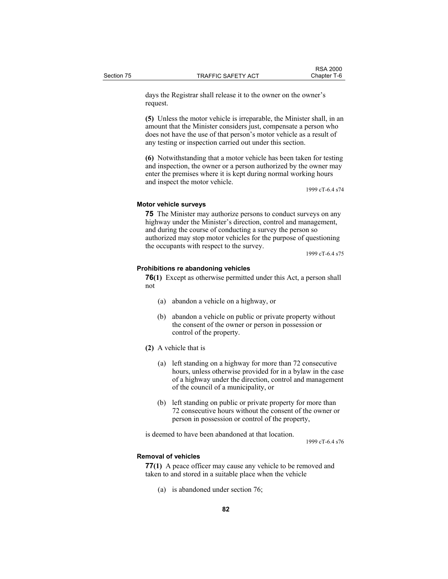days the Registrar shall release it to the owner on the owner's request.

**(5)** Unless the motor vehicle is irreparable, the Minister shall, in an amount that the Minister considers just, compensate a person who does not have the use of that person's motor vehicle as a result of any testing or inspection carried out under this section.

**(6)** Notwithstanding that a motor vehicle has been taken for testing and inspection, the owner or a person authorized by the owner may enter the premises where it is kept during normal working hours and inspect the motor vehicle.

1999 cT-6.4 s74

#### **Motor vehicle surveys**

**75** The Minister may authorize persons to conduct surveys on any highway under the Minister's direction, control and management, and during the course of conducting a survey the person so authorized may stop motor vehicles for the purpose of questioning the occupants with respect to the survey.

1999 cT-6.4 s75

## **Prohibitions re abandoning vehicles**

**76(1)** Except as otherwise permitted under this Act, a person shall not

- (a) abandon a vehicle on a highway, or
- (b) abandon a vehicle on public or private property without the consent of the owner or person in possession or control of the property.
- **(2)** A vehicle that is
	- (a) left standing on a highway for more than 72 consecutive hours, unless otherwise provided for in a bylaw in the case of a highway under the direction, control and management of the council of a municipality, or
	- (b) left standing on public or private property for more than 72 consecutive hours without the consent of the owner or person in possession or control of the property,

is deemed to have been abandoned at that location.

1999 cT-6.4 s76

#### **Removal of vehicles**

**77(1)** A peace officer may cause any vehicle to be removed and taken to and stored in a suitable place when the vehicle

(a) is abandoned under section 76;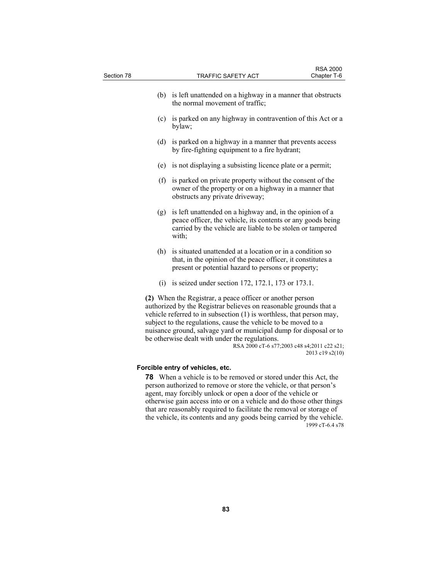| Section 78 | <b>TRAFFIC SAFETY ACT</b>                                                                                                                                                                                                                                                                                                                                                                        | <b>RSA 2000</b><br>Chapter T-6                                 |
|------------|--------------------------------------------------------------------------------------------------------------------------------------------------------------------------------------------------------------------------------------------------------------------------------------------------------------------------------------------------------------------------------------------------|----------------------------------------------------------------|
|            |                                                                                                                                                                                                                                                                                                                                                                                                  |                                                                |
|            | (b) is left unattended on a highway in a manner that obstructs<br>the normal movement of traffic;                                                                                                                                                                                                                                                                                                |                                                                |
| (c)        | is parked on any highway in contravention of this Act or a<br>bylaw;                                                                                                                                                                                                                                                                                                                             |                                                                |
| (d)        | is parked on a highway in a manner that prevents access<br>by fire-fighting equipment to a fire hydrant;                                                                                                                                                                                                                                                                                         |                                                                |
|            | (e) is not displaying a subsisting licence plate or a permit;                                                                                                                                                                                                                                                                                                                                    |                                                                |
| (f)        | is parked on private property without the consent of the<br>owner of the property or on a highway in a manner that<br>obstructs any private driveway;                                                                                                                                                                                                                                            |                                                                |
| (g)        | is left unattended on a highway and, in the opinion of a<br>peace officer, the vehicle, its contents or any goods being<br>carried by the vehicle are liable to be stolen or tampered<br>with;                                                                                                                                                                                                   |                                                                |
|            | (h) is situated unattended at a location or in a condition so<br>that, in the opinion of the peace officer, it constitutes a<br>present or potential hazard to persons or property;                                                                                                                                                                                                              |                                                                |
|            | (i) is seized under section 172, 172.1, 173 or 173.1.                                                                                                                                                                                                                                                                                                                                            |                                                                |
|            | (2) When the Registrar, a peace officer or another person<br>authorized by the Registrar believes on reasonable grounds that a<br>vehicle referred to in subsection (1) is worthless, that person may,<br>subject to the regulations, cause the vehicle to be moved to a<br>nuisance ground, salvage yard or municipal dump for disposal or to<br>be otherwise dealt with under the regulations. | RSA 2000 cT-6 s77;2003 c48 s4;2011 c22 s21;<br>2013 c19 s2(10) |
|            | Forcible entry of vehicles, etc.                                                                                                                                                                                                                                                                                                                                                                 |                                                                |
|            | <b>78</b> When a vehicle is to be removed or stored under this Act, the                                                                                                                                                                                                                                                                                                                          |                                                                |
|            | person authorized to remove or store the vehicle, or that person's                                                                                                                                                                                                                                                                                                                               |                                                                |
|            | agent, may forcibly unlock or open a door of the vehicle or<br>otherwise gain access into or on a vehicle and do those other things                                                                                                                                                                                                                                                              |                                                                |
|            | that are reasonably required to facilitate the removal or storage of                                                                                                                                                                                                                                                                                                                             |                                                                |

the vehicle, its contents and any goods being carried by the vehicle.

1999 cT-6.4 s78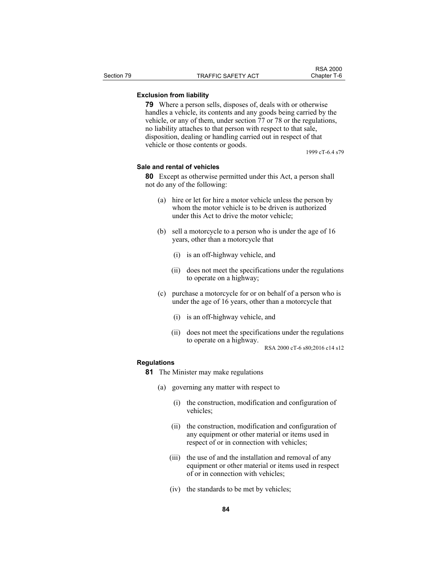# **Exclusion from liability**

**79** Where a person sells, disposes of, deals with or otherwise handles a vehicle, its contents and any goods being carried by the vehicle, or any of them, under section 77 or 78 or the regulations, no liability attaches to that person with respect to that sale, disposition, dealing or handling carried out in respect of that vehicle or those contents or goods.

1999 cT-6.4 s79

# **Sale and rental of vehicles**

**80** Except as otherwise permitted under this Act, a person shall not do any of the following:

- (a) hire or let for hire a motor vehicle unless the person by whom the motor vehicle is to be driven is authorized under this Act to drive the motor vehicle;
- (b) sell a motorcycle to a person who is under the age of 16 years, other than a motorcycle that
	- (i) is an off-highway vehicle, and
	- (ii) does not meet the specifications under the regulations to operate on a highway;
- (c) purchase a motorcycle for or on behalf of a person who is under the age of 16 years, other than a motorcycle that
	- (i) is an off-highway vehicle, and
	- (ii) does not meet the specifications under the regulations to operate on a highway.

RSA 2000 cT-6 s80;2016 c14 s12

### **Regulations**

- **81** The Minister may make regulations
	- (a) governing any matter with respect to
		- (i) the construction, modification and configuration of vehicles;
		- (ii) the construction, modification and configuration of any equipment or other material or items used in respect of or in connection with vehicles;
		- (iii) the use of and the installation and removal of any equipment or other material or items used in respect of or in connection with vehicles;
		- (iv) the standards to be met by vehicles;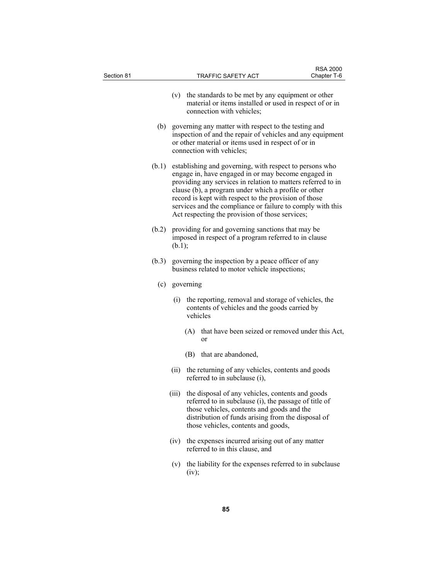| Section 81 | TRAFFIC SAFETY ACT                                                                                                                                                                                                                                                                                                                                                                                               | <b>RSA 2000</b><br>Chapter T-6 |
|------------|------------------------------------------------------------------------------------------------------------------------------------------------------------------------------------------------------------------------------------------------------------------------------------------------------------------------------------------------------------------------------------------------------------------|--------------------------------|
|            | (v) the standards to be met by any equipment or other<br>material or items installed or used in respect of or in<br>connection with vehicles;                                                                                                                                                                                                                                                                    |                                |
| (b)        | governing any matter with respect to the testing and<br>inspection of and the repair of vehicles and any equipment<br>or other material or items used in respect of or in<br>connection with vehicles;                                                                                                                                                                                                           |                                |
| (b.1)      | establishing and governing, with respect to persons who<br>engage in, have engaged in or may become engaged in<br>providing any services in relation to matters referred to in<br>clause (b), a program under which a profile or other<br>record is kept with respect to the provision of those<br>services and the compliance or failure to comply with this<br>Act respecting the provision of those services; |                                |
| (b.2)      | providing for and governing sanctions that may be<br>imposed in respect of a program referred to in clause<br>(b.1);                                                                                                                                                                                                                                                                                             |                                |
| (b.3)      | governing the inspection by a peace officer of any<br>business related to motor vehicle inspections;                                                                                                                                                                                                                                                                                                             |                                |
| (c)        | governing                                                                                                                                                                                                                                                                                                                                                                                                        |                                |
|            | the reporting, removal and storage of vehicles, the<br>(i)<br>contents of vehicles and the goods carried by<br>vehicles                                                                                                                                                                                                                                                                                          |                                |
|            | that have been seized or removed under this Act,<br>(A)<br><sub>or</sub>                                                                                                                                                                                                                                                                                                                                         |                                |
|            | (B) that are abandoned,                                                                                                                                                                                                                                                                                                                                                                                          |                                |
|            | (ii) the returning of any vehicles, contents and goods<br>referred to in subclause (i),                                                                                                                                                                                                                                                                                                                          |                                |
|            | (iii) the disposal of any vehicles, contents and goods<br>referred to in subclause (i), the passage of title of<br>those vehicles, contents and goods and the<br>distribution of funds arising from the disposal of<br>those vehicles, contents and goods,                                                                                                                                                       |                                |
|            | (iv) the expenses incurred arising out of any matter<br>referred to in this clause, and                                                                                                                                                                                                                                                                                                                          |                                |
|            | the liability for the expenses referred to in subclause<br>(v)<br>(iv);                                                                                                                                                                                                                                                                                                                                          |                                |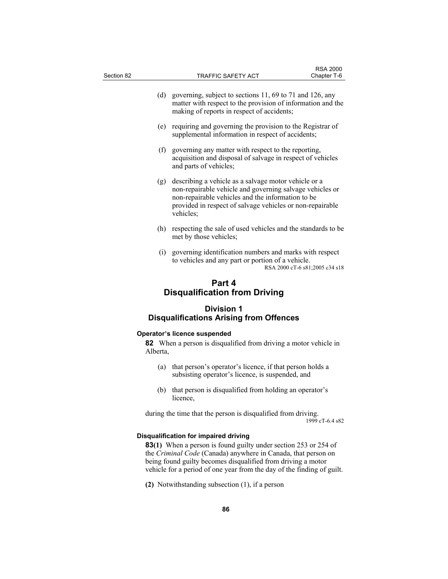| Section 82 | TRAFFIC SAFETY ACT                                                                                                                                                                                                                              | <b>RSA 2000</b><br>Chapter T-6 |
|------------|-------------------------------------------------------------------------------------------------------------------------------------------------------------------------------------------------------------------------------------------------|--------------------------------|
| (d)        | governing, subject to sections 11, 69 to 71 and 126, any<br>matter with respect to the provision of information and the<br>making of reports in respect of accidents;                                                                           |                                |
| (e)        | requiring and governing the provision to the Registrar of<br>supplemental information in respect of accidents;                                                                                                                                  |                                |
| (f)        | governing any matter with respect to the reporting,<br>acquisition and disposal of salvage in respect of vehicles<br>and parts of vehicles;                                                                                                     |                                |
| (g)        | describing a vehicle as a salvage motor vehicle or a<br>non-repairable vehicle and governing salvage vehicles or<br>non-repairable vehicles and the information to be<br>provided in respect of salvage vehicles or non-repairable<br>vehicles; |                                |
| (h)        | respecting the sale of used vehicles and the standards to be<br>met by those vehicles;                                                                                                                                                          |                                |
|            | (i)<br>governing identification numbers and marks with respect<br>to vehicles and any part or portion of a vehicle.                                                                                                                             | RSA 2000 cT-6 s81;2005 c34 s18 |
|            | Part 4<br><b>Disqualification from Driving</b>                                                                                                                                                                                                  |                                |
|            | <b>Division 1</b><br><b>Disqualifications Arising from Offences</b>                                                                                                                                                                             |                                |
| Alberta.   | Operator's licence suspended<br>82 When a person is disqualified from driving a motor vehicle in                                                                                                                                                |                                |
|            | (a) that person's operator's licence, if that person holds a<br>subsisting operator's licence, is suspended, and                                                                                                                                |                                |
| (b)        | that person is disqualified from holding an operator's<br>licence,                                                                                                                                                                              |                                |
|            | during the time that the person is disqualified from driving.                                                                                                                                                                                   | 1999 cT-6.4 s82                |
|            | <b>Disqualification for impaired driving</b><br><b>83(1)</b> When a person is found guilty under section 253 or 254 of                                                                                                                          |                                |

the *Criminal Code* (Canada) anywhere in Canada, that person on being found guilty becomes disqualified from driving a motor vehicle for a period of one year from the day of the finding of guilt.

**(2)** Notwithstanding subsection (1), if a person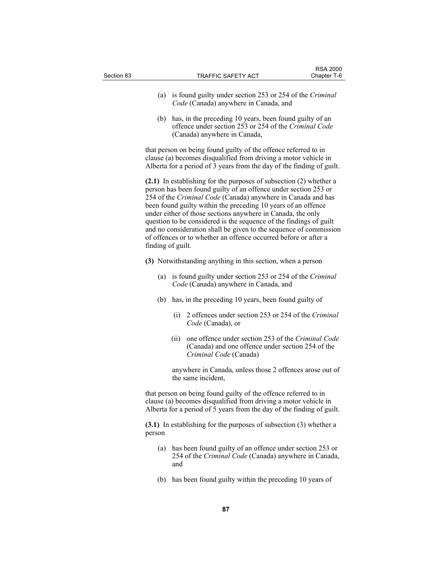| Section 83 |                   | TRAFFIC SAFETY ACT                                                                                                                                                                                                                                                                                                                                                                                                                                                                                                                                  | <b>RSA 2000</b><br>Chapter T-6 |
|------------|-------------------|-----------------------------------------------------------------------------------------------------------------------------------------------------------------------------------------------------------------------------------------------------------------------------------------------------------------------------------------------------------------------------------------------------------------------------------------------------------------------------------------------------------------------------------------------------|--------------------------------|
|            | (a)               | is found guilty under section 253 or 254 of the Criminal<br>Code (Canada) anywhere in Canada, and                                                                                                                                                                                                                                                                                                                                                                                                                                                   |                                |
|            |                   | (b) has, in the preceding 10 years, been found guilty of an<br>offence under section 253 or 254 of the Criminal Code<br>(Canada) anywhere in Canada,                                                                                                                                                                                                                                                                                                                                                                                                |                                |
|            |                   | that person on being found guilty of the offence referred to in<br>clause (a) becomes disqualified from driving a motor vehicle in<br>Alberta for a period of 3 years from the day of the finding of guilt.                                                                                                                                                                                                                                                                                                                                         |                                |
|            | finding of guilt. | (2.1) In establishing for the purposes of subsection (2) whether a<br>person has been found guilty of an offence under section 253 or<br>254 of the Criminal Code (Canada) anywhere in Canada and has<br>been found guilty within the preceding 10 years of an offence<br>under either of those sections anywhere in Canada, the only<br>question to be considered is the sequence of the findings of guilt<br>and no consideration shall be given to the sequence of commission<br>of offences or to whether an offence occurred before or after a |                                |
|            |                   | (3) Notwithstanding anything in this section, when a person                                                                                                                                                                                                                                                                                                                                                                                                                                                                                         |                                |
|            | (a)               | is found guilty under section 253 or 254 of the Criminal<br>Code (Canada) anywhere in Canada, and                                                                                                                                                                                                                                                                                                                                                                                                                                                   |                                |
|            | (b)               | has, in the preceding 10 years, been found guilty of                                                                                                                                                                                                                                                                                                                                                                                                                                                                                                |                                |
|            |                   | 2 offences under section 253 or 254 of the Criminal<br>(i)<br>Code (Canada), or                                                                                                                                                                                                                                                                                                                                                                                                                                                                     |                                |
|            |                   | one offence under section 253 of the Criminal Code<br>(ii)<br>(Canada) and one offence under section 254 of the<br>Criminal Code (Canada)                                                                                                                                                                                                                                                                                                                                                                                                           |                                |
|            |                   | anywhere in Canada, unless those 2 offences arose out of<br>the same incident,                                                                                                                                                                                                                                                                                                                                                                                                                                                                      |                                |
|            |                   | that person on being found guilty of the offence referred to in<br>clause (a) becomes disqualified from driving a motor vehicle in<br>Alberta for a period of 5 years from the day of the finding of guilt.                                                                                                                                                                                                                                                                                                                                         |                                |
|            | person            | $(3.1)$ In establishing for the purposes of subsection $(3)$ whether a                                                                                                                                                                                                                                                                                                                                                                                                                                                                              |                                |
|            | (a)               | has been found guilty of an offence under section 253 or<br>254 of the Criminal Code (Canada) anywhere in Canada,<br>and                                                                                                                                                                                                                                                                                                                                                                                                                            |                                |
|            |                   |                                                                                                                                                                                                                                                                                                                                                                                                                                                                                                                                                     |                                |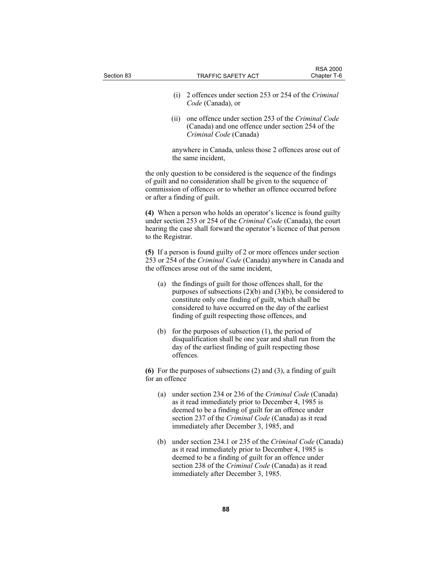| Section 83 |                   |      | <b>TRAFFIC SAFETY ACT</b>                                                                                                                                                                                                                                                                        | <b>RSA 2000</b><br>Chapter T-6 |
|------------|-------------------|------|--------------------------------------------------------------------------------------------------------------------------------------------------------------------------------------------------------------------------------------------------------------------------------------------------|--------------------------------|
|            |                   | (i)  | 2 offences under section 253 or 254 of the Criminal<br>Code (Canada), or                                                                                                                                                                                                                         |                                |
|            |                   | (ii) | one offence under section 253 of the Criminal Code<br>(Canada) and one offence under section 254 of the<br>Criminal Code (Canada)                                                                                                                                                                |                                |
|            |                   |      | anywhere in Canada, unless those 2 offences arose out of<br>the same incident,                                                                                                                                                                                                                   |                                |
|            |                   |      | the only question to be considered is the sequence of the findings<br>of guilt and no consideration shall be given to the sequence of<br>commission of offences or to whether an offence occurred before<br>or after a finding of guilt.                                                         |                                |
|            | to the Registrar. |      | (4) When a person who holds an operator's licence is found guilty<br>under section 253 or 254 of the Criminal Code (Canada), the court<br>hearing the case shall forward the operator's licence of that person                                                                                   |                                |
|            |                   |      | (5) If a person is found guilty of 2 or more offences under section<br>253 or 254 of the Criminal Code (Canada) anywhere in Canada and<br>the offences arose out of the same incident,                                                                                                           |                                |
|            | (a)               |      | the findings of guilt for those offences shall, for the<br>purposes of subsections $(2)(b)$ and $(3)(b)$ , be considered to<br>constitute only one finding of guilt, which shall be<br>considered to have occurred on the day of the earliest<br>finding of guilt respecting those offences, and |                                |
|            | (b)               |      | for the purposes of subsection $(1)$ , the period of<br>disqualification shall be one year and shall run from the<br>day of the earliest finding of guilt respecting those<br>offences.                                                                                                          |                                |
|            | for an offence    |      | (6) For the purposes of subsections $(2)$ and $(3)$ , a finding of guilt                                                                                                                                                                                                                         |                                |
|            | (a)               |      | under section 234 or 236 of the Criminal Code (Canada)<br>as it read immediately prior to December 4, 1985 is<br>deemed to be a finding of guilt for an offence under<br>section 237 of the Criminal Code (Canada) as it read<br>immediately after December 3, 1985, and                         |                                |
|            | (b)               |      | under section 234.1 or 235 of the Criminal Code (Canada)<br>as it read immediately prior to December 4, 1985 is<br>deemed to be a finding of guilt for an offence under<br>section 238 of the Criminal Code (Canada) as it read<br>immediately after December 3, 1985.                           |                                |
|            |                   |      |                                                                                                                                                                                                                                                                                                  |                                |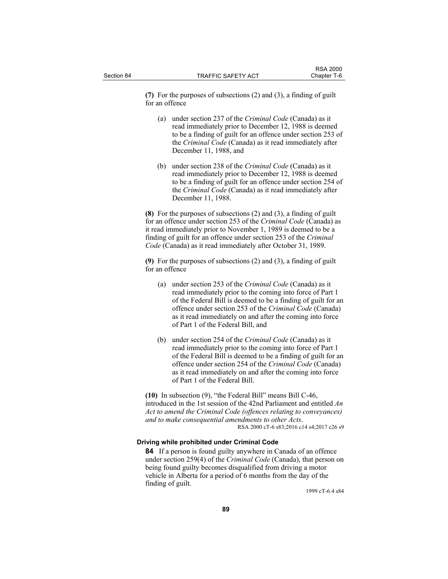**(7)** For the purposes of subsections (2) and (3), a finding of guilt for an offence

- (a) under section 237 of the *Criminal Code* (Canada) as it read immediately prior to December 12, 1988 is deemed to be a finding of guilt for an offence under section 253 of the *Criminal Code* (Canada) as it read immediately after December 11, 1988, and
- (b) under section 238 of the *Criminal Code* (Canada) as it read immediately prior to December 12, 1988 is deemed to be a finding of guilt for an offence under section 254 of the *Criminal Code* (Canada) as it read immediately after December 11, 1988.

**(8)** For the purposes of subsections (2) and (3), a finding of guilt for an offence under section 253 of the *Criminal Code* (Canada) as it read immediately prior to November 1, 1989 is deemed to be a finding of guilt for an offence under section 253 of the *Criminal Code* (Canada) as it read immediately after October 31, 1989.

**(9)** For the purposes of subsections (2) and (3), a finding of guilt for an offence

- (a) under section 253 of the *Criminal Code* (Canada) as it read immediately prior to the coming into force of Part 1 of the Federal Bill is deemed to be a finding of guilt for an offence under section 253 of the *Criminal Code* (Canada) as it read immediately on and after the coming into force of Part 1 of the Federal Bill, and
- (b) under section 254 of the *Criminal Code* (Canada) as it read immediately prior to the coming into force of Part 1 of the Federal Bill is deemed to be a finding of guilt for an offence under section 254 of the *Criminal Code* (Canada) as it read immediately on and after the coming into force of Part 1 of the Federal Bill.

**(10)** In subsection (9), "the Federal Bill" means Bill C-46, introduced in the 1st session of the 42nd Parliament and entitled *An Act to amend the Criminal Code (offences relating to conveyances) and to make consequential amendments to other Acts*. RSA 2000 cT-6 s83;2016 c14 s4;2017 c26 s9

#### **Driving while prohibited under Criminal Code**

**84** If a person is found guilty anywhere in Canada of an offence under section 259(4) of the *Criminal Code* (Canada), that person on being found guilty becomes disqualified from driving a motor vehicle in Alberta for a period of 6 months from the day of the finding of guilt.

1999 cT-6.4 s84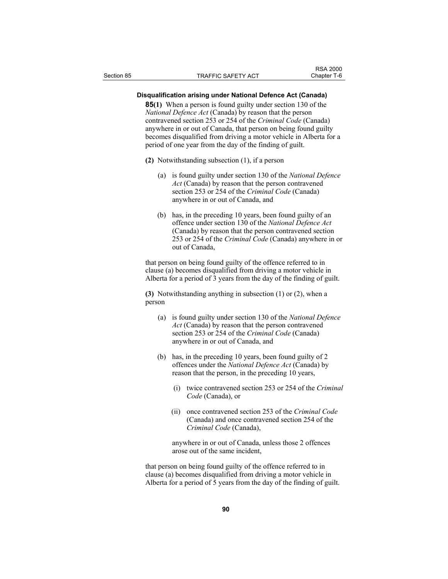#### **Disqualification arising under National Defence Act (Canada)**

**85(1)** When a person is found guilty under section 130 of the *National Defence Act* (Canada) by reason that the person contravened section 253 or 254 of the *Criminal Code* (Canada) anywhere in or out of Canada, that person on being found guilty becomes disqualified from driving a motor vehicle in Alberta for a period of one year from the day of the finding of guilt.

- **(2)** Notwithstanding subsection (1), if a person
	- (a) is found guilty under section 130 of the *National Defence Act* (Canada) by reason that the person contravened section 253 or 254 of the *Criminal Code* (Canada) anywhere in or out of Canada, and
	- (b) has, in the preceding 10 years, been found guilty of an offence under section 130 of the *National Defence Act* (Canada) by reason that the person contravened section 253 or 254 of the *Criminal Code* (Canada) anywhere in or out of Canada,

that person on being found guilty of the offence referred to in clause (a) becomes disqualified from driving a motor vehicle in Alberta for a period of 3 years from the day of the finding of guilt.

**(3)** Notwithstanding anything in subsection (1) or (2), when a person

- (a) is found guilty under section 130 of the *National Defence Act* (Canada) by reason that the person contravened section 253 or 254 of the *Criminal Code* (Canada) anywhere in or out of Canada, and
- (b) has, in the preceding 10 years, been found guilty of 2 offences under the *National Defence Act* (Canada) by reason that the person, in the preceding 10 years,
	- (i) twice contravened section 253 or 254 of the *Criminal Code* (Canada), or
	- (ii) once contravened section 253 of the *Criminal Code* (Canada) and once contravened section 254 of the *Criminal Code* (Canada),

 anywhere in or out of Canada, unless those 2 offences arose out of the same incident,

that person on being found guilty of the offence referred to in clause (a) becomes disqualified from driving a motor vehicle in Alberta for a period of 5 years from the day of the finding of guilt.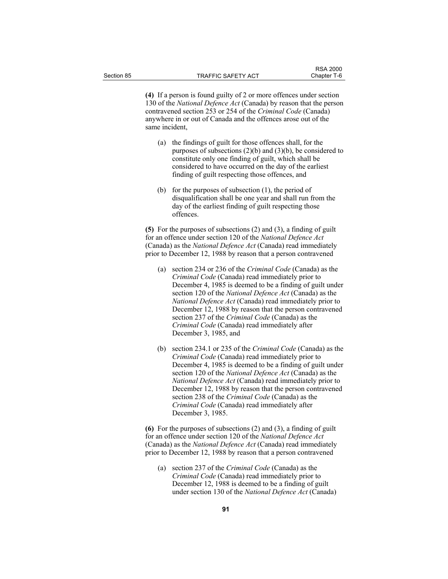RSA 2000<br>Chapter T-6

**(4)** If a person is found guilty of 2 or more offences under section 130 of the *National Defence Act* (Canada) by reason that the person contravened section 253 or 254 of the *Criminal Code* (Canada) anywhere in or out of Canada and the offences arose out of the same incident,

- (a) the findings of guilt for those offences shall, for the purposes of subsections (2)(b) and (3)(b), be considered to constitute only one finding of guilt, which shall be considered to have occurred on the day of the earliest finding of guilt respecting those offences, and
- (b) for the purposes of subsection (1), the period of disqualification shall be one year and shall run from the day of the earliest finding of guilt respecting those offences.

**(5)** For the purposes of subsections (2) and (3), a finding of guilt for an offence under section 120 of the *National Defence Act* (Canada) as the *National Defence Act* (Canada) read immediately prior to December 12, 1988 by reason that a person contravened

- (a) section 234 or 236 of the *Criminal Code* (Canada) as the *Criminal Code* (Canada) read immediately prior to December 4, 1985 is deemed to be a finding of guilt under section 120 of the *National Defence Act* (Canada) as the *National Defence Act* (Canada) read immediately prior to December 12, 1988 by reason that the person contravened section 237 of the *Criminal Code* (Canada) as the *Criminal Code* (Canada) read immediately after December 3, 1985, and
- (b) section 234.1 or 235 of the *Criminal Code* (Canada) as the *Criminal Code* (Canada) read immediately prior to December 4, 1985 is deemed to be a finding of guilt under section 120 of the *National Defence Act* (Canada) as the *National Defence Act* (Canada) read immediately prior to December 12, 1988 by reason that the person contravened section 238 of the *Criminal Code* (Canada) as the *Criminal Code* (Canada) read immediately after December 3, 1985.

**(6)** For the purposes of subsections (2) and (3), a finding of guilt for an offence under section 120 of the *National Defence Act* (Canada) as the *National Defence Act* (Canada) read immediately prior to December 12, 1988 by reason that a person contravened

 (a) section 237 of the *Criminal Code* (Canada) as the *Criminal Code* (Canada) read immediately prior to December 12, 1988 is deemed to be a finding of guilt under section 130 of the *National Defence Act* (Canada)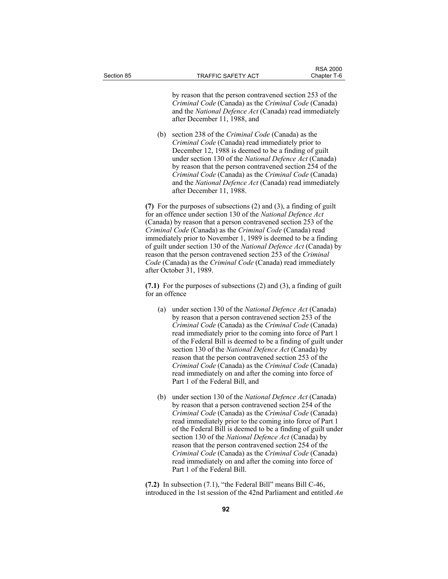by reason that the person contravened section 253 of the *Criminal Code* (Canada) as the *Criminal Code* (Canada) and the *National Defence Act* (Canada) read immediately after December 11, 1988, and

 (b) section 238 of the *Criminal Code* (Canada) as the *Criminal Code* (Canada) read immediately prior to December 12, 1988 is deemed to be a finding of guilt under section 130 of the *National Defence Act* (Canada) by reason that the person contravened section 254 of the *Criminal Code* (Canada) as the *Criminal Code* (Canada) and the *National Defence Act* (Canada) read immediately after December 11, 1988.

**(7)** For the purposes of subsections (2) and (3), a finding of guilt for an offence under section 130 of the *National Defence Act* (Canada) by reason that a person contravened section 253 of the *Criminal Code* (Canada) as the *Criminal Code* (Canada) read immediately prior to November 1, 1989 is deemed to be a finding of guilt under section 130 of the *National Defence Act* (Canada) by reason that the person contravened section 253 of the *Criminal Code* (Canada) as the *Criminal Code* (Canada) read immediately after October 31, 1989.

**(7.1)** For the purposes of subsections (2) and (3), a finding of guilt for an offence

- (a) under section 130 of the *National Defence Act* (Canada) by reason that a person contravened section 253 of the *Criminal Code* (Canada) as the *Criminal Code* (Canada) read immediately prior to the coming into force of Part 1 of the Federal Bill is deemed to be a finding of guilt under section 130 of the *National Defence Act* (Canada) by reason that the person contravened section 253 of the *Criminal Code* (Canada) as the *Criminal Code* (Canada) read immediately on and after the coming into force of Part 1 of the Federal Bill, and
- (b) under section 130 of the *National Defence Act* (Canada) by reason that a person contravened section 254 of the *Criminal Code* (Canada) as the *Criminal Code* (Canada) read immediately prior to the coming into force of Part 1 of the Federal Bill is deemed to be a finding of guilt under section 130 of the *National Defence Act* (Canada) by reason that the person contravened section 254 of the *Criminal Code* (Canada) as the *Criminal Code* (Canada) read immediately on and after the coming into force of Part 1 of the Federal Bill.

**(7.2)** In subsection (7.1), "the Federal Bill" means Bill C-46, introduced in the 1st session of the 42nd Parliament and entitled *An*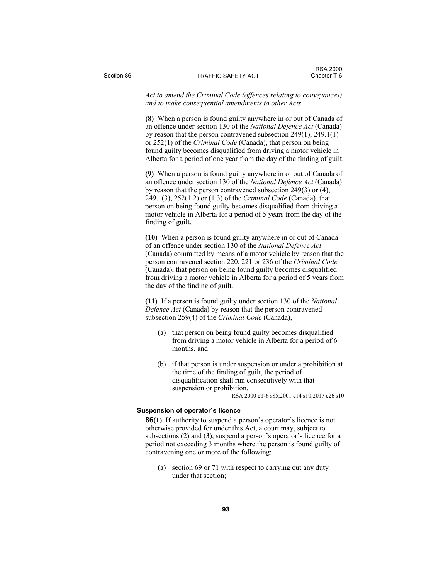*Act to amend the Criminal Code (offences relating to conveyances) and to make consequential amendments to other Acts*.

**(8)** When a person is found guilty anywhere in or out of Canada of an offence under section 130 of the *National Defence Act* (Canada) by reason that the person contravened subsection 249(1), 249.1(1) or 252(1) of the *Criminal Code* (Canada), that person on being found guilty becomes disqualified from driving a motor vehicle in Alberta for a period of one year from the day of the finding of guilt.

**(9)** When a person is found guilty anywhere in or out of Canada of an offence under section 130 of the *National Defence Act* (Canada) by reason that the person contravened subsection 249(3) or (4), 249.1(3), 252(1.2) or (1.3) of the *Criminal Code* (Canada), that person on being found guilty becomes disqualified from driving a motor vehicle in Alberta for a period of 5 years from the day of the finding of guilt.

**(10)** When a person is found guilty anywhere in or out of Canada of an offence under section 130 of the *National Defence Act* (Canada) committed by means of a motor vehicle by reason that the person contravened section 220, 221 or 236 of the *Criminal Code* (Canada), that person on being found guilty becomes disqualified from driving a motor vehicle in Alberta for a period of 5 years from the day of the finding of guilt.

**(11)** If a person is found guilty under section 130 of the *National Defence Act* (Canada) by reason that the person contravened subsection 259(4) of the *Criminal Code* (Canada),

- (a) that person on being found guilty becomes disqualified from driving a motor vehicle in Alberta for a period of 6 months, and
- (b) if that person is under suspension or under a prohibition at the time of the finding of guilt, the period of disqualification shall run consecutively with that suspension or prohibition.

RSA 2000 cT-6 s85;2001 c14 s10;2017 c26 s10

## **Suspension of operator's licence**

**86(1)** If authority to suspend a person's operator's licence is not otherwise provided for under this Act, a court may, subject to subsections (2) and (3), suspend a person's operator's licence for a period not exceeding 3 months where the person is found guilty of contravening one or more of the following:

 (a) section 69 or 71 with respect to carrying out any duty under that section;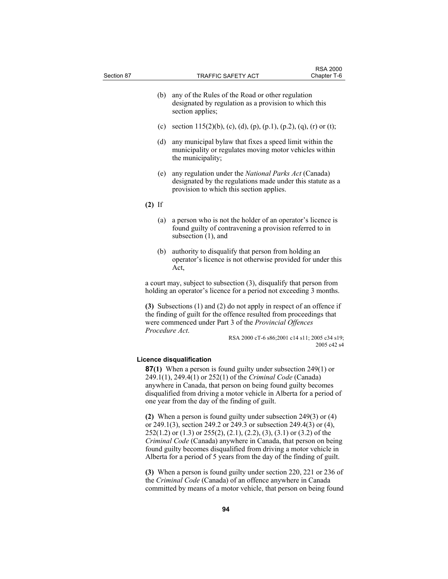| Section 87 |                | <b>TRAFFIC SAFETY ACT</b>                                                                                                                                                                                                                                                                                                                                  | <b>RSA 2000</b><br>Chapter T-6 |
|------------|----------------|------------------------------------------------------------------------------------------------------------------------------------------------------------------------------------------------------------------------------------------------------------------------------------------------------------------------------------------------------------|--------------------------------|
|            | (b)            | any of the Rules of the Road or other regulation<br>designated by regulation as a provision to which this<br>section applies;                                                                                                                                                                                                                              |                                |
|            | (c)            | section 115(2)(b), (c), (d), (p), (p.1), (p.2), (q), (r) or (t);                                                                                                                                                                                                                                                                                           |                                |
|            | (d)            | any municipal bylaw that fixes a speed limit within the<br>municipality or regulates moving motor vehicles within<br>the municipality;                                                                                                                                                                                                                     |                                |
|            | (e)            | any regulation under the National Parks Act (Canada)<br>designated by the regulations made under this statute as a<br>provision to which this section applies.                                                                                                                                                                                             |                                |
|            | $(2)$ If       |                                                                                                                                                                                                                                                                                                                                                            |                                |
|            | (a)            | a person who is not the holder of an operator's licence is<br>found guilty of contravening a provision referred to in<br>subsection (1), and                                                                                                                                                                                                               |                                |
|            | (b)            | authority to disqualify that person from holding an<br>operator's licence is not otherwise provided for under this<br>Act,                                                                                                                                                                                                                                 |                                |
|            |                | a court may, subject to subsection (3), disqualify that person from<br>holding an operator's licence for a period not exceeding 3 months.                                                                                                                                                                                                                  |                                |
|            | Procedure Act. | (3) Subsections (1) and (2) do not apply in respect of an offence if<br>the finding of guilt for the offence resulted from proceedings that<br>were commenced under Part 3 of the Provincial Offences<br>RSA 2000 cT-6 s86;2001 c14 s11; 2005 c34 s19;                                                                                                     | 2005 c42 s4                    |
|            |                | Licence disqualification<br><b>87(1)</b> When a person is found guilty under subsection 249(1) or<br>249.1(1), 249.4(1) or 252(1) of the Criminal Code (Canada)<br>anywhere in Canada, that person on being found guilty becomes<br>disqualified from driving a motor vehicle in Alberta for a period of<br>one year from the day of the finding of guilt. |                                |

**(2)** When a person is found guilty under subsection 249(3) or (4) or 249.1(3), section 249.2 or 249.3 or subsection 249.4(3) or (4), 252(1.2) or (1.3) or 255(2), (2.1), (2.2), (3), (3.1) or (3.2) of the *Criminal Code* (Canada) anywhere in Canada, that person on being found guilty becomes disqualified from driving a motor vehicle in Alberta for a period of 5 years from the day of the finding of guilt.

**(3)** When a person is found guilty under section 220, 221 or 236 of the *Criminal Code* (Canada) of an offence anywhere in Canada committed by means of a motor vehicle, that person on being found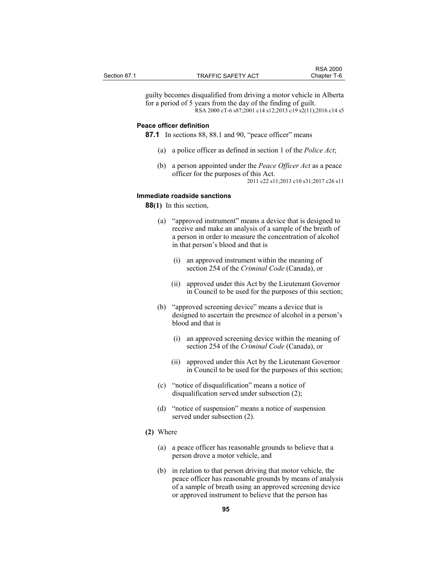guilty becomes disqualified from driving a motor vehicle in Alberta for a period of 5 years from the day of the finding of guilt. RSA 2000 cT-6 s87;2001 c14 s12;2013 c19 s2(11);2016 c14 s5

#### **Peace officer definition**

**87.1** In sections 88, 88.1 and 90, "peace officer" means

- (a) a police officer as defined in section 1 of the *Police Act*;
- (b) a person appointed under the *Peace Officer Act* as a peace officer for the purposes of this Act. 2011 c22 s11;2013 c10 s31;2017 c26 s11

#### **Immediate roadside sanctions**

**88(1)** In this section,

- (a) "approved instrument" means a device that is designed to receive and make an analysis of a sample of the breath of a person in order to measure the concentration of alcohol in that person's blood and that is
	- (i) an approved instrument within the meaning of section 254 of the *Criminal Code* (Canada), or
	- (ii) approved under this Act by the Lieutenant Governor in Council to be used for the purposes of this section;
- (b) "approved screening device" means a device that is designed to ascertain the presence of alcohol in a person's blood and that is
	- (i) an approved screening device within the meaning of section 254 of the *Criminal Code* (Canada), or
	- (ii) approved under this Act by the Lieutenant Governor in Council to be used for the purposes of this section;
- (c) "notice of disqualification" means a notice of disqualification served under subsection (2);
- (d) "notice of suspension" means a notice of suspension served under subsection (2).

#### **(2)** Where

- (a) a peace officer has reasonable grounds to believe that a person drove a motor vehicle, and
- (b) in relation to that person driving that motor vehicle, the peace officer has reasonable grounds by means of analysis of a sample of breath using an approved screening device or approved instrument to believe that the person has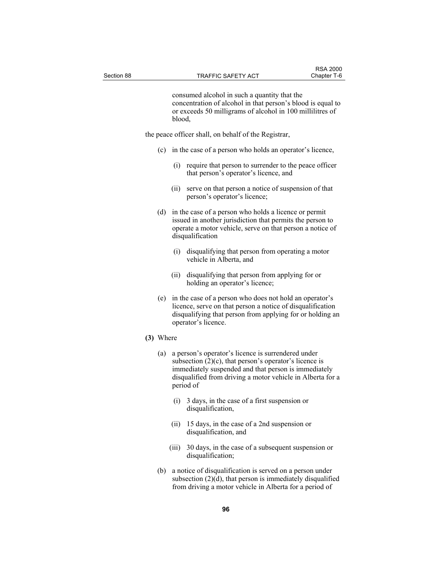consumed alcohol in such a quantity that the concentration of alcohol in that person's blood is equal to or exceeds 50 milligrams of alcohol in 100 millilitres of blood,

the peace officer shall, on behalf of the Registrar,

- (c) in the case of a person who holds an operator's licence,
	- (i) require that person to surrender to the peace officer that person's operator's licence, and
	- (ii) serve on that person a notice of suspension of that person's operator's licence;
- (d) in the case of a person who holds a licence or permit issued in another jurisdiction that permits the person to operate a motor vehicle, serve on that person a notice of disqualification
	- (i) disqualifying that person from operating a motor vehicle in Alberta, and
	- (ii) disqualifying that person from applying for or holding an operator's licence;
- (e) in the case of a person who does not hold an operator's licence, serve on that person a notice of disqualification disqualifying that person from applying for or holding an operator's licence.
- **(3)** Where
	- (a) a person's operator's licence is surrendered under subsection  $(2)(c)$ , that person's operator's licence is immediately suspended and that person is immediately disqualified from driving a motor vehicle in Alberta for a period of
		- (i) 3 days, in the case of a first suspension or disqualification,
		- (ii) 15 days, in the case of a 2nd suspension or disqualification, and
		- (iii) 30 days, in the case of a subsequent suspension or disqualification;
	- (b) a notice of disqualification is served on a person under subsection (2)(d), that person is immediately disqualified from driving a motor vehicle in Alberta for a period of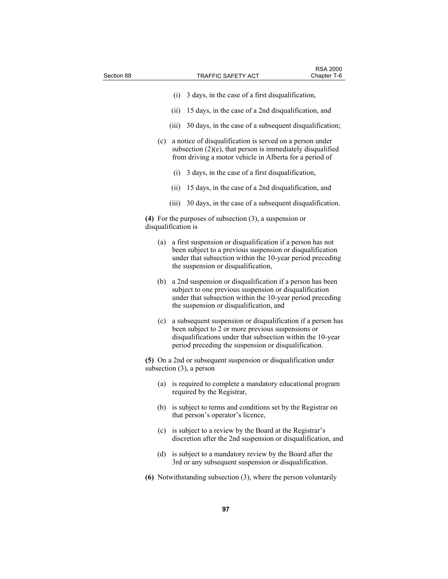| Section 88 |                                                                                                |                                                                                                                                                                                                                             | <b>TRAFFIC SAFETY ACT</b>                                                                                                                                                                                                              | <b>RSA 2000</b><br>Chapter T-6 |  |
|------------|------------------------------------------------------------------------------------------------|-----------------------------------------------------------------------------------------------------------------------------------------------------------------------------------------------------------------------------|----------------------------------------------------------------------------------------------------------------------------------------------------------------------------------------------------------------------------------------|--------------------------------|--|
|            |                                                                                                |                                                                                                                                                                                                                             |                                                                                                                                                                                                                                        |                                |  |
|            |                                                                                                | (i)                                                                                                                                                                                                                         | 3 days, in the case of a first disqualification,                                                                                                                                                                                       |                                |  |
|            |                                                                                                | (ii)                                                                                                                                                                                                                        | 15 days, in the case of a 2nd disqualification, and                                                                                                                                                                                    |                                |  |
|            |                                                                                                |                                                                                                                                                                                                                             | (iii) 30 days, in the case of a subsequent disqualification;                                                                                                                                                                           |                                |  |
|            | (c)                                                                                            |                                                                                                                                                                                                                             | a notice of disqualification is served on a person under<br>subsection $(2)(e)$ , that person is immediately disqualified<br>from driving a motor vehicle in Alberta for a period of                                                   |                                |  |
|            |                                                                                                | (i)                                                                                                                                                                                                                         | 3 days, in the case of a first disqualification,                                                                                                                                                                                       |                                |  |
|            |                                                                                                | (ii)                                                                                                                                                                                                                        | 15 days, in the case of a 2nd disqualification, and                                                                                                                                                                                    |                                |  |
|            |                                                                                                |                                                                                                                                                                                                                             | (iii) 30 days, in the case of a subsequent disqualification.                                                                                                                                                                           |                                |  |
|            |                                                                                                | (4) For the purposes of subsection $(3)$ , a suspension or<br>disqualification is                                                                                                                                           |                                                                                                                                                                                                                                        |                                |  |
|            | (a)                                                                                            | a first suspension or disqualification if a person has not<br>been subject to a previous suspension or disqualification<br>under that subsection within the 10-year period preceding<br>the suspension or disqualification, |                                                                                                                                                                                                                                        |                                |  |
|            | (b)                                                                                            |                                                                                                                                                                                                                             | a 2nd suspension or disqualification if a person has been<br>subject to one previous suspension or disqualification<br>under that subsection within the 10-year period preceding<br>the suspension or disqualification, and            |                                |  |
|            | (c)                                                                                            |                                                                                                                                                                                                                             | a subsequent suspension or disqualification if a person has<br>been subject to 2 or more previous suspensions or<br>disqualifications under that subsection within the 10-year<br>period preceding the suspension or disqualification. |                                |  |
|            | (5) On a 2nd or subsequent suspension or disqualification under<br>subsection $(3)$ , a person |                                                                                                                                                                                                                             |                                                                                                                                                                                                                                        |                                |  |
|            |                                                                                                |                                                                                                                                                                                                                             | (a) is required to complete a mandatory educational program<br>required by the Registrar,                                                                                                                                              |                                |  |
|            | (b)                                                                                            |                                                                                                                                                                                                                             | is subject to terms and conditions set by the Registrar on<br>that person's operator's licence,                                                                                                                                        |                                |  |
|            |                                                                                                |                                                                                                                                                                                                                             | (c) is subject to a review by the Board at the Registrar's<br>discretion after the 2nd suspension or disqualification, and                                                                                                             |                                |  |
|            |                                                                                                |                                                                                                                                                                                                                             | (d) is subject to a mandatory review by the Board after the<br>3rd or any subsequent suspension or disqualification.                                                                                                                   |                                |  |
|            |                                                                                                |                                                                                                                                                                                                                             | (6) Notwithstanding subsection $(3)$ , where the person voluntarily                                                                                                                                                                    |                                |  |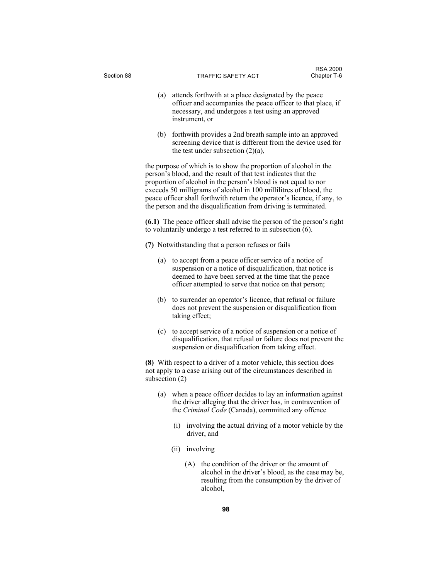| Section 88 |                                                                                                                                                                                                                                                                                                                                                                                                                          |                | TRAFFIC SAFETY ACT                                                                                                                                                                                                                     | Chapter T-6 |  |  |
|------------|--------------------------------------------------------------------------------------------------------------------------------------------------------------------------------------------------------------------------------------------------------------------------------------------------------------------------------------------------------------------------------------------------------------------------|----------------|----------------------------------------------------------------------------------------------------------------------------------------------------------------------------------------------------------------------------------------|-------------|--|--|
|            | (a)                                                                                                                                                                                                                                                                                                                                                                                                                      | instrument, or | attends forthwith at a place designated by the peace<br>officer and accompanies the peace officer to that place, if<br>necessary, and undergoes a test using an approved                                                               |             |  |  |
|            | (b)                                                                                                                                                                                                                                                                                                                                                                                                                      |                | forthwith provides a 2nd breath sample into an approved<br>screening device that is different from the device used for<br>the test under subsection $(2)(a)$ ,                                                                         |             |  |  |
|            | the purpose of which is to show the proportion of alcohol in the<br>person's blood, and the result of that test indicates that the<br>proportion of alcohol in the person's blood is not equal to nor<br>exceeds 50 milligrams of alcohol in 100 millilitres of blood, the<br>peace officer shall forthwith return the operator's licence, if any, to<br>the person and the disqualification from driving is terminated. |                |                                                                                                                                                                                                                                        |             |  |  |
|            | (6.1) The peace officer shall advise the person of the person's right<br>to voluntarily undergo a test referred to in subsection (6).                                                                                                                                                                                                                                                                                    |                |                                                                                                                                                                                                                                        |             |  |  |
|            | (7) Notwithstanding that a person refuses or fails                                                                                                                                                                                                                                                                                                                                                                       |                |                                                                                                                                                                                                                                        |             |  |  |
|            | (a)                                                                                                                                                                                                                                                                                                                                                                                                                      |                | to accept from a peace officer service of a notice of<br>suspension or a notice of disqualification, that notice is<br>deemed to have been served at the time that the peace<br>officer attempted to serve that notice on that person; |             |  |  |
|            | (b)                                                                                                                                                                                                                                                                                                                                                                                                                      | taking effect; | to surrender an operator's licence, that refusal or failure<br>does not prevent the suspension or disqualification from                                                                                                                |             |  |  |
|            | (c)                                                                                                                                                                                                                                                                                                                                                                                                                      |                | to accept service of a notice of suspension or a notice of<br>disqualification, that refusal or failure does not prevent the<br>suspension or disqualification from taking effect.                                                     |             |  |  |
|            | (8) With respect to a driver of a motor vehicle, this section does<br>not apply to a case arising out of the circumstances described in<br>subsection $(2)$                                                                                                                                                                                                                                                              |                |                                                                                                                                                                                                                                        |             |  |  |
|            |                                                                                                                                                                                                                                                                                                                                                                                                                          |                | (a) when a peace officer decides to lay an information against<br>the driver alleging that the driver has, in contravention of<br>the Criminal Code (Canada), committed any offence                                                    |             |  |  |
|            |                                                                                                                                                                                                                                                                                                                                                                                                                          | (i)            | involving the actual driving of a motor vehicle by the<br>driver, and                                                                                                                                                                  |             |  |  |
|            |                                                                                                                                                                                                                                                                                                                                                                                                                          | (ii)           | involving                                                                                                                                                                                                                              |             |  |  |
|            |                                                                                                                                                                                                                                                                                                                                                                                                                          | (A)            | the condition of the driver or the amount of<br>alcohol in the driver's blood, as the case may be,<br>resulting from the consumption by the driver of<br>alcohol.                                                                      |             |  |  |
|            |                                                                                                                                                                                                                                                                                                                                                                                                                          |                |                                                                                                                                                                                                                                        |             |  |  |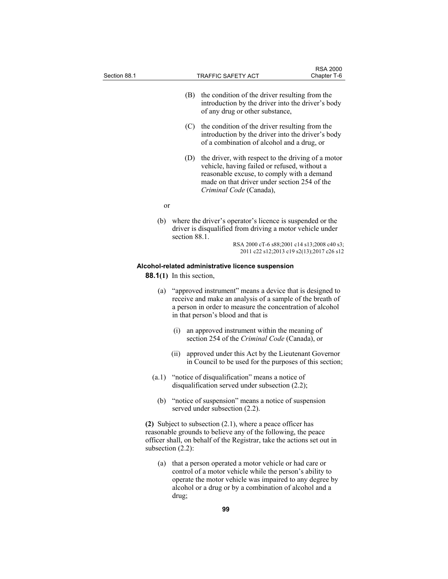| Section 88.1 |                                                                                                                                                                                                                          | TRAFFIC SAFETY ACT                                                                                                                                                                                                          | <b>RSA 2000</b><br>Chapter T-6                                                           |  |
|--------------|--------------------------------------------------------------------------------------------------------------------------------------------------------------------------------------------------------------------------|-----------------------------------------------------------------------------------------------------------------------------------------------------------------------------------------------------------------------------|------------------------------------------------------------------------------------------|--|
|              | (B)                                                                                                                                                                                                                      | the condition of the driver resulting from the<br>introduction by the driver into the driver's body<br>of any drug or other substance,                                                                                      |                                                                                          |  |
|              | (C)                                                                                                                                                                                                                      | the condition of the driver resulting from the<br>introduction by the driver into the driver's body<br>of a combination of alcohol and a drug, or                                                                           |                                                                                          |  |
|              | (D)                                                                                                                                                                                                                      | the driver, with respect to the driving of a motor<br>vehicle, having failed or refused, without a<br>reasonable excuse, to comply with a demand<br>made on that driver under section 254 of the<br>Criminal Code (Canada), |                                                                                          |  |
| or           |                                                                                                                                                                                                                          |                                                                                                                                                                                                                             |                                                                                          |  |
| (b)          | section 88.1.                                                                                                                                                                                                            | where the driver's operator's licence is suspended or the<br>driver is disqualified from driving a motor vehicle under                                                                                                      | RSA 2000 cT-6 s88;2001 c14 s13;2008 c40 s3;<br>2011 c22 s12;2013 c19 s2(13);2017 c26 s12 |  |
|              |                                                                                                                                                                                                                          |                                                                                                                                                                                                                             |                                                                                          |  |
|              | <b>88.1(1)</b> In this section,                                                                                                                                                                                          | Alcohol-related administrative licence suspension                                                                                                                                                                           |                                                                                          |  |
| (a)          | "approved instrument" means a device that is designed to<br>receive and make an analysis of a sample of the breath of<br>a person in order to measure the concentration of alcohol<br>in that person's blood and that is |                                                                                                                                                                                                                             |                                                                                          |  |
|              | (i)                                                                                                                                                                                                                      | an approved instrument within the meaning of<br>section 254 of the Criminal Code (Canada), or                                                                                                                               |                                                                                          |  |
|              | (ii)                                                                                                                                                                                                                     | approved under this Act by the Lieutenant Governor<br>in Council to be used for the purposes of this section;                                                                                                               |                                                                                          |  |
| (a.1)        |                                                                                                                                                                                                                          | "notice of disqualification" means a notice of<br>disqualification served under subsection $(2.2)$ ;                                                                                                                        |                                                                                          |  |
| (b)          |                                                                                                                                                                                                                          | "notice of suspension" means a notice of suspension<br>served under subsection (2.2).                                                                                                                                       |                                                                                          |  |
|              | subsection $(2.2)$ :                                                                                                                                                                                                     | (2) Subject to subsection $(2.1)$ , where a peace officer has<br>reasonable grounds to believe any of the following, the peace<br>officer shall, on behalf of the Registrar, take the actions set out in                    |                                                                                          |  |
| (a)          |                                                                                                                                                                                                                          | that a person operated a motor vehicle or had care or<br>control of a motor vehicle while the person's ability to                                                                                                           |                                                                                          |  |

control of a motor vehicle while the person's ability to operate the motor vehicle was impaired to any degree by alcohol or a drug or by a combination of alcohol and a drug;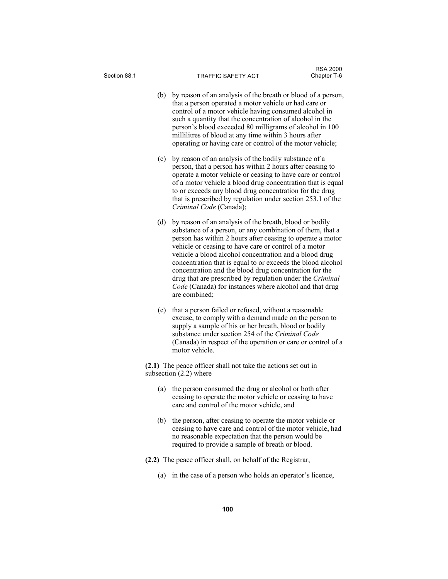| Section 88.1 | <b>TRAFFIC SAFETY ACT</b>                                                                                                                                                                                                                                                                                                                                                                                                                                                                                                                                                      | <b>RSA 2000</b><br>Chapter T-6 |  |  |
|--------------|--------------------------------------------------------------------------------------------------------------------------------------------------------------------------------------------------------------------------------------------------------------------------------------------------------------------------------------------------------------------------------------------------------------------------------------------------------------------------------------------------------------------------------------------------------------------------------|--------------------------------|--|--|
|              | (b)<br>by reason of an analysis of the breath or blood of a person,<br>that a person operated a motor vehicle or had care or<br>control of a motor vehicle having consumed alcohol in<br>such a quantity that the concentration of alcohol in the<br>person's blood exceeded 80 milligrams of alcohol in 100<br>millilitres of blood at any time within 3 hours after<br>operating or having care or control of the motor vehicle;                                                                                                                                             |                                |  |  |
|              | by reason of an analysis of the bodily substance of a<br>(c)<br>person, that a person has within 2 hours after ceasing to<br>operate a motor vehicle or ceasing to have care or control<br>of a motor vehicle a blood drug concentration that is equal<br>to or exceeds any blood drug concentration for the drug<br>that is prescribed by regulation under section 253.1 of the<br>Criminal Code (Canada);                                                                                                                                                                    |                                |  |  |
|              | by reason of an analysis of the breath, blood or bodily<br>(d)<br>substance of a person, or any combination of them, that a<br>person has within 2 hours after ceasing to operate a motor<br>vehicle or ceasing to have care or control of a motor<br>vehicle a blood alcohol concentration and a blood drug<br>concentration that is equal to or exceeds the blood alcohol<br>concentration and the blood drug concentration for the<br>drug that are prescribed by regulation under the Criminal<br>Code (Canada) for instances where alcohol and that drug<br>are combined; |                                |  |  |
|              | (e)<br>that a person failed or refused, without a reasonable<br>excuse, to comply with a demand made on the person to<br>supply a sample of his or her breath, blood or bodily<br>substance under section 254 of the Criminal Code<br>(Canada) in respect of the operation or care or control of a<br>motor vehicle.                                                                                                                                                                                                                                                           |                                |  |  |
|              | (2.1) The peace officer shall not take the actions set out in<br>subsection $(2.2)$ where                                                                                                                                                                                                                                                                                                                                                                                                                                                                                      |                                |  |  |
|              | the person consumed the drug or alcohol or both after<br>(a)<br>ceasing to operate the motor vehicle or ceasing to have<br>care and control of the motor vehicle, and                                                                                                                                                                                                                                                                                                                                                                                                          |                                |  |  |
|              | the person, after ceasing to operate the motor vehicle or<br>(b)<br>ceasing to have care and control of the motor vehicle, had<br>no reasonable expectation that the person would be<br>required to provide a sample of breath or blood.                                                                                                                                                                                                                                                                                                                                       |                                |  |  |
|              | (2.2) The peace officer shall, on behalf of the Registrar,                                                                                                                                                                                                                                                                                                                                                                                                                                                                                                                     |                                |  |  |
|              | in the case of a person who holds an operator's licence,<br>(a)                                                                                                                                                                                                                                                                                                                                                                                                                                                                                                                |                                |  |  |
|              |                                                                                                                                                                                                                                                                                                                                                                                                                                                                                                                                                                                |                                |  |  |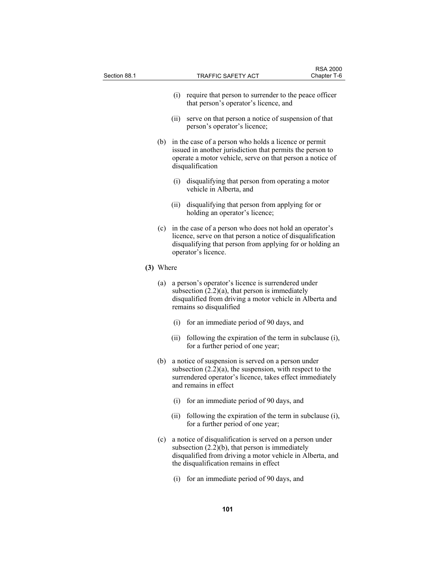| Section 88.1 |           |      | <b>TRAFFIC SAFETY ACT</b>                                                                                                                                                                                                 | <b>RSA 2000</b><br>Chapter T-6 |
|--------------|-----------|------|---------------------------------------------------------------------------------------------------------------------------------------------------------------------------------------------------------------------------|--------------------------------|
|              |           |      |                                                                                                                                                                                                                           |                                |
|              |           | (i)  | require that person to surrender to the peace officer<br>that person's operator's licence, and                                                                                                                            |                                |
|              |           | (i)  | serve on that person a notice of suspension of that<br>person's operator's licence;                                                                                                                                       |                                |
|              | (b)       |      | in the case of a person who holds a licence or permit<br>issued in another jurisdiction that permits the person to<br>operate a motor vehicle, serve on that person a notice of<br>disqualification                       |                                |
|              |           | (i)  | disqualifying that person from operating a motor<br>vehicle in Alberta, and                                                                                                                                               |                                |
|              |           | (ii) | disqualifying that person from applying for or<br>holding an operator's licence;                                                                                                                                          |                                |
|              |           |      | (c) in the case of a person who does not hold an operator's<br>licence, serve on that person a notice of disqualification<br>disqualifying that person from applying for or holding an<br>operator's licence.             |                                |
|              | (3) Where |      |                                                                                                                                                                                                                           |                                |
|              | (a)       |      | a person's operator's licence is surrendered under<br>subsection $(2.2)(a)$ , that person is immediately<br>disqualified from driving a motor vehicle in Alberta and<br>remains so disqualified                           |                                |
|              |           |      | (i) for an immediate period of 90 days, and                                                                                                                                                                               |                                |
|              |           | (ii) | following the expiration of the term in subclause (i),<br>for a further period of one year;                                                                                                                               |                                |
|              | (b)       |      | a notice of suspension is served on a person under<br>subsection $(2.2)(a)$ , the suspension, with respect to the<br>surrendered operator's licence, takes effect immediately<br>and remains in effect                    |                                |
|              |           | (i)  | for an immediate period of 90 days, and                                                                                                                                                                                   |                                |
|              |           | (ii) | following the expiration of the term in subclause (i),<br>for a further period of one year;                                                                                                                               |                                |
|              |           |      | (c) a notice of disqualification is served on a person under<br>subsection $(2.2)(b)$ , that person is immediately<br>disqualified from driving a motor vehicle in Alberta, and<br>the disqualification remains in effect |                                |
|              |           | (i)  | for an immediate period of 90 days, and                                                                                                                                                                                   |                                |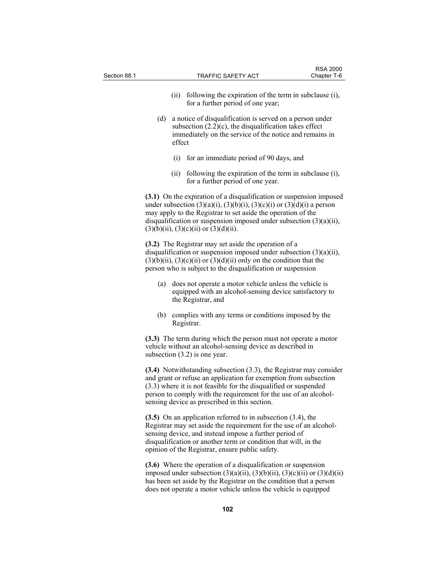| Section 88.1                                                                                                                                   |                                                                                                                                                                                                                                                                                                                                                                                                                                                                                                                                                                                                                                   |        | <b>TRAFFIC SAFETY ACT</b>                                                                                                                                                                                                                                                                     | <b>RSA 2000</b><br>Chapter T-6 |  |
|------------------------------------------------------------------------------------------------------------------------------------------------|-----------------------------------------------------------------------------------------------------------------------------------------------------------------------------------------------------------------------------------------------------------------------------------------------------------------------------------------------------------------------------------------------------------------------------------------------------------------------------------------------------------------------------------------------------------------------------------------------------------------------------------|--------|-----------------------------------------------------------------------------------------------------------------------------------------------------------------------------------------------------------------------------------------------------------------------------------------------|--------------------------------|--|
|                                                                                                                                                |                                                                                                                                                                                                                                                                                                                                                                                                                                                                                                                                                                                                                                   | (ii)   | following the expiration of the term in subclause (i),<br>for a further period of one year;                                                                                                                                                                                                   |                                |  |
|                                                                                                                                                | (d)                                                                                                                                                                                                                                                                                                                                                                                                                                                                                                                                                                                                                               | effect | a notice of disqualification is served on a person under<br>subsection $(2.2)(c)$ , the disqualification takes effect<br>immediately on the service of the notice and remains in                                                                                                              |                                |  |
|                                                                                                                                                |                                                                                                                                                                                                                                                                                                                                                                                                                                                                                                                                                                                                                                   | (i)    | for an immediate period of 90 days, and                                                                                                                                                                                                                                                       |                                |  |
|                                                                                                                                                |                                                                                                                                                                                                                                                                                                                                                                                                                                                                                                                                                                                                                                   | (ii)   | following the expiration of the term in subclause (i),<br>for a further period of one year.                                                                                                                                                                                                   |                                |  |
|                                                                                                                                                | (3.1) On the expiration of a disqualification or suspension imposed<br>under subsection $(3)(a)(i)$ , $(3)(b)(i)$ , $(3)(c)(i)$ or $(3)(d)(i)$ a person<br>may apply to the Registrar to set aside the operation of the<br>disqualification or suspension imposed under subsection $(3)(a)(ii)$ ,<br>$(3)(b)(ii)$ , $(3)(c)(ii)$ or $(3)(d)(ii)$ .<br>(3.2) The Registrar may set aside the operation of a<br>disqualification or suspension imposed under subsection $(3)(a)(ii)$ ,<br>$(3)(b)(ii)$ , $(3)(c)(ii)$ or $(3)(d)(ii)$ only on the condition that the<br>person who is subject to the disqualification or suspension |        |                                                                                                                                                                                                                                                                                               |                                |  |
|                                                                                                                                                |                                                                                                                                                                                                                                                                                                                                                                                                                                                                                                                                                                                                                                   |        |                                                                                                                                                                                                                                                                                               |                                |  |
| does not operate a motor vehicle unless the vehicle is<br>(a)<br>equipped with an alcohol-sensing device satisfactory to<br>the Registrar, and |                                                                                                                                                                                                                                                                                                                                                                                                                                                                                                                                                                                                                                   |        |                                                                                                                                                                                                                                                                                               |                                |  |
|                                                                                                                                                | (b)                                                                                                                                                                                                                                                                                                                                                                                                                                                                                                                                                                                                                               |        | complies with any terms or conditions imposed by the<br>Registrar.                                                                                                                                                                                                                            |                                |  |
|                                                                                                                                                | (3.3) The term during which the person must not operate a motor<br>vehicle without an alcohol-sensing device as described in<br>subsection $(3.2)$ is one year.                                                                                                                                                                                                                                                                                                                                                                                                                                                                   |        |                                                                                                                                                                                                                                                                                               |                                |  |
|                                                                                                                                                | $(3.4)$ Notwithstanding subsection $(3.3)$ , the Registrar may consider<br>and grant or refuse an application for exemption from subsection<br>$(3.3)$ where it is not feasible for the disqualified or suspended<br>person to comply with the requirement for the use of an alcohol-<br>sensing device as prescribed in this section.                                                                                                                                                                                                                                                                                            |        |                                                                                                                                                                                                                                                                                               |                                |  |
|                                                                                                                                                | $(3.5)$ On an application referred to in subsection $(3.4)$ , the<br>Registrar may set aside the requirement for the use of an alcohol-<br>sensing device, and instead impose a further period of<br>disqualification or another term or condition that will, in the<br>opinion of the Registrar, ensure public safety.                                                                                                                                                                                                                                                                                                           |        |                                                                                                                                                                                                                                                                                               |                                |  |
|                                                                                                                                                |                                                                                                                                                                                                                                                                                                                                                                                                                                                                                                                                                                                                                                   |        | (3.6) Where the operation of a disqualification or suspension<br>imposed under subsection $(3)(a)(ii)$ , $(3)(b)(ii)$ , $(3)(c)(ii)$ or $(3)(d)(ii)$<br>has been set aside by the Registrar on the condition that a person<br>does not operate a motor vehicle unless the vehicle is equipped |                                |  |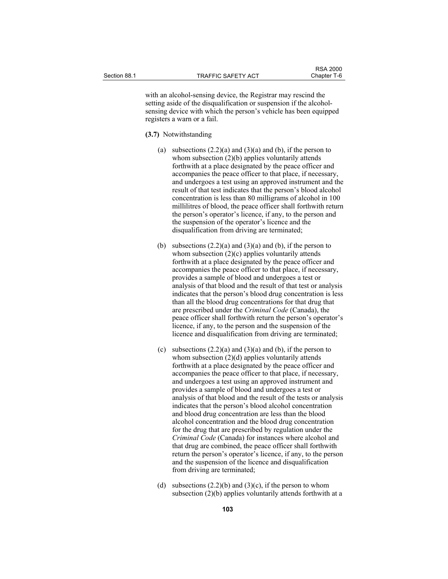with an alcohol-sensing device, the Registrar may rescind the setting aside of the disqualification or suspension if the alcoholsensing device with which the person's vehicle has been equipped registers a warn or a fail.

**(3.7)** Notwithstanding

- (a) subsections  $(2.2)(a)$  and  $(3)(a)$  and (b), if the person to whom subsection (2)(b) applies voluntarily attends forthwith at a place designated by the peace officer and accompanies the peace officer to that place, if necessary, and undergoes a test using an approved instrument and the result of that test indicates that the person's blood alcohol concentration is less than 80 milligrams of alcohol in 100 millilitres of blood, the peace officer shall forthwith return the person's operator's licence, if any, to the person and the suspension of the operator's licence and the disqualification from driving are terminated;
- (b) subsections  $(2.2)(a)$  and  $(3)(a)$  and (b), if the person to whom subsection  $(2)(c)$  applies voluntarily attends forthwith at a place designated by the peace officer and accompanies the peace officer to that place, if necessary, provides a sample of blood and undergoes a test or analysis of that blood and the result of that test or analysis indicates that the person's blood drug concentration is less than all the blood drug concentrations for that drug that are prescribed under the *Criminal Code* (Canada), the peace officer shall forthwith return the person's operator's licence, if any, to the person and the suspension of the licence and disqualification from driving are terminated;
- (c) subsections  $(2.2)(a)$  and  $(3)(a)$  and  $(b)$ , if the person to whom subsection  $(2)(d)$  applies voluntarily attends forthwith at a place designated by the peace officer and accompanies the peace officer to that place, if necessary, and undergoes a test using an approved instrument and provides a sample of blood and undergoes a test or analysis of that blood and the result of the tests or analysis indicates that the person's blood alcohol concentration and blood drug concentration are less than the blood alcohol concentration and the blood drug concentration for the drug that are prescribed by regulation under the *Criminal Code* (Canada) for instances where alcohol and that drug are combined, the peace officer shall forthwith return the person's operator's licence, if any, to the person and the suspension of the licence and disqualification from driving are terminated;
- (d) subsections  $(2.2)(b)$  and  $(3)(c)$ , if the person to whom subsection (2)(b) applies voluntarily attends forthwith at a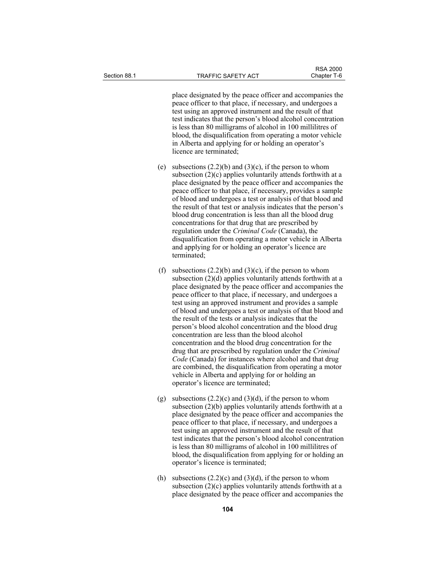place designated by the peace officer and accompanies the peace officer to that place, if necessary, and undergoes a test using an approved instrument and the result of that test indicates that the person's blood alcohol concentration is less than 80 milligrams of alcohol in 100 millilitres of blood, the disqualification from operating a motor vehicle in Alberta and applying for or holding an operator's licence are terminated;

- (e) subsections  $(2.2)(b)$  and  $(3)(c)$ , if the person to whom subsection  $(2)(c)$  applies voluntarily attends forthwith at a place designated by the peace officer and accompanies the peace officer to that place, if necessary, provides a sample of blood and undergoes a test or analysis of that blood and the result of that test or analysis indicates that the person's blood drug concentration is less than all the blood drug concentrations for that drug that are prescribed by regulation under the *Criminal Code* (Canada), the disqualification from operating a motor vehicle in Alberta and applying for or holding an operator's licence are terminated;
- (f) subsections  $(2.2)(b)$  and  $(3)(c)$ , if the person to whom subsection (2)(d) applies voluntarily attends forthwith at a place designated by the peace officer and accompanies the peace officer to that place, if necessary, and undergoes a test using an approved instrument and provides a sample of blood and undergoes a test or analysis of that blood and the result of the tests or analysis indicates that the person's blood alcohol concentration and the blood drug concentration are less than the blood alcohol concentration and the blood drug concentration for the drug that are prescribed by regulation under the *Criminal Code* (Canada) for instances where alcohol and that drug are combined, the disqualification from operating a motor vehicle in Alberta and applying for or holding an operator's licence are terminated;
- (g) subsections  $(2.2)(c)$  and  $(3)(d)$ , if the person to whom subsection (2)(b) applies voluntarily attends forthwith at a place designated by the peace officer and accompanies the peace officer to that place, if necessary, and undergoes a test using an approved instrument and the result of that test indicates that the person's blood alcohol concentration is less than 80 milligrams of alcohol in 100 millilitres of blood, the disqualification from applying for or holding an operator's licence is terminated;
- (h) subsections  $(2.2)(c)$  and  $(3)(d)$ , if the person to whom subsection (2)(c) applies voluntarily attends forthwith at a place designated by the peace officer and accompanies the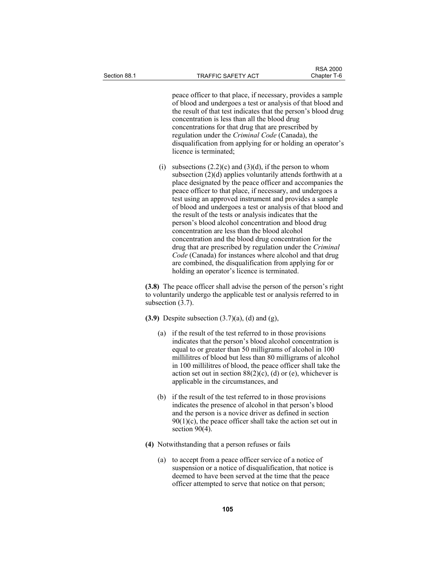peace officer to that place, if necessary, provides a sample of blood and undergoes a test or analysis of that blood and the result of that test indicates that the person's blood drug concentration is less than all the blood drug concentrations for that drug that are prescribed by regulation under the *Criminal Code* (Canada), the disqualification from applying for or holding an operator's licence is terminated;

(i) subsections  $(2.2)(c)$  and  $(3)(d)$ , if the person to whom subsection  $(2)(d)$  applies voluntarily attends forthwith at a place designated by the peace officer and accompanies the peace officer to that place, if necessary, and undergoes a test using an approved instrument and provides a sample of blood and undergoes a test or analysis of that blood and the result of the tests or analysis indicates that the person's blood alcohol concentration and blood drug concentration are less than the blood alcohol concentration and the blood drug concentration for the drug that are prescribed by regulation under the *Criminal Code* (Canada) for instances where alcohol and that drug are combined, the disqualification from applying for or holding an operator's licence is terminated.

**(3.8)** The peace officer shall advise the person of the person's right to voluntarily undergo the applicable test or analysis referred to in subsection  $(3.7)$ .

**(3.9)** Despite subsection (3.7)(a), (d) and (g),

- (a) if the result of the test referred to in those provisions indicates that the person's blood alcohol concentration is equal to or greater than 50 milligrams of alcohol in 100 millilitres of blood but less than 80 milligrams of alcohol in 100 millilitres of blood, the peace officer shall take the action set out in section  $88(2)(c)$ , (d) or (e), whichever is applicable in the circumstances, and
- (b) if the result of the test referred to in those provisions indicates the presence of alcohol in that person's blood and the person is a novice driver as defined in section  $90(1)(c)$ , the peace officer shall take the action set out in section 90(4).
- **(4)** Notwithstanding that a person refuses or fails
	- (a) to accept from a peace officer service of a notice of suspension or a notice of disqualification, that notice is deemed to have been served at the time that the peace officer attempted to serve that notice on that person;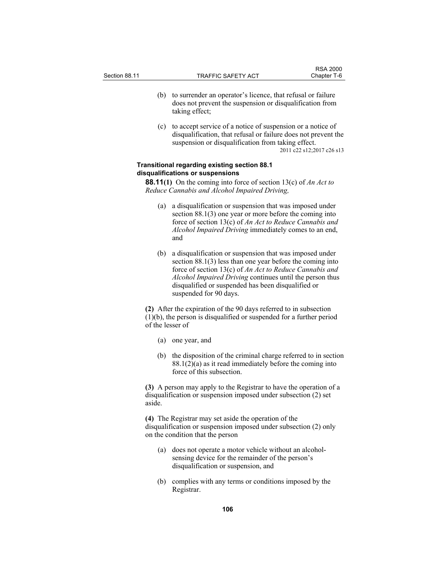- (b) to surrender an operator's licence, that refusal or failure does not prevent the suspension or disqualification from taking effect;
- (c) to accept service of a notice of suspension or a notice of disqualification, that refusal or failure does not prevent the suspension or disqualification from taking effect. 2011 c22 s12;2017 c26 s13

# **Transitional regarding existing section 88.1 disqualifications or suspensions**

**88.11(1)** On the coming into force of section 13(c) of *An Act to Reduce Cannabis and Alcohol Impaired Driving,*

- (a) a disqualification or suspension that was imposed under section 88.1(3) one year or more before the coming into force of section 13(c) of *An Act to Reduce Cannabis and Alcohol Impaired Driving* immediately comes to an end, and
- (b) a disqualification or suspension that was imposed under section 88.1(3) less than one year before the coming into force of section 13(c) of *An Act to Reduce Cannabis and Alcohol Impaired Driving* continues until the person thus disqualified or suspended has been disqualified or suspended for 90 days.

**(2)** After the expiration of the 90 days referred to in subsection (1)(b), the person is disqualified or suspended for a further period of the lesser of

- (a) one year, and
- (b) the disposition of the criminal charge referred to in section 88.1(2)(a) as it read immediately before the coming into force of this subsection.

**(3)** A person may apply to the Registrar to have the operation of a disqualification or suspension imposed under subsection (2) set aside.

**(4)** The Registrar may set aside the operation of the disqualification or suspension imposed under subsection (2) only on the condition that the person

- (a) does not operate a motor vehicle without an alcoholsensing device for the remainder of the person's disqualification or suspension, and
- (b) complies with any terms or conditions imposed by the Registrar.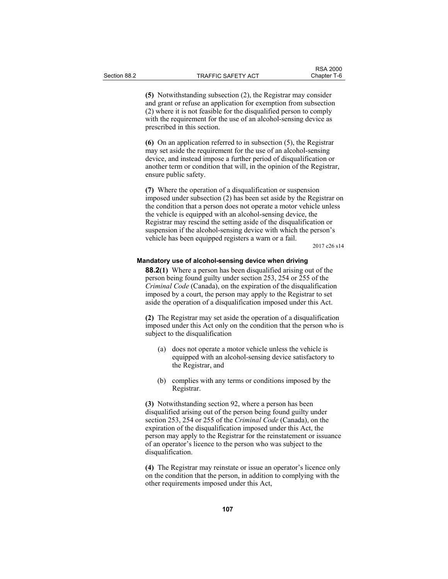**(5)** Notwithstanding subsection (2), the Registrar may consider and grant or refuse an application for exemption from subsection (2) where it is not feasible for the disqualified person to comply with the requirement for the use of an alcohol-sensing device as prescribed in this section.

**(6)** On an application referred to in subsection (5), the Registrar may set aside the requirement for the use of an alcohol-sensing device, and instead impose a further period of disqualification or another term or condition that will, in the opinion of the Registrar, ensure public safety.

**(7)** Where the operation of a disqualification or suspension imposed under subsection (2) has been set aside by the Registrar on the condition that a person does not operate a motor vehicle unless the vehicle is equipped with an alcohol-sensing device, the Registrar may rescind the setting aside of the disqualification or suspension if the alcohol-sensing device with which the person's vehicle has been equipped registers a warn or a fail.

2017 c26 s14

# **Mandatory use of alcohol-sensing device when driving**

**88.2(1)** Where a person has been disqualified arising out of the person being found guilty under section 253, 254 or 255 of the *Criminal Code* (Canada), on the expiration of the disqualification imposed by a court, the person may apply to the Registrar to set aside the operation of a disqualification imposed under this Act.

**(2)** The Registrar may set aside the operation of a disqualification imposed under this Act only on the condition that the person who is subject to the disqualification

- (a) does not operate a motor vehicle unless the vehicle is equipped with an alcohol-sensing device satisfactory to the Registrar, and
- (b) complies with any terms or conditions imposed by the Registrar.

**(3)** Notwithstanding section 92, where a person has been disqualified arising out of the person being found guilty under section 253, 254 or 255 of the *Criminal Code* (Canada), on the expiration of the disqualification imposed under this Act, the person may apply to the Registrar for the reinstatement or issuance of an operator's licence to the person who was subject to the disqualification.

**(4)** The Registrar may reinstate or issue an operator's licence only on the condition that the person, in addition to complying with the other requirements imposed under this Act,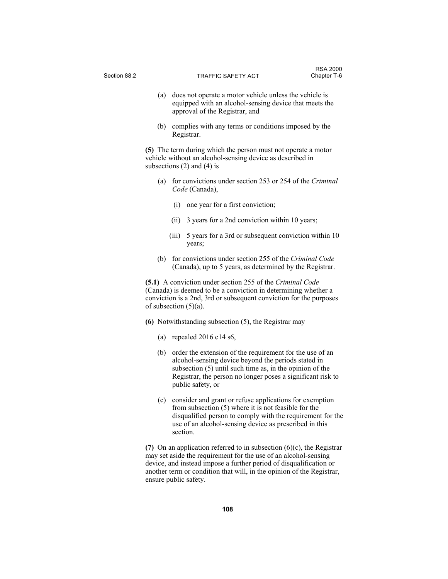| Section 88.2 |                          |       | TRAFFIC SAFETY ACT                                                                                                                                                                                                                                                                         | <b>RSA 2000</b><br>Chapter T-6 |
|--------------|--------------------------|-------|--------------------------------------------------------------------------------------------------------------------------------------------------------------------------------------------------------------------------------------------------------------------------------------------|--------------------------------|
|              |                          |       |                                                                                                                                                                                                                                                                                            |                                |
|              | (a)                      |       | does not operate a motor vehicle unless the vehicle is<br>equipped with an alcohol-sensing device that meets the<br>approval of the Registrar, and                                                                                                                                         |                                |
|              | (b)                      |       | complies with any terms or conditions imposed by the<br>Registrar.                                                                                                                                                                                                                         |                                |
|              |                          |       | (5) The term during which the person must not operate a motor<br>vehicle without an alcohol-sensing device as described in<br>subsections $(2)$ and $(4)$ is                                                                                                                               |                                |
|              |                          |       | (a) for convictions under section 253 or 254 of the Criminal<br>Code (Canada),                                                                                                                                                                                                             |                                |
|              |                          |       | (i) one year for a first conviction;                                                                                                                                                                                                                                                       |                                |
|              |                          | (ii)  | 3 years for a 2nd conviction within 10 years;                                                                                                                                                                                                                                              |                                |
|              |                          | (iii) | 5 years for a 3rd or subsequent conviction within 10<br>years;                                                                                                                                                                                                                             |                                |
|              |                          |       | (b) for convictions under section 255 of the Criminal Code<br>(Canada), up to 5 years, as determined by the Registrar.                                                                                                                                                                     |                                |
|              | of subsection $(5)(a)$ . |       | (5.1) A conviction under section 255 of the Criminal Code<br>(Canada) is deemed to be a conviction in determining whether a<br>conviction is a 2nd, 3rd or subsequent conviction for the purposes                                                                                          |                                |
|              |                          |       | $(6)$ Notwithstanding subsection $(5)$ , the Registrar may                                                                                                                                                                                                                                 |                                |
|              |                          |       | (a) repealed $2016 \text{ c}14 \text{ s}6$ ,                                                                                                                                                                                                                                               |                                |
|              | (b)                      |       | order the extension of the requirement for the use of an<br>alcohol-sensing device beyond the periods stated in<br>subsection (5) until such time as, in the opinion of the<br>Registrar, the person no longer poses a significant risk to<br>public safety, or                            |                                |
|              |                          |       | (c) consider and grant or refuse applications for exemption<br>from subsection $(5)$ where it is not feasible for the<br>disqualified person to comply with the requirement for the<br>use of an alcohol-sensing device as prescribed in this<br>section.                                  |                                |
|              | ensure public safety.    |       | (7) On an application referred to in subsection $(6)(c)$ , the Registrar<br>may set aside the requirement for the use of an alcohol-sensing<br>device, and instead impose a further period of disqualification or<br>another term or condition that will, in the opinion of the Registrar, |                                |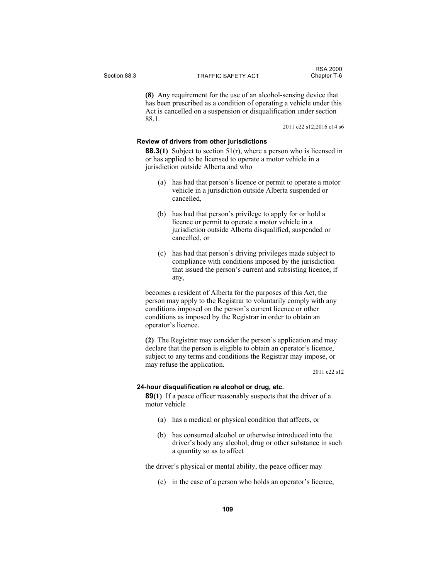**(8)** Any requirement for the use of an alcohol-sensing device that has been prescribed as a condition of operating a vehicle under this Act is cancelled on a suspension or disqualification under section 88.1.

2011 c22 s12;2016 c14 s6

## **Review of drivers from other jurisdictions**

**88.3(1)** Subject to section 51(r), where a person who is licensed in or has applied to be licensed to operate a motor vehicle in a jurisdiction outside Alberta and who

- (a) has had that person's licence or permit to operate a motor vehicle in a jurisdiction outside Alberta suspended or cancelled,
- (b) has had that person's privilege to apply for or hold a licence or permit to operate a motor vehicle in a jurisdiction outside Alberta disqualified, suspended or cancelled, or
- (c) has had that person's driving privileges made subject to compliance with conditions imposed by the jurisdiction that issued the person's current and subsisting licence, if any,

becomes a resident of Alberta for the purposes of this Act, the person may apply to the Registrar to voluntarily comply with any conditions imposed on the person's current licence or other conditions as imposed by the Registrar in order to obtain an operator's licence.

**(2)** The Registrar may consider the person's application and may declare that the person is eligible to obtain an operator's licence, subject to any terms and conditions the Registrar may impose, or may refuse the application.

2011 c22 s12

### **24-hour disqualification re alcohol or drug, etc.**

**89(1)** If a peace officer reasonably suspects that the driver of a motor vehicle

- (a) has a medical or physical condition that affects, or
- (b) has consumed alcohol or otherwise introduced into the driver's body any alcohol, drug or other substance in such a quantity so as to affect

the driver's physical or mental ability, the peace officer may

(c) in the case of a person who holds an operator's licence,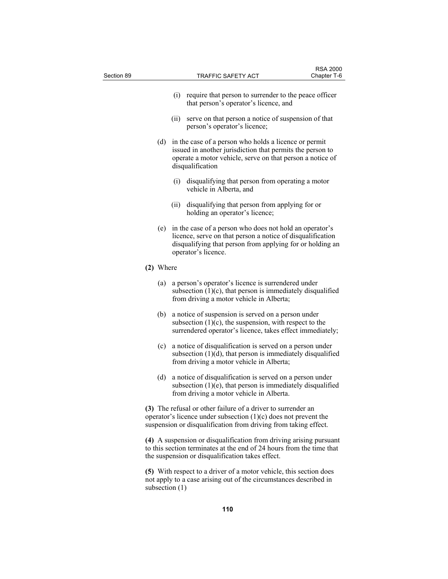| Section 89 |           |      | <b>TRAFFIC SAFETY ACT</b>                                                                                                                                                                                 | <b>RSA 2000</b><br>Chapter T-6 |
|------------|-----------|------|-----------------------------------------------------------------------------------------------------------------------------------------------------------------------------------------------------------|--------------------------------|
|            |           | (i)  | require that person to surrender to the peace officer                                                                                                                                                     |                                |
|            |           |      | that person's operator's licence, and                                                                                                                                                                     |                                |
|            |           | (ii) | serve on that person a notice of suspension of that<br>person's operator's licence;                                                                                                                       |                                |
|            | (d)       |      | in the case of a person who holds a licence or permit<br>issued in another jurisdiction that permits the person to<br>operate a motor vehicle, serve on that person a notice of<br>disqualification       |                                |
|            |           | (i)  | disqualifying that person from operating a motor<br>vehicle in Alberta, and                                                                                                                               |                                |
|            |           | (ii) | disqualifying that person from applying for or<br>holding an operator's licence;                                                                                                                          |                                |
|            | (e)       |      | in the case of a person who does not hold an operator's<br>licence, serve on that person a notice of disqualification<br>disqualifying that person from applying for or holding an<br>operator's licence. |                                |
|            | (2) Where |      |                                                                                                                                                                                                           |                                |
|            | (a)       |      | a person's operator's licence is surrendered under<br>subsection $(1)(c)$ , that person is immediately disqualified<br>from driving a motor vehicle in Alberta;                                           |                                |
|            | (b)       |      | a notice of suspension is served on a person under<br>subsection $(1)(c)$ , the suspension, with respect to the<br>surrendered operator's licence, takes effect immediately;                              |                                |
|            | (c)       |      | a notice of disqualification is served on a person under<br>subsection $(1)(d)$ , that person is immediately disqualified<br>from driving a motor vehicle in Alberta;                                     |                                |
|            | (d)       |      | a notice of disqualification is served on a person under<br>subsection (1)(e), that person is immediately disqualified<br>from driving a motor vehicle in Alberta.                                        |                                |
|            |           |      | (3) The refusal or other failure of a driver to surrender an<br>operator's licence under subsection $(1)(c)$ does not prevent the<br>suspension or disqualification from driving from taking effect.      |                                |
|            |           |      | (4) A suspension or disqualification from driving arising pursuant<br>to this section terminates at the end of 24 hours from the time that<br>the suspension or disqualification takes effect.            |                                |

**(5)** With respect to a driver of a motor vehicle, this section does not apply to a case arising out of the circumstances described in subsection (1)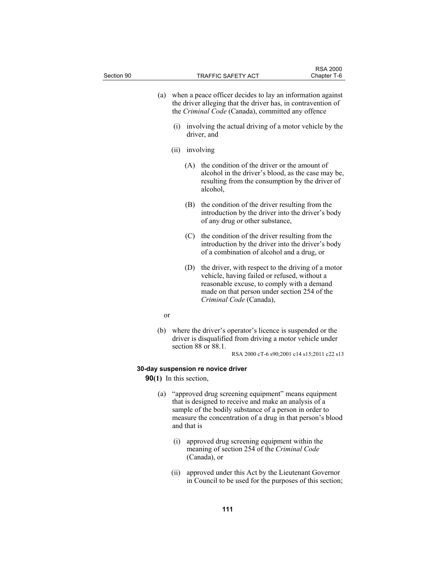| Section 90    |                                                                     | TRAFFIC SAFETY ACT                                                                                                                                                                                                                                                                   | <b>RSA 2000</b><br>Chapter T-6              |
|---------------|---------------------------------------------------------------------|--------------------------------------------------------------------------------------------------------------------------------------------------------------------------------------------------------------------------------------------------------------------------------------|---------------------------------------------|
|               |                                                                     | (a) when a peace officer decides to lay an information against<br>the driver alleging that the driver has, in contravention of<br>the Criminal Code (Canada), committed any offence<br>(i) involving the actual driving of a motor vehicle by the                                    |                                             |
|               | driver, and                                                         |                                                                                                                                                                                                                                                                                      |                                             |
|               | (ii) involving                                                      |                                                                                                                                                                                                                                                                                      |                                             |
|               | (A)<br>alcohol,                                                     | the condition of the driver or the amount of<br>alcohol in the driver's blood, as the case may be,<br>resulting from the consumption by the driver of                                                                                                                                |                                             |
|               | (B)                                                                 | the condition of the driver resulting from the<br>introduction by the driver into the driver's body<br>of any drug or other substance,                                                                                                                                               |                                             |
|               | (C)                                                                 | the condition of the driver resulting from the<br>introduction by the driver into the driver's body<br>of a combination of alcohol and a drug, or                                                                                                                                    |                                             |
|               | (D)                                                                 | the driver, with respect to the driving of a motor<br>vehicle, having failed or refused, without a<br>reasonable excuse, to comply with a demand<br>made on that person under section 254 of the<br>Criminal Code (Canada),                                                          |                                             |
| <sub>or</sub> |                                                                     |                                                                                                                                                                                                                                                                                      |                                             |
| (b)           | section 88 or 88.1.                                                 | where the driver's operator's licence is suspended or the<br>driver is disqualified from driving a motor vehicle under                                                                                                                                                               | RSA 2000 cT-6 s90;2001 c14 s15;2011 c22 s13 |
|               |                                                                     |                                                                                                                                                                                                                                                                                      |                                             |
|               | 30-day suspension re novice driver<br><b>90(1)</b> In this section, |                                                                                                                                                                                                                                                                                      |                                             |
| (a)           | and that is<br>$\left( 1\right)$                                    | "approved drug screening equipment" means equipment<br>that is designed to receive and make an analysis of a<br>sample of the bodily substance of a person in order to<br>measure the concentration of a drug in that person's blood<br>approved drug screening equipment within the |                                             |

 (ii) approved under this Act by the Lieutenant Governor in Council to be used for the purposes of this section;

meaning of section 254 of the *Criminal Code*

(Canada), or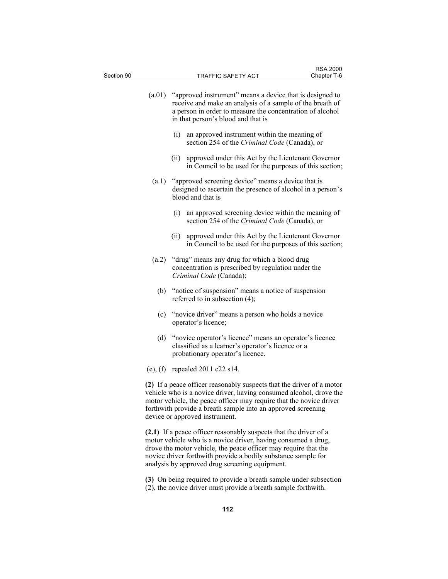| Section 90 | <b>TRAFFIC SAFETY ACT</b>                                                                                                                                                                                                                                                                                            | Chapter T-6 |
|------------|----------------------------------------------------------------------------------------------------------------------------------------------------------------------------------------------------------------------------------------------------------------------------------------------------------------------|-------------|
| (a.01)     | "approved instrument" means a device that is designed to<br>receive and make an analysis of a sample of the breath of<br>a person in order to measure the concentration of alcohol<br>in that person's blood and that is                                                                                             |             |
|            | (i)<br>an approved instrument within the meaning of<br>section 254 of the Criminal Code (Canada), or                                                                                                                                                                                                                 |             |
|            | approved under this Act by the Lieutenant Governor<br>(i)<br>in Council to be used for the purposes of this section;                                                                                                                                                                                                 |             |
| (a.1)      | "approved screening device" means a device that is<br>designed to ascertain the presence of alcohol in a person's<br>blood and that is                                                                                                                                                                               |             |
|            | an approved screening device within the meaning of<br>(i)<br>section 254 of the Criminal Code (Canada), or                                                                                                                                                                                                           |             |
|            | approved under this Act by the Lieutenant Governor<br>(ii)<br>in Council to be used for the purposes of this section;                                                                                                                                                                                                |             |
|            | (a.2) "drug" means any drug for which a blood drug<br>concentration is prescribed by regulation under the<br>Criminal Code (Canada);                                                                                                                                                                                 |             |
| (b)        | "notice of suspension" means a notice of suspension<br>referred to in subsection $(4)$ ;                                                                                                                                                                                                                             |             |
| (c)        | "novice driver" means a person who holds a novice<br>operator's licence;                                                                                                                                                                                                                                             |             |
| (d)        | "novice operator's licence" means an operator's licence<br>classified as a learner's operator's licence or a<br>probationary operator's licence.                                                                                                                                                                     |             |
|            | (e), (f) repealed $2011 c22 s14$ .                                                                                                                                                                                                                                                                                   |             |
|            | (2) If a peace officer reasonably suspects that the driver of a motor<br>vehicle who is a novice driver, having consumed alcohol, drove the<br>motor vehicle, the peace officer may require that the novice driver<br>forthwith provide a breath sample into an approved screening<br>device or approved instrument. |             |
|            | (2.1) If a peace officer reasonably suspects that the driver of a<br>motor vehicle who is a novice driver, having consumed a drug,<br>drove the motor vehicle, the peace officer may require that the<br>novice driver forthwith provide a bodily substance sample for                                               |             |

RSA 2000

**(3)** On being required to provide a breath sample under subsection (2), the novice driver must provide a breath sample forthwith.

analysis by approved drug screening equipment.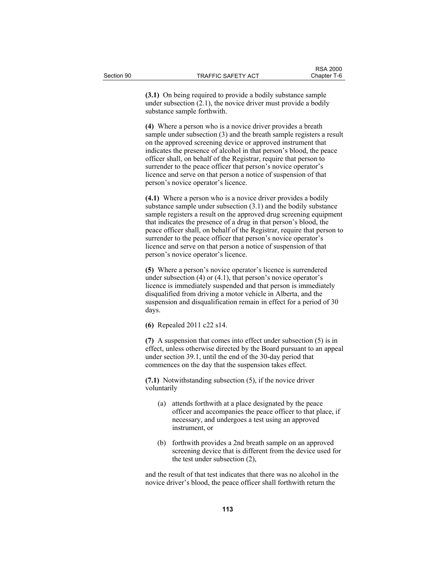**(3.1)** On being required to provide a bodily substance sample under subsection (2.1), the novice driver must provide a bodily substance sample forthwith.

**(4)** Where a person who is a novice driver provides a breath sample under subsection (3) and the breath sample registers a result on the approved screening device or approved instrument that indicates the presence of alcohol in that person's blood, the peace officer shall, on behalf of the Registrar, require that person to surrender to the peace officer that person's novice operator's licence and serve on that person a notice of suspension of that person's novice operator's licence.

**(4.1)** Where a person who is a novice driver provides a bodily substance sample under subsection (3.1) and the bodily substance sample registers a result on the approved drug screening equipment that indicates the presence of a drug in that person's blood, the peace officer shall, on behalf of the Registrar, require that person to surrender to the peace officer that person's novice operator's licence and serve on that person a notice of suspension of that person's novice operator's licence.

**(5)** Where a person's novice operator's licence is surrendered under subsection  $(4)$  or  $(4.1)$ , that person's novice operator's licence is immediately suspended and that person is immediately disqualified from driving a motor vehicle in Alberta, and the suspension and disqualification remain in effect for a period of 30 days.

**(6)** Repealed 2011 c22 s14.

**(7)** A suspension that comes into effect under subsection (5) is in effect, unless otherwise directed by the Board pursuant to an appeal under section 39.1, until the end of the 30-day period that commences on the day that the suspension takes effect.

**(7.1)** Notwithstanding subsection (5), if the novice driver voluntarily

- (a) attends forthwith at a place designated by the peace officer and accompanies the peace officer to that place, if necessary, and undergoes a test using an approved instrument, or
- (b) forthwith provides a 2nd breath sample on an approved screening device that is different from the device used for the test under subsection (2),

and the result of that test indicates that there was no alcohol in the novice driver's blood, the peace officer shall forthwith return the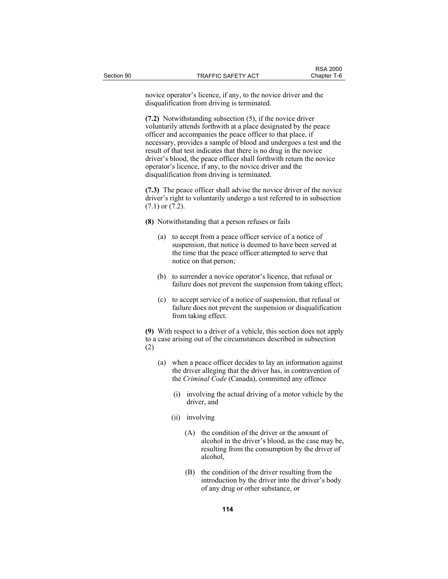novice operator's licence, if any, to the novice driver and the disqualification from driving is terminated.

**(7.2)** Notwithstanding subsection (5), if the novice driver voluntarily attends forthwith at a place designated by the peace officer and accompanies the peace officer to that place, if necessary, provides a sample of blood and undergoes a test and the result of that test indicates that there is no drug in the novice driver's blood, the peace officer shall forthwith return the novice operator's licence, if any, to the novice driver and the disqualification from driving is terminated.

**(7.3)** The peace officer shall advise the novice driver of the novice driver's right to voluntarily undergo a test referred to in subsection (7.1) or (7.2).

- **(8)** Notwithstanding that a person refuses or fails
	- (a) to accept from a peace officer service of a notice of suspension, that notice is deemed to have been served at the time that the peace officer attempted to serve that notice on that person;
	- (b) to surrender a novice operator's licence, that refusal or failure does not prevent the suspension from taking effect;
	- (c) to accept service of a notice of suspension, that refusal or failure does not prevent the suspension or disqualification from taking effect.

**(9)** With respect to a driver of a vehicle, this section does not apply to a case arising out of the circumstances described in subsection (2)

- (a) when a peace officer decides to lay an information against the driver alleging that the driver has, in contravention of the *Criminal Code* (Canada), committed any offence
	- (i) involving the actual driving of a motor vehicle by the driver, and
	- (ii) involving
		- (A) the condition of the driver or the amount of alcohol in the driver's blood, as the case may be, resulting from the consumption by the driver of alcohol,
		- (B) the condition of the driver resulting from the introduction by the driver into the driver's body of any drug or other substance, or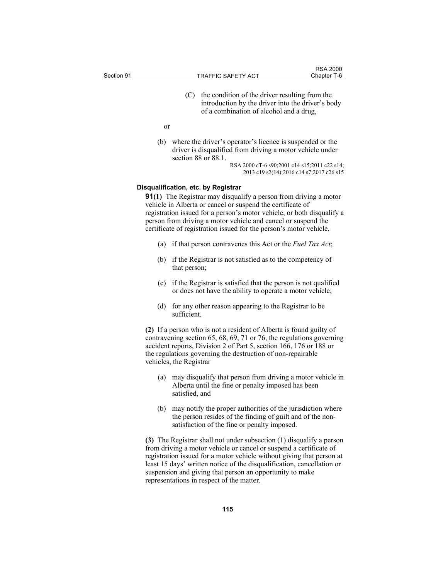| Section 91 |    | TRAFFIC SAFETY ACT                                                                                                                             | <b>RSA 2000</b><br>Chapter T-6 |
|------------|----|------------------------------------------------------------------------------------------------------------------------------------------------|--------------------------------|
|            |    | the condition of the driver resulting from the<br>introduction by the driver into the driver's body<br>of a combination of alcohol and a drug, |                                |
|            | or |                                                                                                                                                |                                |
|            |    | (b) where the driver's operator's licence is suspended or the                                                                                  |                                |

 (b) where the driver's operator's licence is suspended or the driver is disqualified from driving a motor vehicle under section 88 or 88.1.

RSA 2000 cT-6 s90;2001 c14 s15;2011 c22 s14; 2013 c19 s2(14);2016 c14 s7;2017 c26 s15

### **Disqualification, etc. by Registrar**

**91(1)** The Registrar may disqualify a person from driving a motor vehicle in Alberta or cancel or suspend the certificate of registration issued for a person's motor vehicle, or both disqualify a person from driving a motor vehicle and cancel or suspend the certificate of registration issued for the person's motor vehicle,

- (a) if that person contravenes this Act or the *Fuel Tax Act*;
- (b) if the Registrar is not satisfied as to the competency of that person;
- (c) if the Registrar is satisfied that the person is not qualified or does not have the ability to operate a motor vehicle;
- (d) for any other reason appearing to the Registrar to be sufficient.

**(2)** If a person who is not a resident of Alberta is found guilty of contravening section 65, 68, 69, 71 or 76, the regulations governing accident reports, Division 2 of Part 5, section 166, 176 or 188 or the regulations governing the destruction of non-repairable vehicles, the Registrar

- (a) may disqualify that person from driving a motor vehicle in Alberta until the fine or penalty imposed has been satisfied, and
- (b) may notify the proper authorities of the jurisdiction where the person resides of the finding of guilt and of the nonsatisfaction of the fine or penalty imposed.

**(3)** The Registrar shall not under subsection (1) disqualify a person from driving a motor vehicle or cancel or suspend a certificate of registration issued for a motor vehicle without giving that person at least 15 days' written notice of the disqualification, cancellation or suspension and giving that person an opportunity to make representations in respect of the matter.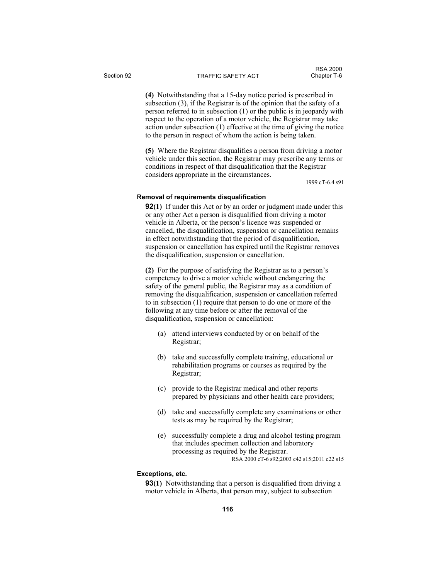**(4)** Notwithstanding that a 15-day notice period is prescribed in subsection (3), if the Registrar is of the opinion that the safety of a person referred to in subsection (1) or the public is in jeopardy with respect to the operation of a motor vehicle, the Registrar may take action under subsection (1) effective at the time of giving the notice to the person in respect of whom the action is being taken.

**(5)** Where the Registrar disqualifies a person from driving a motor vehicle under this section, the Registrar may prescribe any terms or conditions in respect of that disqualification that the Registrar considers appropriate in the circumstances.

1999 cT-6.4 s91

### **Removal of requirements disqualification**

**92(1)** If under this Act or by an order or judgment made under this or any other Act a person is disqualified from driving a motor vehicle in Alberta, or the person's licence was suspended or cancelled, the disqualification, suspension or cancellation remains in effect notwithstanding that the period of disqualification, suspension or cancellation has expired until the Registrar removes the disqualification, suspension or cancellation.

**(2)** For the purpose of satisfying the Registrar as to a person's competency to drive a motor vehicle without endangering the safety of the general public, the Registrar may as a condition of removing the disqualification, suspension or cancellation referred to in subsection (1) require that person to do one or more of the following at any time before or after the removal of the disqualification, suspension or cancellation:

- (a) attend interviews conducted by or on behalf of the Registrar;
- (b) take and successfully complete training, educational or rehabilitation programs or courses as required by the Registrar;
- (c) provide to the Registrar medical and other reports prepared by physicians and other health care providers;
- (d) take and successfully complete any examinations or other tests as may be required by the Registrar;
- (e) successfully complete a drug and alcohol testing program that includes specimen collection and laboratory processing as required by the Registrar. RSA 2000 cT-6 s92;2003 c42 s15;2011 c22 s15

# **Exceptions, etc.**

**93(1)** Notwithstanding that a person is disqualified from driving a motor vehicle in Alberta, that person may, subject to subsection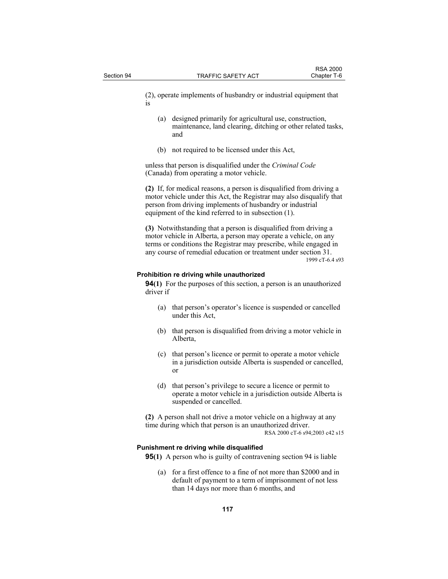(2), operate implements of husbandry or industrial equipment that is

- (a) designed primarily for agricultural use, construction, maintenance, land clearing, ditching or other related tasks, and
- (b) not required to be licensed under this Act,

unless that person is disqualified under the *Criminal Code* (Canada) from operating a motor vehicle.

**(2)** If, for medical reasons, a person is disqualified from driving a motor vehicle under this Act, the Registrar may also disqualify that person from driving implements of husbandry or industrial equipment of the kind referred to in subsection (1).

**(3)** Notwithstanding that a person is disqualified from driving a motor vehicle in Alberta, a person may operate a vehicle, on any terms or conditions the Registrar may prescribe, while engaged in any course of remedial education or treatment under section 31. 1999 cT-6.4 s93

### **Prohibition re driving while unauthorized**

**94(1)** For the purposes of this section, a person is an unauthorized driver if

- (a) that person's operator's licence is suspended or cancelled under this Act,
- (b) that person is disqualified from driving a motor vehicle in Alberta,
- (c) that person's licence or permit to operate a motor vehicle in a jurisdiction outside Alberta is suspended or cancelled, or
- (d) that person's privilege to secure a licence or permit to operate a motor vehicle in a jurisdiction outside Alberta is suspended or cancelled.

**(2)** A person shall not drive a motor vehicle on a highway at any time during which that person is an unauthorized driver. RSA 2000 cT-6 s94;2003 c42 s15

### **Punishment re driving while disqualified**

**95(1)** A person who is guilty of contravening section 94 is liable

 (a) for a first offence to a fine of not more than \$2000 and in default of payment to a term of imprisonment of not less than 14 days nor more than 6 months, and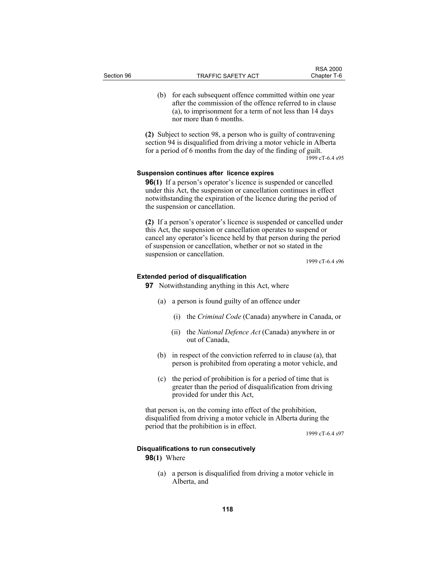(b) for each subsequent offence committed within one year after the commission of the offence referred to in clause (a), to imprisonment for a term of not less than 14 days nor more than 6 months.

**(2)** Subject to section 98, a person who is guilty of contravening section 94 is disqualified from driving a motor vehicle in Alberta for a period of 6 months from the day of the finding of guilt. 1999 cT-6.4 s95

## **Suspension continues after licence expires**

**96(1)** If a person's operator's licence is suspended or cancelled under this Act, the suspension or cancellation continues in effect notwithstanding the expiration of the licence during the period of the suspension or cancellation.

**(2)** If a person's operator's licence is suspended or cancelled under this Act, the suspension or cancellation operates to suspend or cancel any operator's licence held by that person during the period of suspension or cancellation, whether or not so stated in the suspension or cancellation.

1999 cT-6.4 s96

### **Extended period of disqualification**

**97** Notwithstanding anything in this Act, where

- (a) a person is found guilty of an offence under
	- (i) the *Criminal Code* (Canada) anywhere in Canada, or
	- (ii) the *National Defence Act* (Canada) anywhere in or out of Canada,
- (b) in respect of the conviction referred to in clause (a), that person is prohibited from operating a motor vehicle, and
- (c) the period of prohibition is for a period of time that is greater than the period of disqualification from driving provided for under this Act,

that person is, on the coming into effect of the prohibition, disqualified from driving a motor vehicle in Alberta during the period that the prohibition is in effect.

1999 cT-6.4 s97

#### **Disqualifications to run consecutively**

# **98(1)** Where

 (a) a person is disqualified from driving a motor vehicle in Alberta, and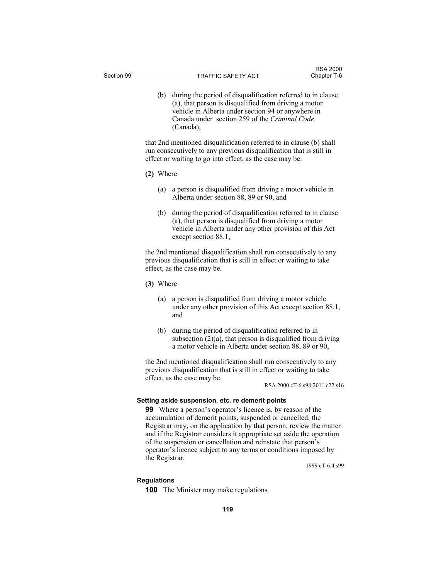(b) during the period of disqualification referred to in clause (a), that person is disqualified from driving a motor vehicle in Alberta under section 94 or anywhere in Canada under section 259 of the *Criminal Code* (Canada),

that 2nd mentioned disqualification referred to in clause (b) shall run consecutively to any previous disqualification that is still in effect or waiting to go into effect, as the case may be.

- **(2)** Where
	- (a) a person is disqualified from driving a motor vehicle in Alberta under section 88, 89 or 90, and
	- (b) during the period of disqualification referred to in clause (a), that person is disqualified from driving a motor vehicle in Alberta under any other provision of this Act except section 88.1,

the 2nd mentioned disqualification shall run consecutively to any previous disqualification that is still in effect or waiting to take effect, as the case may be.

- **(3)** Where
	- (a) a person is disqualified from driving a motor vehicle under any other provision of this Act except section 88.1, and
	- (b) during the period of disqualification referred to in subsection  $(2)(a)$ , that person is disqualified from driving a motor vehicle in Alberta under section 88, 89 or 90,

the 2nd mentioned disqualification shall run consecutively to any previous disqualification that is still in effect or waiting to take effect, as the case may be.

RSA 2000 cT-6 s98;2011 c22 s16

## **Setting aside suspension, etc. re demerit points**

**99** Where a person's operator's licence is, by reason of the accumulation of demerit points, suspended or cancelled, the Registrar may, on the application by that person, review the matter and if the Registrar considers it appropriate set aside the operation of the suspension or cancellation and reinstate that person's operator's licence subject to any terms or conditions imposed by the Registrar.

1999 cT-6.4 s99

#### **Regulations**

**100** The Minister may make regulations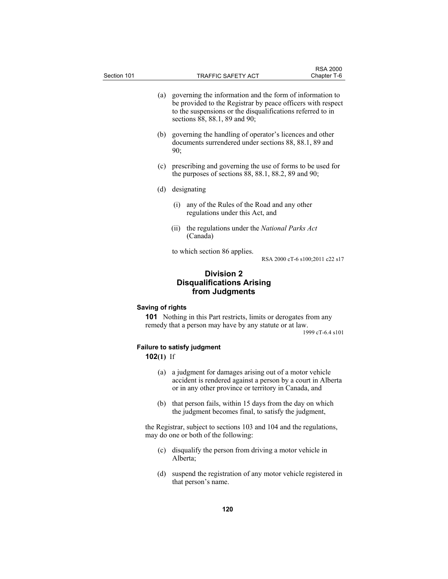| Section 101 |     |      | <b>TRAFFIC SAFETY ACT</b>                                                                                                                                                                                                  | <b>RSA 2000</b><br>Chapter T-6  |
|-------------|-----|------|----------------------------------------------------------------------------------------------------------------------------------------------------------------------------------------------------------------------------|---------------------------------|
|             |     |      | (a) governing the information and the form of information to<br>be provided to the Registrar by peace officers with respect<br>to the suspensions or the disqualifications referred to in<br>sections 88, 88.1, 89 and 90; |                                 |
|             | (b) | 90:  | governing the handling of operator's licences and other<br>documents surrendered under sections 88, 88.1, 89 and                                                                                                           |                                 |
|             | (c) |      | prescribing and governing the use of forms to be used for<br>the purposes of sections $88, 88.1, 88.2, 89$ and $90$ ;                                                                                                      |                                 |
|             | (d) |      | designating                                                                                                                                                                                                                |                                 |
|             |     | (i)  | any of the Rules of the Road and any other<br>regulations under this Act, and                                                                                                                                              |                                 |
|             |     | (11) | the regulations under the National Parks Act<br>(Canada)                                                                                                                                                                   |                                 |
|             |     |      | to which section 86 applies.                                                                                                                                                                                               | RSA 2000 cT-6 s100;2011 c22 s17 |
|             |     |      | <b>Division 2</b><br><b>Disqualifications Arising</b><br>from Judgments                                                                                                                                                    |                                 |

# **Saving of rights**

**101** Nothing in this Part restricts, limits or derogates from any remedy that a person may have by any statute or at law.

1999 cT-6.4 s101

# **Failure to satisfy judgment**

# **102(1)** If

- (a) a judgment for damages arising out of a motor vehicle accident is rendered against a person by a court in Alberta or in any other province or territory in Canada, and
- (b) that person fails, within 15 days from the day on which the judgment becomes final, to satisfy the judgment,

the Registrar, subject to sections 103 and 104 and the regulations, may do one or both of the following:

- (c) disqualify the person from driving a motor vehicle in Alberta;
- (d) suspend the registration of any motor vehicle registered in that person's name.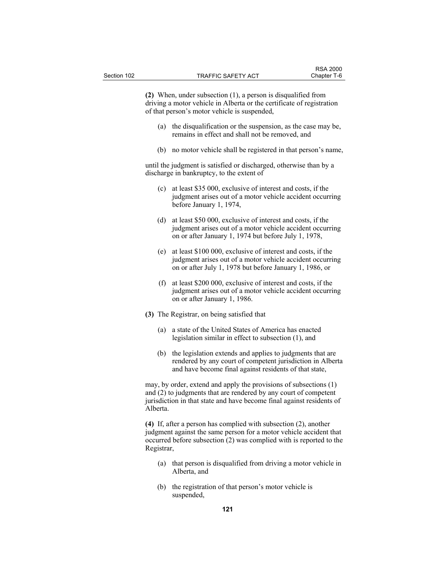**(2)** When, under subsection (1), a person is disqualified from driving a motor vehicle in Alberta or the certificate of registration of that person's motor vehicle is suspended,

- (a) the disqualification or the suspension, as the case may be, remains in effect and shall not be removed, and
- (b) no motor vehicle shall be registered in that person's name,

until the judgment is satisfied or discharged, otherwise than by a discharge in bankruptcy, to the extent of

- (c) at least \$35 000, exclusive of interest and costs, if the judgment arises out of a motor vehicle accident occurring before January 1, 1974,
- (d) at least \$50 000, exclusive of interest and costs, if the judgment arises out of a motor vehicle accident occurring on or after January 1, 1974 but before July 1, 1978,
- (e) at least \$100 000, exclusive of interest and costs, if the judgment arises out of a motor vehicle accident occurring on or after July 1, 1978 but before January 1, 1986, or
- (f) at least \$200 000, exclusive of interest and costs, if the judgment arises out of a motor vehicle accident occurring on or after January 1, 1986.
- **(3)** The Registrar, on being satisfied that
	- (a) a state of the United States of America has enacted legislation similar in effect to subsection (1), and
	- (b) the legislation extends and applies to judgments that are rendered by any court of competent jurisdiction in Alberta and have become final against residents of that state,

may, by order, extend and apply the provisions of subsections (1) and (2) to judgments that are rendered by any court of competent jurisdiction in that state and have become final against residents of Alberta.

**(4)** If, after a person has complied with subsection (2), another judgment against the same person for a motor vehicle accident that occurred before subsection (2) was complied with is reported to the Registrar,

- (a) that person is disqualified from driving a motor vehicle in Alberta, and
- (b) the registration of that person's motor vehicle is suspended,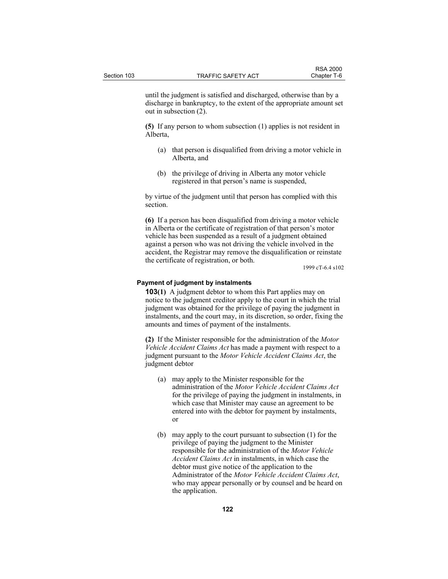until the judgment is satisfied and discharged, otherwise than by a discharge in bankruptcy, to the extent of the appropriate amount set out in subsection (2).

**(5)** If any person to whom subsection (1) applies is not resident in Alberta,

- (a) that person is disqualified from driving a motor vehicle in Alberta, and
- (b) the privilege of driving in Alberta any motor vehicle registered in that person's name is suspended,

by virtue of the judgment until that person has complied with this section.

**(6)** If a person has been disqualified from driving a motor vehicle in Alberta or the certificate of registration of that person's motor vehicle has been suspended as a result of a judgment obtained against a person who was not driving the vehicle involved in the accident, the Registrar may remove the disqualification or reinstate the certificate of registration, or both.

1999 cT-6.4 s102

### **Payment of judgment by instalments**

**103(1)** A judgment debtor to whom this Part applies may on notice to the judgment creditor apply to the court in which the trial judgment was obtained for the privilege of paying the judgment in instalments, and the court may, in its discretion, so order, fixing the amounts and times of payment of the instalments.

**(2)** If the Minister responsible for the administration of the *Motor Vehicle Accident Claims Act* has made a payment with respect to a judgment pursuant to the *Motor Vehicle Accident Claims Act*, the judgment debtor

- (a) may apply to the Minister responsible for the administration of the *Motor Vehicle Accident Claims Act* for the privilege of paying the judgment in instalments, in which case that Minister may cause an agreement to be entered into with the debtor for payment by instalments, or
- (b) may apply to the court pursuant to subsection (1) for the privilege of paying the judgment to the Minister responsible for the administration of the *Motor Vehicle Accident Claims Act* in instalments, in which case the debtor must give notice of the application to the Administrator of the *Motor Vehicle Accident Claims Act*, who may appear personally or by counsel and be heard on the application.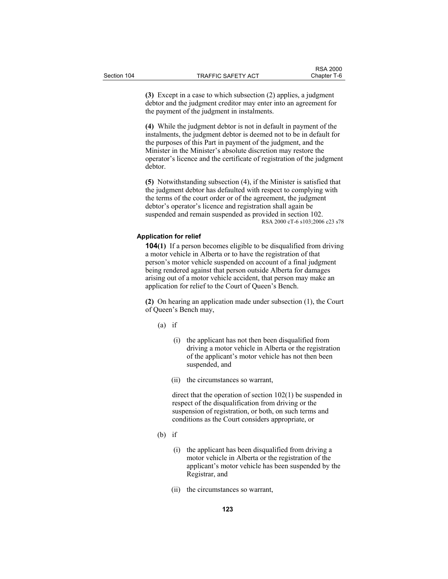**(3)** Except in a case to which subsection (2) applies, a judgment debtor and the judgment creditor may enter into an agreement for the payment of the judgment in instalments.

**(4)** While the judgment debtor is not in default in payment of the instalments, the judgment debtor is deemed not to be in default for the purposes of this Part in payment of the judgment, and the Minister in the Minister's absolute discretion may restore the operator's licence and the certificate of registration of the judgment debtor.

**(5)** Notwithstanding subsection (4), if the Minister is satisfied that the judgment debtor has defaulted with respect to complying with the terms of the court order or of the agreement, the judgment debtor's operator's licence and registration shall again be suspended and remain suspended as provided in section 102. RSA 2000 cT-6 s103;2006 c23 s78

### **Application for relief**

**104(1)** If a person becomes eligible to be disqualified from driving a motor vehicle in Alberta or to have the registration of that person's motor vehicle suspended on account of a final judgment being rendered against that person outside Alberta for damages arising out of a motor vehicle accident, that person may make an application for relief to the Court of Queen's Bench.

**(2)** On hearing an application made under subsection (1), the Court of Queen's Bench may,

(a) if

- (i) the applicant has not then been disqualified from driving a motor vehicle in Alberta or the registration of the applicant's motor vehicle has not then been suspended, and
- (ii) the circumstances so warrant,

 direct that the operation of section 102(1) be suspended in respect of the disqualification from driving or the suspension of registration, or both, on such terms and conditions as the Court considers appropriate, or

- $(b)$  if
	- (i) the applicant has been disqualified from driving a motor vehicle in Alberta or the registration of the applicant's motor vehicle has been suspended by the Registrar, and
	- (ii) the circumstances so warrant,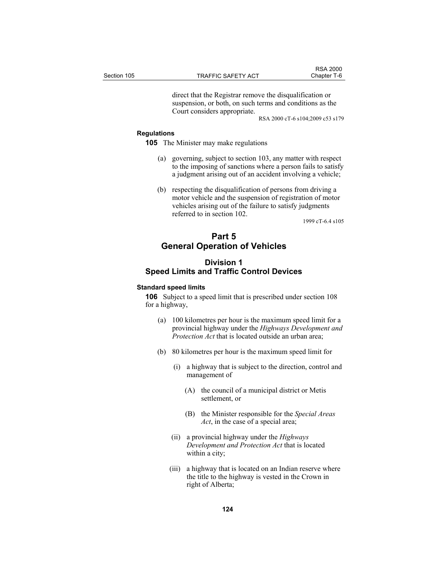direct that the Registrar remove the disqualification or suspension, or both, on such terms and conditions as the Court considers appropriate.

RSA 2000 cT-6 s104;2009 c53 s179

### **Regulations**

**105** The Minister may make regulations

- (a) governing, subject to section 103, any matter with respect to the imposing of sanctions where a person fails to satisfy a judgment arising out of an accident involving a vehicle;
- (b) respecting the disqualification of persons from driving a motor vehicle and the suspension of registration of motor vehicles arising out of the failure to satisfy judgments referred to in section 102.

1999 cT-6.4 s105

# **Part 5 General Operation of Vehicles**

# **Division 1 Speed Limits and Traffic Control Devices**

### **Standard speed limits**

**106** Subject to a speed limit that is prescribed under section 108 for a highway,

- (a) 100 kilometres per hour is the maximum speed limit for a provincial highway under the *Highways Development and Protection Act* that is located outside an urban area;
- (b) 80 kilometres per hour is the maximum speed limit for
	- (i) a highway that is subject to the direction, control and management of
		- (A) the council of a municipal district or Metis settlement, or
		- (B) the Minister responsible for the *Special Areas Act*, in the case of a special area;
	- (ii) a provincial highway under the *Highways Development and Protection Act* that is located within a city;
	- (iii) a highway that is located on an Indian reserve where the title to the highway is vested in the Crown in right of Alberta;

**124**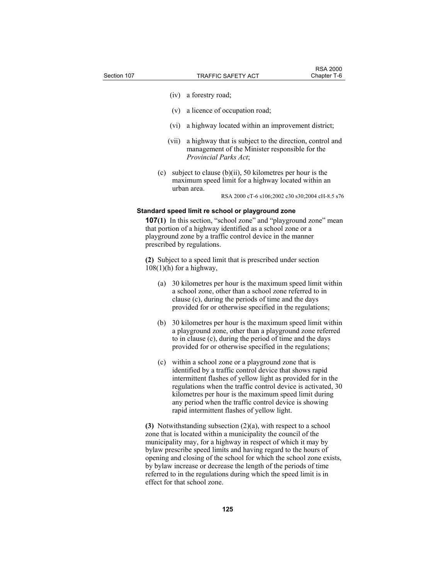- (iv) a forestry road;
- (v) a licence of occupation road;
- (vi) a highway located within an improvement district;
- (vii) a highway that is subject to the direction, control and management of the Minister responsible for the *Provincial Parks Act*;
- (c) subject to clause (b)(ii), 50 kilometres per hour is the maximum speed limit for a highway located within an urban area.

RSA 2000 cT-6 s106;2002 c30 s30;2004 cH-8.5 s76

## **Standard speed limit re school or playground zone**

**107(1)** In this section, "school zone" and "playground zone" mean that portion of a highway identified as a school zone or a playground zone by a traffic control device in the manner prescribed by regulations.

**(2)** Subject to a speed limit that is prescribed under section  $108(1)$ (h) for a highway,

- (a) 30 kilometres per hour is the maximum speed limit within a school zone, other than a school zone referred to in clause (c), during the periods of time and the days provided for or otherwise specified in the regulations;
- (b) 30 kilometres per hour is the maximum speed limit within a playground zone, other than a playground zone referred to in clause (c), during the period of time and the days provided for or otherwise specified in the regulations;
- (c) within a school zone or a playground zone that is identified by a traffic control device that shows rapid intermittent flashes of yellow light as provided for in the regulations when the traffic control device is activated, 30 kilometres per hour is the maximum speed limit during any period when the traffic control device is showing rapid intermittent flashes of yellow light.

**(3)** Notwithstanding subsection (2)(a), with respect to a school zone that is located within a municipality the council of the municipality may, for a highway in respect of which it may by bylaw prescribe speed limits and having regard to the hours of opening and closing of the school for which the school zone exists, by bylaw increase or decrease the length of the periods of time referred to in the regulations during which the speed limit is in effect for that school zone.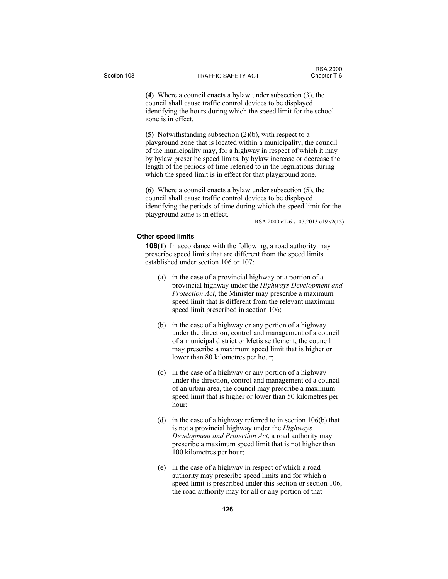**(4)** Where a council enacts a bylaw under subsection (3), the council shall cause traffic control devices to be displayed identifying the hours during which the speed limit for the school zone is in effect.

**(5)** Notwithstanding subsection (2)(b), with respect to a playground zone that is located within a municipality, the council of the municipality may, for a highway in respect of which it may by bylaw prescribe speed limits, by bylaw increase or decrease the length of the periods of time referred to in the regulations during which the speed limit is in effect for that playground zone.

**(6)** Where a council enacts a bylaw under subsection (5), the council shall cause traffic control devices to be displayed identifying the periods of time during which the speed limit for the playground zone is in effect.

RSA 2000 cT-6 s107;2013 c19 s2(15)

#### **Other speed limits**

**108(1)** In accordance with the following, a road authority may prescribe speed limits that are different from the speed limits established under section 106 or 107:

- (a) in the case of a provincial highway or a portion of a provincial highway under the *Highways Development and Protection Act*, the Minister may prescribe a maximum speed limit that is different from the relevant maximum speed limit prescribed in section 106;
- (b) in the case of a highway or any portion of a highway under the direction, control and management of a council of a municipal district or Metis settlement, the council may prescribe a maximum speed limit that is higher or lower than 80 kilometres per hour;
- (c) in the case of a highway or any portion of a highway under the direction, control and management of a council of an urban area, the council may prescribe a maximum speed limit that is higher or lower than 50 kilometres per hour;
- (d) in the case of a highway referred to in section 106(b) that is not a provincial highway under the *Highways Development and Protection Act*, a road authority may prescribe a maximum speed limit that is not higher than 100 kilometres per hour;
- (e) in the case of a highway in respect of which a road authority may prescribe speed limits and for which a speed limit is prescribed under this section or section 106, the road authority may for all or any portion of that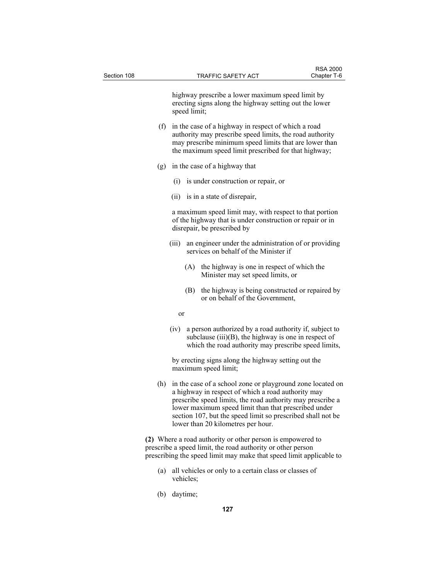highway prescribe a lower maximum speed limit by erecting signs along the highway setting out the lower speed limit;

- (f) in the case of a highway in respect of which a road authority may prescribe speed limits, the road authority may prescribe minimum speed limits that are lower than the maximum speed limit prescribed for that highway;
- (g) in the case of a highway that
	- (i) is under construction or repair, or
	- (ii) is in a state of disrepair,

 a maximum speed limit may, with respect to that portion of the highway that is under construction or repair or in disrepair, be prescribed by

- (iii) an engineer under the administration of or providing services on behalf of the Minister if
	- (A) the highway is one in respect of which the Minister may set speed limits, or
	- (B) the highway is being constructed or repaired by or on behalf of the Government,
- or
	- (iv) a person authorized by a road authority if, subject to subclause (iii)(B), the highway is one in respect of which the road authority may prescribe speed limits,

 by erecting signs along the highway setting out the maximum speed limit;

 (h) in the case of a school zone or playground zone located on a highway in respect of which a road authority may prescribe speed limits, the road authority may prescribe a lower maximum speed limit than that prescribed under section 107, but the speed limit so prescribed shall not be lower than 20 kilometres per hour.

**(2)** Where a road authority or other person is empowered to prescribe a speed limit, the road authority or other person prescribing the speed limit may make that speed limit applicable to

- (a) all vehicles or only to a certain class or classes of vehicles;
- (b) daytime;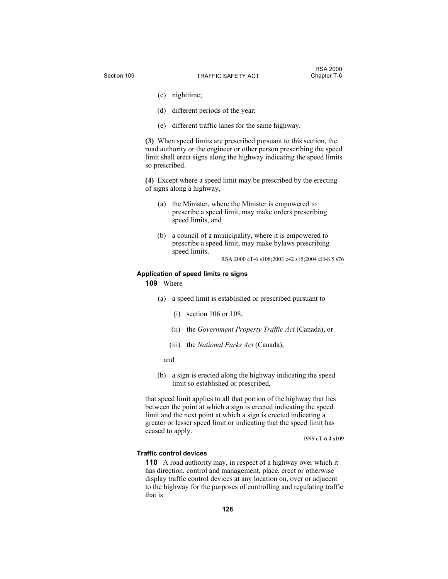- (c) nighttime;
- (d) different periods of the year;
- (e) different traffic lanes for the same highway.

**(3)** When speed limits are prescribed pursuant to this section, the road authority or the engineer or other person prescribing the speed limit shall erect signs along the highway indicating the speed limits so prescribed.

**(4)** Except where a speed limit may be prescribed by the erecting of signs along a highway,

- (a) the Minister, where the Minister is empowered to prescribe a speed limit, may make orders prescribing speed limits, and
- (b) a council of a municipality, where it is empowered to prescribe a speed limit, may make bylaws prescribing speed limits.

# RSA 2000 cT-6 s108;2003 c42 s15;2004 cH-8.5 s76

### **Application of speed limits re signs**

**109** Where

- (a) a speed limit is established or prescribed pursuant to
	- (i) section 106 or 108,
	- (ii) the *Government Property Traffic Act* (Canada), or
	- (iii) the *National Parks Act* (Canada),
	- and
- (b) a sign is erected along the highway indicating the speed limit so established or prescribed,

that speed limit applies to all that portion of the highway that lies between the point at which a sign is erected indicating the speed limit and the next point at which a sign is erected indicating a greater or lesser speed limit or indicating that the speed limit has ceased to apply.

1999 cT-6.4 s109

### **Traffic control devices**

**110** A road authority may, in respect of a highway over which it has direction, control and management, place, erect or otherwise display traffic control devices at any location on, over or adjacent to the highway for the purposes of controlling and regulating traffic that is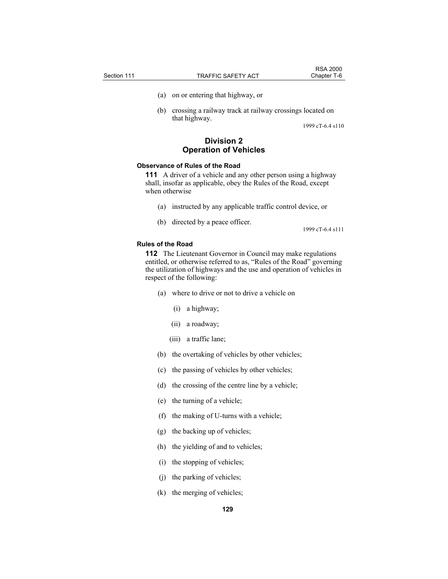- (a) on or entering that highway, or
- (b) crossing a railway track at railway crossings located on that highway.

1999 cT-6.4 s110

# **Division 2 Operation of Vehicles**

# **Observance of Rules of the Road**

**111** A driver of a vehicle and any other person using a highway shall, insofar as applicable, obey the Rules of the Road, except when otherwise

- (a) instructed by any applicable traffic control device, or
- (b) directed by a peace officer.

1999 cT-6.4 s111

### **Rules of the Road**

**112** The Lieutenant Governor in Council may make regulations entitled, or otherwise referred to as, "Rules of the Road" governing the utilization of highways and the use and operation of vehicles in respect of the following:

- (a) where to drive or not to drive a vehicle on
	- (i) a highway;
	- (ii) a roadway;
	- (iii) a traffic lane;
- (b) the overtaking of vehicles by other vehicles;
- (c) the passing of vehicles by other vehicles;
- (d) the crossing of the centre line by a vehicle;
- (e) the turning of a vehicle;
- (f) the making of U-turns with a vehicle;
- (g) the backing up of vehicles;
- (h) the yielding of and to vehicles;
- (i) the stopping of vehicles;
- (j) the parking of vehicles;
- (k) the merging of vehicles;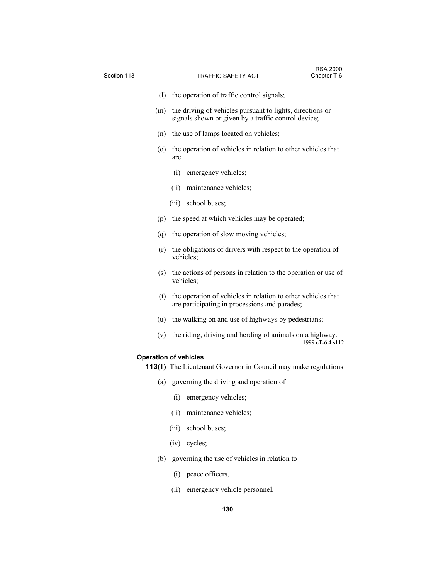| Section 113 | TRAFFIC SAFETY ACT                                                                                               | Chapter T-6      |
|-------------|------------------------------------------------------------------------------------------------------------------|------------------|
| (1)         | the operation of traffic control signals;                                                                        |                  |
| (m)         | the driving of vehicles pursuant to lights, directions or<br>signals shown or given by a traffic control device; |                  |
|             | (n) the use of lamps located on vehicles;                                                                        |                  |
| (0)         | the operation of vehicles in relation to other vehicles that<br>are                                              |                  |
|             | emergency vehicles;<br>(i)                                                                                       |                  |
|             | (ii)<br>maintenance vehicles;                                                                                    |                  |
|             | school buses;<br>(iii)                                                                                           |                  |
| (p)         | the speed at which vehicles may be operated;                                                                     |                  |
| (q)         | the operation of slow moving vehicles;                                                                           |                  |
| (r)         | the obligations of drivers with respect to the operation of<br>vehicles;                                         |                  |
| (s)         | the actions of persons in relation to the operation or use of<br>vehicles;                                       |                  |
| (t)         | the operation of vehicles in relation to other vehicles that<br>are participating in processions and parades;    |                  |
| (u)         | the walking on and use of highways by pedestrians;                                                               |                  |
| (v)         | the riding, driving and herding of animals on a highway.                                                         | 1999 cT-6.4 s112 |
|             | <b>Operation of vehicles</b>                                                                                     |                  |
|             | <b>113(1)</b> The Lieutenant Governor in Council may make regulations                                            |                  |
| (a)         | governing the driving and operation of                                                                           |                  |
|             | emergency vehicles;<br>(1)                                                                                       |                  |
|             | (ii)<br>maintenance vehicles;                                                                                    |                  |
|             | (iii)<br>school buses;                                                                                           |                  |
|             | (iv)<br>cycles;                                                                                                  |                  |
|             | (b) governing the use of vehicles in relation to                                                                 |                  |

RSA 2000

- (i) peace officers,
- (ii) emergency vehicle personnel,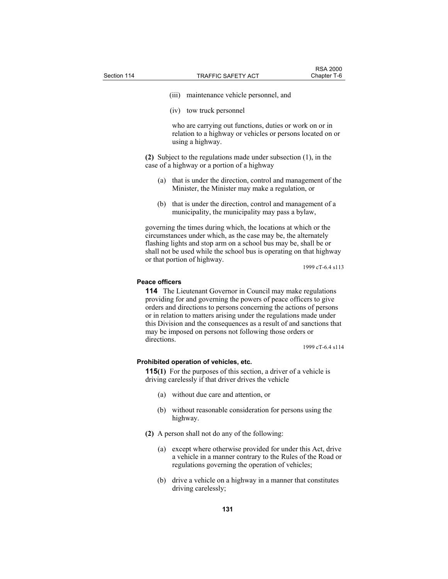- (iii) maintenance vehicle personnel, and
- (iv) tow truck personnel

 who are carrying out functions, duties or work on or in relation to a highway or vehicles or persons located on or using a highway.

**(2)** Subject to the regulations made under subsection (1), in the case of a highway or a portion of a highway

- (a) that is under the direction, control and management of the Minister, the Minister may make a regulation, or
- (b) that is under the direction, control and management of a municipality, the municipality may pass a bylaw,

governing the times during which, the locations at which or the circumstances under which, as the case may be, the alternately flashing lights and stop arm on a school bus may be, shall be or shall not be used while the school bus is operating on that highway or that portion of highway.

1999 cT-6.4 s113

### **Peace officers**

**114** The Lieutenant Governor in Council may make regulations providing for and governing the powers of peace officers to give orders and directions to persons concerning the actions of persons or in relation to matters arising under the regulations made under this Division and the consequences as a result of and sanctions that may be imposed on persons not following those orders or directions.

1999 cT-6.4 s114

### **Prohibited operation of vehicles, etc.**

**115(1)** For the purposes of this section, a driver of a vehicle is driving carelessly if that driver drives the vehicle

- (a) without due care and attention, or
- (b) without reasonable consideration for persons using the highway.
- **(2)** A person shall not do any of the following:
	- (a) except where otherwise provided for under this Act, drive a vehicle in a manner contrary to the Rules of the Road or regulations governing the operation of vehicles;
	- (b) drive a vehicle on a highway in a manner that constitutes driving carelessly;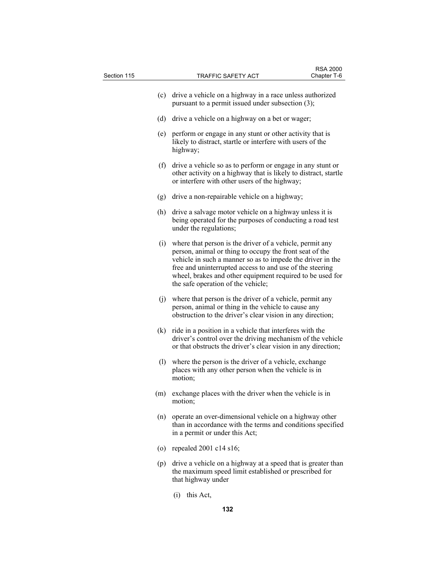| Section 115 |     | TRAFFIC SAFETY ACT                                                                                                                                                                                                                                                                                                                               | Chapter T-6 |
|-------------|-----|--------------------------------------------------------------------------------------------------------------------------------------------------------------------------------------------------------------------------------------------------------------------------------------------------------------------------------------------------|-------------|
|             | (c) | drive a vehicle on a highway in a race unless authorized<br>pursuant to a permit issued under subsection (3);                                                                                                                                                                                                                                    |             |
|             | (d) | drive a vehicle on a highway on a bet or wager;                                                                                                                                                                                                                                                                                                  |             |
|             | (e) | perform or engage in any stunt or other activity that is<br>likely to distract, startle or interfere with users of the<br>highway;                                                                                                                                                                                                               |             |
|             | (f) | drive a vehicle so as to perform or engage in any stunt or<br>other activity on a highway that is likely to distract, startle<br>or interfere with other users of the highway;                                                                                                                                                                   |             |
|             | (g) | drive a non-repairable vehicle on a highway;                                                                                                                                                                                                                                                                                                     |             |
|             | (h) | drive a salvage motor vehicle on a highway unless it is<br>being operated for the purposes of conducting a road test<br>under the regulations;                                                                                                                                                                                                   |             |
|             | (i) | where that person is the driver of a vehicle, permit any<br>person, animal or thing to occupy the front seat of the<br>vehicle in such a manner so as to impede the driver in the<br>free and uninterrupted access to and use of the steering<br>wheel, brakes and other equipment required to be used for<br>the safe operation of the vehicle; |             |
|             | (j) | where that person is the driver of a vehicle, permit any<br>person, animal or thing in the vehicle to cause any<br>obstruction to the driver's clear vision in any direction;                                                                                                                                                                    |             |
|             | (k) | ride in a position in a vehicle that interferes with the<br>driver's control over the driving mechanism of the vehicle<br>or that obstructs the driver's clear vision in any direction;                                                                                                                                                          |             |
|             | (1) | where the person is the driver of a vehicle, exchange<br>places with any other person when the vehicle is in<br>motion;                                                                                                                                                                                                                          |             |
|             | (m) | exchange places with the driver when the vehicle is in<br>motion;                                                                                                                                                                                                                                                                                |             |
|             | (n) | operate an over-dimensional vehicle on a highway other<br>than in accordance with the terms and conditions specified<br>in a permit or under this Act;                                                                                                                                                                                           |             |
|             | (0) | repealed 2001 c14 s16;                                                                                                                                                                                                                                                                                                                           |             |
|             |     | (p) drive a vehicle on a highway at a speed that is greater than<br>the maximum speed limit established or prescribed for<br>that highway under                                                                                                                                                                                                  |             |
|             |     | $(i)$ this Act,                                                                                                                                                                                                                                                                                                                                  |             |
|             |     | 132                                                                                                                                                                                                                                                                                                                                              |             |

RSA 2000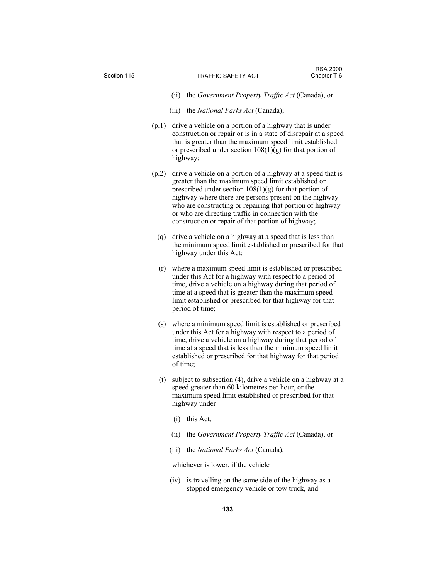- (ii) the *Government Property Traffic Act* (Canada), or
- (iii) the *National Parks Act* (Canada);
- (p.1) drive a vehicle on a portion of a highway that is under construction or repair or is in a state of disrepair at a speed that is greater than the maximum speed limit established or prescribed under section  $108(1)(g)$  for that portion of highway;
- (p.2) drive a vehicle on a portion of a highway at a speed that is greater than the maximum speed limit established or prescribed under section  $10\bar{8}(1)(g)$  for that portion of highway where there are persons present on the highway who are constructing or repairing that portion of highway or who are directing traffic in connection with the construction or repair of that portion of highway;
	- (q) drive a vehicle on a highway at a speed that is less than the minimum speed limit established or prescribed for that highway under this Act;
	- (r) where a maximum speed limit is established or prescribed under this Act for a highway with respect to a period of time, drive a vehicle on a highway during that period of time at a speed that is greater than the maximum speed limit established or prescribed for that highway for that period of time;
	- (s) where a minimum speed limit is established or prescribed under this Act for a highway with respect to a period of time, drive a vehicle on a highway during that period of time at a speed that is less than the minimum speed limit established or prescribed for that highway for that period of time;
	- (t) subject to subsection (4), drive a vehicle on a highway at a speed greater than 60 kilometres per hour, or the maximum speed limit established or prescribed for that highway under
		- (i) this Act,
		- (ii) the *Government Property Traffic Act* (Canada), or
		- (iii) the *National Parks Act* (Canada),

whichever is lower, if the vehicle

 (iv) is travelling on the same side of the highway as a stopped emergency vehicle or tow truck, and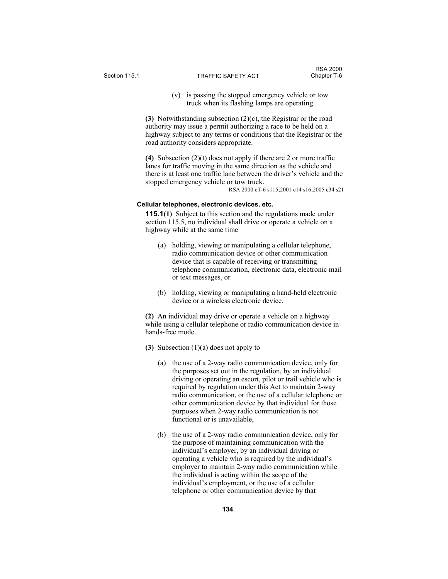(v) is passing the stopped emergency vehicle or tow truck when its flashing lamps are operating.

**(3)** Notwithstanding subsection (2)(c), the Registrar or the road authority may issue a permit authorizing a race to be held on a highway subject to any terms or conditions that the Registrar or the road authority considers appropriate.

**(4)** Subsection (2)(t) does not apply if there are 2 or more traffic lanes for traffic moving in the same direction as the vehicle and there is at least one traffic lane between the driver's vehicle and the stopped emergency vehicle or tow truck. RSA 2000 cT-6 s115;2001 c14 s16;2005 c34 s21

# **Cellular telephones, electronic devices, etc.**

**115.1(1)** Subject to this section and the regulations made under section 115.5, no individual shall drive or operate a vehicle on a highway while at the same time

- (a) holding, viewing or manipulating a cellular telephone, radio communication device or other communication device that is capable of receiving or transmitting telephone communication, electronic data, electronic mail or text messages, or
- (b) holding, viewing or manipulating a hand-held electronic device or a wireless electronic device.

**(2)** An individual may drive or operate a vehicle on a highway while using a cellular telephone or radio communication device in hands-free mode.

- **(3)** Subsection (1)(a) does not apply to
	- (a) the use of a 2-way radio communication device, only for the purposes set out in the regulation, by an individual driving or operating an escort, pilot or trail vehicle who is required by regulation under this Act to maintain 2-way radio communication, or the use of a cellular telephone or other communication device by that individual for those purposes when 2-way radio communication is not functional or is unavailable,
	- (b) the use of a 2-way radio communication device, only for the purpose of maintaining communication with the individual's employer, by an individual driving or operating a vehicle who is required by the individual's employer to maintain 2-way radio communication while the individual is acting within the scope of the individual's employment, or the use of a cellular telephone or other communication device by that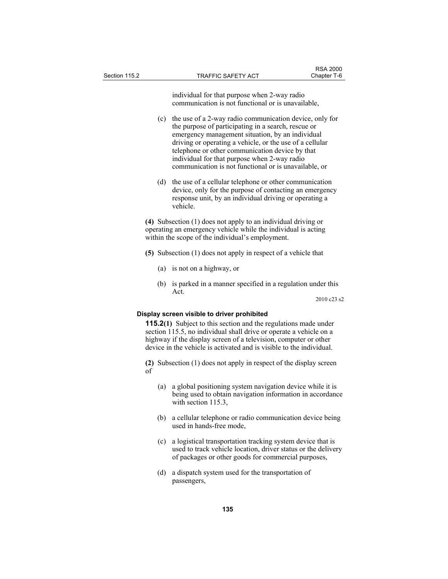individual for that purpose when 2-way radio communication is not functional or is unavailable,

- (c) the use of a 2-way radio communication device, only for the purpose of participating in a search, rescue or emergency management situation, by an individual driving or operating a vehicle, or the use of a cellular telephone or other communication device by that individual for that purpose when 2-way radio communication is not functional or is unavailable, or
- (d) the use of a cellular telephone or other communication device, only for the purpose of contacting an emergency response unit, by an individual driving or operating a vehicle.

**(4)** Subsection (1) does not apply to an individual driving or operating an emergency vehicle while the individual is acting within the scope of the individual's employment.

- **(5)** Subsection (1) does not apply in respect of a vehicle that
	- (a) is not on a highway, or
	- (b) is parked in a manner specified in a regulation under this Act.

2010 c23 s2

### **Display screen visible to driver prohibited**

**115.2(1)** Subject to this section and the regulations made under section 115.5, no individual shall drive or operate a vehicle on a highway if the display screen of a television, computer or other device in the vehicle is activated and is visible to the individual.

**(2)** Subsection (1) does not apply in respect of the display screen of

- (a) a global positioning system navigation device while it is being used to obtain navigation information in accordance with section 115.3.
- (b) a cellular telephone or radio communication device being used in hands-free mode,
- (c) a logistical transportation tracking system device that is used to track vehicle location, driver status or the delivery of packages or other goods for commercial purposes,
- (d) a dispatch system used for the transportation of passengers,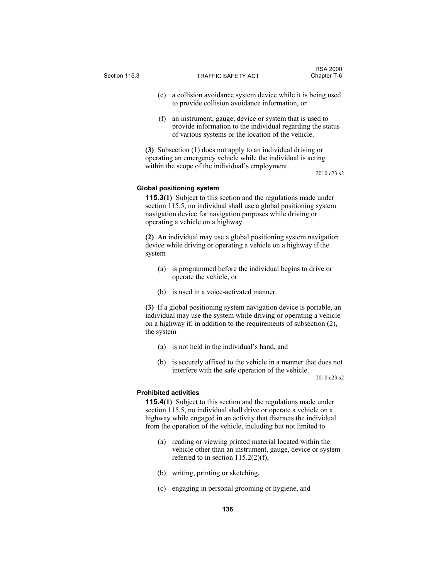| Section 115.3 |     | <b>TRAFFIC SAFETY ACT</b>                                                                                            | <b>RSA 2000</b><br>Chapter T-6 |
|---------------|-----|----------------------------------------------------------------------------------------------------------------------|--------------------------------|
|               | (e) | a collision avoidance system device while it is being used<br>to provide collision avoidance information, or         |                                |
|               | (f) | an instrument, gauge, device or system that is used to<br>provide information to the individual regarding the status |                                |

**(3)** Subsection (1) does not apply to an individual driving or operating an emergency vehicle while the individual is acting within the scope of the individual's employment.

of various systems or the location of the vehicle.

2010 c23 s2

### **Global positioning system**

**115.3(1)** Subject to this section and the regulations made under section 115.5, no individual shall use a global positioning system navigation device for navigation purposes while driving or operating a vehicle on a highway.

**(2)** An individual may use a global positioning system navigation device while driving or operating a vehicle on a highway if the system

- (a) is programmed before the individual begins to drive or operate the vehicle, or
- (b) is used in a voice-activated manner.

**(3)** If a global positioning system navigation device is portable, an individual may use the system while driving or operating a vehicle on a highway if, in addition to the requirements of subsection (2), the system

- (a) is not held in the individual's hand, and
- (b) is securely affixed to the vehicle in a manner that does not interfere with the safe operation of the vehicle.

2010 c23 s2

## **Prohibited activities**

**115.4(1)** Subject to this section and the regulations made under section 115.5, no individual shall drive or operate a vehicle on a highway while engaged in an activity that distracts the individual from the operation of the vehicle, including but not limited to

- (a) reading or viewing printed material located within the vehicle other than an instrument, gauge, device or system referred to in section  $115.2(2)(f)$ ,
- (b) writing, printing or sketching,
- (c) engaging in personal grooming or hygiene, and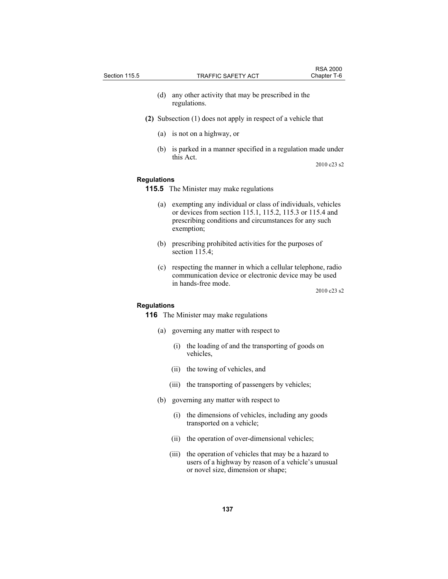- (d) any other activity that may be prescribed in the regulations.
- **(2)** Subsection (1) does not apply in respect of a vehicle that
	- (a) is not on a highway, or
	- (b) is parked in a manner specified in a regulation made under this Act.

2010 c23 s2

### **Regulations**

**115.5** The Minister may make regulations

- (a) exempting any individual or class of individuals, vehicles or devices from section 115.1, 115.2, 115.3 or 115.4 and prescribing conditions and circumstances for any such exemption;
- (b) prescribing prohibited activities for the purposes of section 115.4;
- (c) respecting the manner in which a cellular telephone, radio communication device or electronic device may be used in hands-free mode.

2010 c23 s2

# **Regulations**

**116** The Minister may make regulations

- (a) governing any matter with respect to
	- (i) the loading of and the transporting of goods on vehicles,
	- (ii) the towing of vehicles, and
	- (iii) the transporting of passengers by vehicles;
- (b) governing any matter with respect to
	- (i) the dimensions of vehicles, including any goods transported on a vehicle;
	- (ii) the operation of over-dimensional vehicles;
	- (iii) the operation of vehicles that may be a hazard to users of a highway by reason of a vehicle's unusual or novel size, dimension or shape;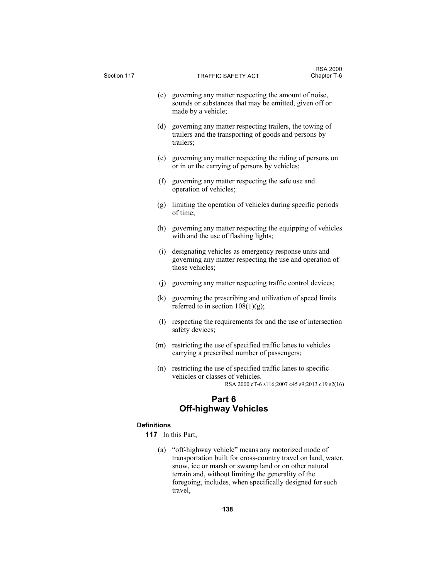| Section 117        | TRAFFIC SAFETY ACT                                                                                                                               | <b>RSA 2000</b><br>Chapter T-6 |
|--------------------|--------------------------------------------------------------------------------------------------------------------------------------------------|--------------------------------|
| (c)                | governing any matter respecting the amount of noise,<br>sounds or substances that may be emitted, given off or<br>made by a vehicle;             |                                |
| (d)                | governing any matter respecting trailers, the towing of<br>trailers and the transporting of goods and persons by<br>trailers;                    |                                |
| (e)                | governing any matter respecting the riding of persons on<br>or in or the carrying of persons by vehicles;                                        |                                |
| (f)                | governing any matter respecting the safe use and<br>operation of vehicles;                                                                       |                                |
| (g)                | limiting the operation of vehicles during specific periods<br>of time:                                                                           |                                |
| (h)                | governing any matter respecting the equipping of vehicles<br>with and the use of flashing lights;                                                |                                |
| (i)                | designating vehicles as emergency response units and<br>governing any matter respecting the use and operation of<br>those vehicles;              |                                |
|                    | (j) governing any matter respecting traffic control devices;                                                                                     |                                |
| (k)                | governing the prescribing and utilization of speed limits<br>referred to in section $108(1)(g)$ ;                                                |                                |
| (1)                | respecting the requirements for and the use of intersection<br>safety devices;                                                                   |                                |
| (m)                | restricting the use of specified traffic lanes to vehicles<br>carrying a prescribed number of passengers;                                        |                                |
| (n)                | restricting the use of specified traffic lanes to specific<br>vehicles or classes of vehicles.<br>RSA 2000 cT-6 s116;2007 c45 s9;2013 c19 s2(16) |                                |
|                    | Part 6<br><b>Off-highway Vehicles</b>                                                                                                            |                                |
| <b>Definitions</b> |                                                                                                                                                  |                                |
| 117                | In this Part,                                                                                                                                    |                                |

 (a) "off-highway vehicle" means any motorized mode of transportation built for cross-country travel on land, water, snow, ice or marsh or swamp land or on other natural terrain and, without limiting the generality of the foregoing, includes, when specifically designed for such travel,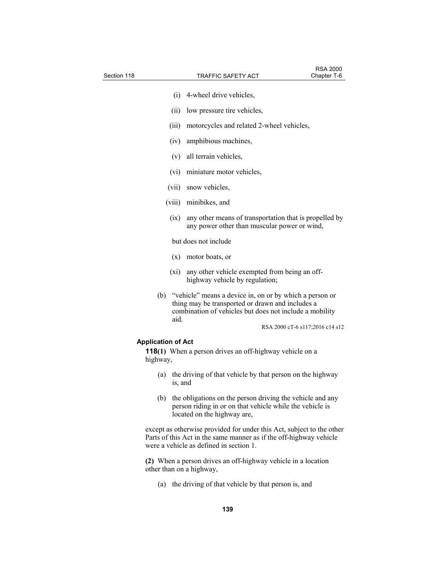| Section 118                           |         | TRAFFIC SAFETY ACT                                                                                                                                                     | <b>RSA 2000</b><br>Chapter T-6  |
|---------------------------------------|---------|------------------------------------------------------------------------------------------------------------------------------------------------------------------------|---------------------------------|
|                                       | (i)     | 4-wheel drive vehicles,                                                                                                                                                |                                 |
|                                       |         |                                                                                                                                                                        |                                 |
|                                       | (ii)    | low pressure tire vehicles,                                                                                                                                            |                                 |
|                                       | (iii)   | motorcycles and related 2-wheel vehicles,                                                                                                                              |                                 |
|                                       | (iv)    | amphibious machines,                                                                                                                                                   |                                 |
|                                       | (v)     | all terrain vehicles,                                                                                                                                                  |                                 |
|                                       | (vi)    | miniature motor vehicles,                                                                                                                                              |                                 |
|                                       | (vii)   | snow vehicles,                                                                                                                                                         |                                 |
|                                       |         | (viii) minibikes, and                                                                                                                                                  |                                 |
|                                       | (ix)    | any other means of transportation that is propelled by<br>any power other than muscular power or wind,                                                                 |                                 |
|                                       |         | but does not include                                                                                                                                                   |                                 |
|                                       | (x)     | motor boats, or                                                                                                                                                        |                                 |
|                                       | (xi)    | any other vehicle exempted from being an off-<br>highway vehicle by regulation;                                                                                        |                                 |
| (b)                                   | aid.    | "vehicle" means a device in, on or by which a person or<br>thing may be transported or drawn and includes a<br>combination of vehicles but does not include a mobility |                                 |
|                                       |         |                                                                                                                                                                        | RSA 2000 cT-6 s117;2016 c14 s12 |
| <b>Application of Act</b><br>highway, |         | <b>118(1)</b> When a person drives an off-highway vehicle on a                                                                                                         |                                 |
| (a)                                   | is, and | the driving of that vehicle by that person on the highway                                                                                                              |                                 |
| (b)                                   |         | the obligations on the person driving the vehicle and any<br>person riding in or on that vehicle while the vehicle is<br>located on the highway are,                   |                                 |
|                                       |         | $\cdot$ 1 1 $\circ$<br>$\mathbf{a}$ and $\mathbf{a}$ and $\mathbf{a}$                                                                                                  |                                 |

except as otherwise provided for under this Act, subject to the other Parts of this Act in the same manner as if the off-highway vehicle were a vehicle as defined in section 1.

**(2)** When a person drives an off-highway vehicle in a location other than on a highway,

(a) the driving of that vehicle by that person is, and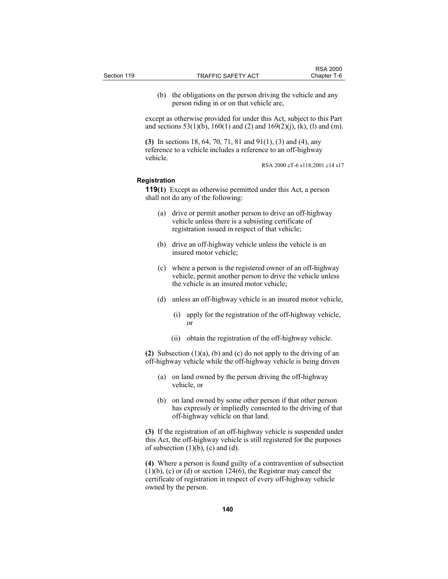(b) the obligations on the person driving the vehicle and any person riding in or on that vehicle are,

except as otherwise provided for under this Act, subject to this Part and sections  $53(1)(b)$ ,  $160(1)$  and  $(2)$  and  $169(2)(j)$ ,  $(k)$ ,  $(l)$  and  $(m)$ .

**(3)** In sections 18, 64, 70, 71, 81 and 91(1), (3) and (4), any reference to a vehicle includes a reference to an off-highway vehicle.

RSA 2000 cT-6 s118;2001 c14 s17

# **Registration**

**119(1)** Except as otherwise permitted under this Act, a person shall not do any of the following:

- (a) drive or permit another person to drive an off-highway vehicle unless there is a subsisting certificate of registration issued in respect of that vehicle;
- (b) drive an off-highway vehicle unless the vehicle is an insured motor vehicle;
- (c) where a person is the registered owner of an off-highway vehicle, permit another person to drive the vehicle unless the vehicle is an insured motor vehicle;
- (d) unless an off-highway vehicle is an insured motor vehicle,
	- (i) apply for the registration of the off-highway vehicle, or
	- (ii) obtain the registration of the off-highway vehicle.

**(2)** Subsection (1)(a), (b) and (c) do not apply to the driving of an off-highway vehicle while the off-highway vehicle is being driven

- (a) on land owned by the person driving the off-highway vehicle, or
- (b) on land owned by some other person if that other person has expressly or impliedly consented to the driving of that off-highway vehicle on that land.

**(3)** If the registration of an off-highway vehicle is suspended under this Act, the off-highway vehicle is still registered for the purposes of subsection  $(1)(b)$ ,  $(c)$  and  $(d)$ .

**(4)** Where a person is found guilty of a contravention of subsection  $(1)(b)$ , (c) or (d) or section  $124(6)$ , the Registrar may cancel the certificate of registration in respect of every off-highway vehicle owned by the person.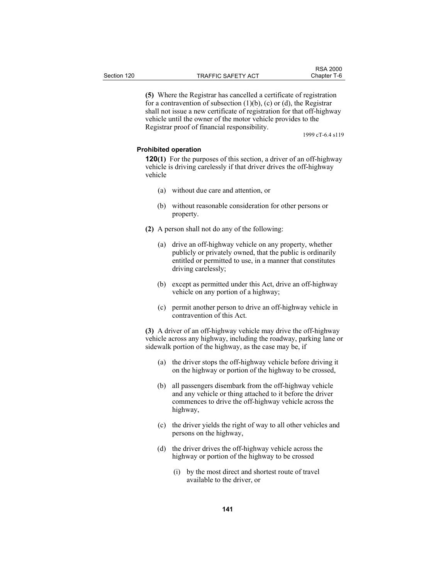**(5)** Where the Registrar has cancelled a certificate of registration for a contravention of subsection  $(1)(b)$ ,  $(c)$  or  $(d)$ , the Registrar shall not issue a new certificate of registration for that off-highway vehicle until the owner of the motor vehicle provides to the Registrar proof of financial responsibility.

1999 cT-6.4 s119

## **Prohibited operation**

**120(1)** For the purposes of this section, a driver of an off-highway vehicle is driving carelessly if that driver drives the off-highway vehicle

- (a) without due care and attention, or
- (b) without reasonable consideration for other persons or property.
- **(2)** A person shall not do any of the following:
	- (a) drive an off-highway vehicle on any property, whether publicly or privately owned, that the public is ordinarily entitled or permitted to use, in a manner that constitutes driving carelessly;
	- (b) except as permitted under this Act, drive an off-highway vehicle on any portion of a highway;
	- (c) permit another person to drive an off-highway vehicle in contravention of this Act.

**(3)** A driver of an off-highway vehicle may drive the off-highway vehicle across any highway, including the roadway, parking lane or sidewalk portion of the highway, as the case may be, if

- (a) the driver stops the off-highway vehicle before driving it on the highway or portion of the highway to be crossed,
- (b) all passengers disembark from the off-highway vehicle and any vehicle or thing attached to it before the driver commences to drive the off-highway vehicle across the highway,
- (c) the driver yields the right of way to all other vehicles and persons on the highway,
- (d) the driver drives the off-highway vehicle across the highway or portion of the highway to be crossed
	- (i) by the most direct and shortest route of travel available to the driver, or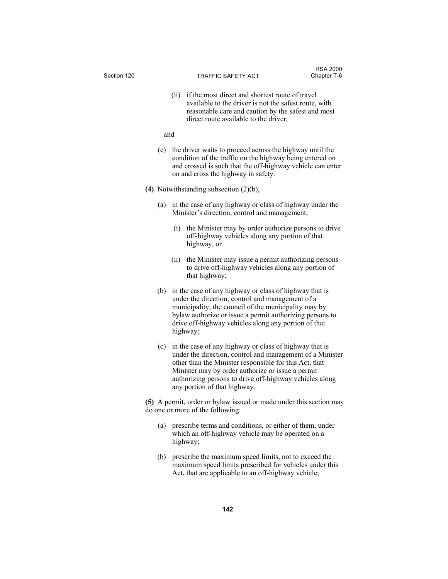| Section 120 |     | TRAFFIC SAFETY ACT                                                                                                                                                                                                                                                                                                            | <b>RSA 2000</b><br>Chapter T-6 |
|-------------|-----|-------------------------------------------------------------------------------------------------------------------------------------------------------------------------------------------------------------------------------------------------------------------------------------------------------------------------------|--------------------------------|
|             |     | if the most direct and shortest route of travel<br>(ii)<br>available to the driver is not the safest route, with<br>reasonable care and caution by the safest and most<br>direct route available to the driver,                                                                                                               |                                |
|             | and |                                                                                                                                                                                                                                                                                                                               |                                |
|             | (e) | the driver waits to proceed across the highway until the<br>condition of the traffic on the highway being entered on<br>and crossed is such that the off-highway vehicle can enter<br>on and cross the highway in safety.                                                                                                     |                                |
|             |     | (4) Notwithstanding subsection $(2)(b)$ ,                                                                                                                                                                                                                                                                                     |                                |
|             | (a) | in the case of any highway or class of highway under the<br>Minister's direction, control and management,                                                                                                                                                                                                                     |                                |
|             |     | the Minister may by order authorize persons to drive<br>(i)<br>off-highway vehicles along any portion of that<br>highway, or                                                                                                                                                                                                  |                                |
|             |     | the Minister may issue a permit authorizing persons<br>(11)<br>to drive off-highway vehicles along any portion of<br>that highway;                                                                                                                                                                                            |                                |
|             | (b) | in the case of any highway or class of highway that is<br>under the direction, control and management of a<br>municipality, the council of the municipality may by<br>bylaw authorize or issue a permit authorizing persons to<br>drive off-highway vehicles along any portion of that<br>highway;                            |                                |
|             | (c) | in the case of any highway or class of highway that is<br>under the direction, control and management of a Minister<br>other than the Minister responsible for this Act, that<br>Minister may by order authorize or issue a permit<br>authorizing persons to drive off-highway vehicles along<br>any portion of that highway. |                                |
|             |     | (5) A permit, order or bylaw issued or made under this section may<br>do one or more of the following:                                                                                                                                                                                                                        |                                |
|             | (a) | prescribe terms and conditions, or either of them, under<br>which an off-highway vehicle may be operated on a<br>highway;                                                                                                                                                                                                     |                                |
|             |     | (b) prescribe the maximum speed limits, not to exceed the<br>maximum speed limits prescribed for vehicles under this<br>Act, that are applicable to an off-highway vehicle;                                                                                                                                                   |                                |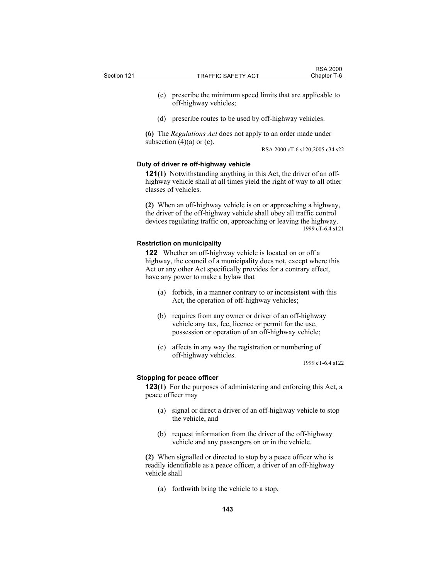- (c) prescribe the minimum speed limits that are applicable to off-highway vehicles;
- (d) prescribe routes to be used by off-highway vehicles.

**(6)** The *Regulations Act* does not apply to an order made under subsection  $(4)(a)$  or  $(c)$ .

RSA 2000 cT-6 s120;2005 c34 s22

# **Duty of driver re off-highway vehicle**

**121(1)** Notwithstanding anything in this Act, the driver of an offhighway vehicle shall at all times yield the right of way to all other classes of vehicles.

**(2)** When an off-highway vehicle is on or approaching a highway, the driver of the off-highway vehicle shall obey all traffic control devices regulating traffic on, approaching or leaving the highway. 1999 cT-6.4 s121

# **Restriction on municipality**

**122** Whether an off-highway vehicle is located on or off a highway, the council of a municipality does not, except where this Act or any other Act specifically provides for a contrary effect, have any power to make a bylaw that

- (a) forbids, in a manner contrary to or inconsistent with this Act, the operation of off-highway vehicles;
- (b) requires from any owner or driver of an off-highway vehicle any tax, fee, licence or permit for the use, possession or operation of an off-highway vehicle;
- (c) affects in any way the registration or numbering of off-highway vehicles.

1999 cT-6.4 s122

## **Stopping for peace officer**

**123(1)** For the purposes of administering and enforcing this Act, a peace officer may

- (a) signal or direct a driver of an off-highway vehicle to stop the vehicle, and
- (b) request information from the driver of the off-highway vehicle and any passengers on or in the vehicle.

**(2)** When signalled or directed to stop by a peace officer who is readily identifiable as a peace officer, a driver of an off-highway vehicle shall

(a) forthwith bring the vehicle to a stop,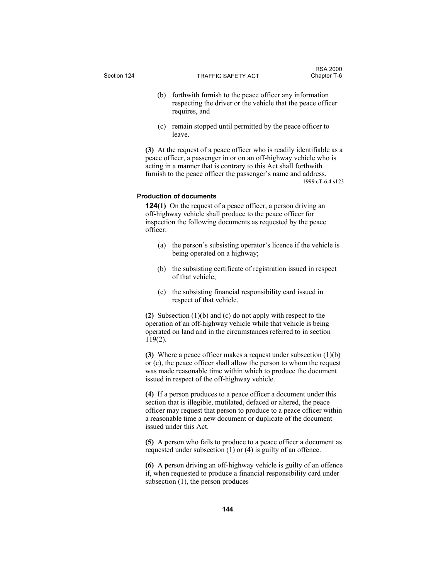- (b) forthwith furnish to the peace officer any information respecting the driver or the vehicle that the peace officer requires, and
- (c) remain stopped until permitted by the peace officer to leave.

**(3)** At the request of a peace officer who is readily identifiable as a peace officer, a passenger in or on an off-highway vehicle who is acting in a manner that is contrary to this Act shall forthwith furnish to the peace officer the passenger's name and address. 1999 cT-6.4 s123

## **Production of documents**

**124(1)** On the request of a peace officer, a person driving an off-highway vehicle shall produce to the peace officer for inspection the following documents as requested by the peace officer:

- (a) the person's subsisting operator's licence if the vehicle is being operated on a highway;
- (b) the subsisting certificate of registration issued in respect of that vehicle;
- (c) the subsisting financial responsibility card issued in respect of that vehicle.

**(2)** Subsection (1)(b) and (c) do not apply with respect to the operation of an off-highway vehicle while that vehicle is being operated on land and in the circumstances referred to in section 119(2).

**(3)** Where a peace officer makes a request under subsection (1)(b) or (c), the peace officer shall allow the person to whom the request was made reasonable time within which to produce the document issued in respect of the off-highway vehicle.

**(4)** If a person produces to a peace officer a document under this section that is illegible, mutilated, defaced or altered, the peace officer may request that person to produce to a peace officer within a reasonable time a new document or duplicate of the document issued under this Act.

**(5)** A person who fails to produce to a peace officer a document as requested under subsection (1) or (4) is guilty of an offence.

**(6)** A person driving an off-highway vehicle is guilty of an offence if, when requested to produce a financial responsibility card under subsection (1), the person produces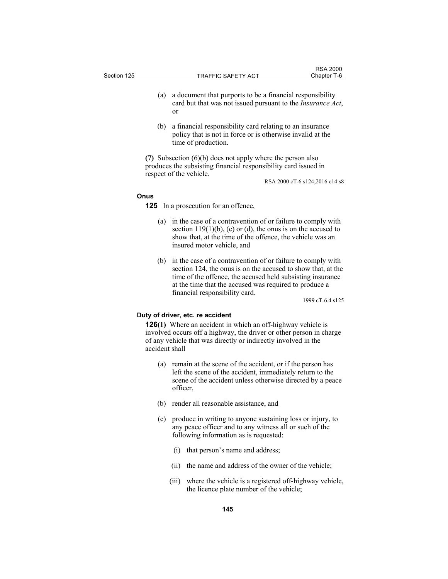|             |                           | <b>RSA 2000</b> |
|-------------|---------------------------|-----------------|
| Section 125 | <b>TRAFFIC SAFETY ACT</b> | Chapter T-6     |
|             |                           |                 |

- (a) a document that purports to be a financial responsibility card but that was not issued pursuant to the *Insurance Act*, or
- (b) a financial responsibility card relating to an insurance policy that is not in force or is otherwise invalid at the time of production.

**(7)** Subsection (6)(b) does not apply where the person also produces the subsisting financial responsibility card issued in respect of the vehicle.

RSA 2000 cT-6 s124;2016 c14 s8

# **Onus**

**125** In a prosecution for an offence,

- (a) in the case of a contravention of or failure to comply with section  $119(1)(b)$ , (c) or (d), the onus is on the accused to show that, at the time of the offence, the vehicle was an insured motor vehicle, and
- (b) in the case of a contravention of or failure to comply with section 124, the onus is on the accused to show that, at the time of the offence, the accused held subsisting insurance at the time that the accused was required to produce a financial responsibility card.

1999 cT-6.4 s125

# **Duty of driver, etc. re accident**

**126(1)** Where an accident in which an off-highway vehicle is involved occurs off a highway, the driver or other person in charge of any vehicle that was directly or indirectly involved in the accident shall

- (a) remain at the scene of the accident, or if the person has left the scene of the accident, immediately return to the scene of the accident unless otherwise directed by a peace officer,
- (b) render all reasonable assistance, and
- (c) produce in writing to anyone sustaining loss or injury, to any peace officer and to any witness all or such of the following information as is requested:
	- (i) that person's name and address;
	- (ii) the name and address of the owner of the vehicle;
	- (iii) where the vehicle is a registered off-highway vehicle, the licence plate number of the vehicle;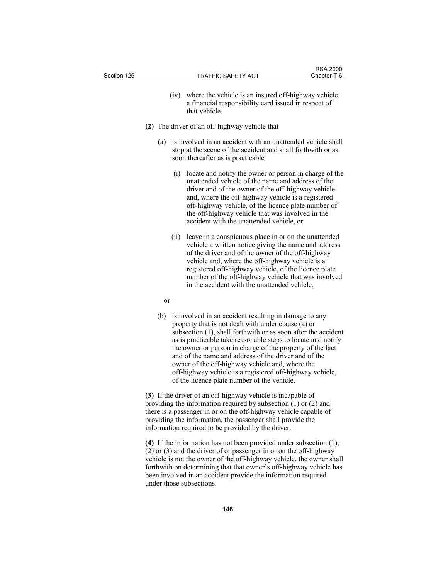| Section 126 |      | <b>TRAFFIC SAFETY ACT</b>                                                                                                                                                                                                                                                                                                                                                           | <b>RSA 2000</b><br>Chapter T-6 |
|-------------|------|-------------------------------------------------------------------------------------------------------------------------------------------------------------------------------------------------------------------------------------------------------------------------------------------------------------------------------------------------------------------------------------|--------------------------------|
|             | (iv) | where the vehicle is an insured off-highway vehicle,<br>a financial responsibility card issued in respect of<br>that vehicle                                                                                                                                                                                                                                                        |                                |
|             |      | (2) The driver of an off-highway vehicle that                                                                                                                                                                                                                                                                                                                                       |                                |
|             | (a)  | is involved in an accident with an unattended vehicle shall<br>stop at the scene of the accident and shall forthwith or as<br>soon thereafter as is practicable                                                                                                                                                                                                                     |                                |
|             | (i)  | locate and notify the owner or person in charge of the<br>unattended vehicle of the name and address of the<br>driver and of the owner of the off-highway vehicle<br>and, where the off-highway vehicle is a registered<br>off-highway vehicle, of the licence plate number of<br>the off-highway vehicle that was involved in the<br>accident with the unattended vehicle, or      |                                |
|             | (ii) | leave in a conspicuous place in or on the unattended<br>vehicle a written notice giving the name and address<br>of the driver and of the owner of the off-highway<br>vehicle and, where the off-highway vehicle is a<br>registered off-highway vehicle, of the licence plate<br>number of the off-highway vehicle that was involved<br>in the accident with the unattended vehicle, |                                |
|             | or   |                                                                                                                                                                                                                                                                                                                                                                                     |                                |
|             |      | (b) is involved in an accident resulting in damage to any                                                                                                                                                                                                                                                                                                                           |                                |

property that is not dealt with under clause (a) or subsection (1), shall forthwith or as soon after the accident as is practicable take reasonable steps to locate and notify the owner or person in charge of the property of the fact and of the name and address of the driver and of the owner of the off-highway vehicle and, where the off-highway vehicle is a registered off-highway vehicle, of the licence plate number of the vehicle.

**(3)** If the driver of an off-highway vehicle is incapable of providing the information required by subsection (1) or (2) and there is a passenger in or on the off-highway vehicle capable of providing the information, the passenger shall provide the information required to be provided by the driver.

**(4)** If the information has not been provided under subsection (1), (2) or (3) and the driver of or passenger in or on the off-highway vehicle is not the owner of the off-highway vehicle, the owner shall forthwith on determining that that owner's off-highway vehicle has been involved in an accident provide the information required under those subsections.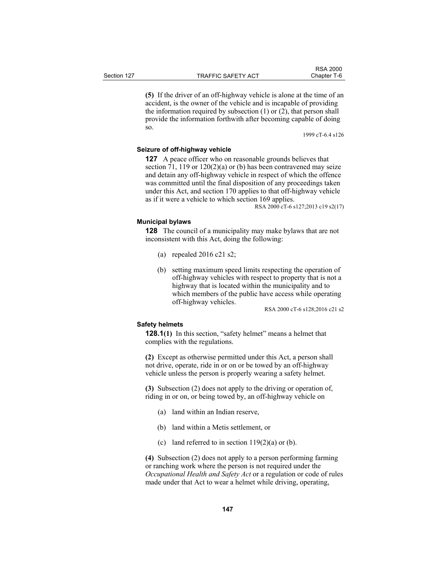**(5)** If the driver of an off-highway vehicle is alone at the time of an accident, is the owner of the vehicle and is incapable of providing the information required by subsection (1) or (2), that person shall provide the information forthwith after becoming capable of doing so.

1999 cT-6.4 s126

# **Seizure of off-highway vehicle**

**127** A peace officer who on reasonable grounds believes that section 71, 119 or  $120(2)(a)$  or (b) has been contravened may seize and detain any off-highway vehicle in respect of which the offence was committed until the final disposition of any proceedings taken under this Act, and section 170 applies to that off-highway vehicle as if it were a vehicle to which section 169 applies.

RSA 2000 cT-6 s127;2013 c19 s2(17)

# **Municipal bylaws**

**128** The council of a municipality may make bylaws that are not inconsistent with this Act, doing the following:

- (a) repealed 2016 c21 s2;
- (b) setting maximum speed limits respecting the operation of off-highway vehicles with respect to property that is not a highway that is located within the municipality and to which members of the public have access while operating off-highway vehicles.

RSA 2000 cT-6 s128;2016 c21 s2

# **Safety helmets**

**128.1**(1) In this section, "safety helmet" means a helmet that complies with the regulations.

**(2)** Except as otherwise permitted under this Act, a person shall not drive, operate, ride in or on or be towed by an off-highway vehicle unless the person is properly wearing a safety helmet.

**(3)** Subsection (2) does not apply to the driving or operation of, riding in or on, or being towed by, an off-highway vehicle on

- (a) land within an Indian reserve,
- (b) land within a Metis settlement, or
- (c) land referred to in section  $119(2)(a)$  or (b).

**(4)** Subsection (2) does not apply to a person performing farming or ranching work where the person is not required under the *Occupational Health and Safety Act* or a regulation or code of rules made under that Act to wear a helmet while driving, operating,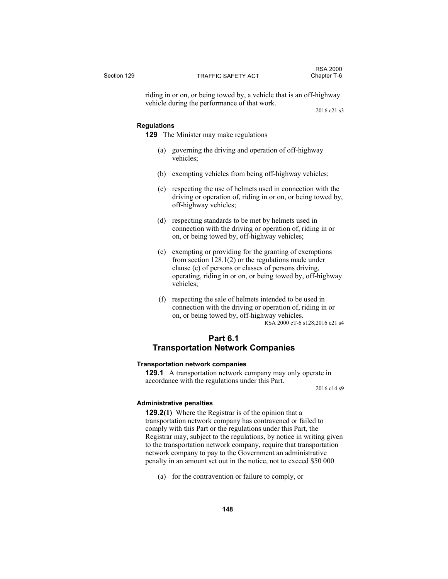riding in or on, or being towed by, a vehicle that is an off-highway vehicle during the performance of that work.

2016 c21 s3

#### **Regulations**

**129** The Minister may make regulations

- (a) governing the driving and operation of off-highway vehicles;
- (b) exempting vehicles from being off-highway vehicles;
- (c) respecting the use of helmets used in connection with the driving or operation of, riding in or on, or being towed by, off-highway vehicles;
- (d) respecting standards to be met by helmets used in connection with the driving or operation of, riding in or on, or being towed by, off-highway vehicles;
- (e) exempting or providing for the granting of exemptions from section 128.1(2) or the regulations made under clause (c) of persons or classes of persons driving, operating, riding in or on, or being towed by, off-highway vehicles;
- (f) respecting the sale of helmets intended to be used in connection with the driving or operation of, riding in or on, or being towed by, off-highway vehicles. RSA 2000 cT-6 s128;2016 c21 s4

# **Part 6.1 Transportation Network Companies**

#### **Transportation network companies**

**129.1** A transportation network company may only operate in accordance with the regulations under this Part.

2016 c14 s9

#### **Administrative penalties**

**129.2(1)** Where the Registrar is of the opinion that a transportation network company has contravened or failed to comply with this Part or the regulations under this Part, the Registrar may, subject to the regulations, by notice in writing given to the transportation network company, require that transportation network company to pay to the Government an administrative penalty in an amount set out in the notice, not to exceed \$50 000

(a) for the contravention or failure to comply, or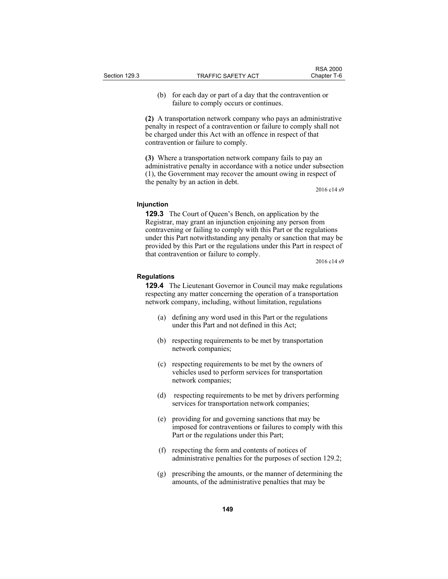(b) for each day or part of a day that the contravention or failure to comply occurs or continues.

**(2)** A transportation network company who pays an administrative penalty in respect of a contravention or failure to comply shall not be charged under this Act with an offence in respect of that contravention or failure to comply.

**(3)** Where a transportation network company fails to pay an administrative penalty in accordance with a notice under subsection (1), the Government may recover the amount owing in respect of the penalty by an action in debt.

2016 c14 s9

#### **Injunction**

**129.3** The Court of Queen's Bench, on application by the Registrar, may grant an injunction enjoining any person from contravening or failing to comply with this Part or the regulations under this Part notwithstanding any penalty or sanction that may be provided by this Part or the regulations under this Part in respect of that contravention or failure to comply.

2016 c14 s9

#### **Regulations**

**129.4** The Lieutenant Governor in Council may make regulations respecting any matter concerning the operation of a transportation network company, including, without limitation, regulations

- (a) defining any word used in this Part or the regulations under this Part and not defined in this Act;
- (b) respecting requirements to be met by transportation network companies;
- (c) respecting requirements to be met by the owners of vehicles used to perform services for transportation network companies;
- (d) respecting requirements to be met by drivers performing services for transportation network companies;
- (e) providing for and governing sanctions that may be imposed for contraventions or failures to comply with this Part or the regulations under this Part;
- (f) respecting the form and contents of notices of administrative penalties for the purposes of section 129.2;
- (g) prescribing the amounts, or the manner of determining the amounts, of the administrative penalties that may be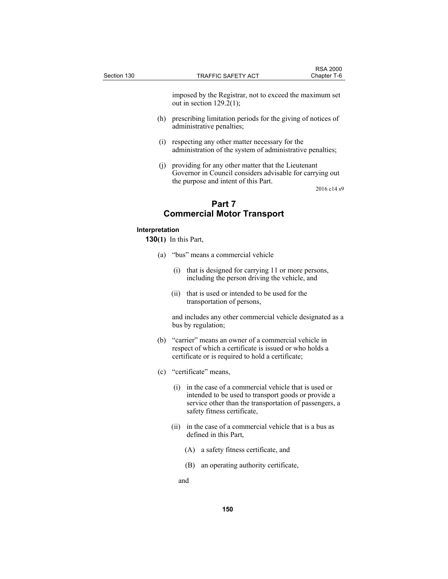imposed by the Registrar, not to exceed the maximum set out in section  $129.2(1)$ ;

- (h) prescribing limitation periods for the giving of notices of administrative penalties;
- (i) respecting any other matter necessary for the administration of the system of administrative penalties;
- (j) providing for any other matter that the Lieutenant Governor in Council considers advisable for carrying out the purpose and intent of this Part.

2016 c14 s9

# **Part 7 Commercial Motor Transport**

### **Interpretation**

**130(1)** In this Part,

- (a) "bus" means a commercial vehicle
	- (i) that is designed for carrying 11 or more persons, including the person driving the vehicle, and
	- (ii) that is used or intended to be used for the transportation of persons,

 and includes any other commercial vehicle designated as a bus by regulation;

- (b) "carrier" means an owner of a commercial vehicle in respect of which a certificate is issued or who holds a certificate or is required to hold a certificate;
- (c) "certificate" means,
	- (i) in the case of a commercial vehicle that is used or intended to be used to transport goods or provide a service other than the transportation of passengers, a safety fitness certificate,
	- (ii) in the case of a commercial vehicle that is a bus as defined in this Part,
		- (A) a safety fitness certificate, and
		- (B) an operating authority certificate,

and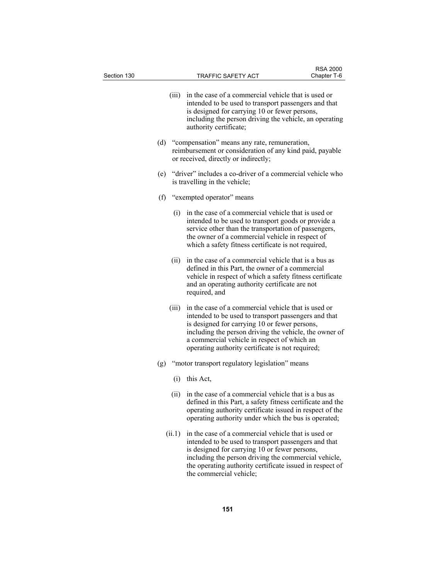| Section 130 |        | TRAFFIC SAFETY ACT                                                                                                                                                                                                                                                                                                        | <b>RSA 2000</b><br>Chapter T-6 |
|-------------|--------|---------------------------------------------------------------------------------------------------------------------------------------------------------------------------------------------------------------------------------------------------------------------------------------------------------------------------|--------------------------------|
|             |        | (iii) in the case of a commercial vehicle that is used or<br>intended to be used to transport passengers and that<br>is designed for carrying 10 or fewer persons,<br>including the person driving the vehicle, an operating<br>authority certificate;                                                                    |                                |
|             |        | (d) "compensation" means any rate, remuneration,<br>reimbursement or consideration of any kind paid, payable<br>or received, directly or indirectly;                                                                                                                                                                      |                                |
|             |        | (e) "driver" includes a co-driver of a commercial vehicle who<br>is travelling in the vehicle;                                                                                                                                                                                                                            |                                |
|             | (f)    | "exempted operator" means                                                                                                                                                                                                                                                                                                 |                                |
|             |        | (i) in the case of a commercial vehicle that is used or<br>intended to be used to transport goods or provide a<br>service other than the transportation of passengers,<br>the owner of a commercial vehicle in respect of<br>which a safety fitness certificate is not required,                                          |                                |
|             | (ii)   | in the case of a commercial vehicle that is a bus as<br>defined in this Part, the owner of a commercial<br>vehicle in respect of which a safety fitness certificate<br>and an operating authority certificate are not<br>required, and                                                                                    |                                |
|             | (iii)  | in the case of a commercial vehicle that is used or<br>intended to be used to transport passengers and that<br>is designed for carrying 10 or fewer persons,<br>including the person driving the vehicle, the owner of<br>a commercial vehicle in respect of which an<br>operating authority certificate is not required; |                                |
|             | (g)    | "motor transport regulatory legislation" means                                                                                                                                                                                                                                                                            |                                |
|             |        | $(i)$ this Act,                                                                                                                                                                                                                                                                                                           |                                |
|             |        | (ii) in the case of a commercial vehicle that is a bus as<br>defined in this Part, a safety fitness certificate and the<br>operating authority certificate issued in respect of the<br>operating authority under which the bus is operated;                                                                               |                                |
|             | (ii.1) | in the case of a commercial vehicle that is used or<br>intended to be used to transport passengers and that<br>is designed for carrying 10 or fewer persons,<br>including the person driving the commercial vehicle,                                                                                                      |                                |

the commercial vehicle;

the operating authority certificate issued in respect of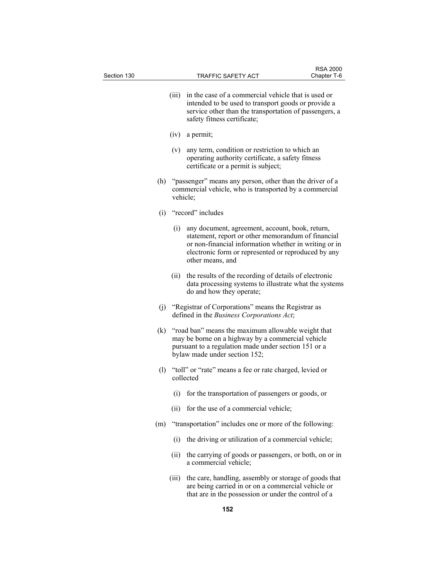| Section 130 |     |       | TRAFFIC SAFETY ACT                                                                                                                                                                                                                        | <b>RSA 2000</b><br>Chapter T-6 |
|-------------|-----|-------|-------------------------------------------------------------------------------------------------------------------------------------------------------------------------------------------------------------------------------------------|--------------------------------|
|             |     | (iii) | in the case of a commercial vehicle that is used or<br>intended to be used to transport goods or provide a<br>service other than the transportation of passengers, a<br>safety fitness certificate;                                       |                                |
|             |     | (iv)  | a permit;                                                                                                                                                                                                                                 |                                |
|             |     | (v)   | any term, condition or restriction to which an<br>operating authority certificate, a safety fitness<br>certificate or a permit is subject;                                                                                                |                                |
|             | (h) |       | "passenger" means any person, other than the driver of a<br>commercial vehicle, who is transported by a commercial<br>vehicle;                                                                                                            |                                |
|             | (i) |       | "record" includes                                                                                                                                                                                                                         |                                |
|             |     | (i)   | any document, agreement, account, book, return,<br>statement, report or other memorandum of financial<br>or non-financial information whether in writing or in<br>electronic form or represented or reproduced by any<br>other means, and |                                |
|             |     | (ii)  | the results of the recording of details of electronic<br>data processing systems to illustrate what the systems<br>do and how they operate;                                                                                               |                                |
|             | (j) |       | "Registrar of Corporations" means the Registrar as<br>defined in the Business Corporations Act;                                                                                                                                           |                                |
|             | (k) |       | "road ban" means the maximum allowable weight that<br>may be borne on a highway by a commercial vehicle<br>pursuant to a regulation made under section 151 or a<br>bylaw made under section 152;                                          |                                |
|             | (1) |       | "toll" or "rate" means a fee or rate charged, levied or<br>collected                                                                                                                                                                      |                                |
|             |     |       | (i) for the transportation of passengers or goods, or                                                                                                                                                                                     |                                |
|             |     | (ii)  | for the use of a commercial vehicle;                                                                                                                                                                                                      |                                |
|             | (m) |       | "transportation" includes one or more of the following:                                                                                                                                                                                   |                                |
|             |     | (i)   | the driving or utilization of a commercial vehicle;                                                                                                                                                                                       |                                |
|             |     | (ii)  | the carrying of goods or passengers, or both, on or in<br>a commercial vehicle;                                                                                                                                                           |                                |
|             |     | (111) | the care, handling, assembly or storage of goods that<br>are being carried in or on a commercial vehicle or<br>that are in the possession or under the control of a                                                                       |                                |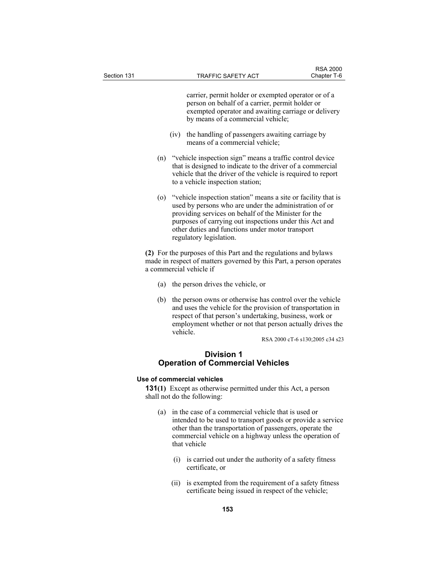carrier, permit holder or exempted operator or of a person on behalf of a carrier, permit holder or exempted operator and awaiting carriage or delivery by means of a commercial vehicle;

- (iv) the handling of passengers awaiting carriage by means of a commercial vehicle;
- (n) "vehicle inspection sign" means a traffic control device that is designed to indicate to the driver of a commercial vehicle that the driver of the vehicle is required to report to a vehicle inspection station;
- (o) "vehicle inspection station" means a site or facility that is used by persons who are under the administration of or providing services on behalf of the Minister for the purposes of carrying out inspections under this Act and other duties and functions under motor transport regulatory legislation.

**(2)** For the purposes of this Part and the regulations and bylaws made in respect of matters governed by this Part, a person operates a commercial vehicle if

- (a) the person drives the vehicle, or
- (b) the person owns or otherwise has control over the vehicle and uses the vehicle for the provision of transportation in respect of that person's undertaking, business, work or employment whether or not that person actually drives the vehicle.

RSA 2000 cT-6 s130;2005 c34 s23

# **Division 1 Operation of Commercial Vehicles**

# **Use of commercial vehicles**

**131(1)** Except as otherwise permitted under this Act, a person shall not do the following:

- (a) in the case of a commercial vehicle that is used or intended to be used to transport goods or provide a service other than the transportation of passengers, operate the commercial vehicle on a highway unless the operation of that vehicle
	- (i) is carried out under the authority of a safety fitness certificate, or
	- (ii) is exempted from the requirement of a safety fitness certificate being issued in respect of the vehicle;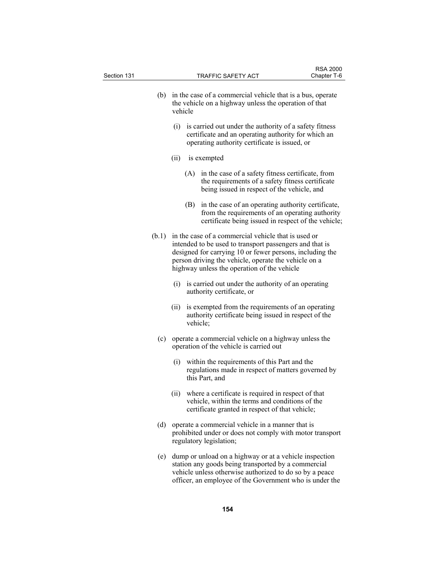| Section 131 |       |                                                                                                                                | TRAFFIC SAFETY ACT                                                                                                                                                                                                                                                                | Chapter T-6 |  |  |
|-------------|-------|--------------------------------------------------------------------------------------------------------------------------------|-----------------------------------------------------------------------------------------------------------------------------------------------------------------------------------------------------------------------------------------------------------------------------------|-------------|--|--|
|             | (b)   | in the case of a commercial vehicle that is a bus, operate<br>the vehicle on a highway unless the operation of that<br>vehicle |                                                                                                                                                                                                                                                                                   |             |  |  |
|             |       | (i)                                                                                                                            | is carried out under the authority of a safety fitness<br>certificate and an operating authority for which an<br>operating authority certificate is issued, or                                                                                                                    |             |  |  |
|             |       | (ii)                                                                                                                           | is exempted                                                                                                                                                                                                                                                                       |             |  |  |
|             |       | (A)                                                                                                                            | in the case of a safety fitness certificate, from<br>the requirements of a safety fitness certificate<br>being issued in respect of the vehicle, and                                                                                                                              |             |  |  |
|             |       | (B)                                                                                                                            | in the case of an operating authority certificate,<br>from the requirements of an operating authority<br>certificate being issued in respect of the vehicle;                                                                                                                      |             |  |  |
|             | (b.1) |                                                                                                                                | in the case of a commercial vehicle that is used or<br>intended to be used to transport passengers and that is<br>designed for carrying 10 or fewer persons, including the<br>person driving the vehicle, operate the vehicle on a<br>highway unless the operation of the vehicle |             |  |  |
|             |       |                                                                                                                                | (i) is carried out under the authority of an operating<br>authority certificate, or                                                                                                                                                                                               |             |  |  |
|             |       | (i)                                                                                                                            | is exempted from the requirements of an operating<br>authority certificate being issued in respect of the<br>vehicle;                                                                                                                                                             |             |  |  |
|             | (c)   |                                                                                                                                | operate a commercial vehicle on a highway unless the<br>operation of the vehicle is carried out                                                                                                                                                                                   |             |  |  |
|             |       |                                                                                                                                | (i) within the requirements of this Part and the<br>regulations made in respect of matters governed by<br>this Part, and                                                                                                                                                          |             |  |  |
|             |       |                                                                                                                                | (ii) where a certificate is required in respect of that<br>vehicle, within the terms and conditions of the<br>certificate granted in respect of that vehicle;                                                                                                                     |             |  |  |
|             | (d)   |                                                                                                                                | operate a commercial vehicle in a manner that is<br>prohibited under or does not comply with motor transport<br>regulatory legislation;                                                                                                                                           |             |  |  |
|             | (e)   |                                                                                                                                | dump or unload on a highway or at a vehicle inspection<br>station any goods being transported by a commercial<br>vehicle unless otherwise authorized to do so by a peace<br>officer, an employee of the Government who is under the                                               |             |  |  |
|             |       |                                                                                                                                |                                                                                                                                                                                                                                                                                   |             |  |  |

RSA 2000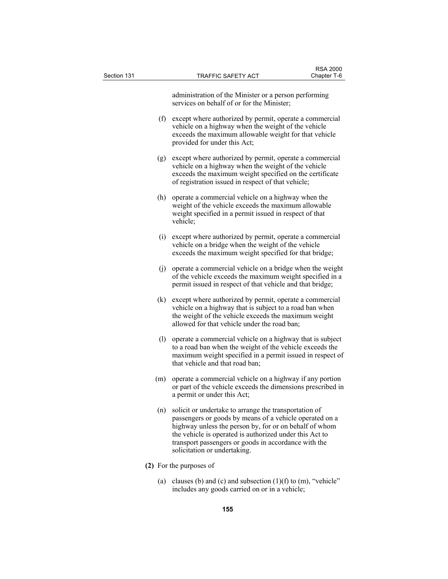| Section 131 |     | <b>TRAFFIC SAFETY ACT</b>                                                                                                                                                                                                                                                                                                     | <b>RSA 2000</b><br>Chapter T-6 |
|-------------|-----|-------------------------------------------------------------------------------------------------------------------------------------------------------------------------------------------------------------------------------------------------------------------------------------------------------------------------------|--------------------------------|
|             |     | administration of the Minister or a person performing<br>services on behalf of or for the Minister;                                                                                                                                                                                                                           |                                |
|             | (f) | except where authorized by permit, operate a commercial<br>vehicle on a highway when the weight of the vehicle<br>exceeds the maximum allowable weight for that vehicle<br>provided for under this Act;                                                                                                                       |                                |
|             | (g) | except where authorized by permit, operate a commercial<br>vehicle on a highway when the weight of the vehicle<br>exceeds the maximum weight specified on the certificate<br>of registration issued in respect of that vehicle;                                                                                               |                                |
|             | (h) | operate a commercial vehicle on a highway when the<br>weight of the vehicle exceeds the maximum allowable<br>weight specified in a permit issued in respect of that<br>vehicle;                                                                                                                                               |                                |
|             | (i) | except where authorized by permit, operate a commercial<br>vehicle on a bridge when the weight of the vehicle<br>exceeds the maximum weight specified for that bridge;                                                                                                                                                        |                                |
|             | (j) | operate a commercial vehicle on a bridge when the weight<br>of the vehicle exceeds the maximum weight specified in a<br>permit issued in respect of that vehicle and that bridge;                                                                                                                                             |                                |
|             | (k) | except where authorized by permit, operate a commercial<br>vehicle on a highway that is subject to a road ban when<br>the weight of the vehicle exceeds the maximum weight<br>allowed for that vehicle under the road ban;                                                                                                    |                                |
|             | (1) | operate a commercial vehicle on a highway that is subject<br>to a road ban when the weight of the vehicle exceeds the<br>maximum weight specified in a permit issued in respect of<br>that vehicle and that road ban;                                                                                                         |                                |
|             | (m) | operate a commercial vehicle on a highway if any portion<br>or part of the vehicle exceeds the dimensions prescribed in<br>a permit or under this Act;                                                                                                                                                                        |                                |
|             | (n) | solicit or undertake to arrange the transportation of<br>passengers or goods by means of a vehicle operated on a<br>highway unless the person by, for or on behalf of whom<br>the vehicle is operated is authorized under this Act to<br>transport passengers or goods in accordance with the<br>solicitation or undertaking. |                                |
|             |     | (2) For the purposes of                                                                                                                                                                                                                                                                                                       |                                |
|             |     | (a) clauses (b) and (c) and subsection $(1)(f)$ to $(m)$ , "vehicle"<br>includes any goods carried on or in a vehicle;                                                                                                                                                                                                        |                                |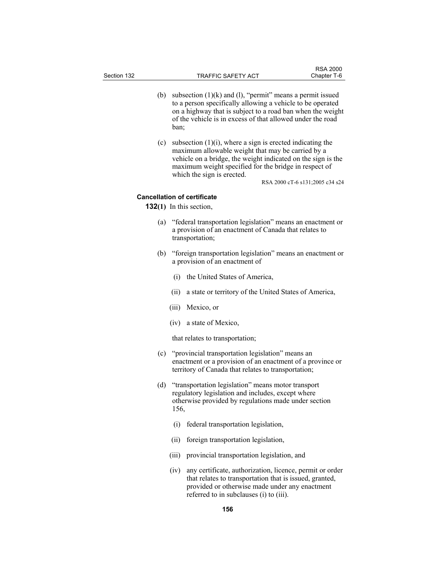- (b) subsection  $(1)(k)$  and  $(l)$ , "permit" means a permit issued to a person specifically allowing a vehicle to be operated on a highway that is subject to a road ban when the weight of the vehicle is in excess of that allowed under the road ban;
- (c) subsection  $(1)(i)$ , where a sign is erected indicating the maximum allowable weight that may be carried by a vehicle on a bridge, the weight indicated on the sign is the maximum weight specified for the bridge in respect of which the sign is erected.

RSA 2000 cT-6 s131;2005 c34 s24

# **Cancellation of certificate**

**132(1)** In this section,

- (a) "federal transportation legislation" means an enactment or a provision of an enactment of Canada that relates to transportation;
- (b) "foreign transportation legislation" means an enactment or a provision of an enactment of
	- (i) the United States of America,
	- (ii) a state or territory of the United States of America,
	- (iii) Mexico, or
	- (iv) a state of Mexico,

that relates to transportation;

- (c) "provincial transportation legislation" means an enactment or a provision of an enactment of a province or territory of Canada that relates to transportation;
- (d) "transportation legislation" means motor transport regulatory legislation and includes, except where otherwise provided by regulations made under section 156,
	- (i) federal transportation legislation,
	- (ii) foreign transportation legislation,
	- (iii) provincial transportation legislation, and
	- (iv) any certificate, authorization, licence, permit or order that relates to transportation that is issued, granted, provided or otherwise made under any enactment referred to in subclauses (i) to (iii).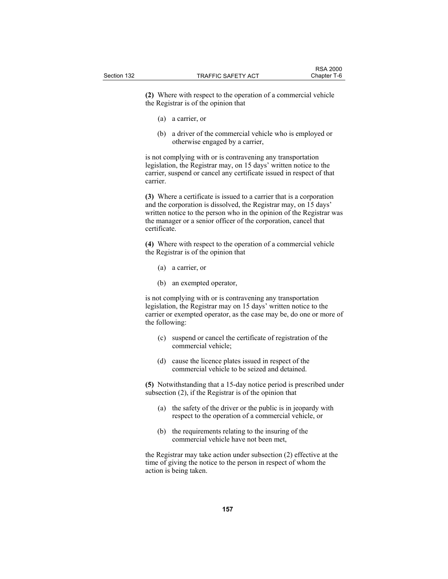**(2)** Where with respect to the operation of a commercial vehicle the Registrar is of the opinion that

- (a) a carrier, or
- (b) a driver of the commercial vehicle who is employed or otherwise engaged by a carrier,

is not complying with or is contravening any transportation legislation, the Registrar may, on 15 days' written notice to the carrier, suspend or cancel any certificate issued in respect of that carrier.

**(3)** Where a certificate is issued to a carrier that is a corporation and the corporation is dissolved, the Registrar may, on 15 days' written notice to the person who in the opinion of the Registrar was the manager or a senior officer of the corporation, cancel that certificate.

**(4)** Where with respect to the operation of a commercial vehicle the Registrar is of the opinion that

- (a) a carrier, or
- (b) an exempted operator,

is not complying with or is contravening any transportation legislation, the Registrar may on 15 days' written notice to the carrier or exempted operator, as the case may be, do one or more of the following:

- (c) suspend or cancel the certificate of registration of the commercial vehicle;
- (d) cause the licence plates issued in respect of the commercial vehicle to be seized and detained.

**(5)** Notwithstanding that a 15-day notice period is prescribed under subsection (2), if the Registrar is of the opinion that

- (a) the safety of the driver or the public is in jeopardy with respect to the operation of a commercial vehicle, or
- (b) the requirements relating to the insuring of the commercial vehicle have not been met,

the Registrar may take action under subsection (2) effective at the time of giving the notice to the person in respect of whom the action is being taken.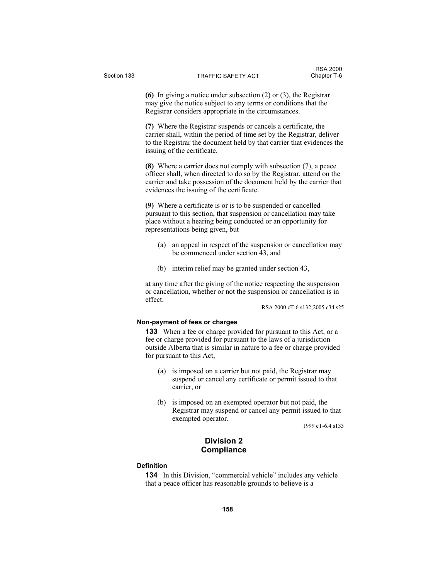**(6)** In giving a notice under subsection (2) or (3), the Registrar may give the notice subject to any terms or conditions that the Registrar considers appropriate in the circumstances.

**(7)** Where the Registrar suspends or cancels a certificate, the carrier shall, within the period of time set by the Registrar, deliver to the Registrar the document held by that carrier that evidences the issuing of the certificate.

**(8)** Where a carrier does not comply with subsection (7), a peace officer shall, when directed to do so by the Registrar, attend on the carrier and take possession of the document held by the carrier that evidences the issuing of the certificate.

**(9)** Where a certificate is or is to be suspended or cancelled pursuant to this section, that suspension or cancellation may take place without a hearing being conducted or an opportunity for representations being given, but

- (a) an appeal in respect of the suspension or cancellation may be commenced under section 43, and
- (b) interim relief may be granted under section 43,

at any time after the giving of the notice respecting the suspension or cancellation, whether or not the suspension or cancellation is in effect.

RSA 2000 cT-6 s132;2005 c34 s25

# **Non-payment of fees or charges**

**133** When a fee or charge provided for pursuant to this Act, or a fee or charge provided for pursuant to the laws of a jurisdiction outside Alberta that is similar in nature to a fee or charge provided for pursuant to this Act,

- (a) is imposed on a carrier but not paid, the Registrar may suspend or cancel any certificate or permit issued to that carrier, or
- (b) is imposed on an exempted operator but not paid, the Registrar may suspend or cancel any permit issued to that exempted operator.

1999 cT-6.4 s133

# **Division 2 Compliance**

# **Definition**

**134** In this Division, "commercial vehicle" includes any vehicle that a peace officer has reasonable grounds to believe is a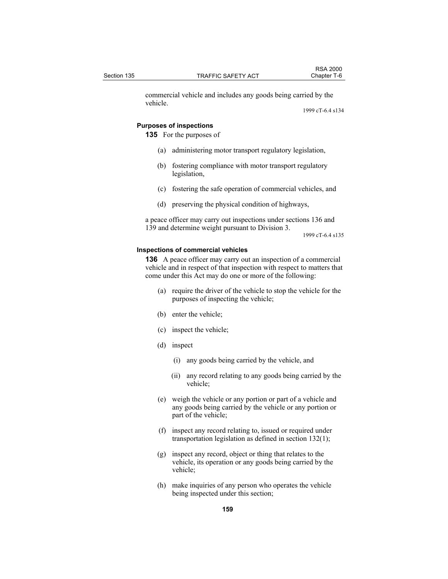commercial vehicle and includes any goods being carried by the vehicle.

1999 cT-6.4 s134

#### **Purposes of inspections**

**135** For the purposes of

- (a) administering motor transport regulatory legislation,
- (b) fostering compliance with motor transport regulatory legislation,
- (c) fostering the safe operation of commercial vehicles, and
- (d) preserving the physical condition of highways,

a peace officer may carry out inspections under sections 136 and 139 and determine weight pursuant to Division 3.

1999 cT-6.4 s135

#### **Inspections of commercial vehicles**

**136** A peace officer may carry out an inspection of a commercial vehicle and in respect of that inspection with respect to matters that come under this Act may do one or more of the following:

- (a) require the driver of the vehicle to stop the vehicle for the purposes of inspecting the vehicle;
- (b) enter the vehicle;
- (c) inspect the vehicle;
- (d) inspect
	- (i) any goods being carried by the vehicle, and
	- (ii) any record relating to any goods being carried by the vehicle;
- (e) weigh the vehicle or any portion or part of a vehicle and any goods being carried by the vehicle or any portion or part of the vehicle;
- (f) inspect any record relating to, issued or required under transportation legislation as defined in section 132(1);
- (g) inspect any record, object or thing that relates to the vehicle, its operation or any goods being carried by the vehicle;
- (h) make inquiries of any person who operates the vehicle being inspected under this section;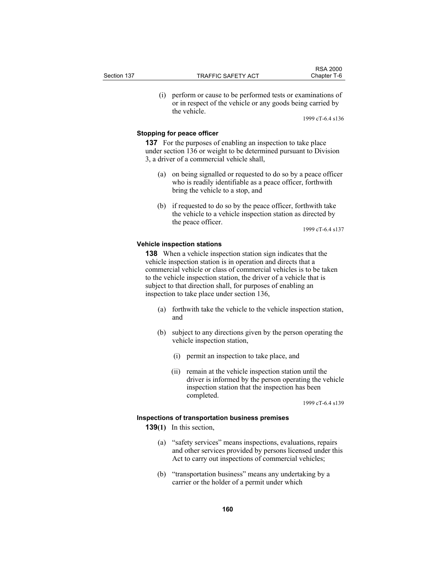(i) perform or cause to be performed tests or examinations of or in respect of the vehicle or any goods being carried by the vehicle.

1999 cT-6.4 s136

# **Stopping for peace officer**

**137** For the purposes of enabling an inspection to take place under section 136 or weight to be determined pursuant to Division 3, a driver of a commercial vehicle shall,

- (a) on being signalled or requested to do so by a peace officer who is readily identifiable as a peace officer, forthwith bring the vehicle to a stop, and
- (b) if requested to do so by the peace officer, forthwith take the vehicle to a vehicle inspection station as directed by the peace officer.

1999 cT-6.4 s137

## **Vehicle inspection stations**

**138** When a vehicle inspection station sign indicates that the vehicle inspection station is in operation and directs that a commercial vehicle or class of commercial vehicles is to be taken to the vehicle inspection station, the driver of a vehicle that is subject to that direction shall, for purposes of enabling an inspection to take place under section 136,

- (a) forthwith take the vehicle to the vehicle inspection station, and
- (b) subject to any directions given by the person operating the vehicle inspection station,
	- (i) permit an inspection to take place, and
	- (ii) remain at the vehicle inspection station until the driver is informed by the person operating the vehicle inspection station that the inspection has been completed.

1999 cT-6.4 s139

# **Inspections of transportation business premises**

- **139(1)** In this section,
	- (a) "safety services" means inspections, evaluations, repairs and other services provided by persons licensed under this Act to carry out inspections of commercial vehicles;
	- (b) "transportation business" means any undertaking by a carrier or the holder of a permit under which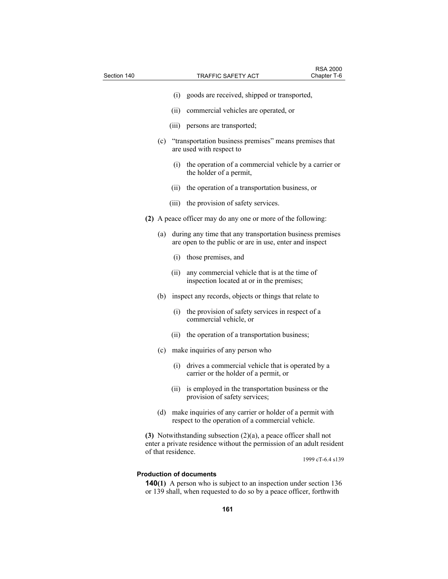| Section 140 |                    |       | <b>TRAFFIC SAFETY ACT</b>                                                                                                                    | <b>RSA 2000</b><br>Chapter T-6 |
|-------------|--------------------|-------|----------------------------------------------------------------------------------------------------------------------------------------------|--------------------------------|
|             |                    | (i)   | goods are received, shipped or transported,                                                                                                  |                                |
|             |                    | (ii)  | commercial vehicles are operated, or                                                                                                         |                                |
|             |                    | (iii) | persons are transported;                                                                                                                     |                                |
|             | (c)                |       | "transportation business premises" means premises that<br>are used with respect to                                                           |                                |
|             |                    |       | (i) the operation of a commercial vehicle by a carrier or<br>the holder of a permit,                                                         |                                |
|             |                    | (ii)  | the operation of a transportation business, or                                                                                               |                                |
|             |                    |       | (iii) the provision of safety services.                                                                                                      |                                |
|             |                    |       | (2) A peace officer may do any one or more of the following:                                                                                 |                                |
|             | (a)                |       | during any time that any transportation business premises<br>are open to the public or are in use, enter and inspect                         |                                |
|             |                    | (i)   | those premises, and                                                                                                                          |                                |
|             |                    | (ii)  | any commercial vehicle that is at the time of<br>inspection located at or in the premises;                                                   |                                |
|             | (b)                |       | inspect any records, objects or things that relate to                                                                                        |                                |
|             |                    | (i)   | the provision of safety services in respect of a<br>commercial vehicle, or                                                                   |                                |
|             |                    |       | (ii) the operation of a transportation business;                                                                                             |                                |
|             | (c)                |       | make inquiries of any person who                                                                                                             |                                |
|             |                    | (i)   | drives a commercial vehicle that is operated by a<br>carrier or the holder of a permit, or                                                   |                                |
|             |                    | (11)  | is employed in the transportation business or the<br>provision of safety services;                                                           |                                |
|             | (d)                |       | make inquiries of any carrier or holder of a permit with<br>respect to the operation of a commercial vehicle.                                |                                |
|             |                    |       | (3) Notwithstanding subsection $(2)(a)$ , a peace officer shall not<br>enter a private residence without the permission of an adult resident |                                |
|             | of that residence. |       |                                                                                                                                              | 1999 cT-6.4 s139               |
|             |                    |       | <b>Production of documents</b>                                                                                                               |                                |

**140(1)** A person who is subject to an inspection under section 136 or 139 shall, when requested to do so by a peace officer, forthwith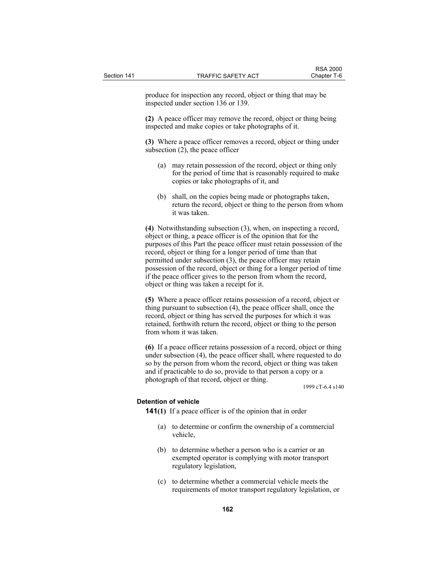produce for inspection any record, object or thing that may be inspected under section 136 or 139.

**(2)** A peace officer may remove the record, object or thing being inspected and make copies or take photographs of it.

**(3)** Where a peace officer removes a record, object or thing under subsection (2), the peace officer

- (a) may retain possession of the record, object or thing only for the period of time that is reasonably required to make copies or take photographs of it, and
- (b) shall, on the copies being made or photographs taken, return the record, object or thing to the person from whom it was taken.

**(4)** Notwithstanding subsection (3), when, on inspecting a record, object or thing, a peace officer is of the opinion that for the purposes of this Part the peace officer must retain possession of the record, object or thing for a longer period of time than that permitted under subsection (3), the peace officer may retain possession of the record, object or thing for a longer period of time if the peace officer gives to the person from whom the record, object or thing was taken a receipt for it.

**(5)** Where a peace officer retains possession of a record, object or thing pursuant to subsection (4), the peace officer shall, once the record, object or thing has served the purposes for which it was retained, forthwith return the record, object or thing to the person from whom it was taken.

**(6)** If a peace officer retains possession of a record, object or thing under subsection (4), the peace officer shall, where requested to do so by the person from whom the record, object or thing was taken and if practicable to do so, provide to that person a copy or a photograph of that record, object or thing.

1999 cT-6.4 s140

# **Detention of vehicle**

**141(1)** If a peace officer is of the opinion that in order

- (a) to determine or confirm the ownership of a commercial vehicle,
- (b) to determine whether a person who is a carrier or an exempted operator is complying with motor transport regulatory legislation,
- (c) to determine whether a commercial vehicle meets the requirements of motor transport regulatory legislation, or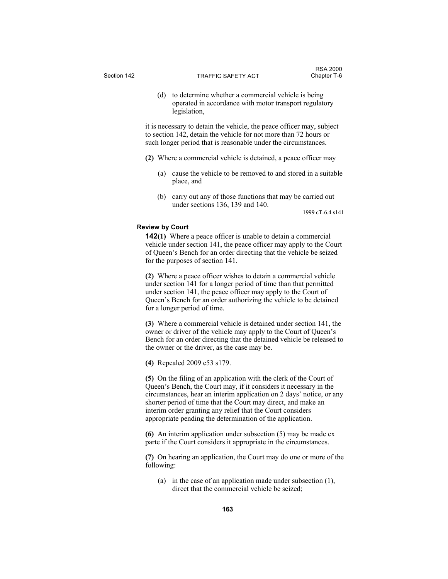(d) to determine whether a commercial vehicle is being operated in accordance with motor transport regulatory legislation,

it is necessary to detain the vehicle, the peace officer may, subject to section 142, detain the vehicle for not more than 72 hours or such longer period that is reasonable under the circumstances.

- **(2)** Where a commercial vehicle is detained, a peace officer may
	- (a) cause the vehicle to be removed to and stored in a suitable place, and
	- (b) carry out any of those functions that may be carried out under sections 136, 139 and 140.

1999 cT-6.4 s141

## **Review by Court**

**142(1)** Where a peace officer is unable to detain a commercial vehicle under section 141, the peace officer may apply to the Court of Queen's Bench for an order directing that the vehicle be seized for the purposes of section 141.

**(2)** Where a peace officer wishes to detain a commercial vehicle under section 141 for a longer period of time than that permitted under section 141, the peace officer may apply to the Court of Queen's Bench for an order authorizing the vehicle to be detained for a longer period of time.

**(3)** Where a commercial vehicle is detained under section 141, the owner or driver of the vehicle may apply to the Court of Queen's Bench for an order directing that the detained vehicle be released to the owner or the driver, as the case may be.

**(4)** Repealed 2009 c53 s179.

**(5)** On the filing of an application with the clerk of the Court of Queen's Bench, the Court may, if it considers it necessary in the circumstances, hear an interim application on 2 days' notice, or any shorter period of time that the Court may direct, and make an interim order granting any relief that the Court considers appropriate pending the determination of the application.

**(6)** An interim application under subsection (5) may be made ex parte if the Court considers it appropriate in the circumstances.

**(7)** On hearing an application, the Court may do one or more of the following:

 (a) in the case of an application made under subsection (1), direct that the commercial vehicle be seized;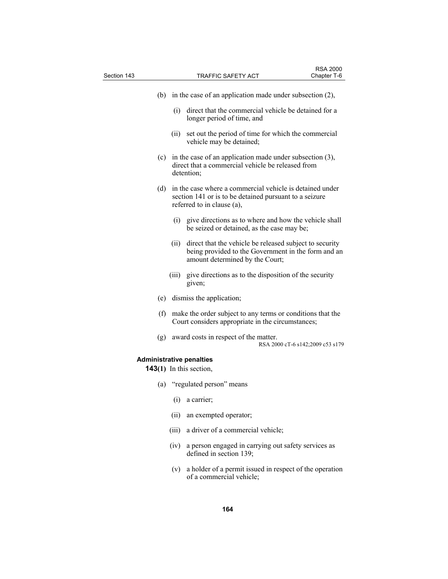| Section 143                     |       | TRAFFIC SAFETY ACT                                                                                                                                | <b>RSA 2000</b><br>Chapter T-6   |
|---------------------------------|-------|---------------------------------------------------------------------------------------------------------------------------------------------------|----------------------------------|
|                                 |       |                                                                                                                                                   |                                  |
| (b)                             |       | in the case of an application made under subsection $(2)$ ,                                                                                       |                                  |
|                                 | (i)   | direct that the commercial vehicle be detained for a<br>longer period of time, and                                                                |                                  |
|                                 | (11)  | set out the period of time for which the commercial<br>vehicle may be detained;                                                                   |                                  |
| (c)                             |       | in the case of an application made under subsection $(3)$ ,<br>direct that a commercial vehicle be released from<br>detention;                    |                                  |
| (d)                             |       | in the case where a commercial vehicle is detained under<br>section 141 or is to be detained pursuant to a seizure<br>referred to in clause (a),  |                                  |
|                                 |       | (i) give directions as to where and how the vehicle shall<br>be seized or detained, as the case may be;                                           |                                  |
|                                 | (ii)  | direct that the vehicle be released subject to security<br>being provided to the Government in the form and an<br>amount determined by the Court; |                                  |
|                                 | (iii) | give directions as to the disposition of the security<br>given;                                                                                   |                                  |
| (e)                             |       | dismiss the application;                                                                                                                          |                                  |
| (f)                             |       | make the order subject to any terms or conditions that the<br>Court considers appropriate in the circumstances;                                   |                                  |
| (g)                             |       | award costs in respect of the matter.                                                                                                             | RSA 2000 cT-6 s142;2009 c53 s179 |
| <b>Administrative penalties</b> |       |                                                                                                                                                   |                                  |
|                                 |       | <b>143(1)</b> In this section,                                                                                                                    |                                  |
|                                 |       | (a) "regulated person" means                                                                                                                      |                                  |
|                                 | (i)   | a carrier;                                                                                                                                        |                                  |
|                                 | (ii)  | an exempted operator;                                                                                                                             |                                  |
|                                 | (iii) | a driver of a commercial vehicle;                                                                                                                 |                                  |
|                                 | (iv)  | a person engaged in carrying out safety services as<br>defined in section 139;                                                                    |                                  |
|                                 | (v)   | a holder of a permit issued in respect of the operation<br>of a commercial vehicle;                                                               |                                  |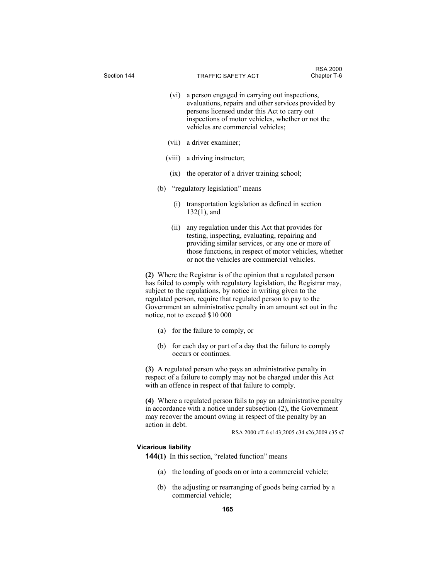| Section 144 |                            |      | <b>TRAFFIC SAFETY ACT</b>                                                                                                                                                                                                                                                                                                                                                         | <b>RSA 2000</b><br>Chapter T-6              |
|-------------|----------------------------|------|-----------------------------------------------------------------------------------------------------------------------------------------------------------------------------------------------------------------------------------------------------------------------------------------------------------------------------------------------------------------------------------|---------------------------------------------|
|             |                            |      |                                                                                                                                                                                                                                                                                                                                                                                   |                                             |
|             |                            | (vi) | a person engaged in carrying out inspections,<br>evaluations, repairs and other services provided by<br>persons licensed under this Act to carry out<br>inspections of motor vehicles, whether or not the<br>vehicles are commercial vehicles;                                                                                                                                    |                                             |
|             | (vii)                      |      | a driver examiner;                                                                                                                                                                                                                                                                                                                                                                |                                             |
|             | (viii)                     |      | a driving instructor;                                                                                                                                                                                                                                                                                                                                                             |                                             |
|             |                            | (ix) | the operator of a driver training school;                                                                                                                                                                                                                                                                                                                                         |                                             |
|             | (b)                        |      | "regulatory legislation" means                                                                                                                                                                                                                                                                                                                                                    |                                             |
|             |                            | (i)  | transportation legislation as defined in section<br>$132(1)$ , and                                                                                                                                                                                                                                                                                                                |                                             |
|             |                            | (ii) | any regulation under this Act that provides for<br>testing, inspecting, evaluating, repairing and<br>providing similar services, or any one or more of<br>those functions, in respect of motor vehicles, whether<br>or not the vehicles are commercial vehicles.                                                                                                                  |                                             |
|             |                            |      | (2) Where the Registrar is of the opinion that a regulated person<br>has failed to comply with regulatory legislation, the Registrar may,<br>subject to the regulations, by notice in writing given to the<br>regulated person, require that regulated person to pay to the<br>Government an administrative penalty in an amount set out in the<br>notice, not to exceed \$10 000 |                                             |
|             | (a)                        |      | for the failure to comply, or                                                                                                                                                                                                                                                                                                                                                     |                                             |
|             | (b)                        |      | for each day or part of a day that the failure to comply<br>occurs or continues.                                                                                                                                                                                                                                                                                                  |                                             |
|             |                            |      | (3) A regulated person who pays an administrative penalty in<br>respect of a failure to comply may not be charged under this Act<br>with an offence in respect of that failure to comply.                                                                                                                                                                                         |                                             |
|             | action in debt.            |      | (4) Where a regulated person fails to pay an administrative penalty<br>in accordance with a notice under subsection $(2)$ , the Government<br>may recover the amount owing in respect of the penalty by an                                                                                                                                                                        | RSA 2000 cT-6 s143;2005 c34 s26;2009 c35 s7 |
|             | <b>Vicarious liability</b> |      |                                                                                                                                                                                                                                                                                                                                                                                   |                                             |
|             |                            |      | <b>144(1)</b> In this section, "related function" means                                                                                                                                                                                                                                                                                                                           |                                             |
|             | (a)                        |      | the loading of goods on or into a commercial vehicle;                                                                                                                                                                                                                                                                                                                             |                                             |
|             | (b)                        |      | the adjusting or rearranging of goods being carried by a<br>commercial vehicle;                                                                                                                                                                                                                                                                                                   |                                             |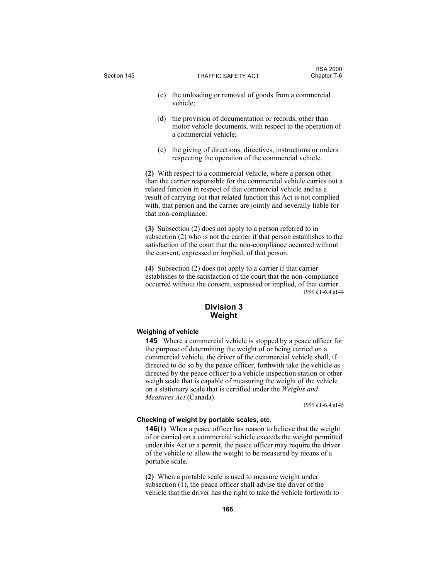- (c) the unloading or removal of goods from a commercial vehicle;
- (d) the provision of documentation or records, other than motor vehicle documents, with respect to the operation of a commercial vehicle;
- (e) the giving of directions, directives, instructions or orders respecting the operation of the commercial vehicle.

**(2)** With respect to a commercial vehicle, where a person other than the carrier responsible for the commercial vehicle carries out a related function in respect of that commercial vehicle and as a result of carrying out that related function this Act is not complied with, that person and the carrier are jointly and severally liable for that non-compliance.

**(3)** Subsection (2) does not apply to a person referred to in subsection (2) who is not the carrier if that person establishes to the satisfaction of the court that the non-compliance occurred without the consent, expressed or implied, of that person.

**(4)** Subsection (2) does not apply to a carrier if that carrier establishes to the satisfaction of the court that the non-compliance occurred without the consent, expressed or implied, of that carrier. 1999 cT-6.4 s144

# **Division 3 Weight**

#### **Weighing of vehicle**

**145** Where a commercial vehicle is stopped by a peace officer for the purpose of determining the weight of or being carried on a commercial vehicle, the driver of the commercial vehicle shall, if directed to do so by the peace officer, forthwith take the vehicle as directed by the peace officer to a vehicle inspection station or other weigh scale that is capable of measuring the weight of the vehicle on a stationary scale that is certified under the *Weights and Measures Act* (Canada).

1999 cT-6.4 s145

# **Checking of weight by portable scales, etc.**

**146(1)** When a peace officer has reason to believe that the weight of or carried on a commercial vehicle exceeds the weight permitted under this Act or a permit, the peace officer may require the driver of the vehicle to allow the weight to be measured by means of a portable scale.

**(2)** When a portable scale is used to measure weight under subsection (1), the peace officer shall advise the driver of the vehicle that the driver has the right to take the vehicle forthwith to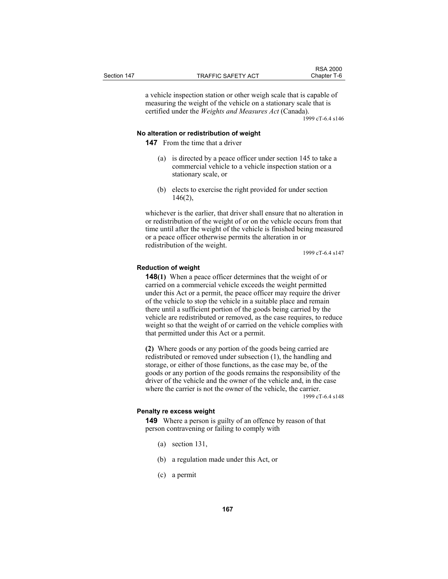a vehicle inspection station or other weigh scale that is capable of measuring the weight of the vehicle on a stationary scale that is certified under the *Weights and Measures Act* (Canada).

1999 cT-6.4 s146

## **No alteration or redistribution of weight**

**147** From the time that a driver

- (a) is directed by a peace officer under section 145 to take a commercial vehicle to a vehicle inspection station or a stationary scale, or
- (b) elects to exercise the right provided for under section 146(2),

whichever is the earlier, that driver shall ensure that no alteration in or redistribution of the weight of or on the vehicle occurs from that time until after the weight of the vehicle is finished being measured or a peace officer otherwise permits the alteration in or redistribution of the weight.

1999 cT-6.4 s147

#### **Reduction of weight**

**148(1)** When a peace officer determines that the weight of or carried on a commercial vehicle exceeds the weight permitted under this Act or a permit, the peace officer may require the driver of the vehicle to stop the vehicle in a suitable place and remain there until a sufficient portion of the goods being carried by the vehicle are redistributed or removed, as the case requires, to reduce weight so that the weight of or carried on the vehicle complies with that permitted under this Act or a permit.

**(2)** Where goods or any portion of the goods being carried are redistributed or removed under subsection (1), the handling and storage, or either of those functions, as the case may be, of the goods or any portion of the goods remains the responsibility of the driver of the vehicle and the owner of the vehicle and, in the case where the carrier is not the owner of the vehicle, the carrier. 1999 cT-6.4 s148

# **Penalty re excess weight**

**149** Where a person is guilty of an offence by reason of that person contravening or failing to comply with

- (a) section 131,
- (b) a regulation made under this Act, or
- (c) a permit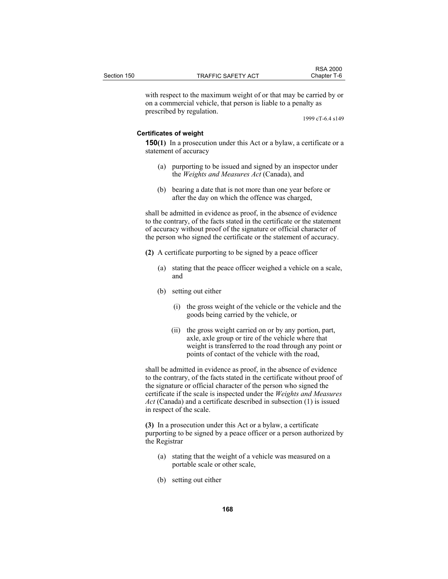|             |                           | <b>RSA 2000</b> |
|-------------|---------------------------|-----------------|
| Section 150 | <b>TRAFFIC SAFETY ACT</b> | Chapter T-6     |

with respect to the maximum weight of or that may be carried by or on a commercial vehicle, that person is liable to a penalty as prescribed by regulation.

1999 cT-6.4 s149

## **Certificates of weight**

**150(1)** In a prosecution under this Act or a bylaw, a certificate or a statement of accuracy

- (a) purporting to be issued and signed by an inspector under the *Weights and Measures Act* (Canada), and
- (b) bearing a date that is not more than one year before or after the day on which the offence was charged,

shall be admitted in evidence as proof, in the absence of evidence to the contrary, of the facts stated in the certificate or the statement of accuracy without proof of the signature or official character of the person who signed the certificate or the statement of accuracy.

- **(2)** A certificate purporting to be signed by a peace officer
	- (a) stating that the peace officer weighed a vehicle on a scale, and
	- (b) setting out either
		- (i) the gross weight of the vehicle or the vehicle and the goods being carried by the vehicle, or
		- (ii) the gross weight carried on or by any portion, part, axle, axle group or tire of the vehicle where that weight is transferred to the road through any point or points of contact of the vehicle with the road,

shall be admitted in evidence as proof, in the absence of evidence to the contrary, of the facts stated in the certificate without proof of the signature or official character of the person who signed the certificate if the scale is inspected under the *Weights and Measures Act* (Canada) and a certificate described in subsection (1) is issued in respect of the scale.

**(3)** In a prosecution under this Act or a bylaw, a certificate purporting to be signed by a peace officer or a person authorized by the Registrar

- (a) stating that the weight of a vehicle was measured on a portable scale or other scale,
- (b) setting out either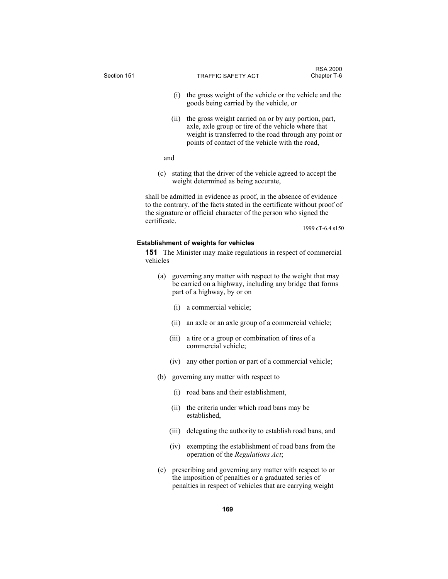| Section 151 |              |       | TRAFFIC SAFETY ACT                                                                                                                                                                                                      | <b>RSA 2000</b><br>Chapter T-6 |
|-------------|--------------|-------|-------------------------------------------------------------------------------------------------------------------------------------------------------------------------------------------------------------------------|--------------------------------|
|             |              | (i)   | the gross weight of the vehicle or the vehicle and the<br>goods being carried by the vehicle, or                                                                                                                        |                                |
|             |              | (ii)  | the gross weight carried on or by any portion, part,<br>axle, axle group or tire of the vehicle where that<br>weight is transferred to the road through any point or<br>points of contact of the vehicle with the road, |                                |
|             | and          |       |                                                                                                                                                                                                                         |                                |
|             | (c)          |       | stating that the driver of the vehicle agreed to accept the<br>weight determined as being accurate,                                                                                                                     |                                |
|             |              |       | shall be admitted in evidence as proof, in the absence of evidence<br>to the contrary, of the facts stated in the certificate without proof of<br>the signature or official character of the person who signed the      |                                |
|             | certificate. |       |                                                                                                                                                                                                                         | 1999 cT-6.4 s150               |
|             | vehicles     |       | <b>Establishment of weights for vehicles</b><br><b>151</b> The Minister may make regulations in respect of commercial                                                                                                   |                                |
|             | (a)          |       | governing any matter with respect to the weight that may<br>be carried on a highway, including any bridge that forms<br>part of a highway, by or on                                                                     |                                |
|             |              | (i)   | a commercial vehicle;                                                                                                                                                                                                   |                                |
|             |              | (ii)  | an axle or an axle group of a commercial vehicle;                                                                                                                                                                       |                                |
|             |              | (iii) | a tire or a group or combination of tires of a<br>commercial vehicle;                                                                                                                                                   |                                |
|             |              | (iv)  | any other portion or part of a commercial vehicle;                                                                                                                                                                      |                                |
|             | (b)          |       | governing any matter with respect to                                                                                                                                                                                    |                                |
|             |              |       | (i) road bans and their establishment,                                                                                                                                                                                  |                                |
|             |              | (ii)  | the criteria under which road bans may be<br>established,                                                                                                                                                               |                                |
|             |              | (iii) | delegating the authority to establish road bans, and                                                                                                                                                                    |                                |
|             |              | (iv)  | exempting the establishment of road bans from the<br>operation of the Regulations Act;                                                                                                                                  |                                |
|             |              |       | (c) prescribing and governing any matter with respect to or<br>the imposition of penalties or a graduated series of<br>penalties in respect of vehicles that are carrying weight                                        |                                |
|             |              |       | 169                                                                                                                                                                                                                     |                                |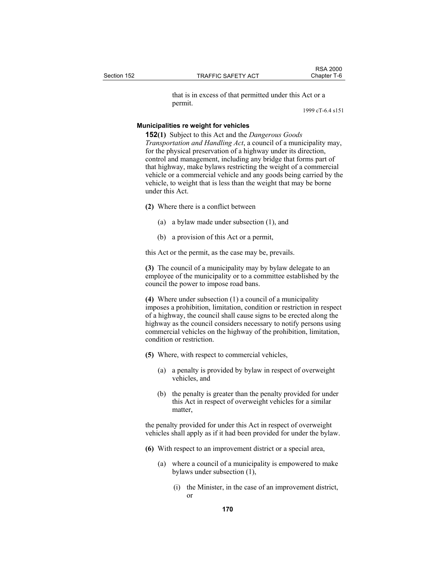that is in excess of that permitted under this Act or a permit.

1999 cT-6.4 s151

RSA 2000<br>Chapter T-6

# **Municipalities re weight for vehicles**

**152(1)** Subject to this Act and the *Dangerous Goods Transportation and Handling Act*, a council of a municipality may, for the physical preservation of a highway under its direction, control and management, including any bridge that forms part of that highway, make bylaws restricting the weight of a commercial vehicle or a commercial vehicle and any goods being carried by the vehicle, to weight that is less than the weight that may be borne under this Act.

- **(2)** Where there is a conflict between
	- (a) a bylaw made under subsection (1), and
	- (b) a provision of this Act or a permit,

this Act or the permit, as the case may be, prevails.

**(3)** The council of a municipality may by bylaw delegate to an employee of the municipality or to a committee established by the council the power to impose road bans.

**(4)** Where under subsection (1) a council of a municipality imposes a prohibition, limitation, condition or restriction in respect of a highway, the council shall cause signs to be erected along the highway as the council considers necessary to notify persons using commercial vehicles on the highway of the prohibition, limitation, condition or restriction.

- **(5)** Where, with respect to commercial vehicles,
	- (a) a penalty is provided by bylaw in respect of overweight vehicles, and
	- (b) the penalty is greater than the penalty provided for under this Act in respect of overweight vehicles for a similar matter,

the penalty provided for under this Act in respect of overweight vehicles shall apply as if it had been provided for under the bylaw.

- **(6)** With respect to an improvement district or a special area,
	- (a) where a council of a municipality is empowered to make bylaws under subsection (1),
		- (i) the Minister, in the case of an improvement district, or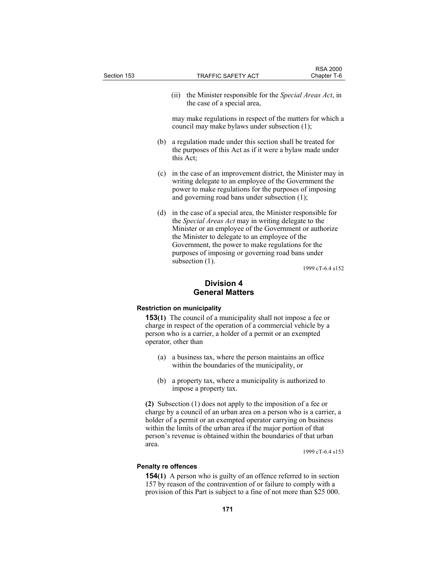| Section 153 |     | <b>TRAFFIC SAFETY ACT</b>                                                                                                                                                                                                                                                                                                                                    | <b>RSA 2000</b><br>Chapter T-6 |  |
|-------------|-----|--------------------------------------------------------------------------------------------------------------------------------------------------------------------------------------------------------------------------------------------------------------------------------------------------------------------------------------------------------------|--------------------------------|--|
|             |     | the Minister responsible for the <i>Special Areas Act</i> , in<br>(11)<br>the case of a special area,                                                                                                                                                                                                                                                        |                                |  |
|             |     | may make regulations in respect of the matters for which a<br>council may make bylaws under subsection (1);                                                                                                                                                                                                                                                  |                                |  |
|             | (b) | a regulation made under this section shall be treated for<br>the purposes of this Act as if it were a bylaw made under<br>this Act;                                                                                                                                                                                                                          |                                |  |
|             | (c) | in the case of an improvement district, the Minister may in<br>writing delegate to an employee of the Government the<br>power to make regulations for the purposes of imposing<br>and governing road bans under subsection (1);                                                                                                                              |                                |  |
|             | (d) | in the case of a special area, the Minister responsible for<br>the Special Areas Act may in writing delegate to the<br>Minister or an employee of the Government or authorize<br>the Minister to delegate to an employee of the<br>Government, the power to make regulations for the<br>purposes of imposing or governing road bans under<br>subsection (1). |                                |  |
|             |     |                                                                                                                                                                                                                                                                                                                                                              | 1999 cT-6.4 s152               |  |
|             |     |                                                                                                                                                                                                                                                                                                                                                              |                                |  |

# **Division 4 General Matters**

# **Restriction on municipality**

**153(1)** The council of a municipality shall not impose a fee or charge in respect of the operation of a commercial vehicle by a person who is a carrier, a holder of a permit or an exempted operator, other than

- (a) a business tax, where the person maintains an office within the boundaries of the municipality, or
- (b) a property tax, where a municipality is authorized to impose a property tax.

**(2)** Subsection (1) does not apply to the imposition of a fee or charge by a council of an urban area on a person who is a carrier, a holder of a permit or an exempted operator carrying on business within the limits of the urban area if the major portion of that person's revenue is obtained within the boundaries of that urban area.

1999 cT-6.4 s153

# **Penalty re offences**

**154(1)** A person who is guilty of an offence referred to in section 157 by reason of the contravention of or failure to comply with a provision of this Part is subject to a fine of not more than \$25 000.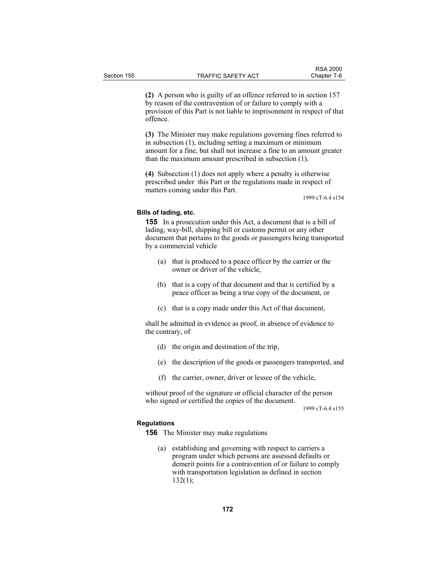**(2)** A person who is guilty of an offence referred to in section 157 by reason of the contravention of or failure to comply with a provision of this Part is not liable to imprisonment in respect of that offence.

**(3)** The Minister may make regulations governing fines referred to in subsection (1), including setting a maximum or minimum amount for a fine, but shall not increase a fine to an amount greater than the maximum amount prescribed in subsection (1).

**(4)** Subsection (1) does not apply where a penalty is otherwise prescribed under this Part or the regulations made in respect of matters coming under this Part.

1999 cT-6.4 s154

# **Bills of lading, etc.**

**155** In a prosecution under this Act, a document that is a bill of lading, way-bill, shipping bill or customs permit or any other document that pertains to the goods or passengers being transported by a commercial vehicle

- (a) that is produced to a peace officer by the carrier or the owner or driver of the vehicle,
- (b) that is a copy of that document and that is certified by a peace officer as being a true copy of the document, or
- (c) that is a copy made under this Act of that document,

shall be admitted in evidence as proof, in absence of evidence to the contrary, of

- (d) the origin and destination of the trip,
- (e) the description of the goods or passengers transported, and
- (f) the carrier, owner, driver or lessee of the vehicle,

without proof of the signature or official character of the person who signed or certified the copies of the document.

1999 cT-6.4 s155

# **Regulations**

**156** The Minister may make regulations

 (a) establishing and governing with respect to carriers a program under which persons are assessed defaults or demerit points for a contravention of or failure to comply with transportation legislation as defined in section  $132(1)$ ;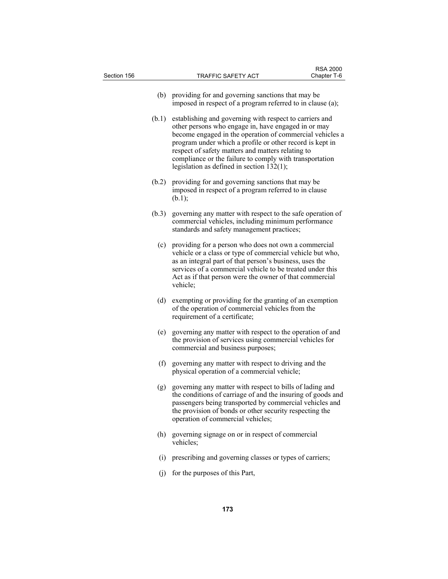| Section 156 | TRAFFIC SAFETY ACT                                                                                                                                                                                                                                                                                                   | <b>RSA 2000</b><br>Chapter T-6                                                                                                                                                                                                                                                                    |  |
|-------------|----------------------------------------------------------------------------------------------------------------------------------------------------------------------------------------------------------------------------------------------------------------------------------------------------------------------|---------------------------------------------------------------------------------------------------------------------------------------------------------------------------------------------------------------------------------------------------------------------------------------------------|--|
| (b)         | providing for and governing sanctions that may be<br>imposed in respect of a program referred to in clause (a);                                                                                                                                                                                                      |                                                                                                                                                                                                                                                                                                   |  |
| (b.1)       | respect of safety matters and matters relating to<br>legislation as defined in section $132(1)$ ;                                                                                                                                                                                                                    | establishing and governing with respect to carriers and<br>other persons who engage in, have engaged in or may<br>become engaged in the operation of commercial vehicles a<br>program under which a profile or other record is kept in<br>compliance or the failure to comply with transportation |  |
| (b.2)       | providing for and governing sanctions that may be<br>imposed in respect of a program referred to in clause<br>(b.1);                                                                                                                                                                                                 |                                                                                                                                                                                                                                                                                                   |  |
| (b.3)       | governing any matter with respect to the safe operation of<br>commercial vehicles, including minimum performance<br>standards and safety management practices;                                                                                                                                                       |                                                                                                                                                                                                                                                                                                   |  |
|             | (c) providing for a person who does not own a commercial<br>vehicle or a class or type of commercial vehicle but who,<br>as an integral part of that person's business, uses the<br>services of a commercial vehicle to be treated under this<br>Act as if that person were the owner of that commercial<br>vehicle; |                                                                                                                                                                                                                                                                                                   |  |
| (d)         | exempting or providing for the granting of an exemption<br>of the operation of commercial vehicles from the<br>requirement of a certificate;                                                                                                                                                                         |                                                                                                                                                                                                                                                                                                   |  |
| (e)         | governing any matter with respect to the operation of and<br>the provision of services using commercial vehicles for<br>commercial and business purposes;                                                                                                                                                            |                                                                                                                                                                                                                                                                                                   |  |
|             | (f) governing any matter with respect to driving and the<br>physical operation of a commercial vehicle;                                                                                                                                                                                                              |                                                                                                                                                                                                                                                                                                   |  |
| (g)         | governing any matter with respect to bills of lading and<br>the conditions of carriage of and the insuring of goods and<br>passengers being transported by commercial vehicles and<br>the provision of bonds or other security respecting the<br>operation of commercial vehicles;                                   |                                                                                                                                                                                                                                                                                                   |  |
|             | (h) governing signage on or in respect of commercial<br>vehicles;                                                                                                                                                                                                                                                    |                                                                                                                                                                                                                                                                                                   |  |
| (i)         | prescribing and governing classes or types of carriers;                                                                                                                                                                                                                                                              |                                                                                                                                                                                                                                                                                                   |  |
| (i)         | for the purposes of this Part,                                                                                                                                                                                                                                                                                       |                                                                                                                                                                                                                                                                                                   |  |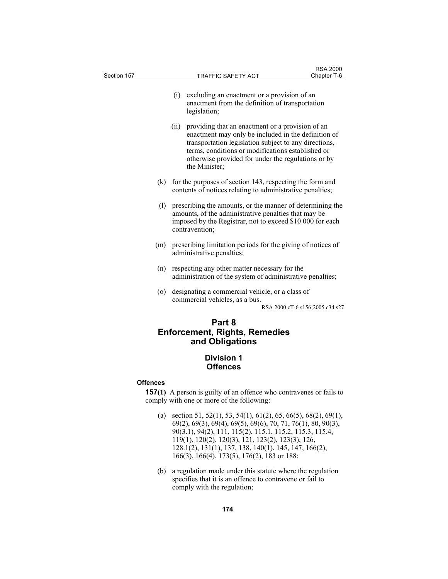| Section 157 |                                                                                                                                                                                                         | TRAFFIC SAFETY ACT                                                                                                                                                                                                                                                                           | <b>RSA 2000</b><br>Chapter T-6 |
|-------------|---------------------------------------------------------------------------------------------------------------------------------------------------------------------------------------------------------|----------------------------------------------------------------------------------------------------------------------------------------------------------------------------------------------------------------------------------------------------------------------------------------------|--------------------------------|
|             | (i)                                                                                                                                                                                                     | excluding an enactment or a provision of an<br>enactment from the definition of transportation<br>legislation;                                                                                                                                                                               |                                |
|             | (ii)                                                                                                                                                                                                    | providing that an enactment or a provision of an<br>enactment may only be included in the definition of<br>transportation legislation subject to any directions,<br>terms, conditions or modifications established or<br>otherwise provided for under the regulations or by<br>the Minister; |                                |
|             | (k)                                                                                                                                                                                                     | for the purposes of section 143, respecting the form and<br>contents of notices relating to administrative penalties;                                                                                                                                                                        |                                |
|             | (1)<br>prescribing the amounts, or the manner of determining the<br>amounts, of the administrative penalties that may be<br>imposed by the Registrar, not to exceed \$10 000 for each<br>contravention; |                                                                                                                                                                                                                                                                                              |                                |
|             | (m)                                                                                                                                                                                                     | prescribing limitation periods for the giving of notices of<br>administrative penalties;                                                                                                                                                                                                     |                                |
|             | (n)                                                                                                                                                                                                     | respecting any other matter necessary for the<br>administration of the system of administrative penalties;                                                                                                                                                                                   |                                |
|             | (0)                                                                                                                                                                                                     | designating a commercial vehicle, or a class of<br>commercial vehicles, as a bus.<br>RSA 2000 cT-6 s156;2005 c34 s27                                                                                                                                                                         |                                |
|             |                                                                                                                                                                                                         | Part 8<br><b>Enforcement, Rights, Remedies</b><br>and Obligations                                                                                                                                                                                                                            |                                |
|             |                                                                                                                                                                                                         | Division 1<br><b>Offences</b>                                                                                                                                                                                                                                                                |                                |
| Offences    |                                                                                                                                                                                                         | <b>157(1)</b> A person is guilty of an offence who contravenes or fails to<br>comply with one or more of the following:                                                                                                                                                                      |                                |
|             | (a)                                                                                                                                                                                                     | section 51, 52(1), 53, 54(1), 61(2), 65, 66(5), 68(2), 69(1),<br>69(2) 69(3) 69(4) 69(5) 69(6) 70 71 76(1) 80 90(3)                                                                                                                                                                          |                                |

- 69(2), 69(3), 69(4), 69(5), 69(6), 70, 71, 76(1), 80, 90(3), 90(3.1), 94(2), 111, 115(2), 115.1, 115.2, 115.3, 115.4, 119(1), 120(2), 120(3), 121, 123(2), 123(3), 126, 128.1(2), 131(1), 137, 138, 140(1), 145, 147, 166(2), 166(3), 166(4), 173(5), 176(2), 183 or 188;
- (b) a regulation made under this statute where the regulation specifies that it is an offence to contravene or fail to comply with the regulation;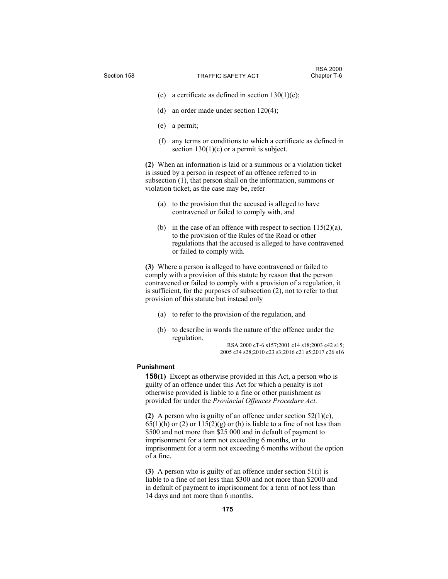- (c) a certificate as defined in section  $130(1)(c)$ ;
- (d) an order made under section 120(4);
- (e) a permit;
- (f) any terms or conditions to which a certificate as defined in section  $130(1)(c)$  or a permit is subject.

**(2)** When an information is laid or a summons or a violation ticket is issued by a person in respect of an offence referred to in subsection (1), that person shall on the information, summons or violation ticket, as the case may be, refer

- (a) to the provision that the accused is alleged to have contravened or failed to comply with, and
- (b) in the case of an offence with respect to section  $115(2)(a)$ , to the provision of the Rules of the Road or other regulations that the accused is alleged to have contravened or failed to comply with.

**(3)** Where a person is alleged to have contravened or failed to comply with a provision of this statute by reason that the person contravened or failed to comply with a provision of a regulation, it is sufficient, for the purposes of subsection (2), not to refer to that provision of this statute but instead only

- (a) to refer to the provision of the regulation, and
- (b) to describe in words the nature of the offence under the regulation.

RSA 2000 cT-6 s157;2001 c14 s18;2003 c42 s15; 2005 c34 s28;2010 c23 s3;2016 c21 s5;2017 c26 s16

## **Punishment**

**158(1)** Except as otherwise provided in this Act, a person who is guilty of an offence under this Act for which a penalty is not otherwise provided is liable to a fine or other punishment as provided for under the *Provincial Offences Procedure Act*.

**(2)** A person who is guilty of an offence under section 52(1)(c),  $65(1)(h)$  or  $(2)$  or  $115(2)(g)$  or  $(h)$  is liable to a fine of not less than \$500 and not more than \$25 000 and in default of payment to imprisonment for a term not exceeding 6 months, or to imprisonment for a term not exceeding 6 months without the option of a fine.

**(3)** A person who is guilty of an offence under section 51(i) is liable to a fine of not less than \$300 and not more than \$2000 and in default of payment to imprisonment for a term of not less than 14 days and not more than 6 months.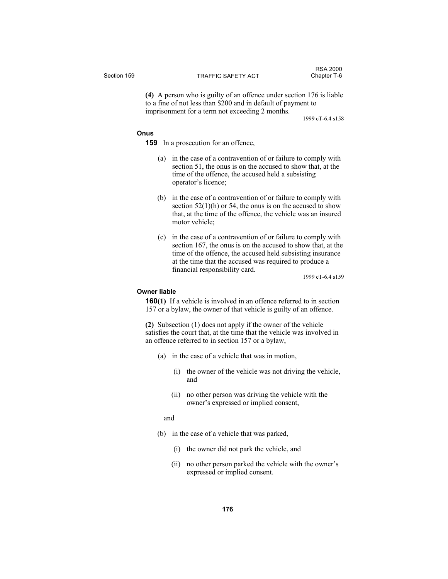**(4)** A person who is guilty of an offence under section 176 is liable to a fine of not less than \$200 and in default of payment to imprisonment for a term not exceeding 2 months.

1999 cT-6.4 s158

# **Onus**

**159** In a prosecution for an offence,

- (a) in the case of a contravention of or failure to comply with section 51, the onus is on the accused to show that, at the time of the offence, the accused held a subsisting operator's licence;
- (b) in the case of a contravention of or failure to comply with section  $52(1)$ (h) or 54, the onus is on the accused to show that, at the time of the offence, the vehicle was an insured motor vehicle;
- (c) in the case of a contravention of or failure to comply with section 167, the onus is on the accused to show that, at the time of the offence, the accused held subsisting insurance at the time that the accused was required to produce a financial responsibility card.

1999 cT-6.4 s159

# **Owner liable**

**160(1)** If a vehicle is involved in an offence referred to in section 157 or a bylaw, the owner of that vehicle is guilty of an offence.

**(2)** Subsection (1) does not apply if the owner of the vehicle satisfies the court that, at the time that the vehicle was involved in an offence referred to in section 157 or a bylaw,

- (a) in the case of a vehicle that was in motion,
	- (i) the owner of the vehicle was not driving the vehicle, and
	- (ii) no other person was driving the vehicle with the owner's expressed or implied consent,

and

- (b) in the case of a vehicle that was parked,
	- (i) the owner did not park the vehicle, and
	- (ii) no other person parked the vehicle with the owner's expressed or implied consent.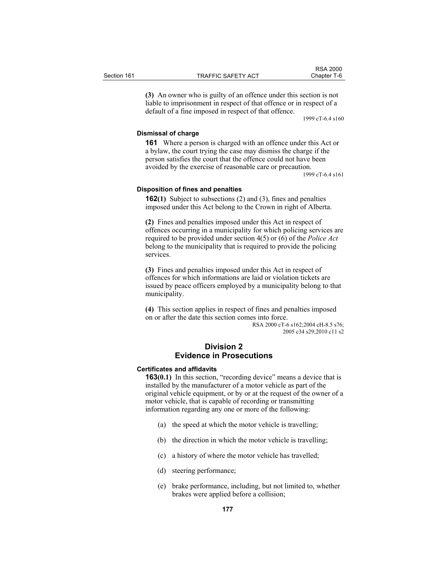|             |                    | <b>RSA 2000</b> |
|-------------|--------------------|-----------------|
| Section 161 | TRAFFIC SAFETY ACT | Chapter T-6     |

**(3)** An owner who is guilty of an offence under this section is not liable to imprisonment in respect of that offence or in respect of a default of a fine imposed in respect of that offence.

1999 cT-6.4 s160

## **Dismissal of charge**

**161** Where a person is charged with an offence under this Act or a bylaw, the court trying the case may dismiss the charge if the person satisfies the court that the offence could not have been avoided by the exercise of reasonable care or precaution.

1999 cT-6.4 s161

## **Disposition of fines and penalties**

**162(1)** Subject to subsections (2) and (3), fines and penalties imposed under this Act belong to the Crown in right of Alberta.

**(2)** Fines and penalties imposed under this Act in respect of offences occurring in a municipality for which policing services are required to be provided under section 4(5) or (6) of the *Police Act* belong to the municipality that is required to provide the policing services.

**(3)** Fines and penalties imposed under this Act in respect of offences for which informations are laid or violation tickets are issued by peace officers employed by a municipality belong to that municipality.

**(4)** This section applies in respect of fines and penalties imposed on or after the date this section comes into force.

RSA 2000 cT-6 s162;2004 cH-8.5 s76; 2005 c34 s29;2010 c11 s2

# **Division 2 Evidence in Prosecutions**

#### **Certificates and affidavits**

**163(0.1)** In this section, "recording device" means a device that is installed by the manufacturer of a motor vehicle as part of the original vehicle equipment, or by or at the request of the owner of a motor vehicle, that is capable of recording or transmitting information regarding any one or more of the following:

- (a) the speed at which the motor vehicle is travelling;
- (b) the direction in which the motor vehicle is travelling;
- (c) a history of where the motor vehicle has travelled;
- (d) steering performance;
- (e) brake performance, including, but not limited to, whether brakes were applied before a collision;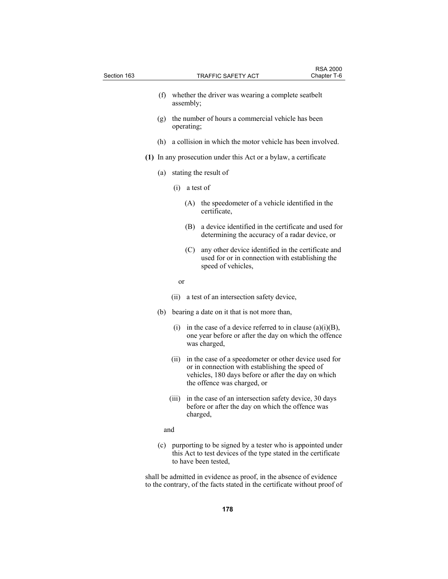| Section 163 |     |       |            |                                                                                                                                                                                                | <b>RSA 2000</b><br>Chapter T-6 |
|-------------|-----|-------|------------|------------------------------------------------------------------------------------------------------------------------------------------------------------------------------------------------|--------------------------------|
|             |     |       |            | <b>TRAFFIC SAFETY ACT</b>                                                                                                                                                                      |                                |
|             | (f) |       | assembly;  | whether the driver was wearing a complete seatbelt                                                                                                                                             |                                |
|             | (g) |       | operating; | the number of hours a commercial vehicle has been                                                                                                                                              |                                |
|             | (h) |       |            | a collision in which the motor vehicle has been involved.                                                                                                                                      |                                |
|             |     |       |            | (1) In any prosecution under this Act or a bylaw, a certificate                                                                                                                                |                                |
|             | (a) |       |            | stating the result of                                                                                                                                                                          |                                |
|             |     | (i)   |            | a test of                                                                                                                                                                                      |                                |
|             |     |       | (A)        | the speedometer of a vehicle identified in the<br>certificate,                                                                                                                                 |                                |
|             |     |       | (B)        | a device identified in the certificate and used for<br>determining the accuracy of a radar device, or                                                                                          |                                |
|             |     |       | (C)        | any other device identified in the certificate and<br>used for or in connection with establishing the<br>speed of vehicles,                                                                    |                                |
|             |     | or    |            |                                                                                                                                                                                                |                                |
|             |     |       |            | (ii) a test of an intersection safety device,                                                                                                                                                  |                                |
|             | (b) |       |            | bearing a date on it that is not more than,                                                                                                                                                    |                                |
|             |     | (i)   |            | in the case of a device referred to in clause $(a)(i)(B)$ ,<br>one year before or after the day on which the offence<br>was charged,                                                           |                                |
|             |     | (ii)  |            | in the case of a speedometer or other device used for<br>or in connection with establishing the speed of<br>vehicles, 180 days before or after the day on which<br>the offence was charged, or |                                |
|             |     | (iii) |            | in the case of an intersection safety device, 30 days<br>before or after the day on which the offence was<br>charged,                                                                          |                                |
|             |     | and   |            |                                                                                                                                                                                                |                                |
|             | (c) |       |            | purporting to be signed by a tester who is appointed under<br>this Act to test devices of the type stated in the certificate<br>to have been tested,                                           |                                |

shall be admitted in evidence as proof, in the absence of evidence to the contrary, of the facts stated in the certificate without proof of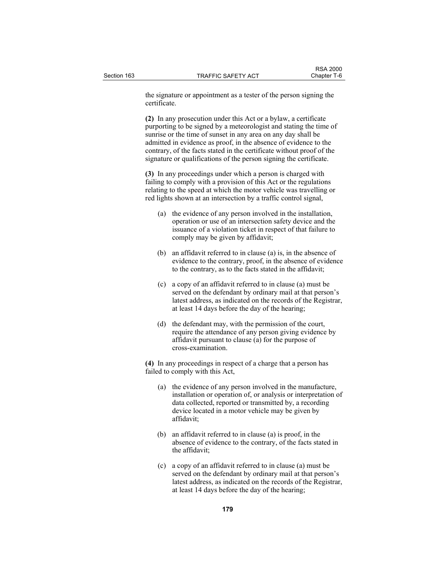the signature or appointment as a tester of the person signing the certificate.

**(2)** In any prosecution under this Act or a bylaw, a certificate purporting to be signed by a meteorologist and stating the time of sunrise or the time of sunset in any area on any day shall be admitted in evidence as proof, in the absence of evidence to the contrary, of the facts stated in the certificate without proof of the signature or qualifications of the person signing the certificate.

**(3)** In any proceedings under which a person is charged with failing to comply with a provision of this Act or the regulations relating to the speed at which the motor vehicle was travelling or red lights shown at an intersection by a traffic control signal,

- (a) the evidence of any person involved in the installation, operation or use of an intersection safety device and the issuance of a violation ticket in respect of that failure to comply may be given by affidavit;
- (b) an affidavit referred to in clause (a) is, in the absence of evidence to the contrary, proof, in the absence of evidence to the contrary, as to the facts stated in the affidavit;
- (c) a copy of an affidavit referred to in clause (a) must be served on the defendant by ordinary mail at that person's latest address, as indicated on the records of the Registrar, at least 14 days before the day of the hearing;
- (d) the defendant may, with the permission of the court, require the attendance of any person giving evidence by affidavit pursuant to clause (a) for the purpose of cross-examination.

**(4)** In any proceedings in respect of a charge that a person has failed to comply with this Act,

- (a) the evidence of any person involved in the manufacture, installation or operation of, or analysis or interpretation of data collected, reported or transmitted by, a recording device located in a motor vehicle may be given by affidavit;
- (b) an affidavit referred to in clause (a) is proof, in the absence of evidence to the contrary, of the facts stated in the affidavit;
- (c) a copy of an affidavit referred to in clause (a) must be served on the defendant by ordinary mail at that person's latest address, as indicated on the records of the Registrar, at least 14 days before the day of the hearing;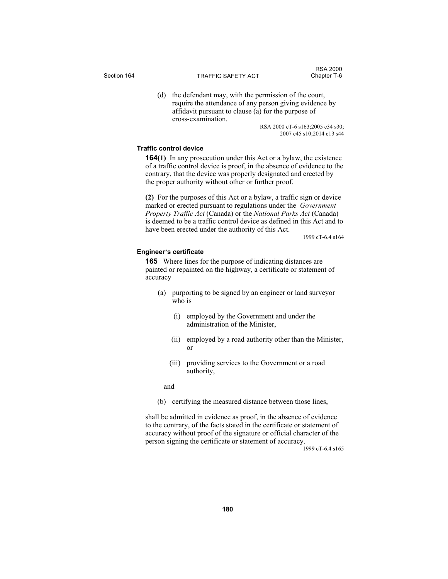(d) the defendant may, with the permission of the court, require the attendance of any person giving evidence by affidavit pursuant to clause (a) for the purpose of cross-examination.

> RSA 2000 cT-6 s163;2005 c34 s30; 2007 c45 s10;2014 c13 s44

## **Traffic control device**

**164(1)** In any prosecution under this Act or a bylaw, the existence of a traffic control device is proof, in the absence of evidence to the contrary, that the device was properly designated and erected by the proper authority without other or further proof.

**(2)** For the purposes of this Act or a bylaw, a traffic sign or device marked or erected pursuant to regulations under the *Government Property Traffic Act* (Canada) or the *National Parks Act* (Canada) is deemed to be a traffic control device as defined in this Act and to have been erected under the authority of this Act.

1999 cT-6.4 s164

## **Engineer's certificate**

**165** Where lines for the purpose of indicating distances are painted or repainted on the highway, a certificate or statement of accuracy

- (a) purporting to be signed by an engineer or land surveyor who is
	- (i) employed by the Government and under the administration of the Minister,
	- (ii) employed by a road authority other than the Minister, or
	- (iii) providing services to the Government or a road authority,

and

(b) certifying the measured distance between those lines,

shall be admitted in evidence as proof, in the absence of evidence to the contrary, of the facts stated in the certificate or statement of accuracy without proof of the signature or official character of the person signing the certificate or statement of accuracy.

1999 cT-6.4 s165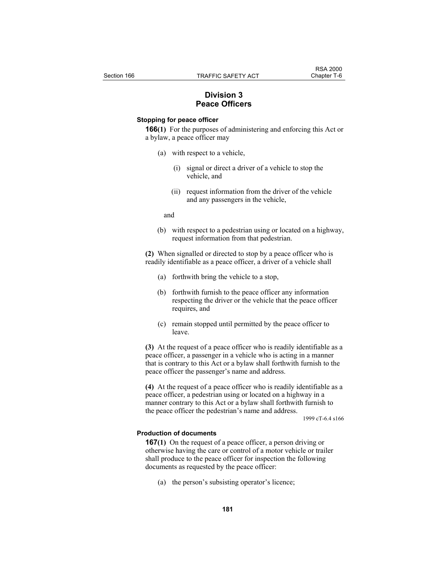# **Division 3 Peace Officers**

# **Stopping for peace officer**

**166(1)** For the purposes of administering and enforcing this Act or a bylaw, a peace officer may

- (a) with respect to a vehicle,
	- (i) signal or direct a driver of a vehicle to stop the vehicle, and
	- (ii) request information from the driver of the vehicle and any passengers in the vehicle,

and

 (b) with respect to a pedestrian using or located on a highway, request information from that pedestrian.

**(2)** When signalled or directed to stop by a peace officer who is readily identifiable as a peace officer, a driver of a vehicle shall

- (a) forthwith bring the vehicle to a stop,
- (b) forthwith furnish to the peace officer any information respecting the driver or the vehicle that the peace officer requires, and
- (c) remain stopped until permitted by the peace officer to leave.

**(3)** At the request of a peace officer who is readily identifiable as a peace officer, a passenger in a vehicle who is acting in a manner that is contrary to this Act or a bylaw shall forthwith furnish to the peace officer the passenger's name and address.

**(4)** At the request of a peace officer who is readily identifiable as a peace officer, a pedestrian using or located on a highway in a manner contrary to this Act or a bylaw shall forthwith furnish to the peace officer the pedestrian's name and address.

1999 cT-6.4 s166

## **Production of documents**

**167(1)** On the request of a peace officer, a person driving or otherwise having the care or control of a motor vehicle or trailer shall produce to the peace officer for inspection the following documents as requested by the peace officer:

(a) the person's subsisting operator's licence;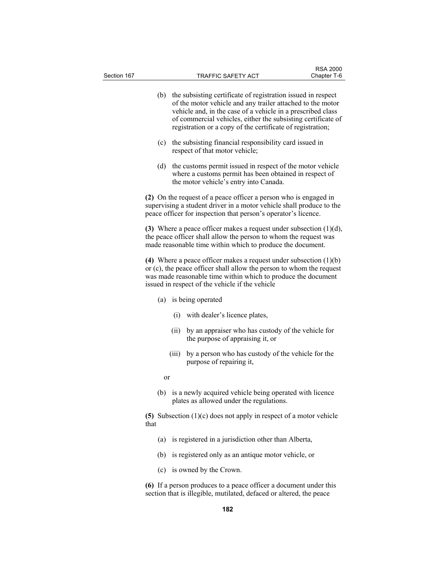| Section 167 |      |       | TRAFFIC SAFETY ACT                                                                                                                                                                                                                                                                                                      | Chapter T-6 |
|-------------|------|-------|-------------------------------------------------------------------------------------------------------------------------------------------------------------------------------------------------------------------------------------------------------------------------------------------------------------------------|-------------|
|             | (b)  |       | the subsisting certificate of registration issued in respect<br>of the motor vehicle and any trailer attached to the motor<br>vehicle and, in the case of a vehicle in a prescribed class<br>of commercial vehicles, either the subsisting certificate of<br>registration or a copy of the certificate of registration; |             |
|             | (c)  |       | the subsisting financial responsibility card issued in<br>respect of that motor vehicle;                                                                                                                                                                                                                                |             |
|             | (d)  |       | the customs permit issued in respect of the motor vehicle<br>where a customs permit has been obtained in respect of<br>the motor vehicle's entry into Canada.                                                                                                                                                           |             |
|             |      |       | (2) On the request of a peace officer a person who is engaged in<br>supervising a student driver in a motor vehicle shall produce to the<br>peace officer for inspection that person's operator's licence.                                                                                                              |             |
|             |      |       | (3) Where a peace officer makes a request under subsection $(1)(d)$ ,<br>the peace officer shall allow the person to whom the request was<br>made reasonable time within which to produce the document.                                                                                                                 |             |
|             |      |       | (4) Where a peace officer makes a request under subsection $(1)(b)$<br>or (c), the peace officer shall allow the person to whom the request<br>was made reasonable time within which to produce the document<br>issued in respect of the vehicle if the vehicle                                                         |             |
|             | (a)  |       | is being operated                                                                                                                                                                                                                                                                                                       |             |
|             |      | (i)   | with dealer's licence plates,                                                                                                                                                                                                                                                                                           |             |
|             |      | (ii)  | by an appraiser who has custody of the vehicle for<br>the purpose of appraising it, or                                                                                                                                                                                                                                  |             |
|             |      | (iii) | by a person who has custody of the vehicle for the<br>purpose of repairing it,                                                                                                                                                                                                                                          |             |
|             | or   |       |                                                                                                                                                                                                                                                                                                                         |             |
|             | (b)  |       | is a newly acquired vehicle being operated with licence<br>plates as allowed under the regulations.                                                                                                                                                                                                                     |             |
|             | that |       | (5) Subsection $(1)(c)$ does not apply in respect of a motor vehicle                                                                                                                                                                                                                                                    |             |
|             | (a)  |       | is registered in a jurisdiction other than Alberta,                                                                                                                                                                                                                                                                     |             |
|             | (b)  |       | is registered only as an antique motor vehicle, or                                                                                                                                                                                                                                                                      |             |
|             | (c)  |       | is owned by the Crown.                                                                                                                                                                                                                                                                                                  |             |
|             |      |       | (6) If a person produces to a peace officer a document under this                                                                                                                                                                                                                                                       |             |

RSA 2000

section that is illegible, mutilated, defaced or altered, the peace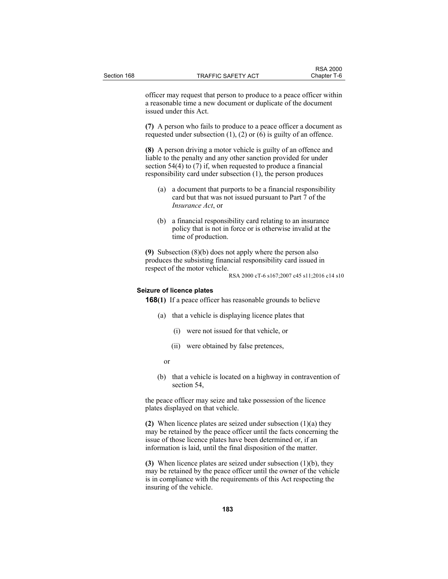officer may request that person to produce to a peace officer within a reasonable time a new document or duplicate of the document issued under this Act.

**(7)** A person who fails to produce to a peace officer a document as requested under subsection  $(1)$ ,  $(2)$  or  $(6)$  is guilty of an offence.

**(8)** A person driving a motor vehicle is guilty of an offence and liable to the penalty and any other sanction provided for under section 54(4) to (7) if, when requested to produce a financial responsibility card under subsection (1), the person produces

- (a) a document that purports to be a financial responsibility card but that was not issued pursuant to Part 7 of the *Insurance Act*, or
- (b) a financial responsibility card relating to an insurance policy that is not in force or is otherwise invalid at the time of production.

**(9)** Subsection (8)(b) does not apply where the person also produces the subsisting financial responsibility card issued in respect of the motor vehicle.

RSA 2000 cT-6 s167;2007 c45 s11;2016 c14 s10

## **Seizure of licence plates**

**168(1)** If a peace officer has reasonable grounds to believe

- (a) that a vehicle is displaying licence plates that
	- (i) were not issued for that vehicle, or
	- (ii) were obtained by false pretences,
- or
	- (b) that a vehicle is located on a highway in contravention of section 54,

the peace officer may seize and take possession of the licence plates displayed on that vehicle.

**(2)** When licence plates are seized under subsection (1)(a) they may be retained by the peace officer until the facts concerning the issue of those licence plates have been determined or, if an information is laid, until the final disposition of the matter.

**(3)** When licence plates are seized under subsection (1)(b), they may be retained by the peace officer until the owner of the vehicle is in compliance with the requirements of this Act respecting the insuring of the vehicle.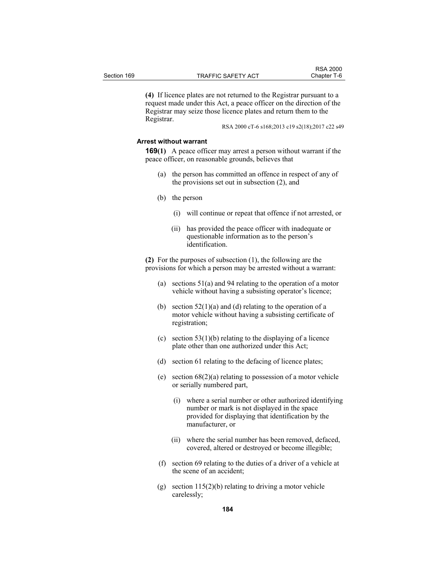|             |                           | <b>RSA 2000</b> |
|-------------|---------------------------|-----------------|
| Section 169 | <b>TRAFFIC SAFETY ACT</b> | Chapter T-6     |

**(4)** If licence plates are not returned to the Registrar pursuant to a request made under this Act, a peace officer on the direction of the Registrar may seize those licence plates and return them to the Registrar.

RSA 2000 cT-6 s168;2013 c19 s2(18);2017 c22 s49

#### **Arrest without warrant**

**169(1)** A peace officer may arrest a person without warrant if the peace officer, on reasonable grounds, believes that

- (a) the person has committed an offence in respect of any of the provisions set out in subsection (2), and
- (b) the person
	- (i) will continue or repeat that offence if not arrested, or
	- (ii) has provided the peace officer with inadequate or questionable information as to the person's identification.

**(2)** For the purposes of subsection (1), the following are the provisions for which a person may be arrested without a warrant:

- (a) sections 51(a) and 94 relating to the operation of a motor vehicle without having a subsisting operator's licence;
- (b) section  $52(1)(a)$  and (d) relating to the operation of a motor vehicle without having a subsisting certificate of registration;
- (c) section  $53(1)(b)$  relating to the displaying of a licence plate other than one authorized under this Act;
- (d) section 61 relating to the defacing of licence plates;
- (e) section 68(2)(a) relating to possession of a motor vehicle or serially numbered part,
	- (i) where a serial number or other authorized identifying number or mark is not displayed in the space provided for displaying that identification by the manufacturer, or
	- (ii) where the serial number has been removed, defaced, covered, altered or destroyed or become illegible;
- (f) section 69 relating to the duties of a driver of a vehicle at the scene of an accident;
- (g) section 115(2)(b) relating to driving a motor vehicle carelessly;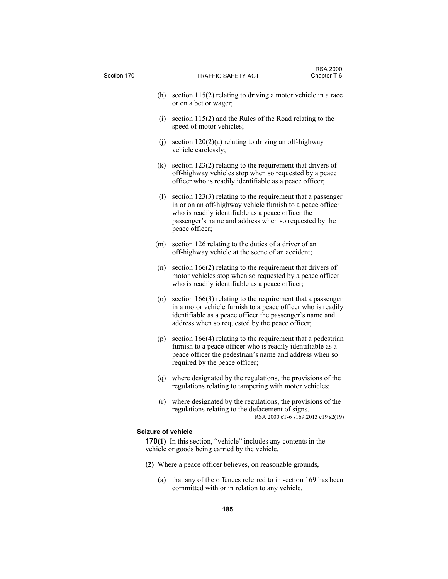| Section 170        | <b>TRAFFIC SAFETY ACT</b>                                                                                                                                                                                                                                    | <b>RSA 2000</b><br>Chapter T-6     |
|--------------------|--------------------------------------------------------------------------------------------------------------------------------------------------------------------------------------------------------------------------------------------------------------|------------------------------------|
|                    |                                                                                                                                                                                                                                                              |                                    |
| (h)                | section $115(2)$ relating to driving a motor vehicle in a race<br>or on a bet or wager;                                                                                                                                                                      |                                    |
| (i)                | section 115(2) and the Rules of the Road relating to the<br>speed of motor vehicles;                                                                                                                                                                         |                                    |
| (j)                | section $120(2)(a)$ relating to driving an off-highway<br>vehicle carelessly;                                                                                                                                                                                |                                    |
| (k)                | section 123(2) relating to the requirement that drivers of<br>off-highway vehicles stop when so requested by a peace<br>officer who is readily identifiable as a peace officer;                                                                              |                                    |
| (1)                | section $123(3)$ relating to the requirement that a passenger<br>in or on an off-highway vehicle furnish to a peace officer<br>who is readily identifiable as a peace officer the<br>passenger's name and address when so requested by the<br>peace officer; |                                    |
| (m)                | section 126 relating to the duties of a driver of an<br>off-highway vehicle at the scene of an accident;                                                                                                                                                     |                                    |
| (n)                | section $166(2)$ relating to the requirement that drivers of<br>motor vehicles stop when so requested by a peace officer<br>who is readily identifiable as a peace officer;                                                                                  |                                    |
| (0)                | section $166(3)$ relating to the requirement that a passenger<br>in a motor vehicle furnish to a peace officer who is readily<br>identifiable as a peace officer the passenger's name and<br>address when so requested by the peace officer;                 |                                    |
| (p)                | section 166(4) relating to the requirement that a pedestrian<br>furnish to a peace officer who is readily identifiable as a<br>peace officer the pedestrian's name and address when so<br>required by the peace officer;                                     |                                    |
| (q)                | where designated by the regulations, the provisions of the<br>regulations relating to tampering with motor vehicles;                                                                                                                                         |                                    |
|                    | (r) where designated by the regulations, the provisions of the<br>regulations relating to the defacement of signs.                                                                                                                                           | RSA 2000 cT-6 s169;2013 c19 s2(19) |
| Seizure of vehicle |                                                                                                                                                                                                                                                              |                                    |
|                    | <b>170(1)</b> In this section, "vehicle" includes any contents in the<br>vehicle or goods being carried by the vehicle.                                                                                                                                      |                                    |
|                    | (2) Where a peace officer believes, on reasonable grounds,                                                                                                                                                                                                   |                                    |
| (a)                | that any of the offences referred to in section 169 has been<br>committed with or in relation to any vehicle,                                                                                                                                                |                                    |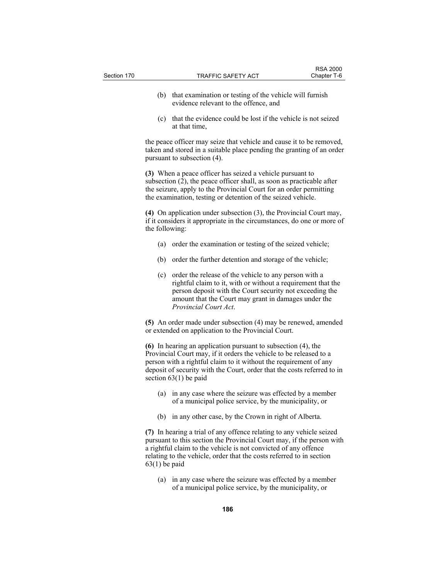- (b) that examination or testing of the vehicle will furnish evidence relevant to the offence, and
- (c) that the evidence could be lost if the vehicle is not seized at that time,

the peace officer may seize that vehicle and cause it to be removed, taken and stored in a suitable place pending the granting of an order pursuant to subsection (4).

**(3)** When a peace officer has seized a vehicle pursuant to subsection  $(2)$ , the peace officer shall, as soon as practicable after the seizure, apply to the Provincial Court for an order permitting the examination, testing or detention of the seized vehicle.

**(4)** On application under subsection (3), the Provincial Court may, if it considers it appropriate in the circumstances, do one or more of the following:

- (a) order the examination or testing of the seized vehicle;
- (b) order the further detention and storage of the vehicle;
- (c) order the release of the vehicle to any person with a rightful claim to it, with or without a requirement that the person deposit with the Court security not exceeding the amount that the Court may grant in damages under the *Provincial Court Act*.

**(5)** An order made under subsection (4) may be renewed, amended or extended on application to the Provincial Court.

**(6)** In hearing an application pursuant to subsection (4), the Provincial Court may, if it orders the vehicle to be released to a person with a rightful claim to it without the requirement of any deposit of security with the Court, order that the costs referred to in section 63(1) be paid

- (a) in any case where the seizure was effected by a member of a municipal police service, by the municipality, or
- (b) in any other case, by the Crown in right of Alberta.

**(7)** In hearing a trial of any offence relating to any vehicle seized pursuant to this section the Provincial Court may, if the person with a rightful claim to the vehicle is not convicted of any offence relating to the vehicle, order that the costs referred to in section  $63(1)$  be paid

 (a) in any case where the seizure was effected by a member of a municipal police service, by the municipality, or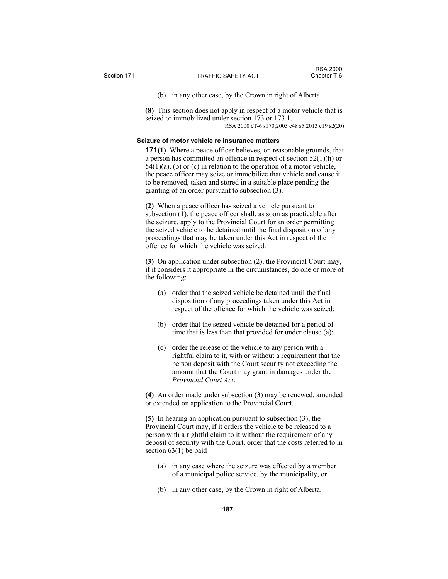(b) in any other case, by the Crown in right of Alberta.

**(8)** This section does not apply in respect of a motor vehicle that is seized or immobilized under section 173 or 173.1. RSA 2000 cT-6 s170;2003 c48 s5;2013 c19 s2(20)

## **Seizure of motor vehicle re insurance matters**

**171(1)** Where a peace officer believes, on reasonable grounds, that a person has committed an offence in respect of section 52(1)(h) or  $54(1)(a)$ , (b) or (c) in relation to the operation of a motor vehicle, the peace officer may seize or immobilize that vehicle and cause it to be removed, taken and stored in a suitable place pending the granting of an order pursuant to subsection (3).

**(2)** When a peace officer has seized a vehicle pursuant to subsection (1), the peace officer shall, as soon as practicable after the seizure, apply to the Provincial Court for an order permitting the seized vehicle to be detained until the final disposition of any proceedings that may be taken under this Act in respect of the offence for which the vehicle was seized.

**(3)** On application under subsection (2), the Provincial Court may, if it considers it appropriate in the circumstances, do one or more of the following:

- (a) order that the seized vehicle be detained until the final disposition of any proceedings taken under this Act in respect of the offence for which the vehicle was seized;
- (b) order that the seized vehicle be detained for a period of time that is less than that provided for under clause (a);
- (c) order the release of the vehicle to any person with a rightful claim to it, with or without a requirement that the person deposit with the Court security not exceeding the amount that the Court may grant in damages under the *Provincial Court Act*.

**(4)** An order made under subsection (3) may be renewed, amended or extended on application to the Provincial Court.

**(5)** In hearing an application pursuant to subsection (3), the Provincial Court may, if it orders the vehicle to be released to a person with a rightful claim to it without the requirement of any deposit of security with the Court, order that the costs referred to in section 63(1) be paid

- (a) in any case where the seizure was effected by a member of a municipal police service, by the municipality, or
- (b) in any other case, by the Crown in right of Alberta.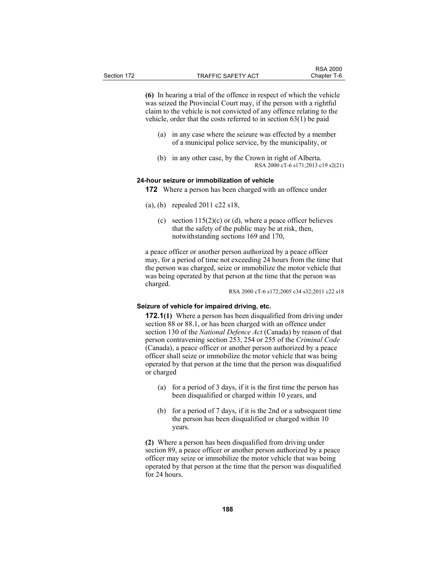**(6)** In hearing a trial of the offence in respect of which the vehicle was seized the Provincial Court may, if the person with a rightful claim to the vehicle is not convicted of any offence relating to the vehicle, order that the costs referred to in section 63(1) be paid

- (a) in any case where the seizure was effected by a member of a municipal police service, by the municipality, or
- (b) in any other case, by the Crown in right of Alberta. RSA 2000 cT-6 s171;2013 c19 s2(21)

# **24-hour seizure or immobilization of vehicle**

**172** Where a person has been charged with an offence under

- (a), (b) repealed 2011 c22 s18,
	- (c) section  $115(2)(c)$  or (d), where a peace officer believes that the safety of the public may be at risk, then, notwithstanding sections 169 and 170,

a peace officer or another person authorized by a peace officer may, for a period of time not exceeding 24 hours from the time that the person was charged, seize or immobilize the motor vehicle that was being operated by that person at the time that the person was charged.

RSA 2000 cT-6 s172;2005 c34 s32;2011 c22 s18

## **Seizure of vehicle for impaired driving, etc.**

**172.1(1)** Where a person has been disqualified from driving under section 88 or 88.1, or has been charged with an offence under section 130 of the *National Defence Act* (Canada) by reason of that person contravening section 253, 254 or 255 of the *Criminal Code* (Canada), a peace officer or another person authorized by a peace officer shall seize or immobilize the motor vehicle that was being operated by that person at the time that the person was disqualified or charged

- (a) for a period of 3 days, if it is the first time the person has been disqualified or charged within 10 years, and
- (b) for a period of 7 days, if it is the 2nd or a subsequent time the person has been disqualified or charged within 10 years.

**(2)** Where a person has been disqualified from driving under section 89, a peace officer or another person authorized by a peace officer may seize or immobilize the motor vehicle that was being operated by that person at the time that the person was disqualified for 24 hours.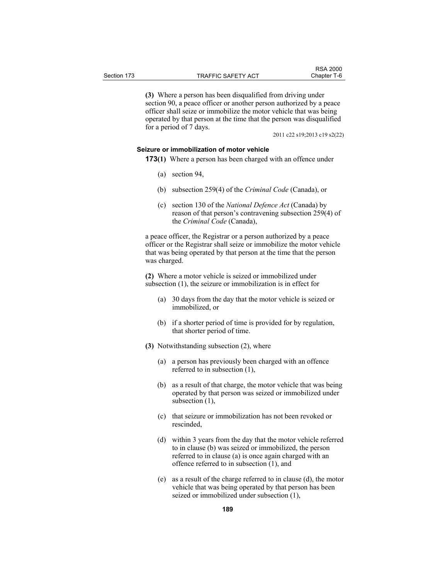**(3)** Where a person has been disqualified from driving under section 90, a peace officer or another person authorized by a peace officer shall seize or immobilize the motor vehicle that was being

operated by that person at the time that the person was disqualified for a period of 7 days.

2011 c22 s19;2013 c19 s2(22)

RSA 2000<br>Chapter T-6

# **Seizure or immobilization of motor vehicle**

- **173(1)** Where a person has been charged with an offence under
	- (a) section 94,
	- (b) subsection 259(4) of the *Criminal Code* (Canada), or
	- (c) section 130 of the *National Defence Act* (Canada) by reason of that person's contravening subsection 259(4) of the *Criminal Code* (Canada),

a peace officer, the Registrar or a person authorized by a peace officer or the Registrar shall seize or immobilize the motor vehicle that was being operated by that person at the time that the person was charged.

**(2)** Where a motor vehicle is seized or immobilized under subsection (1), the seizure or immobilization is in effect for

- (a) 30 days from the day that the motor vehicle is seized or immobilized, or
- (b) if a shorter period of time is provided for by regulation, that shorter period of time.
- **(3)** Notwithstanding subsection (2), where
	- (a) a person has previously been charged with an offence referred to in subsection (1),
	- (b) as a result of that charge, the motor vehicle that was being operated by that person was seized or immobilized under subsection (1),
	- (c) that seizure or immobilization has not been revoked or rescinded,
	- (d) within 3 years from the day that the motor vehicle referred to in clause (b) was seized or immobilized, the person referred to in clause (a) is once again charged with an offence referred to in subsection (1), and
	- (e) as a result of the charge referred to in clause (d), the motor vehicle that was being operated by that person has been seized or immobilized under subsection (1),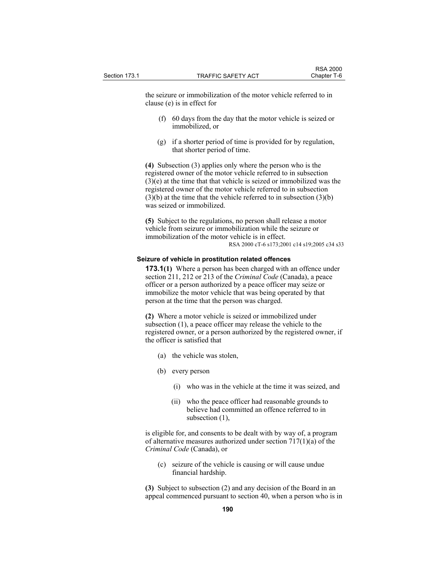the seizure or immobilization of the motor vehicle referred to in clause (e) is in effect for

- (f) 60 days from the day that the motor vehicle is seized or immobilized, or
- (g) if a shorter period of time is provided for by regulation, that shorter period of time.

**(4)** Subsection (3) applies only where the person who is the registered owner of the motor vehicle referred to in subsection (3)(e) at the time that that vehicle is seized or immobilized was the registered owner of the motor vehicle referred to in subsection  $(3)(b)$  at the time that the vehicle referred to in subsection  $(3)(b)$ was seized or immobilized.

**(5)** Subject to the regulations, no person shall release a motor vehicle from seizure or immobilization while the seizure or immobilization of the motor vehicle is in effect. RSA 2000 cT-6 s173;2001 c14 s19;2005 c34 s33

#### **Seizure of vehicle in prostitution related offences**

**173.1(1)** Where a person has been charged with an offence under section 211, 212 or 213 of the *Criminal Code* (Canada), a peace officer or a person authorized by a peace officer may seize or immobilize the motor vehicle that was being operated by that person at the time that the person was charged.

**(2)** Where a motor vehicle is seized or immobilized under subsection (1), a peace officer may release the vehicle to the registered owner, or a person authorized by the registered owner, if the officer is satisfied that

- (a) the vehicle was stolen,
- (b) every person
	- (i) who was in the vehicle at the time it was seized, and
	- (ii) who the peace officer had reasonable grounds to believe had committed an offence referred to in subsection (1),

is eligible for, and consents to be dealt with by way of, a program of alternative measures authorized under section 717(1)(a) of the *Criminal Code* (Canada), or

 (c) seizure of the vehicle is causing or will cause undue financial hardship.

**(3)** Subject to subsection (2) and any decision of the Board in an appeal commenced pursuant to section 40, when a person who is in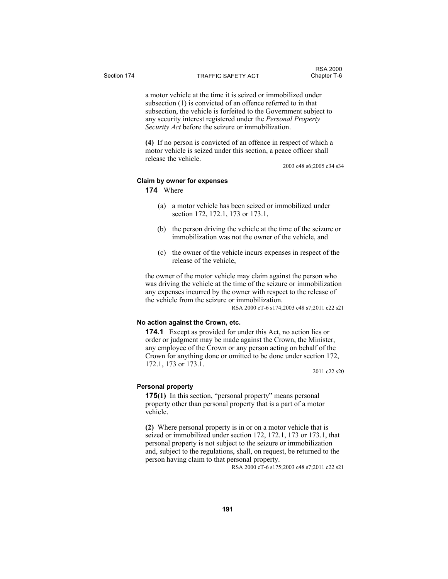a motor vehicle at the time it is seized or immobilized under subsection (1) is convicted of an offence referred to in that subsection, the vehicle is forfeited to the Government subject to any security interest registered under the *Personal Property Security Act* before the seizure or immobilization.

**(4)** If no person is convicted of an offence in respect of which a motor vehicle is seized under this section, a peace officer shall release the vehicle.

2003 c48 s6;2005 c34 s34

RSA 2000<br>Chapter T-6

## **Claim by owner for expenses**

**174** Where

- (a) a motor vehicle has been seized or immobilized under section 172, 172.1, 173 or 173.1,
- (b) the person driving the vehicle at the time of the seizure or immobilization was not the owner of the vehicle, and
- (c) the owner of the vehicle incurs expenses in respect of the release of the vehicle,

the owner of the motor vehicle may claim against the person who was driving the vehicle at the time of the seizure or immobilization any expenses incurred by the owner with respect to the release of the vehicle from the seizure or immobilization.

RSA 2000 cT-6 s174;2003 c48 s7;2011 c22 s21

## **No action against the Crown, etc.**

**174.1** Except as provided for under this Act, no action lies or order or judgment may be made against the Crown, the Minister, any employee of the Crown or any person acting on behalf of the Crown for anything done or omitted to be done under section 172, 172.1, 173 or 173.1.

2011 c22 s20

## **Personal property**

**175(1)** In this section, "personal property" means personal property other than personal property that is a part of a motor vehicle.

**(2)** Where personal property is in or on a motor vehicle that is seized or immobilized under section 172, 172.1, 173 or 173.1, that personal property is not subject to the seizure or immobilization and, subject to the regulations, shall, on request, be returned to the person having claim to that personal property.

RSA 2000 cT-6 s175;2003 c48 s7;2011 c22 s21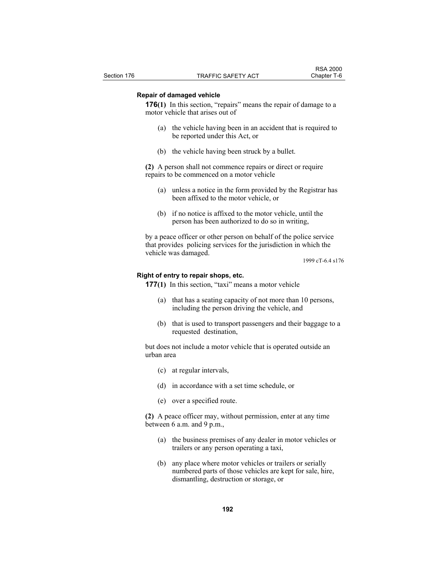## **Repair of damaged vehicle**

**176**(1) In this section, "repairs" means the repair of damage to a motor vehicle that arises out of

- (a) the vehicle having been in an accident that is required to be reported under this Act, or
- (b) the vehicle having been struck by a bullet.

**(2)** A person shall not commence repairs or direct or require repairs to be commenced on a motor vehicle

- (a) unless a notice in the form provided by the Registrar has been affixed to the motor vehicle, or
- (b) if no notice is affixed to the motor vehicle, until the person has been authorized to do so in writing,

by a peace officer or other person on behalf of the police service that provides policing services for the jurisdiction in which the vehicle was damaged.

1999 cT-6.4 s176

#### **Right of entry to repair shops, etc.**

- **177(1)** In this section, "taxi" means a motor vehicle
	- (a) that has a seating capacity of not more than 10 persons, including the person driving the vehicle, and
	- (b) that is used to transport passengers and their baggage to a requested destination,

but does not include a motor vehicle that is operated outside an urban area

- (c) at regular intervals,
- (d) in accordance with a set time schedule, or
- (e) over a specified route.

**(2)** A peace officer may, without permission, enter at any time between 6 a.m. and 9 p.m.,

- (a) the business premises of any dealer in motor vehicles or trailers or any person operating a taxi,
- (b) any place where motor vehicles or trailers or serially numbered parts of those vehicles are kept for sale, hire, dismantling, destruction or storage, or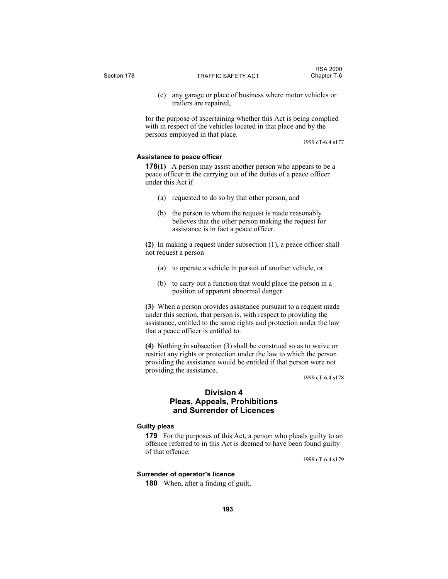(c) any garage or place of business where motor vehicles or trailers are repaired,

for the purpose of ascertaining whether this Act is being complied with in respect of the vehicles located in that place and by the persons employed in that place.

1999 cT-6.4 s177

# **Assistance to peace officer**

**178(1)** A person may assist another person who appears to be a peace officer in the carrying out of the duties of a peace officer under this Act if

- (a) requested to do so by that other person, and
- (b) the person to whom the request is made reasonably believes that the other person making the request for assistance is in fact a peace officer.

**(2)** In making a request under subsection (1), a peace officer shall not request a person

- (a) to operate a vehicle in pursuit of another vehicle, or
- (b) to carry out a function that would place the person in a position of apparent abnormal danger.

**(3)** When a person provides assistance pursuant to a request made under this section, that person is, with respect to providing the assistance, entitled to the same rights and protection under the law that a peace officer is entitled to.

**(4)** Nothing in subsection (3) shall be construed so as to waive or restrict any rights or protection under the law to which the person providing the assistance would be entitled if that person were not providing the assistance.

1999 cT-6.4 s178

# **Division 4 Pleas, Appeals, Prohibitions and Surrender of Licences**

## **Guilty pleas**

**179** For the purposes of this Act, a person who pleads guilty to an offence referred to in this Act is deemed to have been found guilty of that offence.

1999 cT-6.4 s179

## **Surrender of operator's licence**

**180** When, after a finding of guilt,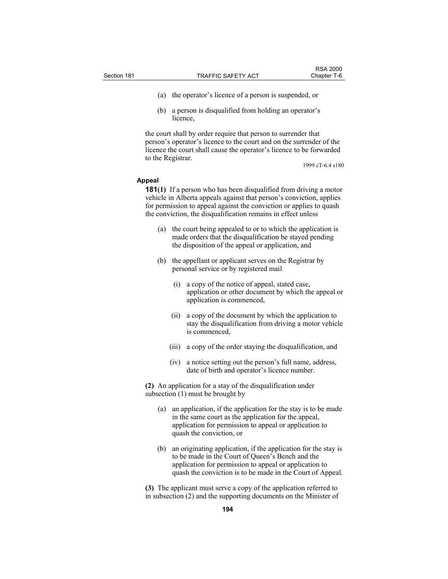- (a) the operator's licence of a person is suspended, or
- (b) a person is disqualified from holding an operator's licence,

the court shall by order require that person to surrender that person's operator's licence to the court and on the surrender of the licence the court shall cause the operator's licence to be forwarded to the Registrar.

1999 cT-6.4 s180

#### **Appeal**

**181(1)** If a person who has been disqualified from driving a motor vehicle in Alberta appeals against that person's conviction, applies for permission to appeal against the conviction or applies to quash the conviction, the disqualification remains in effect unless

- (a) the court being appealed to or to which the application is made orders that the disqualification be stayed pending the disposition of the appeal or application, and
- (b) the appellant or applicant serves on the Registrar by personal service or by registered mail
	- (i) a copy of the notice of appeal, stated case, application or other document by which the appeal or application is commenced,
	- (ii) a copy of the document by which the application to stay the disqualification from driving a motor vehicle is commenced,
	- (iii) a copy of the order staying the disqualification, and
	- (iv) a notice setting out the person's full name, address, date of birth and operator's licence number.

**(2)** An application for a stay of the disqualification under subsection (1) must be brought by

- (a) an application, if the application for the stay is to be made in the same court as the application for the appeal, application for permission to appeal or application to quash the conviction, or
- (b) an originating application, if the application for the stay is to be made in the Court of Queen's Bench and the application for permission to appeal or application to quash the conviction is to be made in the Court of Appeal.

**(3)** The applicant must serve a copy of the application referred to in subsection (2) and the supporting documents on the Minister of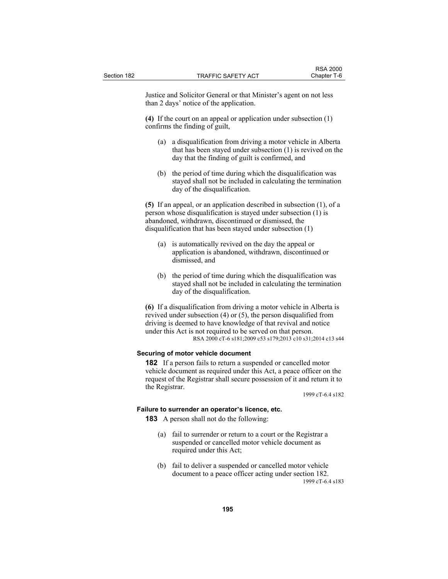Justice and Solicitor General or that Minister's agent on not less than 2 days' notice of the application.

**(4)** If the court on an appeal or application under subsection (1) confirms the finding of guilt,

- (a) a disqualification from driving a motor vehicle in Alberta that has been stayed under subsection (1) is revived on the day that the finding of guilt is confirmed, and
- (b) the period of time during which the disqualification was stayed shall not be included in calculating the termination day of the disqualification.

**(5)** If an appeal, or an application described in subsection (1), of a person whose disqualification is stayed under subsection (1) is abandoned, withdrawn, discontinued or dismissed, the disqualification that has been stayed under subsection (1)

- (a) is automatically revived on the day the appeal or application is abandoned, withdrawn, discontinued or dismissed, and
- (b) the period of time during which the disqualification was stayed shall not be included in calculating the termination day of the disqualification.

**(6)** If a disqualification from driving a motor vehicle in Alberta is revived under subsection (4) or (5), the person disqualified from driving is deemed to have knowledge of that revival and notice under this Act is not required to be served on that person. RSA 2000 cT-6 s181;2009 c53 s179;2013 c10 s31;2014 c13 s44

## **Securing of motor vehicle document**

**182** If a person fails to return a suspended or cancelled motor vehicle document as required under this Act, a peace officer on the request of the Registrar shall secure possession of it and return it to the Registrar.

1999 cT-6.4 s182

# **Failure to surrender an operator's licence, etc.**

**183** A person shall not do the following:

- (a) fail to surrender or return to a court or the Registrar a suspended or cancelled motor vehicle document as required under this Act;
- (b) fail to deliver a suspended or cancelled motor vehicle document to a peace officer acting under section 182. 1999 cT-6.4 s183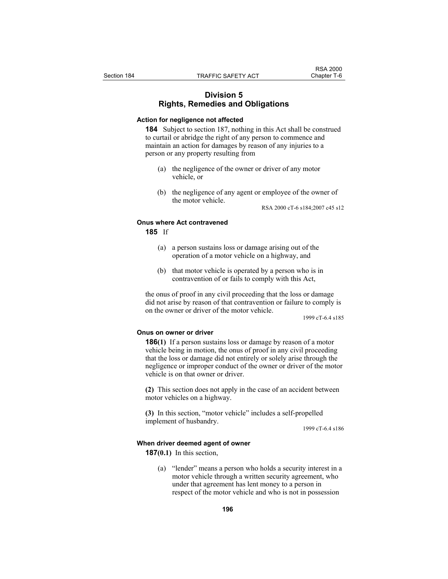# **Division 5 Rights, Remedies and Obligations**

# **Action for negligence not affected**

**184** Subject to section 187, nothing in this Act shall be construed to curtail or abridge the right of any person to commence and maintain an action for damages by reason of any injuries to a person or any property resulting from

- (a) the negligence of the owner or driver of any motor vehicle, or
- (b) the negligence of any agent or employee of the owner of the motor vehicle.

RSA 2000 cT-6 s184;2007 c45 s12

## **Onus where Act contravened**

**185** If

- (a) a person sustains loss or damage arising out of the operation of a motor vehicle on a highway, and
- (b) that motor vehicle is operated by a person who is in contravention of or fails to comply with this Act,

the onus of proof in any civil proceeding that the loss or damage did not arise by reason of that contravention or failure to comply is on the owner or driver of the motor vehicle.

1999 cT-6.4 s185

#### **Onus on owner or driver**

**186(1)** If a person sustains loss or damage by reason of a motor vehicle being in motion, the onus of proof in any civil proceeding that the loss or damage did not entirely or solely arise through the negligence or improper conduct of the owner or driver of the motor vehicle is on that owner or driver.

**(2)** This section does not apply in the case of an accident between motor vehicles on a highway.

**(3)** In this section, "motor vehicle" includes a self-propelled implement of husbandry.

1999 cT-6.4 s186

#### **When driver deemed agent of owner**

**187(0.1)** In this section,

 (a) "lender" means a person who holds a security interest in a motor vehicle through a written security agreement, who under that agreement has lent money to a person in respect of the motor vehicle and who is not in possession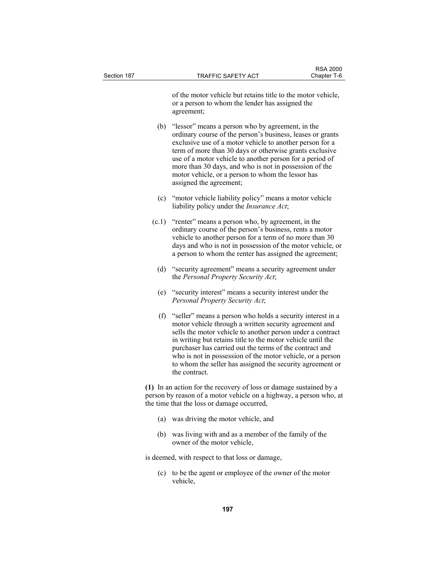of the motor vehicle but retains title to the motor vehicle, or a person to whom the lender has assigned the agreement;

- (b) "lessor" means a person who by agreement, in the ordinary course of the person's business, leases or grants exclusive use of a motor vehicle to another person for a term of more than 30 days or otherwise grants exclusive use of a motor vehicle to another person for a period of more than 30 days, and who is not in possession of the motor vehicle, or a person to whom the lessor has assigned the agreement;
- (c) "motor vehicle liability policy" means a motor vehicle liability policy under the *Insurance Act*;
- $(c.1)$  "renter" means a person who, by agreement, in the ordinary course of the person's business, rents a motor vehicle to another person for a term of no more than 30 days and who is not in possession of the motor vehicle, or a person to whom the renter has assigned the agreement;
- (d) "security agreement" means a security agreement under the *Personal Property Security Act*;
- (e) "security interest" means a security interest under the *Personal Property Security Act*;
- (f) "seller" means a person who holds a security interest in a motor vehicle through a written security agreement and sells the motor vehicle to another person under a contract in writing but retains title to the motor vehicle until the purchaser has carried out the terms of the contract and who is not in possession of the motor vehicle, or a person to whom the seller has assigned the security agreement or the contract.

**(1)** In an action for the recovery of loss or damage sustained by a person by reason of a motor vehicle on a highway, a person who, at the time that the loss or damage occurred,

- (a) was driving the motor vehicle, and
- (b) was living with and as a member of the family of the owner of the motor vehicle,

is deemed, with respect to that loss or damage,

 (c) to be the agent or employee of the owner of the motor vehicle,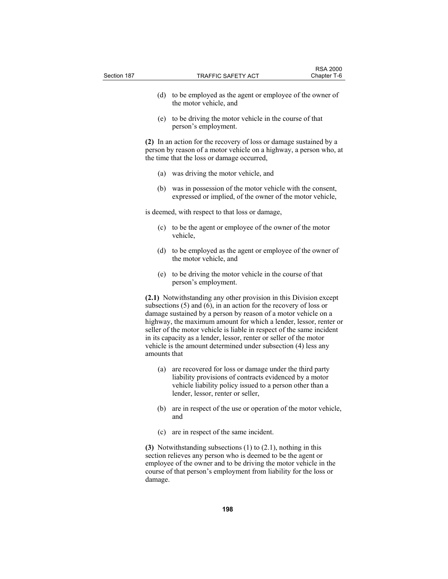| Section 187 |              | TRAFFIC SAFETY ACT                                                                                                                                                                                                                                                                                                                                                                                                                                                                                  | <b>RSA 2000</b><br>Chapter T-6 |
|-------------|--------------|-----------------------------------------------------------------------------------------------------------------------------------------------------------------------------------------------------------------------------------------------------------------------------------------------------------------------------------------------------------------------------------------------------------------------------------------------------------------------------------------------------|--------------------------------|
|             | (d)          | to be employed as the agent or employee of the owner of<br>the motor vehicle, and                                                                                                                                                                                                                                                                                                                                                                                                                   |                                |
|             |              | (e) to be driving the motor vehicle in the course of that<br>person's employment.                                                                                                                                                                                                                                                                                                                                                                                                                   |                                |
|             |              | (2) In an action for the recovery of loss or damage sustained by a<br>person by reason of a motor vehicle on a highway, a person who, at<br>the time that the loss or damage occurred,                                                                                                                                                                                                                                                                                                              |                                |
|             | (a)          | was driving the motor vehicle, and                                                                                                                                                                                                                                                                                                                                                                                                                                                                  |                                |
|             | (b)          | was in possession of the motor vehicle with the consent,<br>expressed or implied, of the owner of the motor vehicle,                                                                                                                                                                                                                                                                                                                                                                                |                                |
|             |              | is deemed, with respect to that loss or damage,                                                                                                                                                                                                                                                                                                                                                                                                                                                     |                                |
|             | (c)          | to be the agent or employee of the owner of the motor<br>vehicle,                                                                                                                                                                                                                                                                                                                                                                                                                                   |                                |
|             | (d)          | to be employed as the agent or employee of the owner of<br>the motor vehicle, and                                                                                                                                                                                                                                                                                                                                                                                                                   |                                |
|             |              | (e) to be driving the motor vehicle in the course of that<br>person's employment.                                                                                                                                                                                                                                                                                                                                                                                                                   |                                |
|             | amounts that | (2.1) Notwithstanding any other provision in this Division except<br>subsections $(5)$ and $(6)$ , in an action for the recovery of loss or<br>damage sustained by a person by reason of a motor vehicle on a<br>highway, the maximum amount for which a lender, lessor, renter or<br>seller of the motor vehicle is liable in respect of the same incident<br>in its capacity as a lender, lessor, renter or seller of the motor<br>vehicle is the amount determined under subsection (4) less any |                                |
|             | (a)          | are recovered for loss or damage under the third party<br>liability provisions of contracts evidenced by a motor<br>vehicle liability policy issued to a person other than a<br>lender, lessor, renter or seller,                                                                                                                                                                                                                                                                                   |                                |
|             | (b)          | are in respect of the use or operation of the motor vehicle,<br>and                                                                                                                                                                                                                                                                                                                                                                                                                                 |                                |
|             | (c)          | are in respect of the same incident.                                                                                                                                                                                                                                                                                                                                                                                                                                                                |                                |
|             | damage.      | (3) Notwithstanding subsections $(1)$ to $(2.1)$ , nothing in this<br>section relieves any person who is deemed to be the agent or<br>employee of the owner and to be driving the motor vehicle in the<br>course of that person's employment from liability for the loss or                                                                                                                                                                                                                         |                                |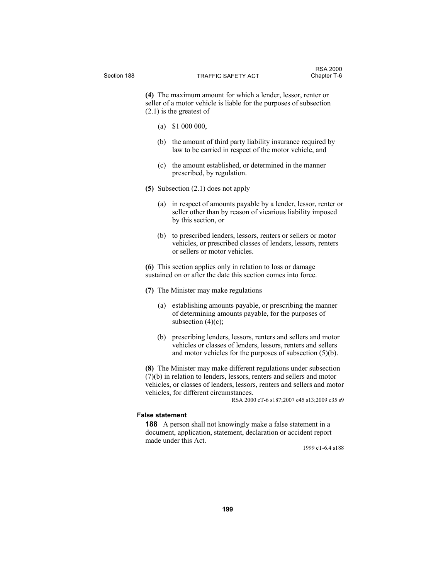**(4)** The maximum amount for which a lender, lessor, renter or seller of a motor vehicle is liable for the purposes of subsection (2.1) is the greatest of

- (a) \$1 000 000,
- (b) the amount of third party liability insurance required by law to be carried in respect of the motor vehicle, and
- (c) the amount established, or determined in the manner prescribed, by regulation.
- **(5)** Subsection (2.1) does not apply
	- (a) in respect of amounts payable by a lender, lessor, renter or seller other than by reason of vicarious liability imposed by this section, or
	- (b) to prescribed lenders, lessors, renters or sellers or motor vehicles, or prescribed classes of lenders, lessors, renters or sellers or motor vehicles.

**(6)** This section applies only in relation to loss or damage sustained on or after the date this section comes into force.

**(7)** The Minister may make regulations

- (a) establishing amounts payable, or prescribing the manner of determining amounts payable, for the purposes of subsection  $(4)(c)$ ;
- (b) prescribing lenders, lessors, renters and sellers and motor vehicles or classes of lenders, lessors, renters and sellers and motor vehicles for the purposes of subsection (5)(b).

**(8)** The Minister may make different regulations under subsection (7)(b) in relation to lenders, lessors, renters and sellers and motor vehicles, or classes of lenders, lessors, renters and sellers and motor vehicles, for different circumstances.

RSA 2000 cT-6 s187;2007 c45 s13;2009 c35 s9

#### **False statement**

**188** A person shall not knowingly make a false statement in a document, application, statement, declaration or accident report made under this Act.

1999 cT-6.4 s188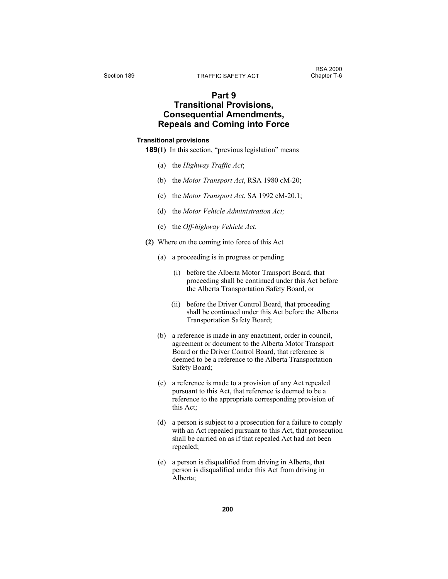# **Part 9 Transitional Provisions, Consequential Amendments, Repeals and Coming into Force**

#### **Transitional provisions**

**189(1)** In this section, "previous legislation" means

- (a) the *Highway Traffic Act*;
- (b) the *Motor Transport Act*, RSA 1980 cM-20;
- (c) the *Motor Transport Act*, SA 1992 cM-20.1;
- (d) the *Motor Vehicle Administration Act;*
- (e) the *Off-highway Vehicle Act*.
- **(2)** Where on the coming into force of this Act
	- (a) a proceeding is in progress or pending
		- (i) before the Alberta Motor Transport Board, that proceeding shall be continued under this Act before the Alberta Transportation Safety Board, or
		- (ii) before the Driver Control Board, that proceeding shall be continued under this Act before the Alberta Transportation Safety Board;
	- (b) a reference is made in any enactment, order in council, agreement or document to the Alberta Motor Transport Board or the Driver Control Board, that reference is deemed to be a reference to the Alberta Transportation Safety Board;
	- (c) a reference is made to a provision of any Act repealed pursuant to this Act, that reference is deemed to be a reference to the appropriate corresponding provision of this Act;
	- (d) a person is subject to a prosecution for a failure to comply with an Act repealed pursuant to this Act, that prosecution shall be carried on as if that repealed Act had not been repealed;
	- (e) a person is disqualified from driving in Alberta, that person is disqualified under this Act from driving in Alberta;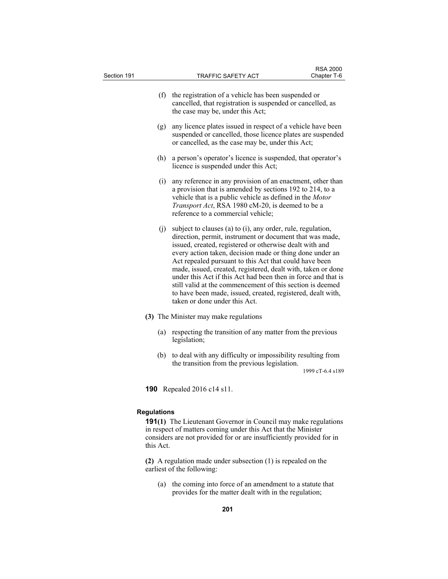| Section 191                   | <b>TRAFFIC SAFETY ACT</b>                                                                                                                                                                                                                                                                                                                                                                                                                                                                                                                                                                              | <b>RSA 2000</b><br>Chapter T-6 |  |  |
|-------------------------------|--------------------------------------------------------------------------------------------------------------------------------------------------------------------------------------------------------------------------------------------------------------------------------------------------------------------------------------------------------------------------------------------------------------------------------------------------------------------------------------------------------------------------------------------------------------------------------------------------------|--------------------------------|--|--|
|                               | (f) the registration of a vehicle has been suspended or<br>cancelled, that registration is suspended or cancelled, as<br>the case may be, under this Act;                                                                                                                                                                                                                                                                                                                                                                                                                                              |                                |  |  |
| (g)                           | any licence plates issued in respect of a vehicle have been<br>suspended or cancelled, those licence plates are suspended<br>or cancelled, as the case may be, under this Act;                                                                                                                                                                                                                                                                                                                                                                                                                         |                                |  |  |
| (h)                           | a person's operator's licence is suspended, that operator's<br>licence is suspended under this Act;                                                                                                                                                                                                                                                                                                                                                                                                                                                                                                    |                                |  |  |
| (i)                           | any reference in any provision of an enactment, other than<br>a provision that is amended by sections 192 to 214, to a<br>vehicle that is a public vehicle as defined in the Motor<br>Transport Act, RSA 1980 cM-20, is deemed to be a<br>reference to a commercial vehicle;                                                                                                                                                                                                                                                                                                                           |                                |  |  |
| (j)                           | subject to clauses (a) to (i), any order, rule, regulation,<br>direction, permit, instrument or document that was made,<br>issued, created, registered or otherwise dealt with and<br>every action taken, decision made or thing done under an<br>Act repealed pursuant to this Act that could have been<br>made, issued, created, registered, dealt with, taken or done<br>under this Act if this Act had been then in force and that is<br>still valid at the commencement of this section is deemed<br>to have been made, issued, created, registered, dealt with,<br>taken or done under this Act. |                                |  |  |
|                               | (3) The Minister may make regulations                                                                                                                                                                                                                                                                                                                                                                                                                                                                                                                                                                  |                                |  |  |
| (a)                           | respecting the transition of any matter from the previous<br>legislation;                                                                                                                                                                                                                                                                                                                                                                                                                                                                                                                              |                                |  |  |
|                               | (b) to deal with any difficulty or impossibility resulting from<br>the transition from the previous legislation.                                                                                                                                                                                                                                                                                                                                                                                                                                                                                       | 1999 cT-6.4 s189               |  |  |
| Repealed 2016 c14 s11.<br>190 |                                                                                                                                                                                                                                                                                                                                                                                                                                                                                                                                                                                                        |                                |  |  |
| <b>Regulations</b>            |                                                                                                                                                                                                                                                                                                                                                                                                                                                                                                                                                                                                        |                                |  |  |
| this Act.                     | <b>191(1)</b> The Lieutenant Governor in Council may make regulations<br>in respect of matters coming under this Act that the Minister<br>considers are not provided for or are insufficiently provided for in                                                                                                                                                                                                                                                                                                                                                                                         |                                |  |  |
|                               | (2) A regulation made under subsection $(1)$ is repealed on the<br>earliest of the following:                                                                                                                                                                                                                                                                                                                                                                                                                                                                                                          |                                |  |  |
|                               | (a) the coming into force of an amendment to a statute that                                                                                                                                                                                                                                                                                                                                                                                                                                                                                                                                            |                                |  |  |

provides for the matter dealt with in the regulation;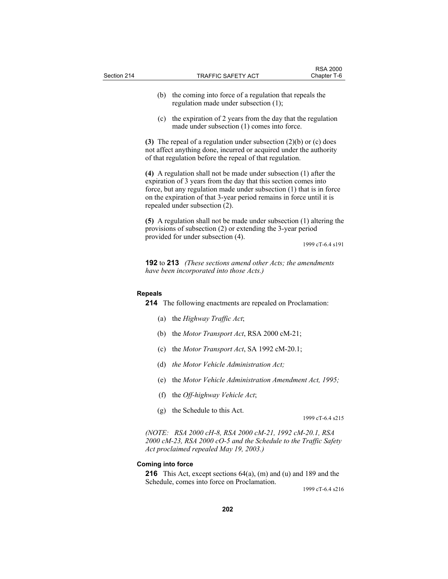| Section 214 |                          | TRAFFIC SAFETY ACT                                                                                                                                                                                                                                                                                                     | <b>RSA 2000</b><br>Chapter T-6 |
|-------------|--------------------------|------------------------------------------------------------------------------------------------------------------------------------------------------------------------------------------------------------------------------------------------------------------------------------------------------------------------|--------------------------------|
|             | (b)                      | the coming into force of a regulation that repeals the<br>regulation made under subsection (1);                                                                                                                                                                                                                        |                                |
|             | (c)                      | the expiration of 2 years from the day that the regulation<br>made under subsection (1) comes into force.                                                                                                                                                                                                              |                                |
|             |                          | (3) The repeal of a regulation under subsection $(2)(b)$ or $(c)$ does<br>not affect anything done, incurred or acquired under the authority<br>of that regulation before the repeal of that regulation.                                                                                                               |                                |
|             |                          | (4) A regulation shall not be made under subsection (1) after the<br>expiration of 3 years from the day that this section comes into<br>force, but any regulation made under subsection (1) that is in force<br>on the expiration of that 3-year period remains in force until it is<br>repealed under subsection (2). |                                |
|             |                          | (5) A regulation shall not be made under subsection $(1)$ altering the<br>provisions of subsection (2) or extending the 3-year period<br>provided for under subsection (4).                                                                                                                                            |                                |
|             |                          |                                                                                                                                                                                                                                                                                                                        | 1999 cT-6.4 s191               |
|             |                          | <b>192</b> to <b>213</b> (These sections amend other Acts; the amendments<br>have been incorporated into those Acts.)                                                                                                                                                                                                  |                                |
|             | <b>Repeals</b>           | <b>214</b> The following enactments are repealed on Proclamation:                                                                                                                                                                                                                                                      |                                |
|             | (a)                      | the Highway Traffic Act;                                                                                                                                                                                                                                                                                               |                                |
|             | (b)                      | the Motor Transport Act, RSA 2000 cM-21;                                                                                                                                                                                                                                                                               |                                |
|             | (c)                      | the <i>Motor Transport Act</i> , SA 1992 cM-20.1;                                                                                                                                                                                                                                                                      |                                |
|             | (d)                      | the Motor Vehicle Administration Act;                                                                                                                                                                                                                                                                                  |                                |
|             | (e)                      | the Motor Vehicle Administration Amendment Act, 1995;                                                                                                                                                                                                                                                                  |                                |
|             |                          | (f) the Off-highway Vehicle Act;                                                                                                                                                                                                                                                                                       |                                |
|             | (g)                      | the Schedule to this Act.                                                                                                                                                                                                                                                                                              | 1999 cT-6.4 s215               |
|             |                          | (NOTE: RSA 2000 cH-8, RSA 2000 cM-21, 1992 cM-20.1, RSA<br>2000 cM-23, RSA 2000 cO-5 and the Schedule to the Traffic Safety<br>Act proclaimed repealed May 19, 2003.)                                                                                                                                                  |                                |
|             | <b>Coming into force</b> | <b>216</b> This Act, except sections $64(a)$ , (m) and (u) and 189 and the                                                                                                                                                                                                                                             |                                |

Schedule, comes into force on Proclamation.

1999 cT-6.4 s216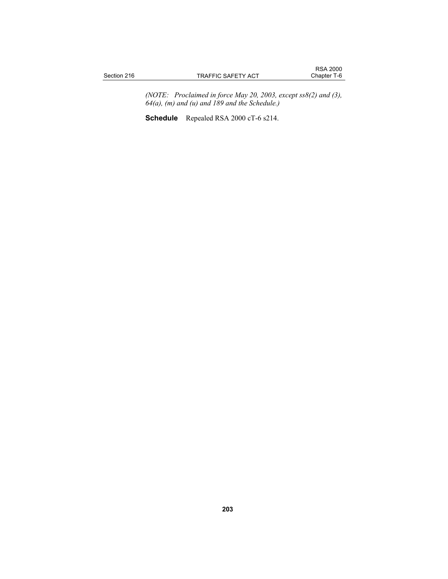*(NOTE: Proclaimed in force May 20, 2003, except ss8(2) and (3), 64(a), (m) and (u) and 189 and the Schedule.)* 

**Schedule** Repealed RSA 2000 cT-6 s214.